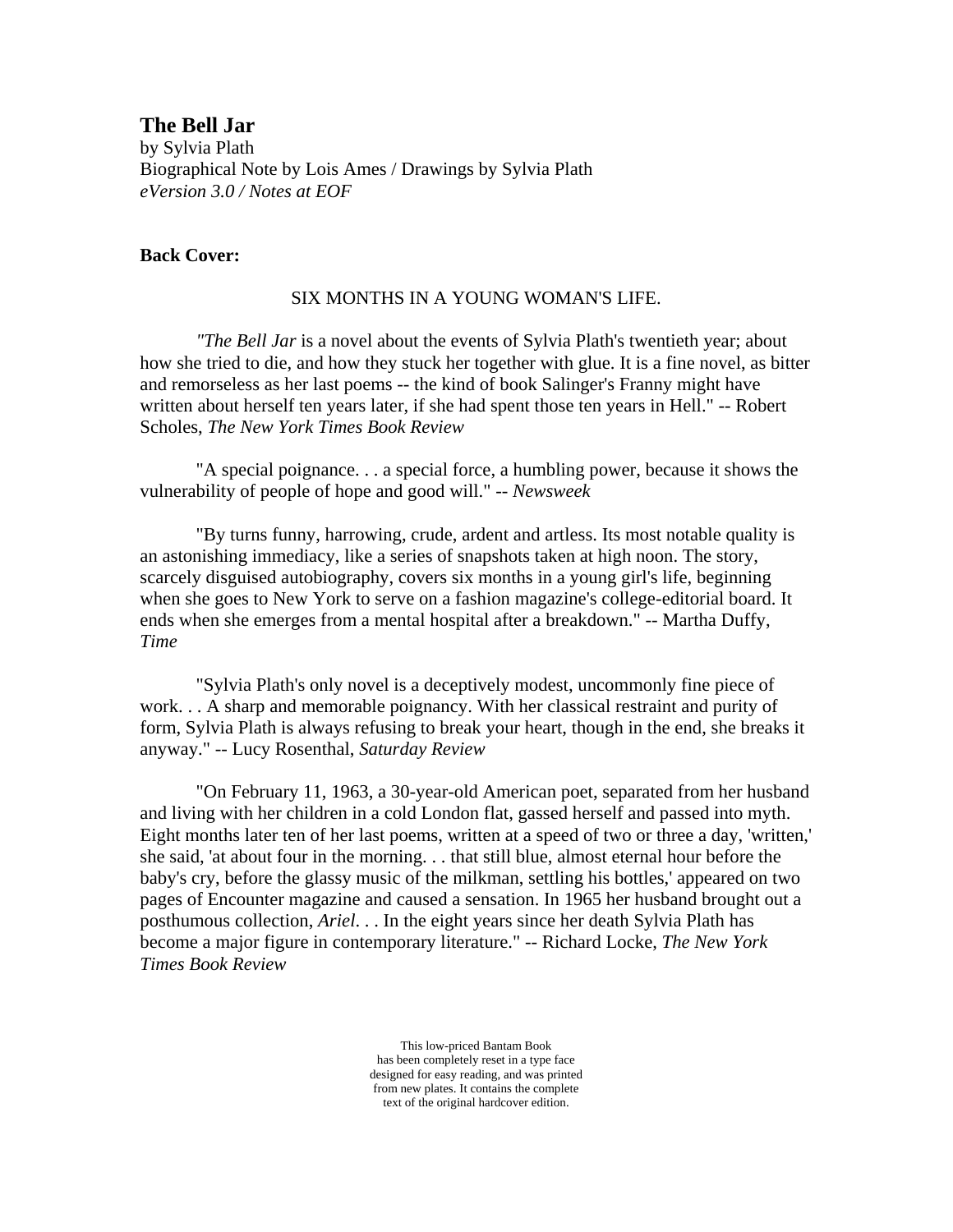# **The Bell Jar**

by Sylvia Plath Biographical Note by Lois Ames / Drawings by Sylvia Plath *eVersion 3.0 / Notes at EOF*

## **Back Cover:**

# SIX MONTHS IN A YOUNG WOMAN'S LIFE.

*"The Bell Jar* is a novel about the events of Sylvia Plath's twentieth year; about how she tried to die, and how they stuck her together with glue. It is a fine novel, as bitter and remorseless as her last poems -- the kind of book Salinger's Franny might have written about herself ten years later, if she had spent those ten years in Hell." -*-* Robert Scholes, *The New York Times Book Review* 

 "A special poignance. . . a special force, a humbling power, because it shows the vulnerability of people of hope and good will." -- *Newsweek* 

 "By turns funny, harrowing, crude, ardent and artless. Its most notable quality is an astonishing immediacy, like a series of snapshots taken at high noon. The story, scarcely disguised autobiography, covers six months in a young girl's life, beginning when she goes to New York to serve on a fashion magazine's college-editorial board. It ends when she emerges from a mental hospital after a breakdown." -- Martha Duffy, *Time*

 "Sylvia Plath's only novel is a deceptively modest, uncommonly fine piece of work. . . A sharp and memorable poignancy. With her classical restraint and purity of form, Sylvia Plath is always refusing to break your heart, though in the end, she breaks it anyway." -- Lucy Rosenthal, *Saturday Review* 

 "On February 11, 1963, a 30-year-old American poet, separated from her husband and living with her children in a cold London flat, gassed herself and passed into myth. Eight months later ten of her last poems, written at a speed of two or three a day, 'written,' she said, 'at about four in the morning. . . that still blue, almost eternal hour before the baby's cry, before the glassy music of the milkman, settling his bottles,' appeared on two pages of Encounter magazine and caused a sensation. In 1965 her husband brought out a posthumous collection, *Ariel*. . . In the eight years since her death Sylvia Plath has become a major figure in contemporary literature." -- Richard Locke, *The New York Times Book Review*

> This low-priced Bantam Book has been completely reset in a type face designed for easy reading, and was printed from new plates. It contains the complete text of the original hardcover edition.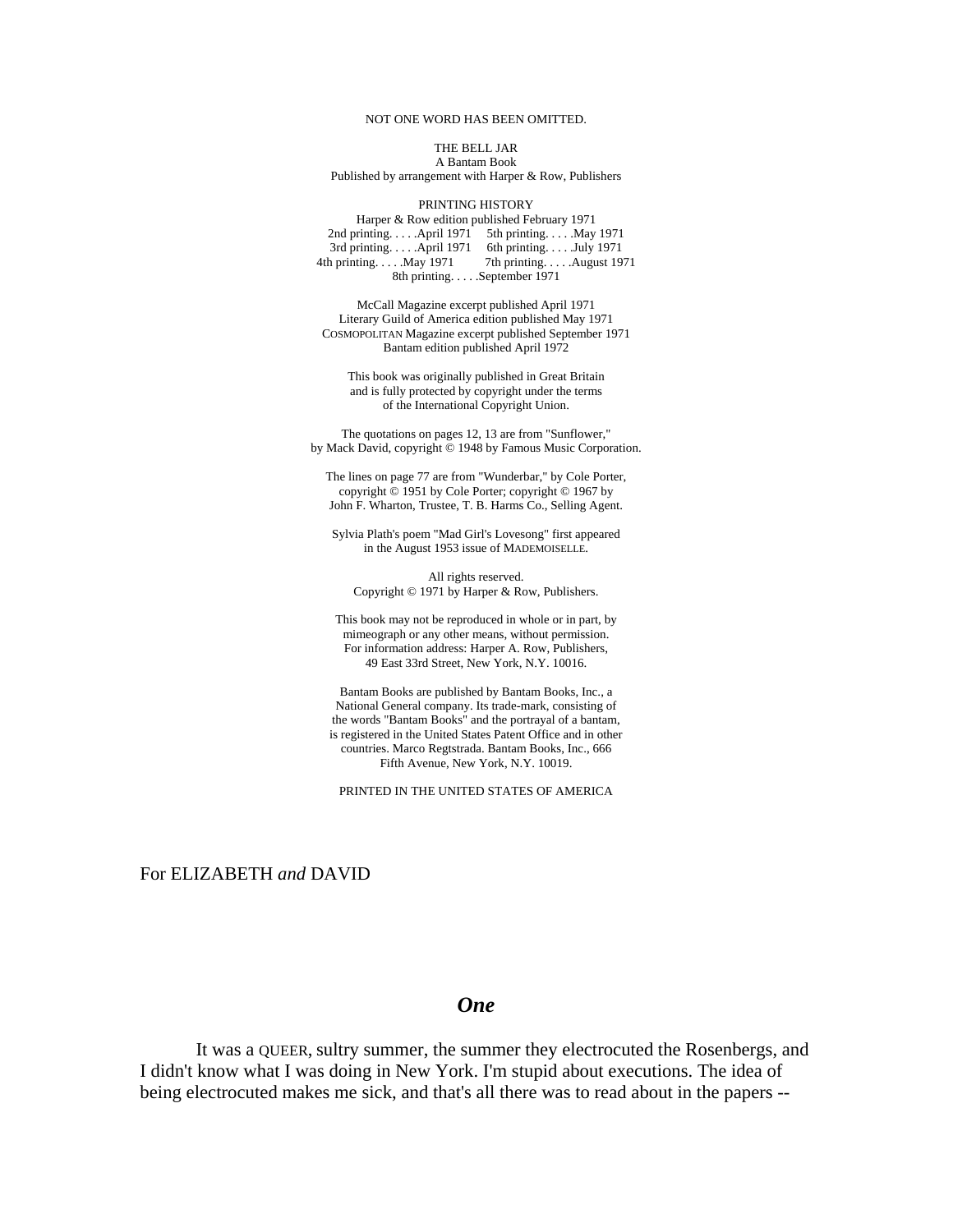#### NOT ONE WORD HAS BEEN OMITTED.

#### THE BELL JAR

A Bantam Book Published by arrangement with Harper & Row, Publishers

#### PRINTING HISTORY

Harper & Row edition published February 1971 2nd printing. . . . .April 1971 5th printing. . . . .May 1971 3rd printing. . . . .April 1971 6th printing. . . . .July 1971 4th printing. . . . .May 1971 7th printing. . . . .August 1971 8th printing. . . . .September 1971

McCall Magazine excerpt published April 1971 Literary Guild of America edition published May 1971 COSMOPOLITAN Magazine excerpt published September 1971 Bantam edition published April 1972

This book was originally published in Great Britain and is fully protected by copyright under the terms of the International Copyright Union.

The quotations on pages 12, 13 are from "Sunflower," by Mack David, copyright © 1948 by Famous Music Corporation.

The lines on page 77 are from "Wunderbar," by Cole Porter, copyright © 1951 by Cole Porter; copyright © 1967 by John F. Wharton, Trustee, T. B. Harms Co., Selling Agent.

Sylvia Plath's poem "Mad Girl's Lovesong" first appeared in the August 1953 issue of MADEMOISELLE.

All rights reserved. Copyright © 1971 by Harper & Row, Publishers.

This book may not be reproduced in whole or in part, by mimeograph or any other means, without permission. For information address: Harper A. Row, Publishers, 49 East 33rd Street, New York, N.Y. 10016.

Bantam Books are published by Bantam Books, Inc., a National General company. Its trade-mark, consisting of the words "Bantam Books" and the portrayal of a bantam, is registered in the United States Patent Office and in other countries. Marco Regtstrada. Bantam Books, Inc., 666 Fifth Avenue, New York, N.Y. 10019.

PRINTED IN THE UNITED STATES OF AMERICA

For ELIZABETH *and* DAVID

#### *One*

 It was a QUEER, sultry summer, the summer they electrocuted the Rosenbergs, and I didn't know what I was doing in New York. I'm stupid about executions. The idea of being electrocuted makes me sick, and that's all there was to read about in the papers --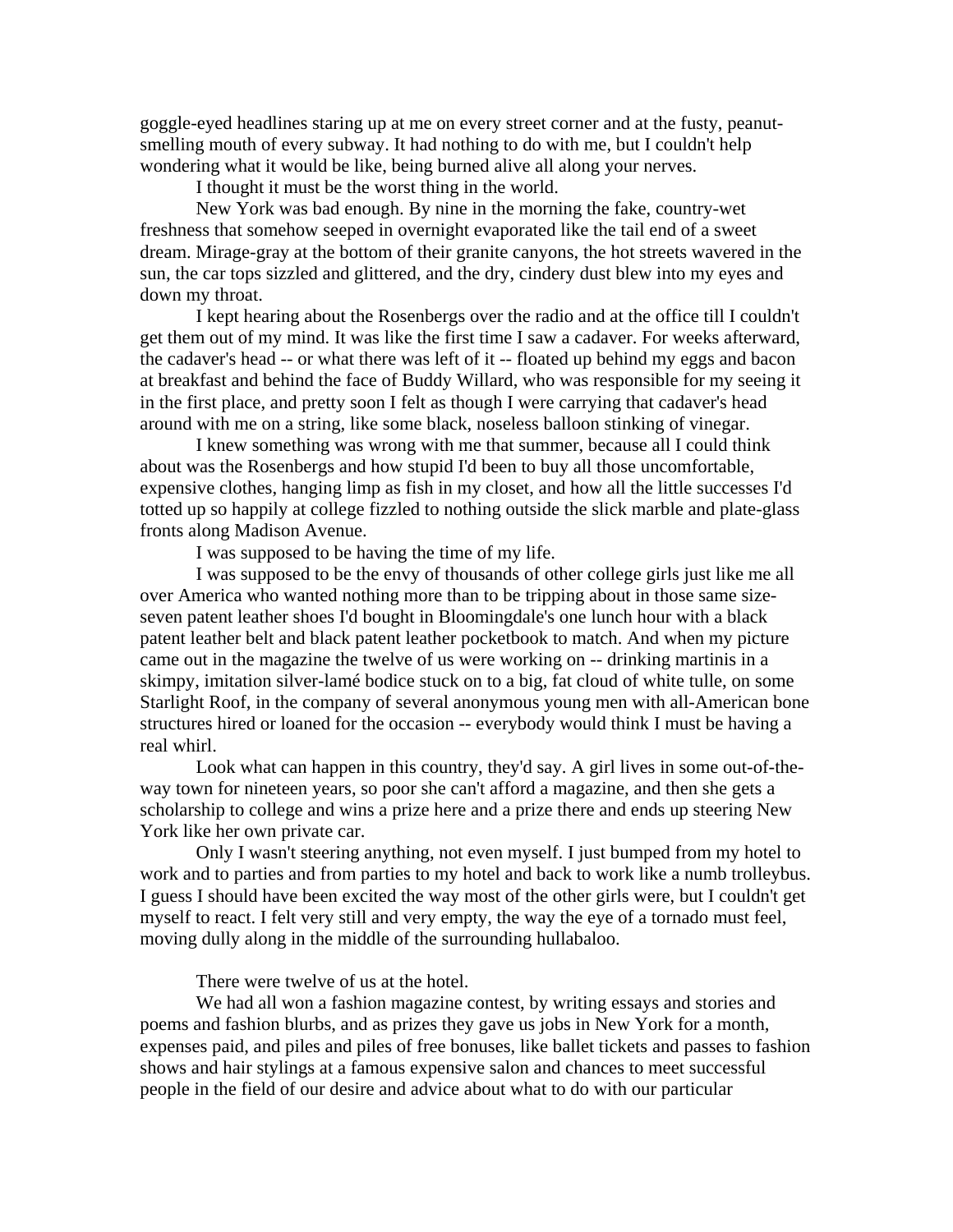goggle-eyed headlines staring up at me on every street corner and at the fusty, peanutsmelling mouth of every subway. It had nothing to do with me, but I couldn't help wondering what it would be like, being burned alive all along your nerves.

I thought it must be the worst thing in the world.

 New York was bad enough. By nine in the morning the fake, country-wet freshness that somehow seeped in overnight evaporated like the tail end of a sweet dream. Mirage-gray at the bottom of their granite canyons, the hot streets wavered in the sun, the car tops sizzled and glittered, and the dry, cindery dust blew into my eyes and down my throat.

 I kept hearing about the Rosenbergs over the radio and at the office till I couldn't get them out of my mind. It was like the first time I saw a cadaver. For weeks afterward, the cadaver's head -- or what there was left of it -- floated up behind my eggs and bacon at breakfast and behind the face of Buddy Willard, who was responsible for my seeing it in the first place, and pretty soon I felt as though I were carrying that cadaver's head around with me on a string, like some black, noseless balloon stinking of vinegar.

 I knew something was wrong with me that summer, because all I could think about was the Rosenbergs and how stupid I'd been to buy all those uncomfortable, expensive clothes, hanging limp as fish in my closet, and how all the little successes I'd totted up so happily at college fizzled to nothing outside the slick marble and plate-glass fronts along Madison Avenue.

I was supposed to be having the time of my life.

 I was supposed to be the envy of thousands of other college girls just like me all over America who wanted nothing more than to be tripping about in those same sizeseven patent leather shoes I'd bought in Bloomingdale's one lunch hour with a black patent leather belt and black patent leather pocketbook to match. And when my picture came out in the magazine the twelve of us were working on -- drinking martinis in a skimpy, imitation silver-lamé bodice stuck on to a big, fat cloud of white tulle, on some Starlight Roof, in the company of several anonymous young men with all-American bone structures hired or loaned for the occasion -- everybody would think I must be having a real whirl.

 Look what can happen in this country, they'd say. A girl lives in some out-of-theway town for nineteen years, so poor she can't afford a magazine, and then she gets a scholarship to college and wins a prize here and a prize there and ends up steering New York like her own private car.

 Only I wasn't steering anything, not even myself. I just bumped from my hotel to work and to parties and from parties to my hotel and back to work like a numb trolleybus. I guess I should have been excited the way most of the other girls were, but I couldn't get myself to react. I felt very still and very empty, the way the eye of a tornado must feel, moving dully along in the middle of the surrounding hullabaloo.

There were twelve of us at the hotel.

 We had all won a fashion magazine contest, by writing essays and stories and poems and fashion blurbs, and as prizes they gave us jobs in New York for a month, expenses paid, and piles and piles of free bonuses, like ballet tickets and passes to fashion shows and hair stylings at a famous expensive salon and chances to meet successful people in the field of our desire and advice about what to do with our particular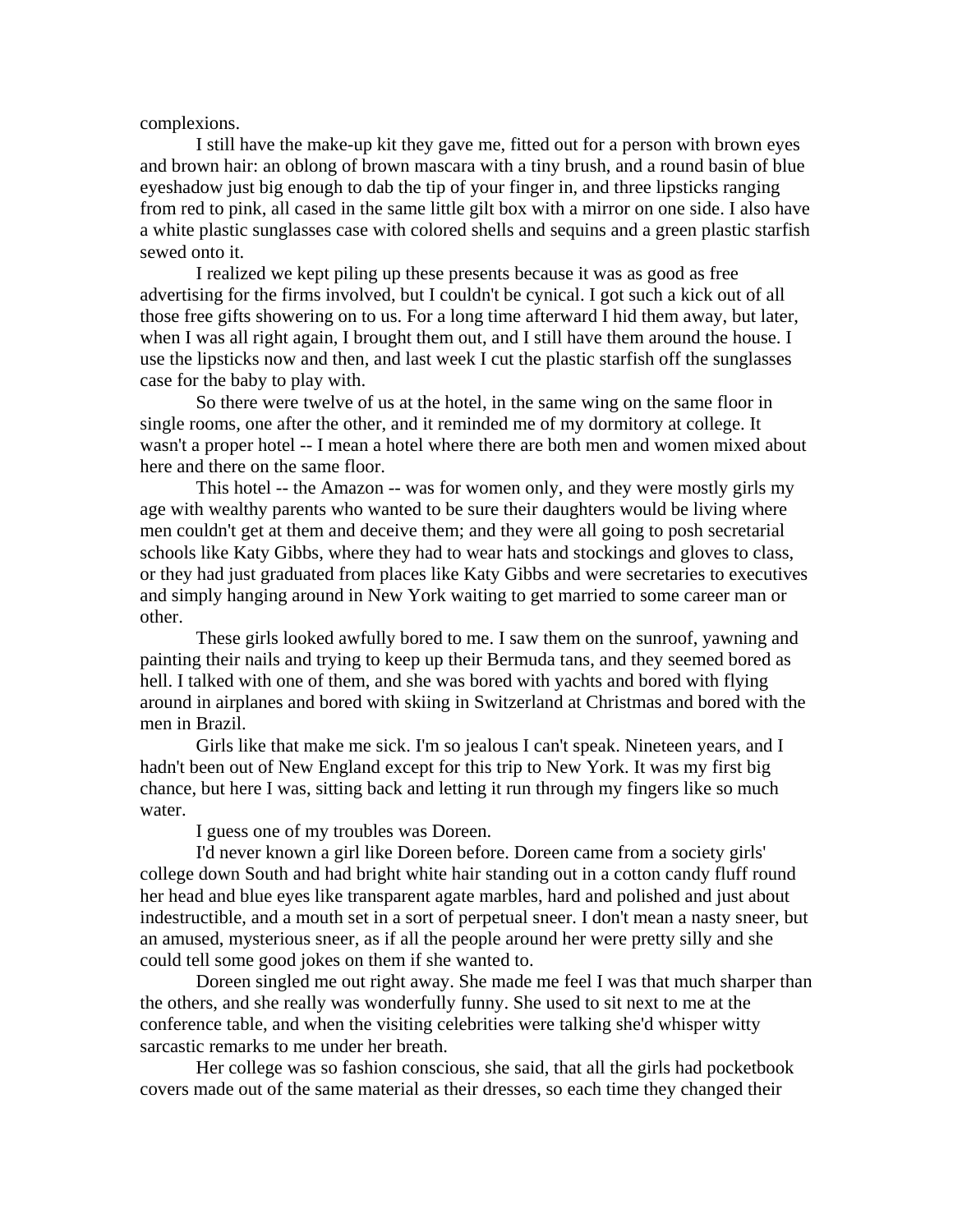complexions.

 I still have the make-up kit they gave me, fitted out for a person with brown eyes and brown hair: an oblong of brown mascara with a tiny brush, and a round basin of blue eyeshadow just big enough to dab the tip of your finger in, and three lipsticks ranging from red to pink, all cased in the same little gilt box with a mirror on one side. I also have a white plastic sunglasses case with colored shells and sequins and a green plastic starfish sewed onto it.

 I realized we kept piling up these presents because it was as good as free advertising for the firms involved, but I couldn't be cynical. I got such a kick out of all those free gifts showering on to us. For a long time afterward I hid them away, but later, when I was all right again, I brought them out, and I still have them around the house. I use the lipsticks now and then, and last week I cut the plastic starfish off the sunglasses case for the baby to play with.

 So there were twelve of us at the hotel, in the same wing on the same floor in single rooms, one after the other, and it reminded me of my dormitory at college. It wasn't a proper hotel -- I mean a hotel where there are both men and women mixed about here and there on the same floor.

 This hotel -- the Amazon -- was for women only, and they were mostly girls my age with wealthy parents who wanted to be sure their daughters would be living where men couldn't get at them and deceive them; and they were all going to posh secretarial schools like Katy Gibbs, where they had to wear hats and stockings and gloves to class, or they had just graduated from places like Katy Gibbs and were secretaries to executives and simply hanging around in New York waiting to get married to some career man or other.

 These girls looked awfully bored to me. I saw them on the sunroof, yawning and painting their nails and trying to keep up their Bermuda tans, and they seemed bored as hell. I talked with one of them, and she was bored with yachts and bored with flying around in airplanes and bored with skiing in Switzerland at Christmas and bored with the men in Brazil.

Girls like that make me sick. I'm so jealous I can't speak. Nineteen years, and I hadn't been out of New England except for this trip to New York. It was my first big chance, but here I was, sitting back and letting it run through my fingers like so much water.

I guess one of my troubles was Doreen.

 I'd never known a girl like Doreen before. Doreen came from a society girls' college down South and had bright white hair standing out in a cotton candy fluff round her head and blue eyes like transparent agate marbles, hard and polished and just about indestructible, and a mouth set in a sort of perpetual sneer. I don't mean a nasty sneer, but an amused, mysterious sneer, as if all the people around her were pretty silly and she could tell some good jokes on them if she wanted to.

 Doreen singled me out right away. She made me feel I was that much sharper than the others, and she really was wonderfully funny. She used to sit next to me at the conference table, and when the visiting celebrities were talking she'd whisper witty sarcastic remarks to me under her breath.

 Her college was so fashion conscious, she said, that all the girls had pocketbook covers made out of the same material as their dresses, so each time they changed their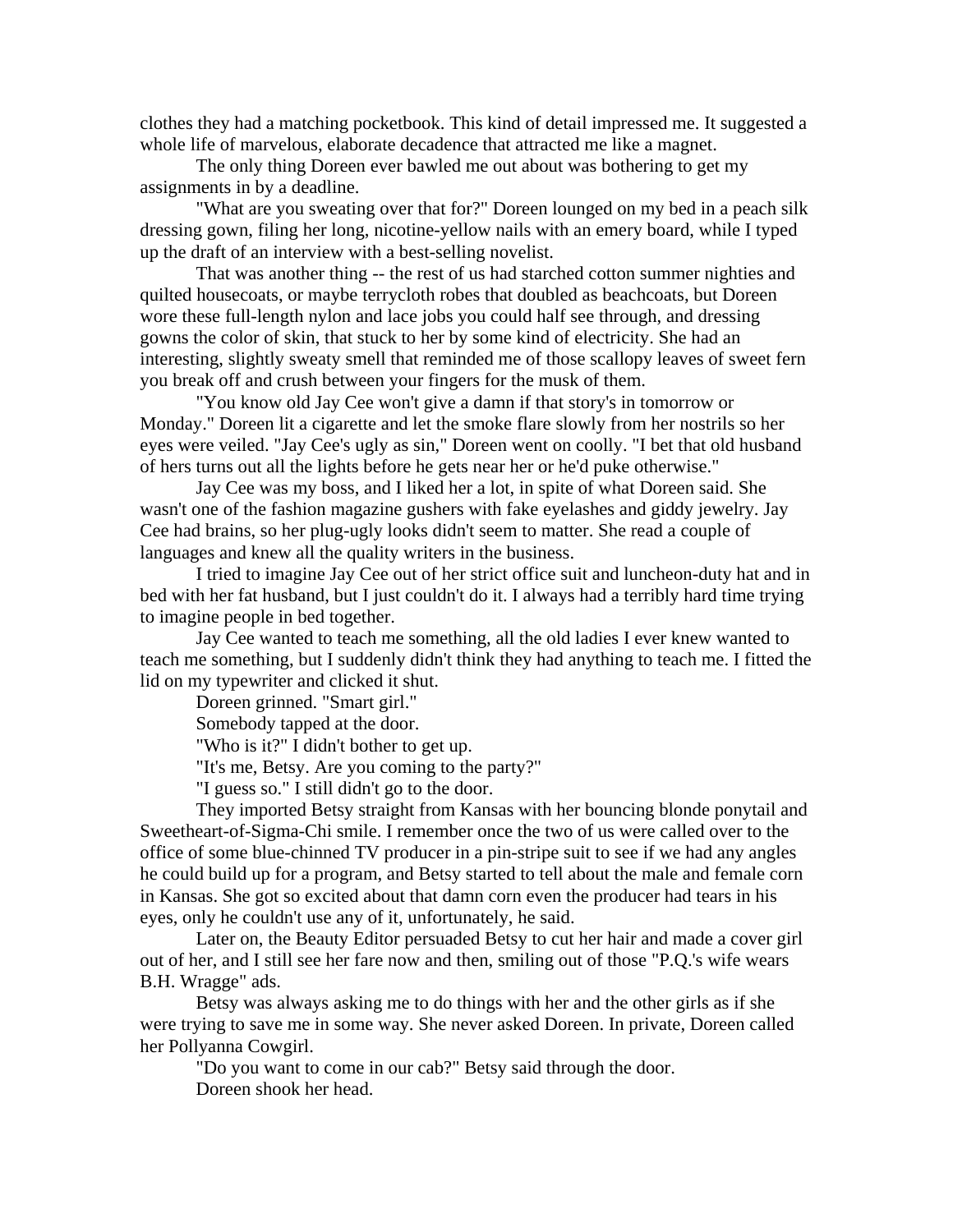clothes they had a matching pocketbook. This kind of detail impressed me. It suggested a whole life of marvelous, elaborate decadence that attracted me like a magnet.

 The only thing Doreen ever bawled me out about was bothering to get my assignments in by a deadline.

 "What are you sweating over that for?" Doreen lounged on my bed in a peach silk dressing gown, filing her long, nicotine-yellow nails with an emery board, while I typed up the draft of an interview with a best-selling novelist.

 That was another thing -- the rest of us had starched cotton summer nighties and quilted housecoats, or maybe terrycloth robes that doubled as beachcoats, but Doreen wore these full-length nylon and lace jobs you could half see through, and dressing gowns the color of skin, that stuck to her by some kind of electricity. She had an interesting, slightly sweaty smell that reminded me of those scallopy leaves of sweet fern you break off and crush between your fingers for the musk of them.

 "You know old Jay Cee won't give a damn if that story's in tomorrow or Monday." Doreen lit a cigarette and let the smoke flare slowly from her nostrils so her eyes were veiled. "Jay Cee's ugly as sin," Doreen went on coolly. "I bet that old husband of hers turns out all the lights before he gets near her or he'd puke otherwise."

 Jay Cee was my boss, and I liked her a lot, in spite of what Doreen said. She wasn't one of the fashion magazine gushers with fake eyelashes and giddy jewelry. Jay Cee had brains, so her plug-ugly looks didn't seem to matter. She read a couple of languages and knew all the quality writers in the business.

 I tried to imagine Jay Cee out of her strict office suit and luncheon-duty hat and in bed with her fat husband, but I just couldn't do it. I always had a terribly hard time trying to imagine people in bed together.

 Jay Cee wanted to teach me something, all the old ladies I ever knew wanted to teach me something, but I suddenly didn't think they had anything to teach me. I fitted the lid on my typewriter and clicked it shut.

Doreen grinned. "Smart girl."

Somebody tapped at the door.

"Who is it?" I didn't bother to get up.

"It's me, Betsy. Are you coming to the party?"

"I guess so." I still didn't go to the door.

 They imported Betsy straight from Kansas with her bouncing blonde ponytail and Sweetheart-of-Sigma-Chi smile. I remember once the two of us were called over to the office of some blue-chinned TV producer in a pin-stripe suit to see if we had any angles he could build up for a program, and Betsy started to tell about the male and female corn in Kansas. She got so excited about that damn corn even the producer had tears in his eyes, only he couldn't use any of it, unfortunately, he said.

 Later on, the Beauty Editor persuaded Betsy to cut her hair and made a cover girl out of her, and I still see her fare now and then, smiling out of those "P.Q.'s wife wears B.H. Wragge" ads.

 Betsy was always asking me to do things with her and the other girls as if she were trying to save me in some way. She never asked Doreen. In private, Doreen called her Pollyanna Cowgirl.

 "Do you want to come in our cab?" Betsy said through the door. Doreen shook her head.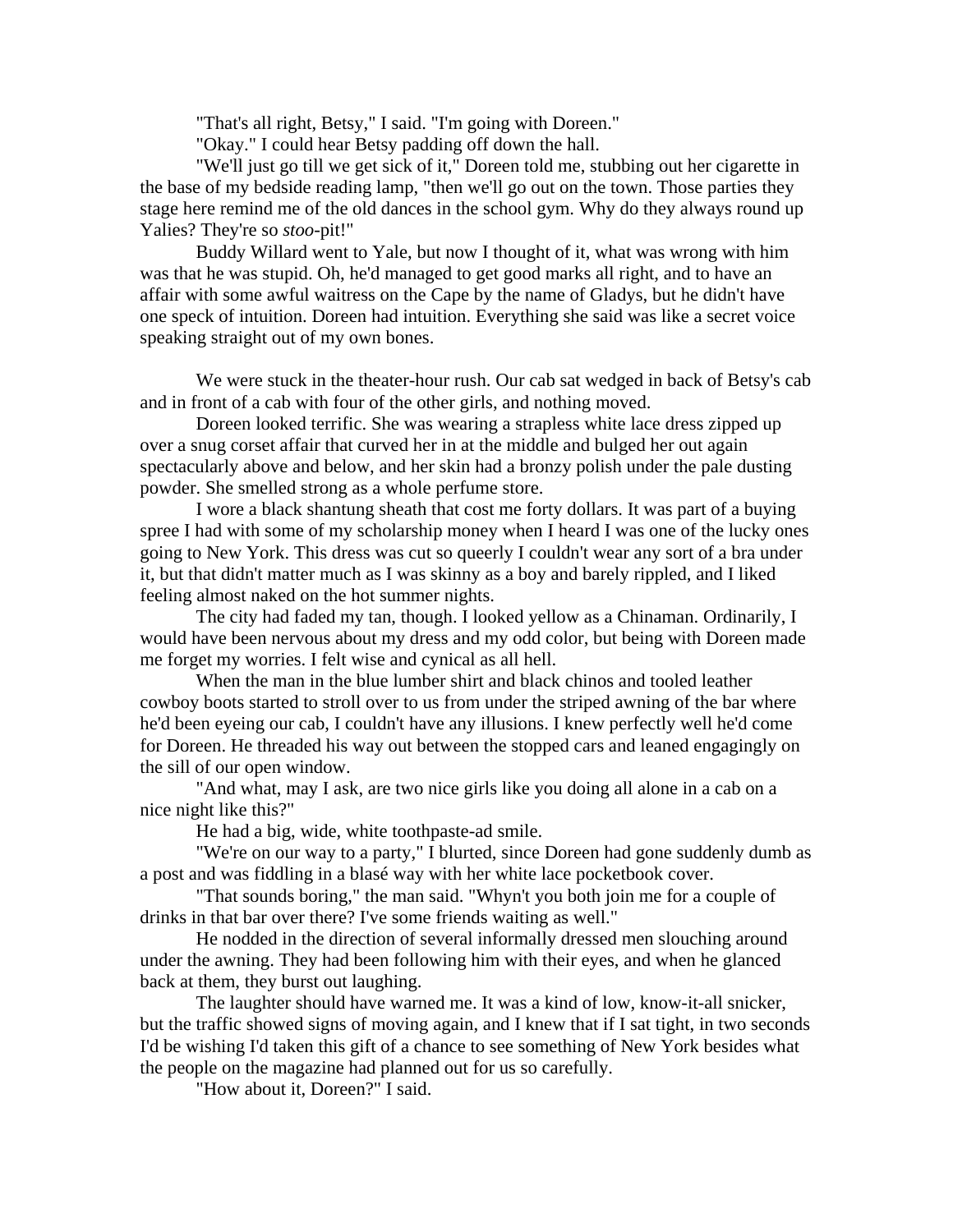"That's all right, Betsy," I said. "I'm going with Doreen."

"Okay." I could hear Betsy padding off down the hall.

 "We'll just go till we get sick of it," Doreen told me, stubbing out her cigarette in the base of my bedside reading lamp, "then we'll go out on the town. Those parties they stage here remind me of the old dances in the school gym. Why do they always round up Yalies? They're so *stoo*-pit!"

 Buddy Willard went to Yale, but now I thought of it, what was wrong with him was that he was stupid. Oh, he'd managed to get good marks all right, and to have an affair with some awful waitress on the Cape by the name of Gladys, but he didn't have one speck of intuition. Doreen had intuition. Everything she said was like a secret voice speaking straight out of my own bones.

 We were stuck in the theater-hour rush. Our cab sat wedged in back of Betsy's cab and in front of a cab with four of the other girls, and nothing moved.

 Doreen looked terrific. She was wearing a strapless white lace dress zipped up over a snug corset affair that curved her in at the middle and bulged her out again spectacularly above and below, and her skin had a bronzy polish under the pale dusting powder. She smelled strong as a whole perfume store.

 I wore a black shantung sheath that cost me forty dollars. It was part of a buying spree I had with some of my scholarship money when I heard I was one of the lucky ones going to New York. This dress was cut so queerly I couldn't wear any sort of a bra under it, but that didn't matter much as I was skinny as a boy and barely rippled, and I liked feeling almost naked on the hot summer nights.

 The city had faded my tan, though. I looked yellow as a Chinaman. Ordinarily, I would have been nervous about my dress and my odd color, but being with Doreen made me forget my worries. I felt wise and cynical as all hell.

 When the man in the blue lumber shirt and black chinos and tooled leather cowboy boots started to stroll over to us from under the striped awning of the bar where he'd been eyeing our cab, I couldn't have any illusions. I knew perfectly well he'd come for Doreen. He threaded his way out between the stopped cars and leaned engagingly on the sill of our open window.

 "And what, may I ask, are two nice girls like you doing all alone in a cab on a nice night like this?"

He had a big, wide, white toothpaste-ad smile.

 "We're on our way to a party," I blurted, since Doreen had gone suddenly dumb as a post and was fiddling in a blasé way with her white lace pocketbook cover.

 "That sounds boring," the man said. "Whyn't you both join me for a couple of drinks in that bar over there? I've some friends waiting as well."

 He nodded in the direction of several informally dressed men slouching around under the awning. They had been following him with their eyes, and when he glanced back at them, they burst out laughing.

 The laughter should have warned me. It was a kind of low, know-it-all snicker, but the traffic showed signs of moving again, and I knew that if I sat tight, in two seconds I'd be wishing I'd taken this gift of a chance to see something of New York besides what the people on the magazine had planned out for us so carefully.

"How about it, Doreen?" I said.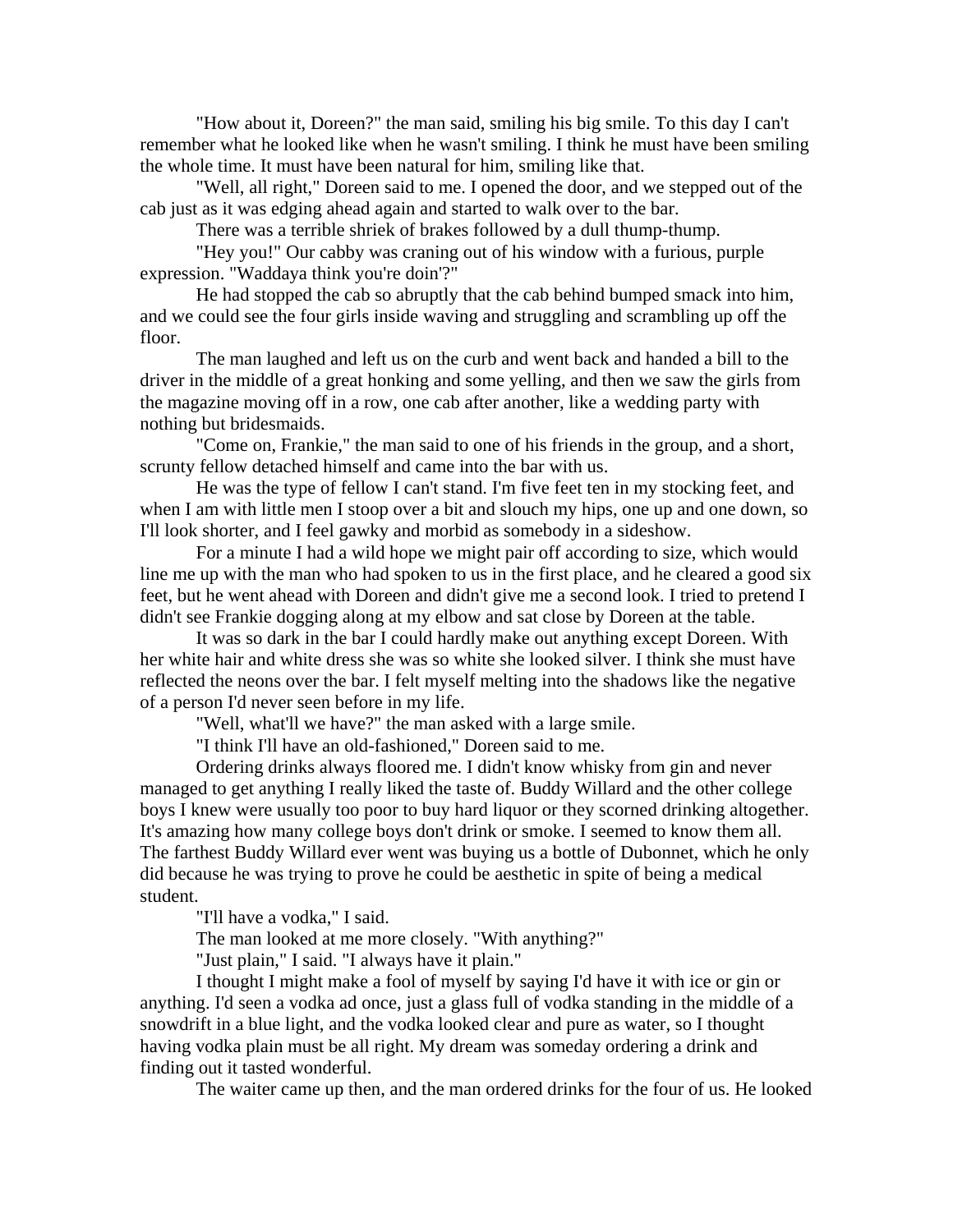"How about it, Doreen?" the man said, smiling his big smile. To this day I can't remember what he looked like when he wasn't smiling. I think he must have been smiling the whole time. It must have been natural for him, smiling like that.

 "Well, all right," Doreen said to me. I opened the door, and we stepped out of the cab just as it was edging ahead again and started to walk over to the bar.

There was a terrible shriek of brakes followed by a dull thump-thump.

 "Hey you!" Our cabby was craning out of his window with a furious, purple expression. "Waddaya think you're doin'?"

 He had stopped the cab so abruptly that the cab behind bumped smack into him, and we could see the four girls inside waving and struggling and scrambling up off the floor.

 The man laughed and left us on the curb and went back and handed a bill to the driver in the middle of a great honking and some yelling, and then we saw the girls from the magazine moving off in a row, one cab after another, like a wedding party with nothing but bridesmaids.

 "Come on, Frankie," the man said to one of his friends in the group, and a short, scrunty fellow detached himself and came into the bar with us.

 He was the type of fellow I can't stand. I'm five feet ten in my stocking feet, and when I am with little men I stoop over a bit and slouch my hips, one up and one down, so I'll look shorter, and I feel gawky and morbid as somebody in a sideshow.

 For a minute I had a wild hope we might pair off according to size, which would line me up with the man who had spoken to us in the first place, and he cleared a good six feet, but he went ahead with Doreen and didn't give me a second look. I tried to pretend I didn't see Frankie dogging along at my elbow and sat close by Doreen at the table.

 It was so dark in the bar I could hardly make out anything except Doreen. With her white hair and white dress she was so white she looked silver. I think she must have reflected the neons over the bar. I felt myself melting into the shadows like the negative of a person I'd never seen before in my life.

"Well, what'll we have?" the man asked with a large smile.

"I think I'll have an old-fashioned," Doreen said to me.

 Ordering drinks always floored me. I didn't know whisky from gin and never managed to get anything I really liked the taste of. Buddy Willard and the other college boys I knew were usually too poor to buy hard liquor or they scorned drinking altogether. It's amazing how many college boys don't drink or smoke. I seemed to know them all. The farthest Buddy Willard ever went was buying us a bottle of Dubonnet, which he only did because he was trying to prove he could be aesthetic in spite of being a medical student.

"I'll have a vodka," I said.

The man looked at me more closely. "With anything?"

"Just plain," I said. "I always have it plain."

 I thought I might make a fool of myself by saying I'd have it with ice or gin or anything. I'd seen a vodka ad once, just a glass full of vodka standing in the middle of a snowdrift in a blue light, and the vodka looked clear and pure as water, so I thought having vodka plain must be all right. My dream was someday ordering a drink and finding out it tasted wonderful.

The waiter came up then, and the man ordered drinks for the four of us. He looked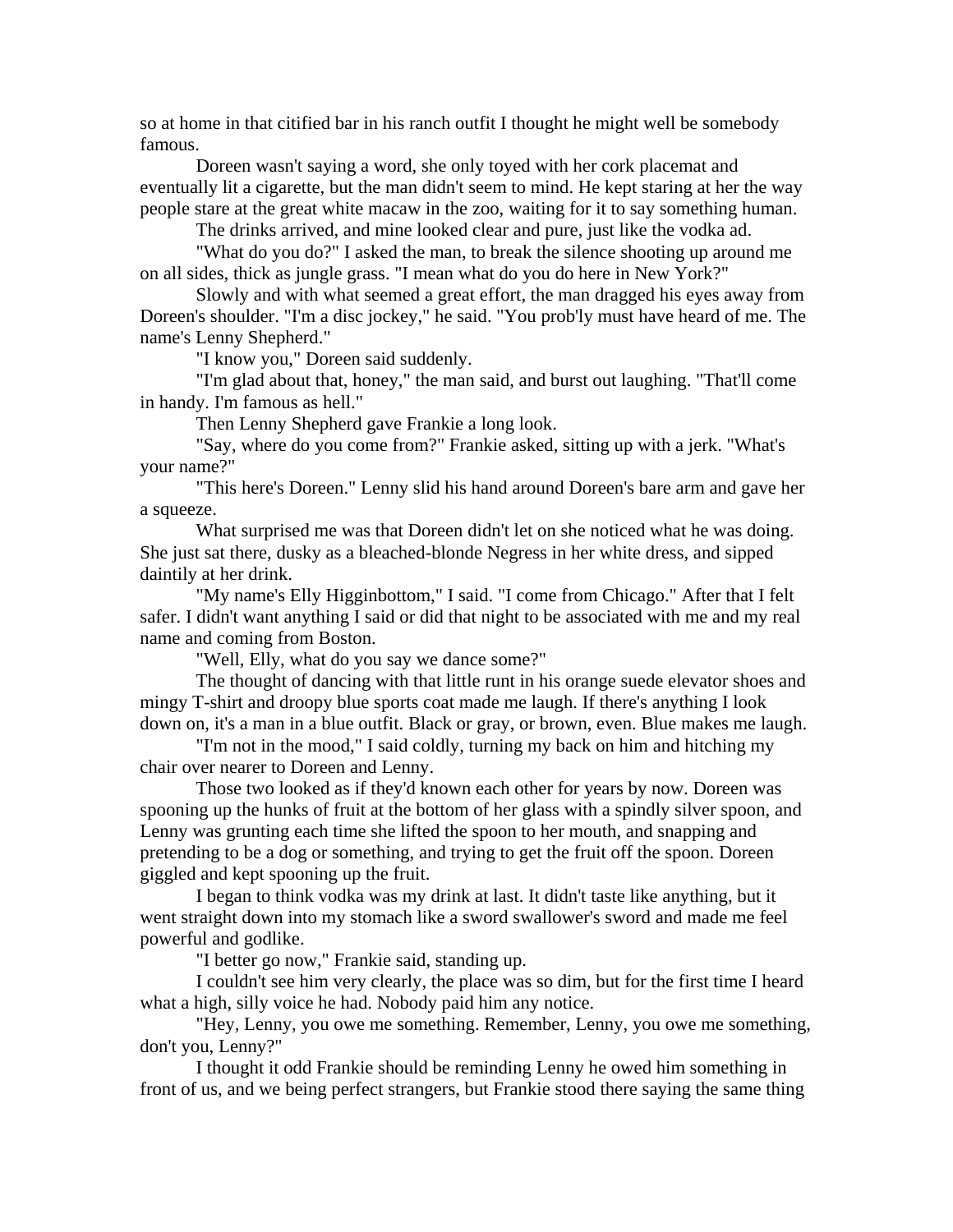so at home in that citified bar in his ranch outfit I thought he might well be somebody famous.

 Doreen wasn't saying a word, she only toyed with her cork placemat and eventually lit a cigarette, but the man didn't seem to mind. He kept staring at her the way people stare at the great white macaw in the zoo, waiting for it to say something human.

The drinks arrived, and mine looked clear and pure, just like the vodka ad.

 "What do you do?" I asked the man, to break the silence shooting up around me on all sides, thick as jungle grass. "I mean what do you do here in New York?"

 Slowly and with what seemed a great effort, the man dragged his eyes away from Doreen's shoulder. "I'm a disc jockey," he said. "You prob'ly must have heard of me. The name's Lenny Shepherd."

"I know you," Doreen said suddenly.

 "I'm glad about that, honey," the man said, and burst out laughing. "That'll come in handy. I'm famous as hell."

Then Lenny Shepherd gave Frankie a long look.

 "Say, where do you come from?" Frankie asked, sitting up with a jerk. "What's your name?"

 "This here's Doreen." Lenny slid his hand around Doreen's bare arm and gave her a squeeze.

 What surprised me was that Doreen didn't let on she noticed what he was doing. She just sat there, dusky as a bleached-blonde Negress in her white dress, and sipped daintily at her drink.

 "My name's Elly Higginbottom," I said. "I come from Chicago." After that I felt safer. I didn't want anything I said or did that night to be associated with me and my real name and coming from Boston.

"Well, Elly, what do you say we dance some?"

 The thought of dancing with that little runt in his orange suede elevator shoes and mingy T-shirt and droopy blue sports coat made me laugh. If there's anything I look down on, it's a man in a blue outfit. Black or gray, or brown, even. Blue makes me laugh.

 "I'm not in the mood," I said coldly, turning my back on him and hitching my chair over nearer to Doreen and Lenny.

 Those two looked as if they'd known each other for years by now. Doreen was spooning up the hunks of fruit at the bottom of her glass with a spindly silver spoon, and Lenny was grunting each time she lifted the spoon to her mouth, and snapping and pretending to be a dog or something, and trying to get the fruit off the spoon. Doreen giggled and kept spooning up the fruit.

 I began to think vodka was my drink at last. It didn't taste like anything, but it went straight down into my stomach like a sword swallower's sword and made me feel powerful and godlike.

"I better go now," Frankie said, standing up.

 I couldn't see him very clearly, the place was so dim, but for the first time I heard what a high, silly voice he had. Nobody paid him any notice.

 "Hey, Lenny, you owe me something. Remember, Lenny, you owe me something, don't you, Lenny?"

 I thought it odd Frankie should be reminding Lenny he owed him something in front of us, and we being perfect strangers, but Frankie stood there saying the same thing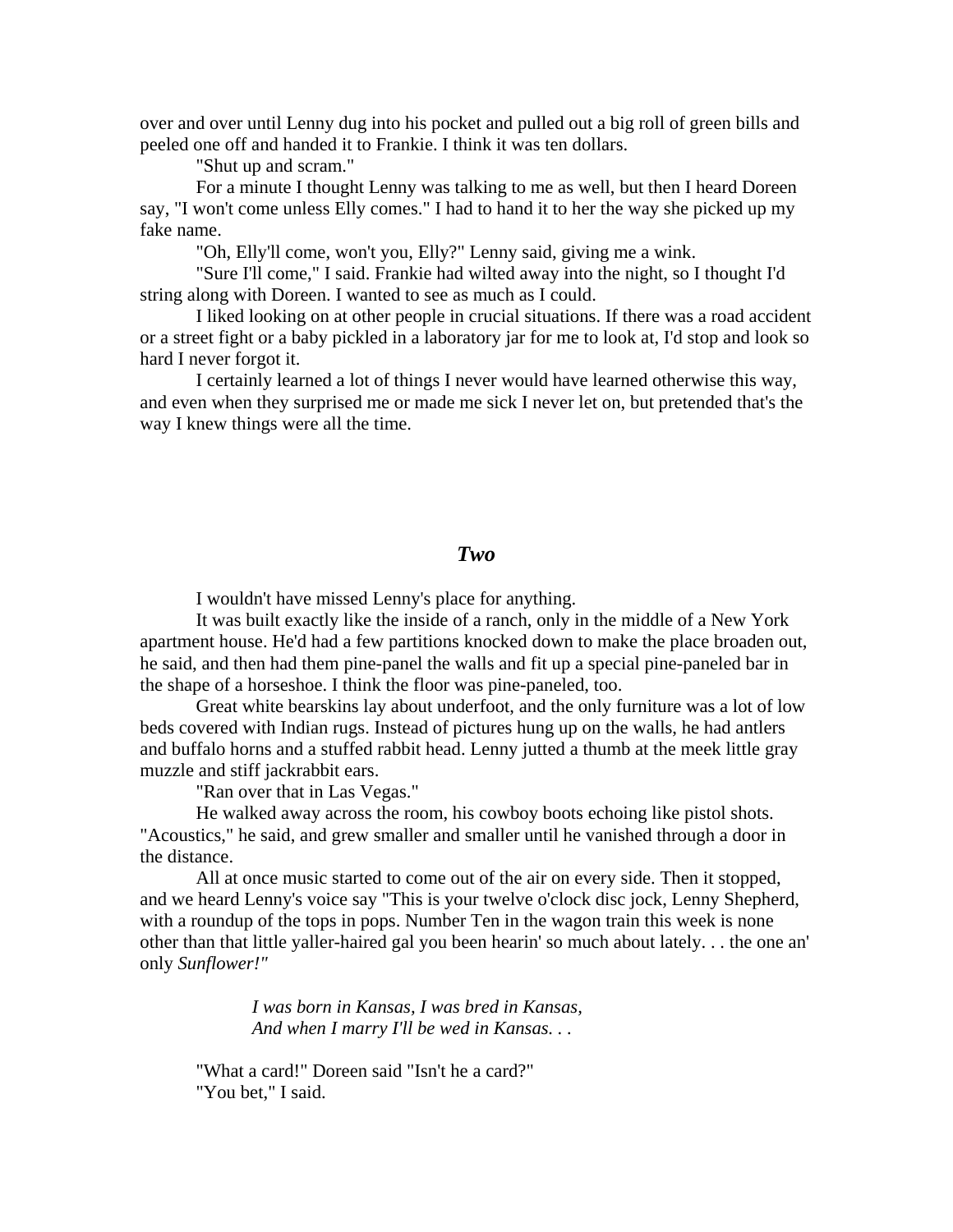over and over until Lenny dug into his pocket and pulled out a big roll of green bills and peeled one off and handed it to Frankie. I think it was ten dollars.

"Shut up and scram."

 For a minute I thought Lenny was talking to me as well, but then I heard Doreen say, "I won't come unless Elly comes." I had to hand it to her the way she picked up my fake name.

"Oh, Elly'll come, won't you, Elly?" Lenny said, giving me a wink.

 "Sure I'll come," I said. Frankie had wilted away into the night, so I thought I'd string along with Doreen. I wanted to see as much as I could.

 I liked looking on at other people in crucial situations. If there was a road accident or a street fight or a baby pickled in a laboratory jar for me to look at, I'd stop and look so hard I never forgot it.

 I certainly learned a lot of things I never would have learned otherwise this way, and even when they surprised me or made me sick I never let on, but pretended that's the way I knew things were all the time.

## *Two*

I wouldn't have missed Lenny's place for anything.

 It was built exactly like the inside of a ranch, only in the middle of a New York apartment house. He'd had a few partitions knocked down to make the place broaden out, he said, and then had them pine-panel the walls and fit up a special pine-paneled bar in the shape of a horseshoe. I think the floor was pine-paneled, too.

 Great white bearskins lay about underfoot, and the only furniture was a lot of low beds covered with Indian rugs. Instead of pictures hung up on the walls, he had antlers and buffalo horns and a stuffed rabbit head. Lenny jutted a thumb at the meek little gray muzzle and stiff jackrabbit ears.

"Ran over that in Las Vegas."

 He walked away across the room, his cowboy boots echoing like pistol shots. "Acoustics," he said, and grew smaller and smaller until he vanished through a door in the distance.

 All at once music started to come out of the air on every side. Then it stopped, and we heard Lenny's voice say "This is your twelve o'clock disc jock, Lenny Shepherd, with a roundup of the tops in pops. Number Ten in the wagon train this week is none other than that little yaller-haired gal you been hearin' so much about lately. . . the one an' only *Sunflower!"*

> *I was born in Kansas, I was bred in Kansas, And when I marry I'll be wed in Kansas. . .*

 "What a card!" Doreen said "Isn't he a card?" "You bet," I said.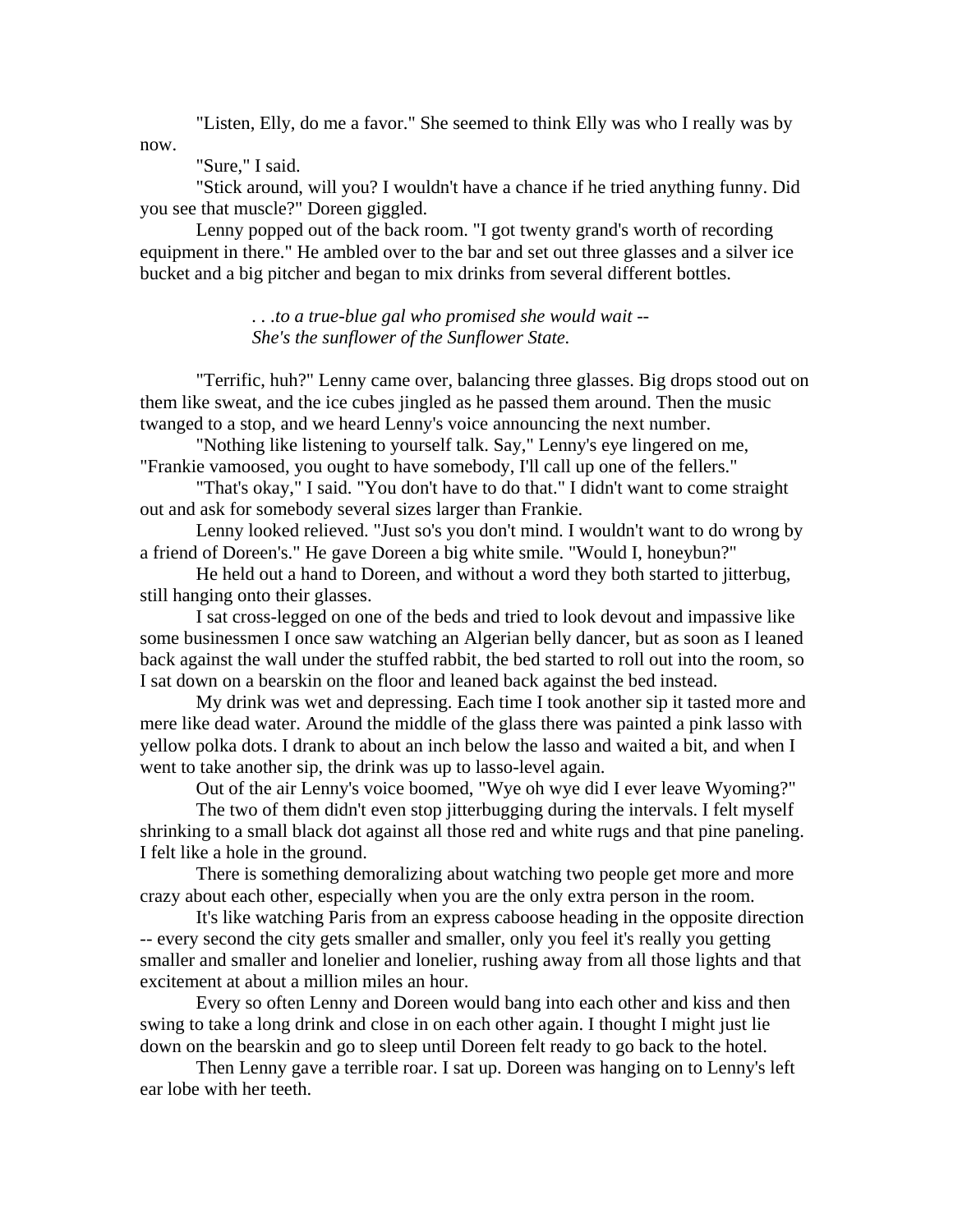"Listen, Elly, do me a favor." She seemed to think Elly was who I really was by now.

"Sure," I said.

 "Stick around, will you? I wouldn't have a chance if he tried anything funny. Did you see that muscle?" Doreen giggled.

 Lenny popped out of the back room. "I got twenty grand's worth of recording equipment in there." He ambled over to the bar and set out three glasses and a silver ice bucket and a big pitcher and began to mix drinks from several different bottles.

> *. . .to a true-blue gal who promised she would wait -*- *She's the sunflower of the Sunflower State.*

 "Terrific, huh?" Lenny came over, balancing three glasses. Big drops stood out on them like sweat, and the ice cubes jingled as he passed them around. Then the music twanged to a stop, and we heard Lenny's voice announcing the next number.

 "Nothing like listening to yourself talk. Say," Lenny's eye lingered on me, "Frankie vamoosed, you ought to have somebody, I'll call up one of the fellers."

 "That's okay," I said. "You don't have to do that." I didn't want to come straight out and ask for somebody several sizes larger than Frankie.

 Lenny looked relieved. "Just so's you don't mind. I wouldn't want to do wrong by a friend of Doreen's." He gave Doreen a big white smile. "Would I, honeybun?"

 He held out a hand to Doreen, and without a word they both started to jitterbug, still hanging onto their glasses.

 I sat cross-legged on one of the beds and tried to look devout and impassive like some businessmen I once saw watching an Algerian belly dancer, but as soon as I leaned back against the wall under the stuffed rabbit, the bed started to roll out into the room, so I sat down on a bearskin on the floor and leaned back against the bed instead.

 My drink was wet and depressing. Each time I took another sip it tasted more and mere like dead water. Around the middle of the glass there was painted a pink lasso with yellow polka dots. I drank to about an inch below the lasso and waited a bit, and when I went to take another sip, the drink was up to lasso-level again.

Out of the air Lenny's voice boomed, "Wye oh wye did I ever leave Wyoming?"

 The two of them didn't even stop jitterbugging during the intervals. I felt myself shrinking to a small black dot against all those red and white rugs and that pine paneling. I felt like a hole in the ground.

 There is something demoralizing about watching two people get more and more crazy about each other, especially when you are the only extra person in the room.

 It's like watching Paris from an express caboose heading in the opposite direction -- every second the city gets smaller and smaller, only you feel it's really you getting smaller and smaller and lonelier and lonelier, rushing away from all those lights and that excitement at about a million miles an hour.

 Every so often Lenny and Doreen would bang into each other and kiss and then swing to take a long drink and close in on each other again. I thought I might just lie down on the bearskin and go to sleep until Doreen felt ready to go back to the hotel.

 Then Lenny gave a terrible roar. I sat up. Doreen was hanging on to Lenny's left ear lobe with her teeth.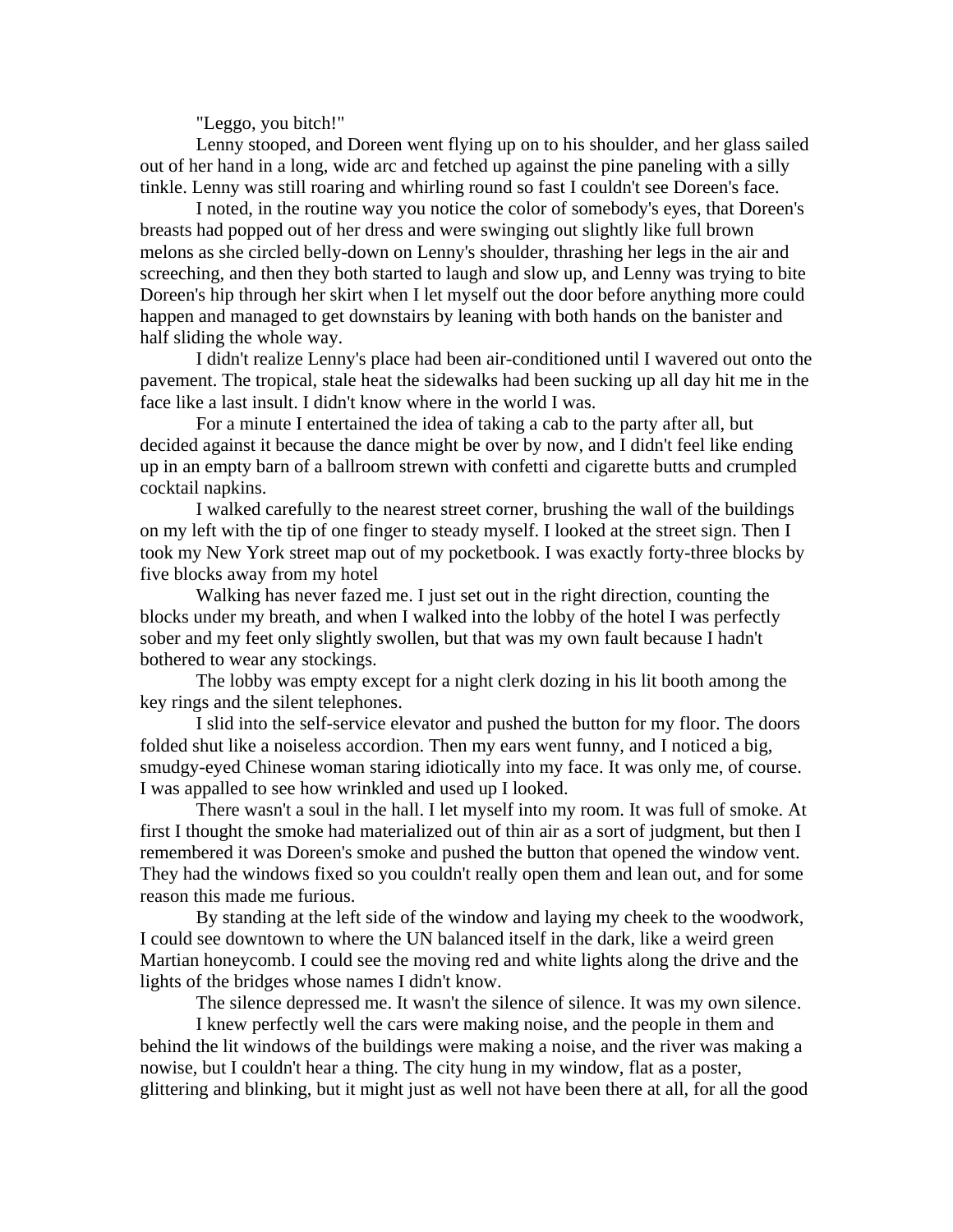"Leggo, you bitch!"

 Lenny stooped, and Doreen went flying up on to his shoulder, and her glass sailed out of her hand in a long, wide arc and fetched up against the pine paneling with a silly tinkle. Lenny was still roaring and whirling round so fast I couldn't see Doreen's face.

 I noted, in the routine way you notice the color of somebody's eyes, that Doreen's breasts had popped out of her dress and were swinging out slightly like full brown melons as she circled belly-down on Lenny's shoulder, thrashing her legs in the air and screeching, and then they both started to laugh and slow up, and Lenny was trying to bite Doreen's hip through her skirt when I let myself out the door before anything more could happen and managed to get downstairs by leaning with both hands on the banister and half sliding the whole way.

 I didn't realize Lenny's place had been air-conditioned until I wavered out onto the pavement. The tropical, stale heat the sidewalks had been sucking up all day hit me in the face like a last insult. I didn't know where in the world I was.

 For a minute I entertained the idea of taking a cab to the party after all, but decided against it because the dance might be over by now, and I didn't feel like ending up in an empty barn of a ballroom strewn with confetti and cigarette butts and crumpled cocktail napkins.

 I walked carefully to the nearest street corner, brushing the wall of the buildings on my left with the tip of one finger to steady myself. I looked at the street sign. Then I took my New York street map out of my pocketbook. I was exactly forty-three blocks by five blocks away from my hotel

 Walking has never fazed me. I just set out in the right direction, counting the blocks under my breath, and when I walked into the lobby of the hotel I was perfectly sober and my feet only slightly swollen, but that was my own fault because I hadn't bothered to wear any stockings.

 The lobby was empty except for a night clerk dozing in his lit booth among the key rings and the silent telephones.

 I slid into the self-service elevator and pushed the button for my floor. The doors folded shut like a noiseless accordion. Then my ears went funny, and I noticed a big, smudgy-eyed Chinese woman staring idiotically into my face. It was only me, of course. I was appalled to see how wrinkled and used up I looked.

 There wasn't a soul in the hall. I let myself into my room. It was full of smoke. At first I thought the smoke had materialized out of thin air as a sort of judgment, but then I remembered it was Doreen's smoke and pushed the button that opened the window vent. They had the windows fixed so you couldn't really open them and lean out, and for some reason this made me furious.

 By standing at the left side of the window and laying my cheek to the woodwork, I could see downtown to where the UN balanced itself in the dark, like a weird green Martian honeycomb. I could see the moving red and white lights along the drive and the lights of the bridges whose names I didn't know.

The silence depressed me. It wasn't the silence of silence. It was my own silence.

 I knew perfectly well the cars were making noise, and the people in them and behind the lit windows of the buildings were making a noise, and the river was making a nowise, but I couldn't hear a thing. The city hung in my window, flat as a poster, glittering and blinking, but it might just as well not have been there at all, for all the good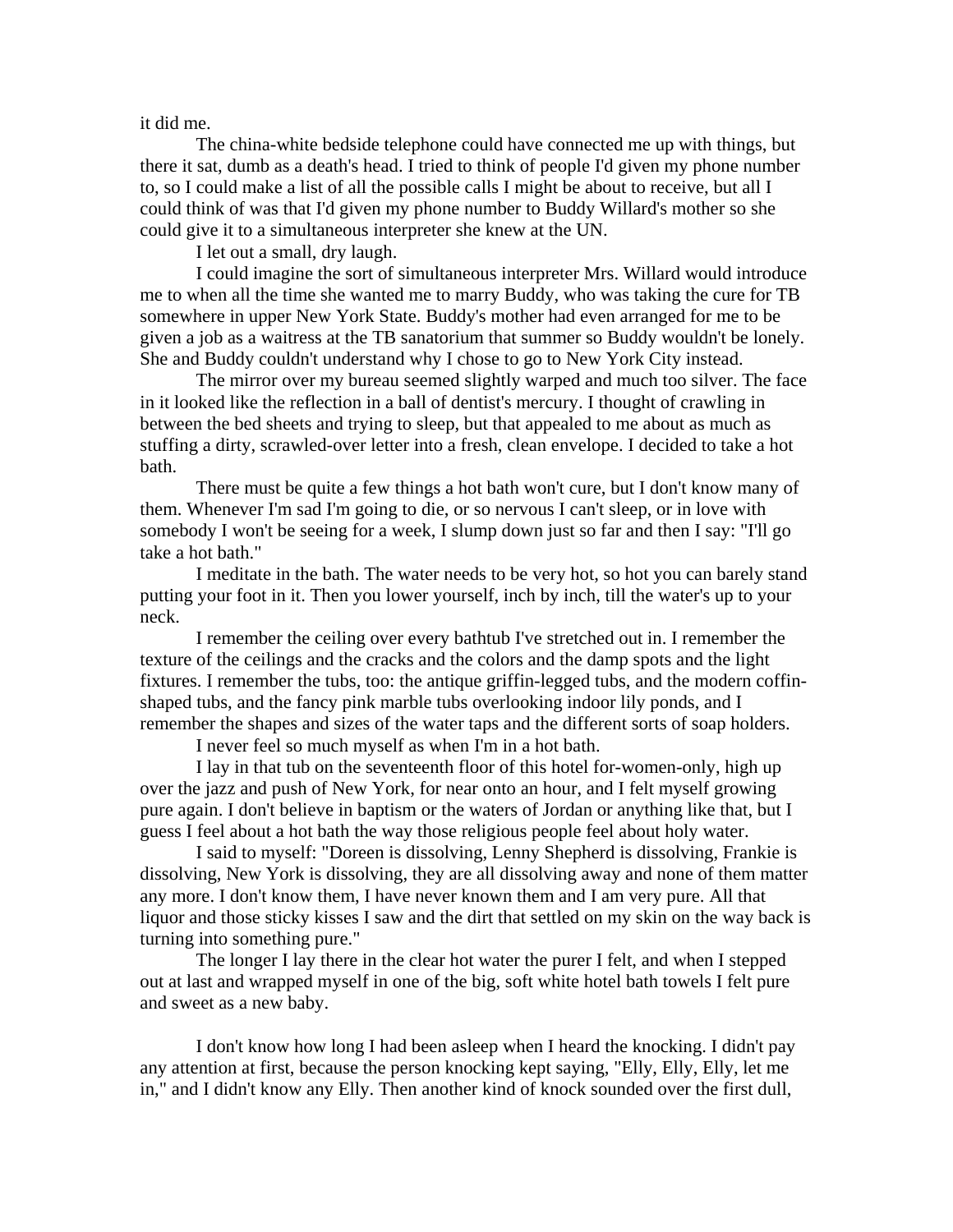it did me.

 The china-white bedside telephone could have connected me up with things, but there it sat, dumb as a death's head. I tried to think of people I'd given my phone number to, so I could make a list of all the possible calls I might be about to receive, but all I could think of was that I'd given my phone number to Buddy Willard's mother so she could give it to a simultaneous interpreter she knew at the UN.

I let out a small, dry laugh.

 I could imagine the sort of simultaneous interpreter Mrs. Willard would introduce me to when all the time she wanted me to marry Buddy, who was taking the cure for TB somewhere in upper New York State. Buddy's mother had even arranged for me to be given a job as a waitress at the TB sanatorium that summer so Buddy wouldn't be lonely. She and Buddy couldn't understand why I chose to go to New York City instead.

 The mirror over my bureau seemed slightly warped and much too silver. The face in it looked like the reflection in a ball of dentist's mercury. I thought of crawling in between the bed sheets and trying to sleep, but that appealed to me about as much as stuffing a dirty, scrawled-over letter into a fresh, clean envelope. I decided to take a hot bath.

 There must be quite a few things a hot bath won't cure, but I don't know many of them. Whenever I'm sad I'm going to die, or so nervous I can't sleep, or in love with somebody I won't be seeing for a week, I slump down just so far and then I say: "I'll go take a hot bath."

 I meditate in the bath. The water needs to be very hot, so hot you can barely stand putting your foot in it. Then you lower yourself, inch by inch, till the water's up to your neck.

 I remember the ceiling over every bathtub I've stretched out in. I remember the texture of the ceilings and the cracks and the colors and the damp spots and the light fixtures. I remember the tubs, too: the antique griffin-legged tubs, and the modern coffinshaped tubs, and the fancy pink marble tubs overlooking indoor lily ponds, and I remember the shapes and sizes of the water taps and the different sorts of soap holders.

I never feel so much myself as when I'm in a hot bath.

 I lay in that tub on the seventeenth floor of this hotel for-women-only, high up over the jazz and push of New York, for near onto an hour, and I felt myself growing pure again. I don't believe in baptism or the waters of Jordan or anything like that, but I guess I feel about a hot bath the way those religious people feel about holy water.

 I said to myself: "Doreen is dissolving, Lenny Shepherd is dissolving, Frankie is dissolving, New York is dissolving, they are all dissolving away and none of them matter any more. I don't know them, I have never known them and I am very pure. All that liquor and those sticky kisses I saw and the dirt that settled on my skin on the way back is turning into something pure."

 The longer I lay there in the clear hot water the purer I felt, and when I stepped out at last and wrapped myself in one of the big, soft white hotel bath towels I felt pure and sweet as a new baby.

 I don't know how long I had been asleep when I heard the knocking. I didn't pay any attention at first, because the person knocking kept saying, "Elly, Elly, Elly, let me in," and I didn't know any Elly. Then another kind of knock sounded over the first dull,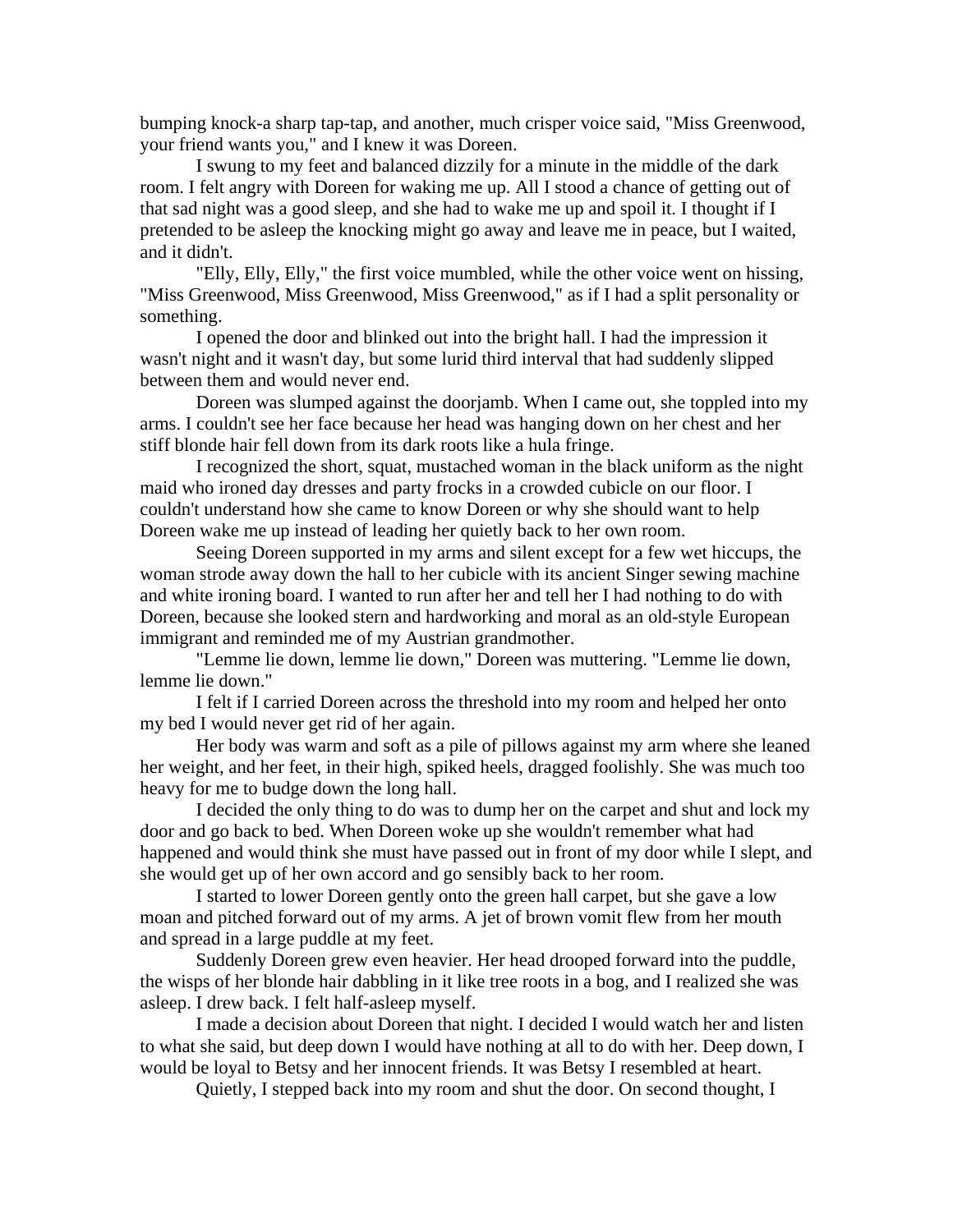bumping knock-a sharp tap-tap, and another, much crisper voice said, "Miss Greenwood, your friend wants you," and I knew it was Doreen.

 I swung to my feet and balanced dizzily for a minute in the middle of the dark room. I felt angry with Doreen for waking me up. All I stood a chance of getting out of that sad night was a good sleep, and she had to wake me up and spoil it. I thought if I pretended to be asleep the knocking might go away and leave me in peace, but I waited, and it didn't.

 "Elly, Elly, Elly," the first voice mumbled, while the other voice went on hissing, "Miss Greenwood, Miss Greenwood, Miss Greenwood," as if I had a split personality or something.

 I opened the door and blinked out into the bright hall. I had the impression it wasn't night and it wasn't day, but some lurid third interval that had suddenly slipped between them and would never end.

 Doreen was slumped against the doorjamb. When I came out, she toppled into my arms. I couldn't see her face because her head was hanging down on her chest and her stiff blonde hair fell down from its dark roots like a hula fringe.

 I recognized the short, squat, mustached woman in the black uniform as the night maid who ironed day dresses and party frocks in a crowded cubicle on our floor. I couldn't understand how she came to know Doreen or why she should want to help Doreen wake me up instead of leading her quietly back to her own room.

 Seeing Doreen supported in my arms and silent except for a few wet hiccups, the woman strode away down the hall to her cubicle with its ancient Singer sewing machine and white ironing board. I wanted to run after her and tell her I had nothing to do with Doreen, because she looked stern and hardworking and moral as an old-style European immigrant and reminded me of my Austrian grandmother.

 "Lemme lie down, lemme lie down," Doreen was muttering. "Lemme lie down, lemme lie down."

 I felt if I carried Doreen across the threshold into my room and helped her onto my bed I would never get rid of her again.

 Her body was warm and soft as a pile of pillows against my arm where she leaned her weight, and her feet, in their high, spiked heels, dragged foolishly. She was much too heavy for me to budge down the long hall.

 I decided the only thing to do was to dump her on the carpet and shut and lock my door and go back to bed. When Doreen woke up she wouldn't remember what had happened and would think she must have passed out in front of my door while I slept, and she would get up of her own accord and go sensibly back to her room.

 I started to lower Doreen gently onto the green hall carpet, but she gave a low moan and pitched forward out of my arms. A jet of brown vomit flew from her mouth and spread in a large puddle at my feet.

 Suddenly Doreen grew even heavier. Her head drooped forward into the puddle, the wisps of her blonde hair dabbling in it like tree roots in a bog, and I realized she was asleep. I drew back. I felt half-asleep myself.

 I made a decision about Doreen that night. I decided I would watch her and listen to what she said, but deep down I would have nothing at all to do with her. Deep down, I would be loyal to Betsy and her innocent friends. It was Betsy I resembled at heart.

Quietly, I stepped back into my room and shut the door. On second thought, I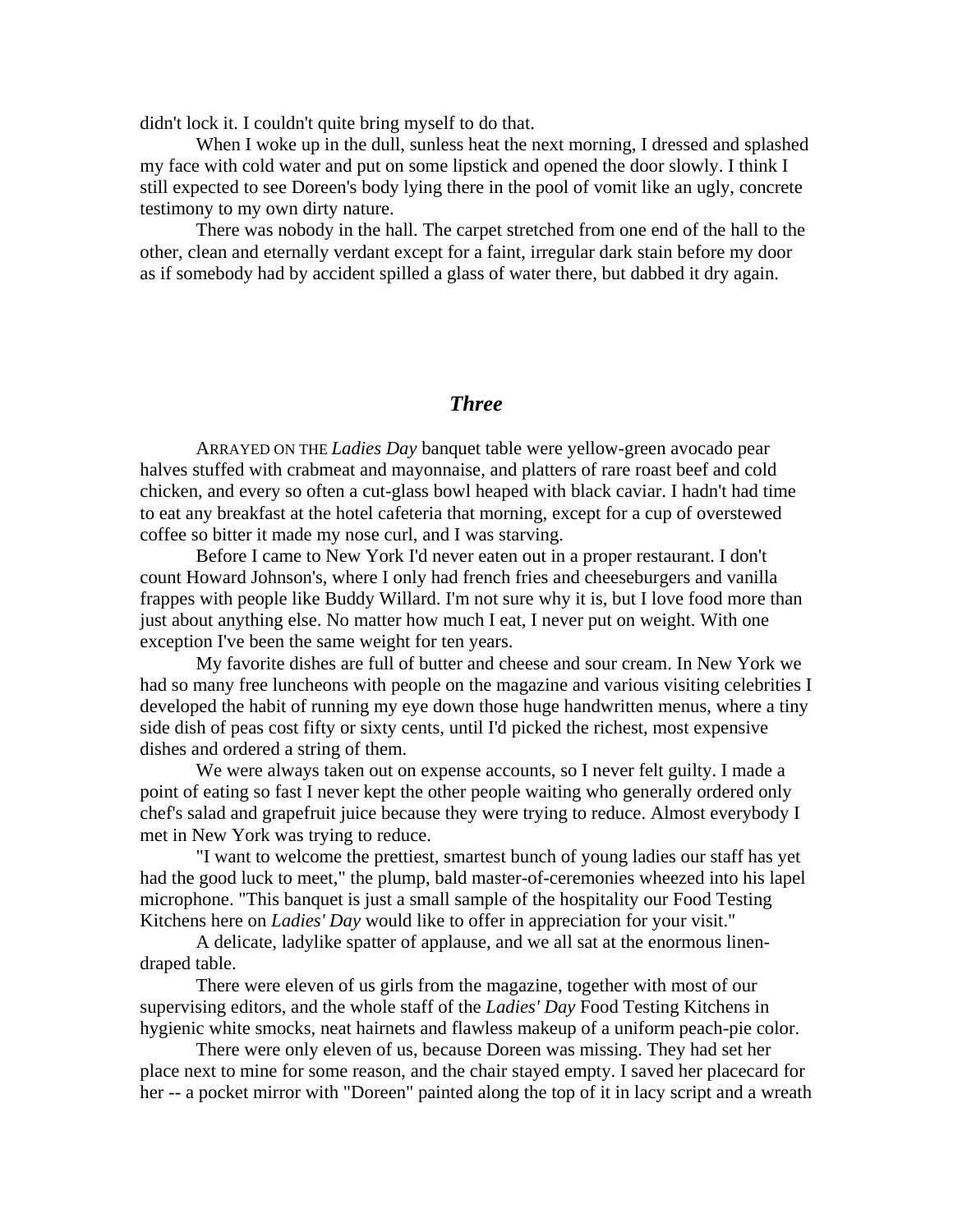didn't lock it. I couldn't quite bring myself to do that.

 When I woke up in the dull, sunless heat the next morning, I dressed and splashed my face with cold water and put on some lipstick and opened the door slowly. I think I still expected to see Doreen's body lying there in the pool of vomit like an ugly, concrete testimony to my own dirty nature.

 There was nobody in the hall. The carpet stretched from one end of the hall to the other, clean and eternally verdant except for a faint, irregular dark stain before my door as if somebody had by accident spilled a glass of water there, but dabbed it dry again.

# *Three*

 ARRAYED ON THE *Ladies Day* banquet table were yellow-green avocado pear halves stuffed with crabmeat and mayonnaise, and platters of rare roast beef and cold chicken, and every so often a cut-glass bowl heaped with black caviar. I hadn't had time to eat any breakfast at the hotel cafeteria that morning, except for a cup of overstewed coffee so bitter it made my nose curl, and I was starving.

 Before I came to New York I'd never eaten out in a proper restaurant. I don't count Howard Johnson's, where I only had french fries and cheeseburgers and vanilla frappes with people like Buddy Willard. I'm not sure why it is, but I love food more than just about anything else. No matter how much I eat, I never put on weight. With one exception I've been the same weight for ten years.

 My favorite dishes are full of butter and cheese and sour cream. In New York we had so many free luncheons with people on the magazine and various visiting celebrities I developed the habit of running my eye down those huge handwritten menus, where a tiny side dish of peas cost fifty or sixty cents, until I'd picked the richest, most expensive dishes and ordered a string of them.

We were always taken out on expense accounts, so I never felt guilty. I made a point of eating so fast I never kept the other people waiting who generally ordered only chef's salad and grapefruit juice because they were trying to reduce. Almost everybody I met in New York was trying to reduce.

 "I want to welcome the prettiest, smartest bunch of young ladies our staff has yet had the good luck to meet," the plump, bald master-of-ceremonies wheezed into his lapel microphone. "This banquet is just a small sample of the hospitality our Food Testing Kitchens here on *Ladies' Day* would like to offer in appreciation for your visit."

 A delicate, ladylike spatter of applause, and we all sat at the enormous linendraped table.

 There were eleven of us girls from the magazine, together with most of our supervising editors, and the whole staff of the *Ladies' Day* Food Testing Kitchens in hygienic white smocks, neat hairnets and flawless makeup of a uniform peach-pie color.

 There were only eleven of us, because Doreen was missing. They had set her place next to mine for some reason, and the chair stayed empty. I saved her placecard for her -- a pocket mirror with "Doreen" painted along the top of it in lacy script and a wreath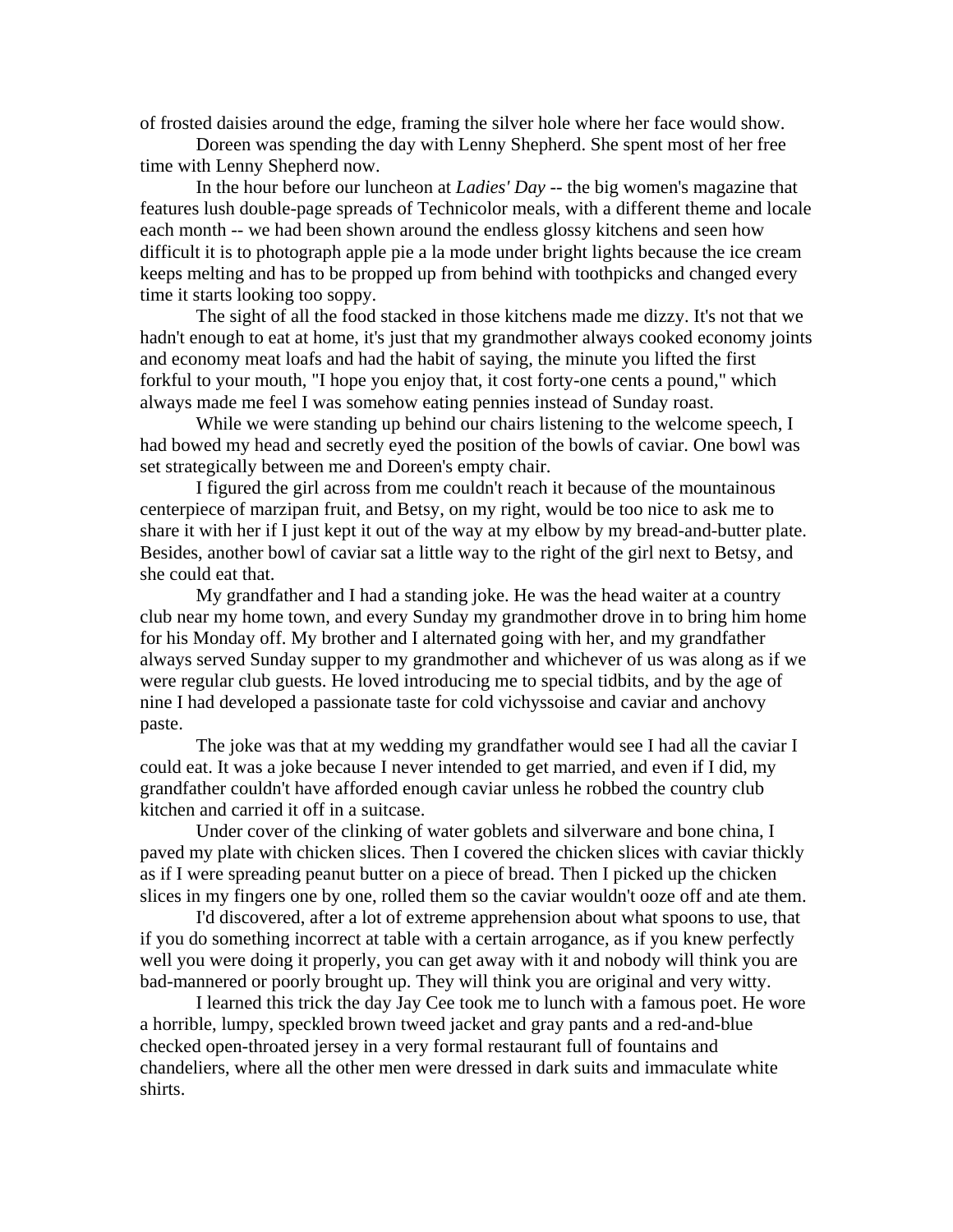of frosted daisies around the edge, framing the silver hole where her face would show.

 Doreen was spending the day with Lenny Shepherd. She spent most of her free time with Lenny Shepherd now.

 In the hour before our luncheon at *Ladies' Day* -- the big women's magazine that features lush double-page spreads of Technicolor meals, with a different theme and locale each month -- we had been shown around the endless glossy kitchens and seen how difficult it is to photograph apple pie a la mode under bright lights because the ice cream keeps melting and has to be propped up from behind with toothpicks and changed every time it starts looking too soppy.

 The sight of all the food stacked in those kitchens made me dizzy. It's not that we hadn't enough to eat at home, it's just that my grandmother always cooked economy joints and economy meat loafs and had the habit of saying, the minute you lifted the first forkful to your mouth, "I hope you enjoy that, it cost forty-one cents a pound," which always made me feel I was somehow eating pennies instead of Sunday roast.

While we were standing up behind our chairs listening to the welcome speech, I had bowed my head and secretly eyed the position of the bowls of caviar. One bowl was set strategically between me and Doreen's empty chair.

 I figured the girl across from me couldn't reach it because of the mountainous centerpiece of marzipan fruit, and Betsy, on my right, would be too nice to ask me to share it with her if I just kept it out of the way at my elbow by my bread-and-butter plate. Besides, another bowl of caviar sat a little way to the right of the girl next to Betsy, and she could eat that.

 My grandfather and I had a standing joke. He was the head waiter at a country club near my home town, and every Sunday my grandmother drove in to bring him home for his Monday off. My brother and I alternated going with her, and my grandfather always served Sunday supper to my grandmother and whichever of us was along as if we were regular club guests. He loved introducing me to special tidbits, and by the age of nine I had developed a passionate taste for cold vichyssoise and caviar and anchovy paste.

 The joke was that at my wedding my grandfather would see I had all the caviar I could eat. It was a joke because I never intended to get married, and even if I did, my grandfather couldn't have afforded enough caviar unless he robbed the country club kitchen and carried it off in a suitcase.

 Under cover of the clinking of water goblets and silverware and bone china, I paved my plate with chicken slices. Then I covered the chicken slices with caviar thickly as if I were spreading peanut butter on a piece of bread. Then I picked up the chicken slices in my fingers one by one, rolled them so the caviar wouldn't ooze off and ate them.

 I'd discovered, after a lot of extreme apprehension about what spoons to use, that if you do something incorrect at table with a certain arrogance, as if you knew perfectly well you were doing it properly, you can get away with it and nobody will think you are bad-mannered or poorly brought up. They will think you are original and very witty.

 I learned this trick the day Jay Cee took me to lunch with a famous poet. He wore a horrible, lumpy, speckled brown tweed jacket and gray pants and a red-and-blue checked open-throated jersey in a very formal restaurant full of fountains and chandeliers, where all the other men were dressed in dark suits and immaculate white shirts.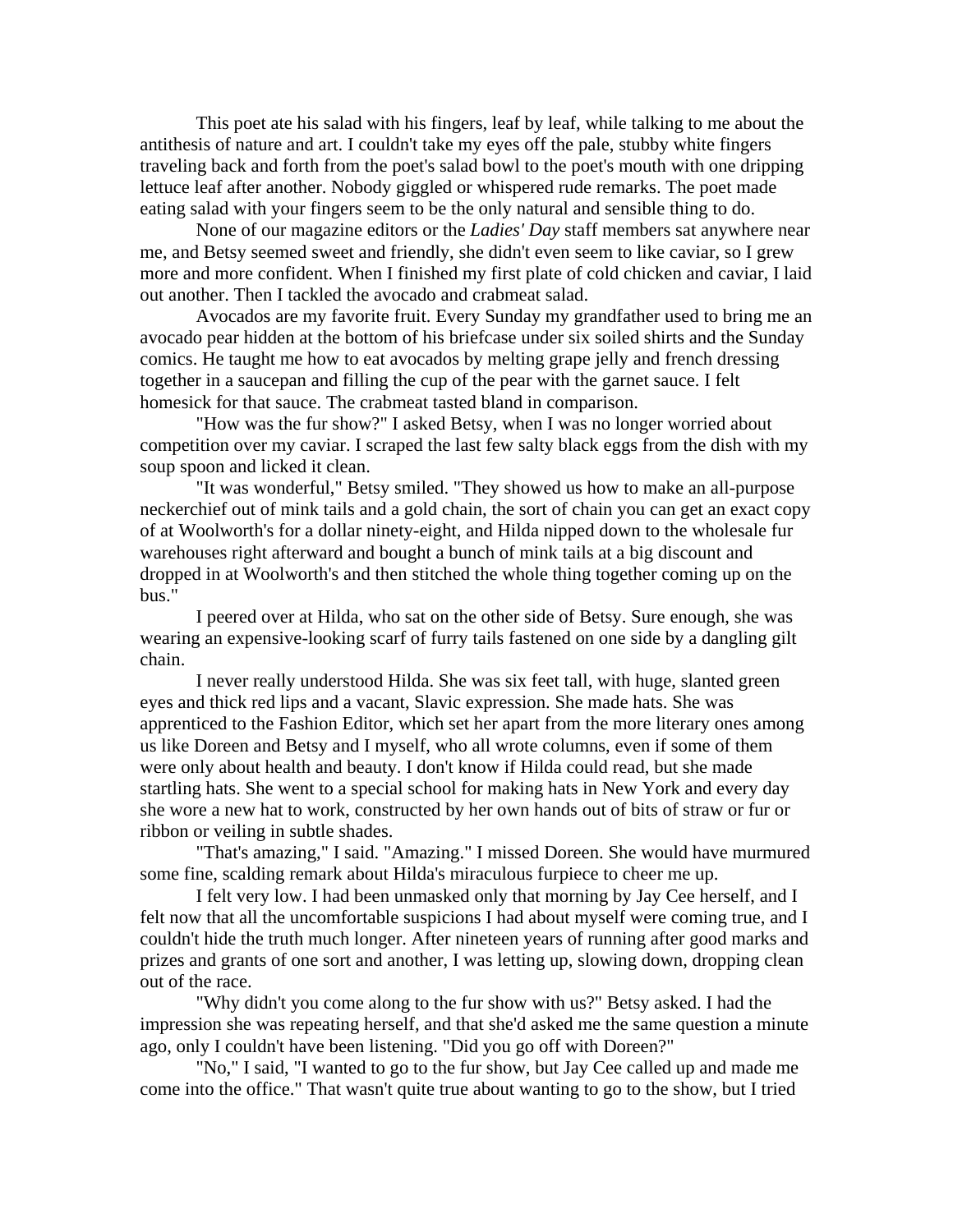This poet ate his salad with his fingers, leaf by leaf, while talking to me about the antithesis of nature and art. I couldn't take my eyes off the pale, stubby white fingers traveling back and forth from the poet's salad bowl to the poet's mouth with one dripping lettuce leaf after another. Nobody giggled or whispered rude remarks. The poet made eating salad with your fingers seem to be the only natural and sensible thing to do.

 None of our magazine editors or the *Ladies' Day* staff members sat anywhere near me, and Betsy seemed sweet and friendly, she didn't even seem to like caviar, so I grew more and more confident. When I finished my first plate of cold chicken and caviar, I laid out another. Then I tackled the avocado and crabmeat salad.

 Avocados are my favorite fruit. Every Sunday my grandfather used to bring me an avocado pear hidden at the bottom of his briefcase under six soiled shirts and the Sunday comics. He taught me how to eat avocados by melting grape jelly and french dressing together in a saucepan and filling the cup of the pear with the garnet sauce. I felt homesick for that sauce. The crabmeat tasted bland in comparison.

 "How was the fur show?" I asked Betsy, when I was no longer worried about competition over my caviar. I scraped the last few salty black eggs from the dish with my soup spoon and licked it clean.

 "It was wonderful," Betsy smiled. "They showed us how to make an all-purpose neckerchief out of mink tails and a gold chain, the sort of chain you can get an exact copy of at Woolworth's for a dollar ninety-eight, and Hilda nipped down to the wholesale fur warehouses right afterward and bought a bunch of mink tails at a big discount and dropped in at Woolworth's and then stitched the whole thing together coming up on the bus."

 I peered over at Hilda, who sat on the other side of Betsy. Sure enough, she was wearing an expensive-looking scarf of furry tails fastened on one side by a dangling gilt chain.

 I never really understood Hilda. She was six feet tall, with huge, slanted green eyes and thick red lips and a vacant, Slavic expression. She made hats. She was apprenticed to the Fashion Editor, which set her apart from the more literary ones among us like Doreen and Betsy and I myself, who all wrote columns, even if some of them were only about health and beauty. I don't know if Hilda could read, but she made startling hats. She went to a special school for making hats in New York and every day she wore a new hat to work, constructed by her own hands out of bits of straw or fur or ribbon or veiling in subtle shades.

 "That's amazing," I said. "Amazing." I missed Doreen. She would have murmured some fine, scalding remark about Hilda's miraculous furpiece to cheer me up.

 I felt very low. I had been unmasked only that morning by Jay Cee herself, and I felt now that all the uncomfortable suspicions I had about myself were coming true, and I couldn't hide the truth much longer. After nineteen years of running after good marks and prizes and grants of one sort and another, I was letting up, slowing down, dropping clean out of the race.

 "Why didn't you come along to the fur show with us?" Betsy asked. I had the impression she was repeating herself, and that she'd asked me the same question a minute ago, only I couldn't have been listening. "Did you go off with Doreen?"

 "No," I said, "I wanted to go to the fur show, but Jay Cee called up and made me come into the office." That wasn't quite true about wanting to go to the show, but I tried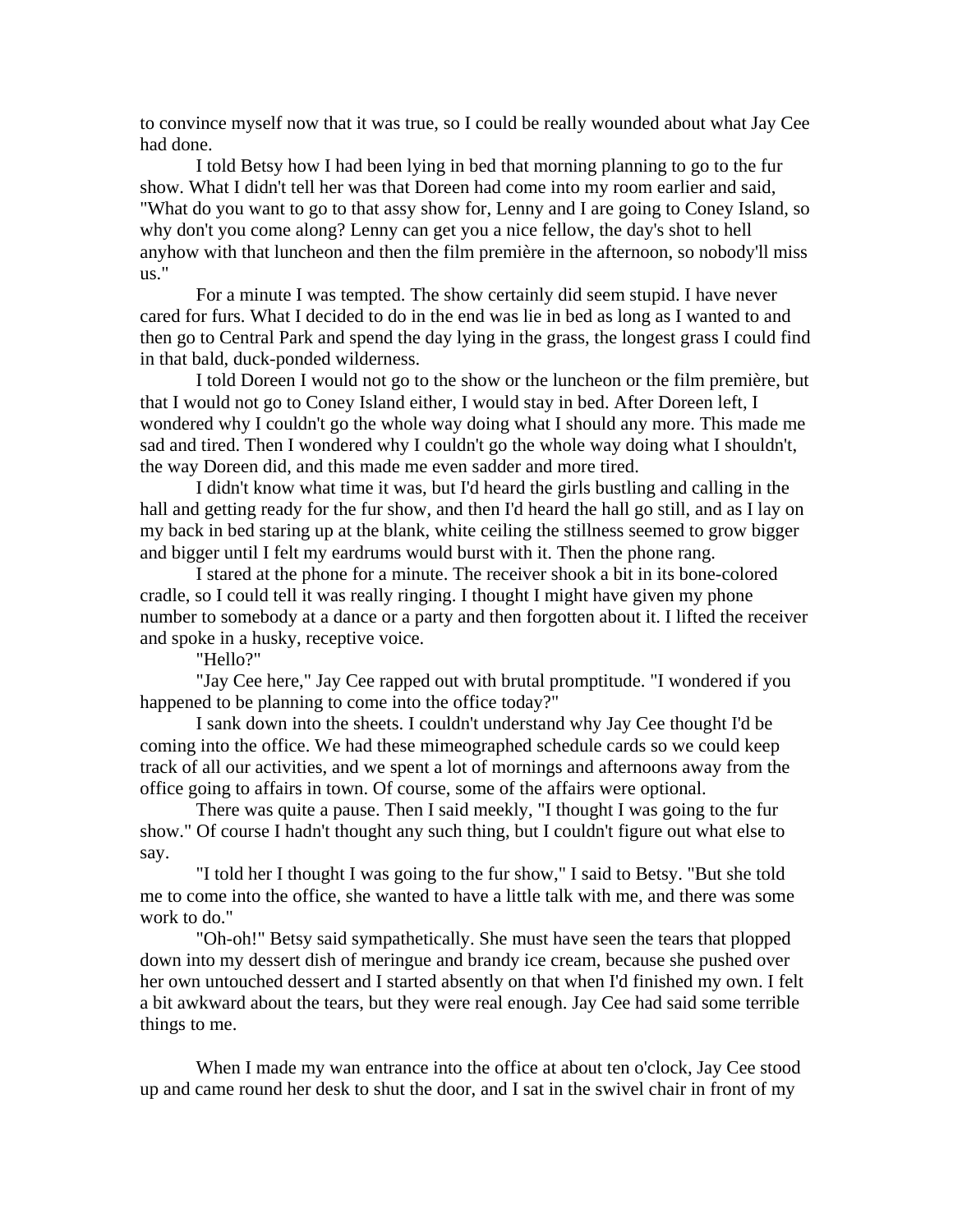to convince myself now that it was true, so I could be really wounded about what Jay Cee had done.

 I told Betsy how I had been lying in bed that morning planning to go to the fur show. What I didn't tell her was that Doreen had come into my room earlier and said, "What do you want to go to that assy show for, Lenny and I are going to Coney Island, so why don't you come along? Lenny can get you a nice fellow, the day's shot to hell anyhow with that luncheon and then the film première in the afternoon, so nobody'll miss us."

 For a minute I was tempted. The show certainly did seem stupid. I have never cared for furs. What I decided to do in the end was lie in bed as long as I wanted to and then go to Central Park and spend the day lying in the grass, the longest grass I could find in that bald, duck-ponded wilderness.

 I told Doreen I would not go to the show or the luncheon or the film première, but that I would not go to Coney Island either, I would stay in bed. After Doreen left, I wondered why I couldn't go the whole way doing what I should any more. This made me sad and tired. Then I wondered why I couldn't go the whole way doing what I shouldn't, the way Doreen did, and this made me even sadder and more tired.

 I didn't know what time it was, but I'd heard the girls bustling and calling in the hall and getting ready for the fur show, and then I'd heard the hall go still, and as I lay on my back in bed staring up at the blank, white ceiling the stillness seemed to grow bigger and bigger until I felt my eardrums would burst with it. Then the phone rang.

 I stared at the phone for a minute. The receiver shook a bit in its bone-colored cradle, so I could tell it was really ringing. I thought I might have given my phone number to somebody at a dance or a party and then forgotten about it. I lifted the receiver and spoke in a husky, receptive voice.

"Hello?"

 "Jay Cee here," Jay Cee rapped out with brutal promptitude. "I wondered if you happened to be planning to come into the office today?"

 I sank down into the sheets. I couldn't understand why Jay Cee thought I'd be coming into the office. We had these mimeographed schedule cards so we could keep track of all our activities, and we spent a lot of mornings and afternoons away from the office going to affairs in town. Of course, some of the affairs were optional.

 There was quite a pause. Then I said meekly, "I thought I was going to the fur show." Of course I hadn't thought any such thing, but I couldn't figure out what else to say.

 "I told her I thought I was going to the fur show," I said to Betsy. "But she told me to come into the office, she wanted to have a little talk with me, and there was some work to do."

 "Oh-oh!" Betsy said sympathetically. She must have seen the tears that plopped down into my dessert dish of meringue and brandy ice cream, because she pushed over her own untouched dessert and I started absently on that when I'd finished my own. I felt a bit awkward about the tears, but they were real enough. Jay Cee had said some terrible things to me.

 When I made my wan entrance into the office at about ten o'clock, Jay Cee stood up and came round her desk to shut the door, and I sat in the swivel chair in front of my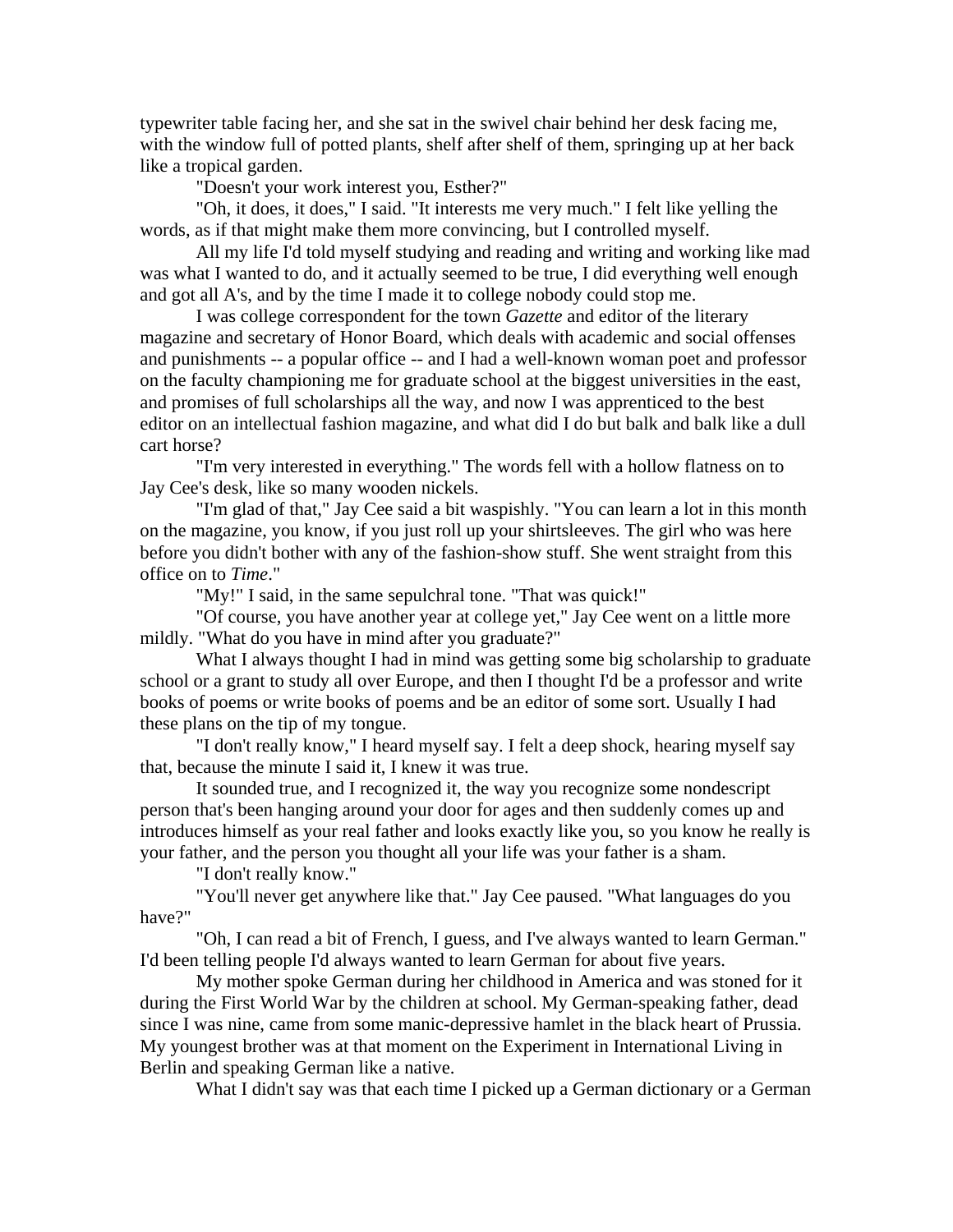typewriter table facing her, and she sat in the swivel chair behind her desk facing me, with the window full of potted plants, shelf after shelf of them, springing up at her back like a tropical garden.

"Doesn't your work interest you, Esther?"

 "Oh, it does, it does," I said. "It interests me very much." I felt like yelling the words, as if that might make them more convincing, but I controlled myself.

 All my life I'd told myself studying and reading and writing and working like mad was what I wanted to do, and it actually seemed to be true, I did everything well enough and got all A's, and by the time I made it to college nobody could stop me.

 I was college correspondent for the town *Gazette* and editor of the literary magazine and secretary of Honor Board, which deals with academic and social offenses and punishments -- a popular office -- and I had a well-known woman poet and professor on the faculty championing me for graduate school at the biggest universities in the east, and promises of full scholarships all the way, and now I was apprenticed to the best editor on an intellectual fashion magazine, and what did I do but balk and balk like a dull cart horse?

 "I'm very interested in everything." The words fell with a hollow flatness on to Jay Cee's desk, like so many wooden nickels.

 "I'm glad of that," Jay Cee said a bit waspishly. "You can learn a lot in this month on the magazine, you know, if you just roll up your shirtsleeves. The girl who was here before you didn't bother with any of the fashion-show stuff. She went straight from this office on to *Time*."

"My!" I said, in the same sepulchral tone. "That was quick!"

 "Of course, you have another year at college yet," Jay Cee went on a little more mildly. "What do you have in mind after you graduate?"

What I always thought I had in mind was getting some big scholarship to graduate school or a grant to study all over Europe, and then I thought I'd be a professor and write books of poems or write books of poems and be an editor of some sort. Usually I had these plans on the tip of my tongue.

 "I don't really know," I heard myself say. I felt a deep shock, hearing myself say that, because the minute I said it, I knew it was true.

 It sounded true, and I recognized it, the way you recognize some nondescript person that's been hanging around your door for ages and then suddenly comes up and introduces himself as your real father and looks exactly like you, so you know he really is your father, and the person you thought all your life was your father is a sham.

"I don't really know."

 "You'll never get anywhere like that." Jay Cee paused. "What languages do you have?"

 "Oh, I can read a bit of French, I guess, and I've always wanted to learn German." I'd been telling people I'd always wanted to learn German for about five years.

 My mother spoke German during her childhood in America and was stoned for it during the First World War by the children at school. My German-speaking father, dead since I was nine, came from some manic-depressive hamlet in the black heart of Prussia. My youngest brother was at that moment on the Experiment in International Living in Berlin and speaking German like a native.

What I didn't say was that each time I picked up a German dictionary or a German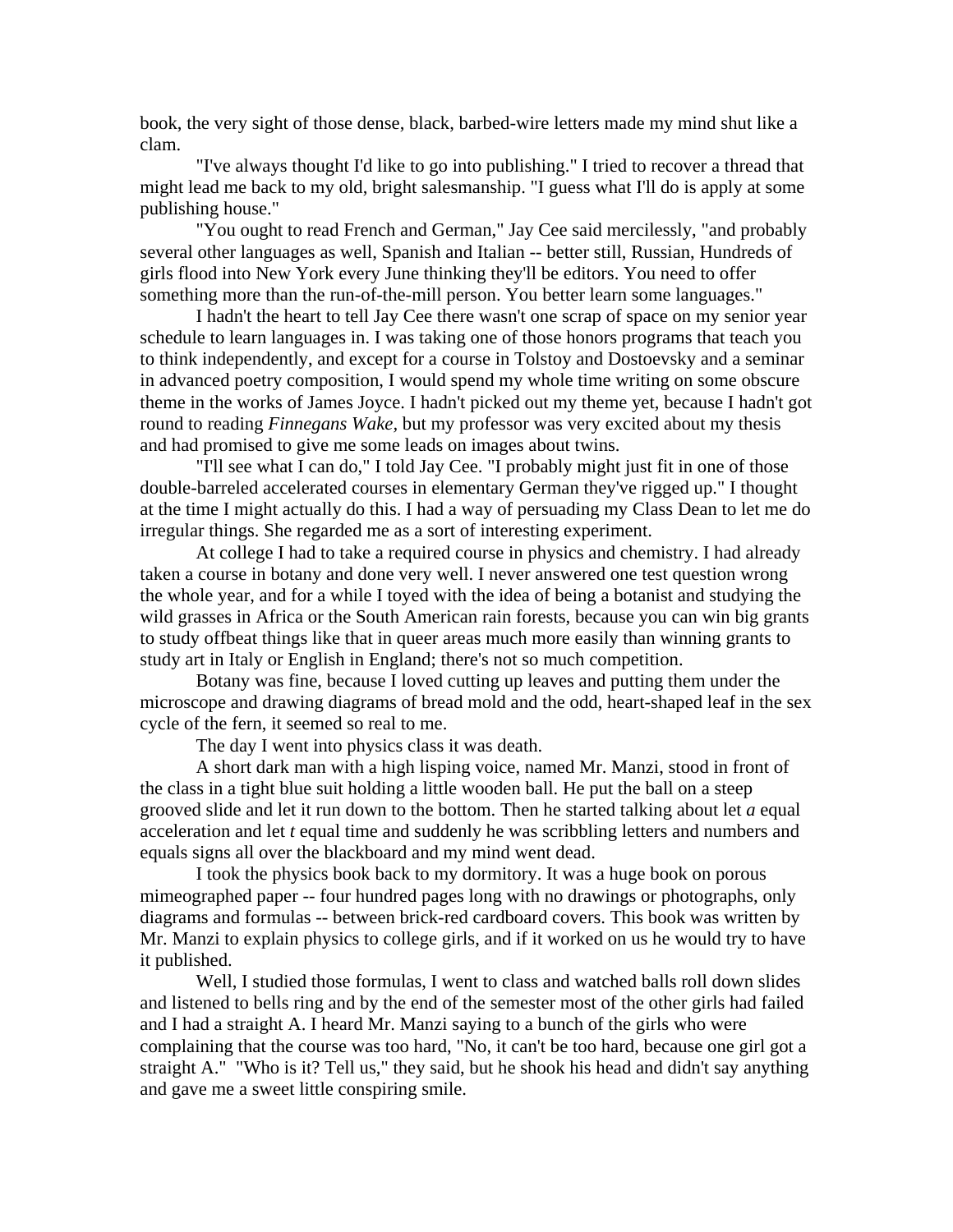book, the very sight of those dense, black, barbed-wire letters made my mind shut like a clam.

 "I've always thought I'd like to go into publishing." I tried to recover a thread that might lead me back to my old, bright salesmanship. "I guess what I'll do is apply at some publishing house."

 "You ought to read French and German," Jay Cee said mercilessly, "and probably several other languages as well, Spanish and Italian -- better still, Russian, Hundreds of girls flood into New York every June thinking they'll be editors. You need to offer something more than the run-of-the-mill person. You better learn some languages."

 I hadn't the heart to tell Jay Cee there wasn't one scrap of space on my senior year schedule to learn languages in. I was taking one of those honors programs that teach you to think independently, and except for a course in Tolstoy and Dostoevsky and a seminar in advanced poetry composition, I would spend my whole time writing on some obscure theme in the works of James Joyce. I hadn't picked out my theme yet, because I hadn't got round to reading *Finnegans Wake,* but my professor was very excited about my thesis and had promised to give me some leads on images about twins.

 "I'll see what I can do," I told Jay Cee. "I probably might just fit in one of those double-barreled accelerated courses in elementary German they've rigged up." I thought at the time I might actually do this. I had a way of persuading my Class Dean to let me do irregular things. She regarded me as a sort of interesting experiment.

 At college I had to take a required course in physics and chemistry. I had already taken a course in botany and done very well. I never answered one test question wrong the whole year, and for a while I toyed with the idea of being a botanist and studying the wild grasses in Africa or the South American rain forests, because you can win big grants to study offbeat things like that in queer areas much more easily than winning grants to study art in Italy or English in England; there's not so much competition.

 Botany was fine, because I loved cutting up leaves and putting them under the microscope and drawing diagrams of bread mold and the odd, heart-shaped leaf in the sex cycle of the fern, it seemed so real to me.

The day I went into physics class it was death.

 A short dark man with a high lisping voice, named Mr. Manzi, stood in front of the class in a tight blue suit holding a little wooden ball. He put the ball on a steep grooved slide and let it run down to the bottom. Then he started talking about let *a* equal acceleration and let *t* equal time and suddenly he was scribbling letters and numbers and equals signs all over the blackboard and my mind went dead.

 I took the physics book back to my dormitory. It was a huge book on porous mimeographed paper -- four hundred pages long with no drawings or photographs, only diagrams and formulas -- between brick-red cardboard covers. This book was written by Mr. Manzi to explain physics to college girls, and if it worked on us he would try to have it published.

 Well, I studied those formulas, I went to class and watched balls roll down slides and listened to bells ring and by the end of the semester most of the other girls had failed and I had a straight A. I heard Mr. Manzi saying to a bunch of the girls who were complaining that the course was too hard, "No, it can't be too hard, because one girl got a straight A." "Who is it? Tell us," they said, but he shook his head and didn't say anything and gave me a sweet little conspiring smile.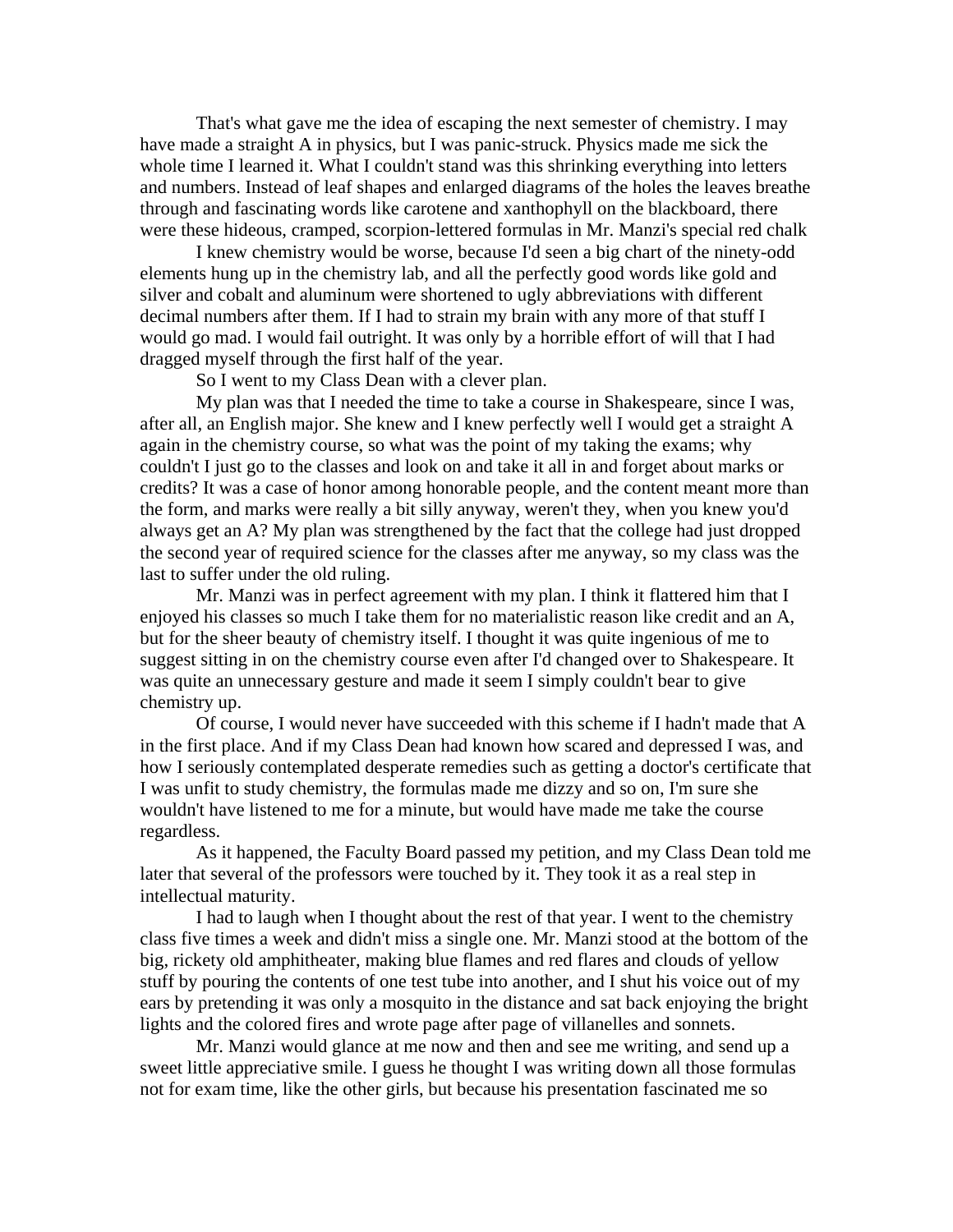That's what gave me the idea of escaping the next semester of chemistry. I may have made a straight A in physics, but I was panic-struck. Physics made me sick the whole time I learned it. What I couldn't stand was this shrinking everything into letters and numbers. Instead of leaf shapes and enlarged diagrams of the holes the leaves breathe through and fascinating words like carotene and xanthophyll on the blackboard, there were these hideous, cramped, scorpion-lettered formulas in Mr. Manzi's special red chalk

 I knew chemistry would be worse, because I'd seen a big chart of the ninety-odd elements hung up in the chemistry lab, and all the perfectly good words like gold and silver and cobalt and aluminum were shortened to ugly abbreviations with different decimal numbers after them. If I had to strain my brain with any more of that stuff I would go mad. I would fail outright. It was only by a horrible effort of will that I had dragged myself through the first half of the year.

So I went to my Class Dean with a clever plan.

 My plan was that I needed the time to take a course in Shakespeare, since I was, after all, an English major. She knew and I knew perfectly well I would get a straight A again in the chemistry course, so what was the point of my taking the exams; why couldn't I just go to the classes and look on and take it all in and forget about marks or credits? It was a case of honor among honorable people, and the content meant more than the form, and marks were really a bit silly anyway, weren't they, when you knew you'd always get an A? My plan was strengthened by the fact that the college had just dropped the second year of required science for the classes after me anyway, so my class was the last to suffer under the old ruling.

 Mr. Manzi was in perfect agreement with my plan. I think it flattered him that I enjoyed his classes so much I take them for no materialistic reason like credit and an A, but for the sheer beauty of chemistry itself. I thought it was quite ingenious of me to suggest sitting in on the chemistry course even after I'd changed over to Shakespeare. It was quite an unnecessary gesture and made it seem I simply couldn't bear to give chemistry up.

 Of course, I would never have succeeded with this scheme if I hadn't made that A in the first place. And if my Class Dean had known how scared and depressed I was, and how I seriously contemplated desperate remedies such as getting a doctor's certificate that I was unfit to study chemistry, the formulas made me dizzy and so on, I'm sure she wouldn't have listened to me for a minute, but would have made me take the course regardless.

 As it happened, the Faculty Board passed my petition, and my Class Dean told me later that several of the professors were touched by it. They took it as a real step in intellectual maturity.

 I had to laugh when I thought about the rest of that year. I went to the chemistry class five times a week and didn't miss a single one. Mr. Manzi stood at the bottom of the big, rickety old amphitheater, making blue flames and red flares and clouds of yellow stuff by pouring the contents of one test tube into another, and I shut his voice out of my ears by pretending it was only a mosquito in the distance and sat back enjoying the bright lights and the colored fires and wrote page after page of villanelles and sonnets.

 Mr. Manzi would glance at me now and then and see me writing, and send up a sweet little appreciative smile. I guess he thought I was writing down all those formulas not for exam time, like the other girls, but because his presentation fascinated me so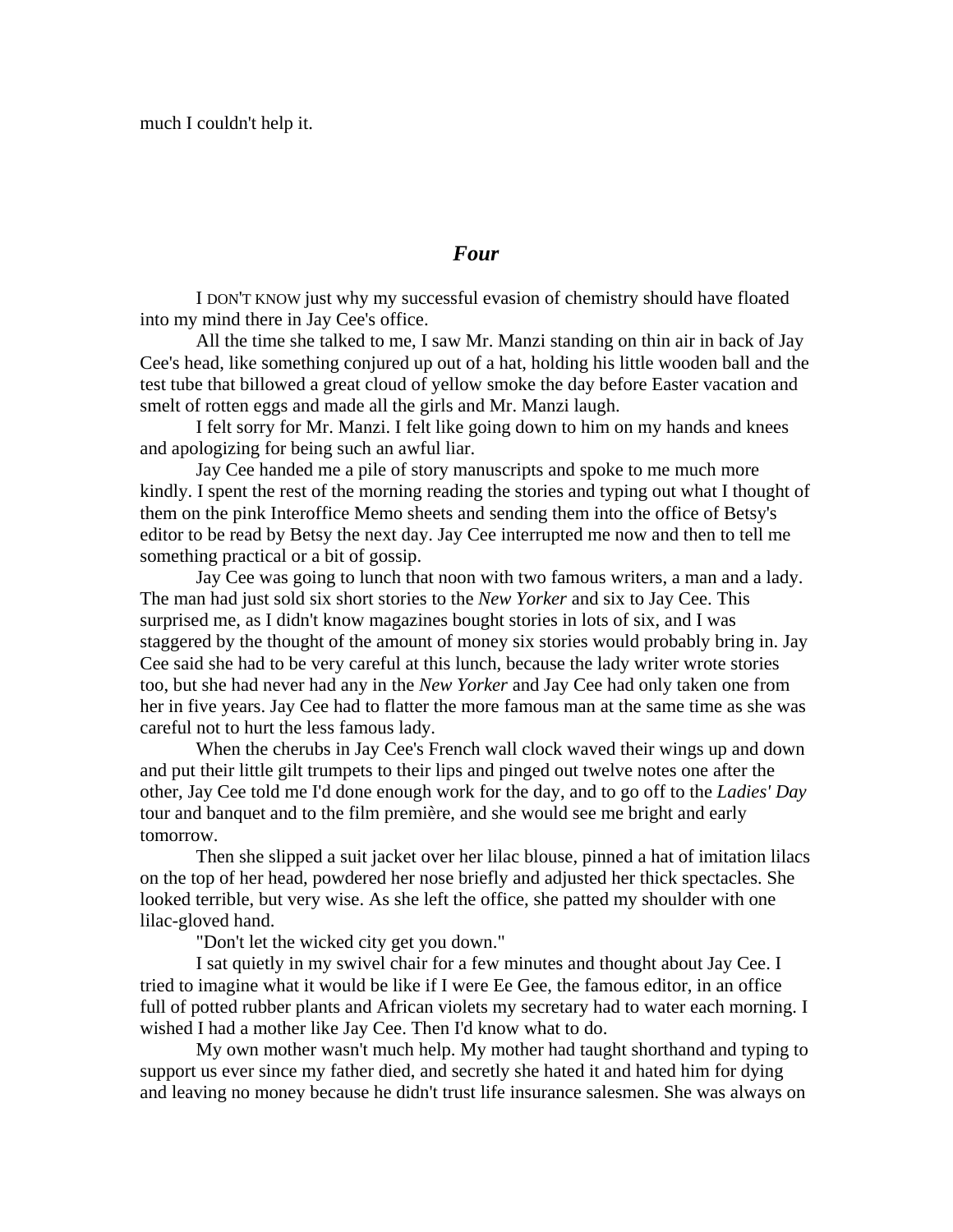much I couldn't help it.

## *Four*

 I DON'T KNOW just why my successful evasion of chemistry should have floated into my mind there in Jay Cee's office.

 All the time she talked to me, I saw Mr. Manzi standing on thin air in back of Jay Cee's head, like something conjured up out of a hat, holding his little wooden ball and the test tube that billowed a great cloud of yellow smoke the day before Easter vacation and smelt of rotten eggs and made all the girls and Mr. Manzi laugh.

 I felt sorry for Mr. Manzi. I felt like going down to him on my hands and knees and apologizing for being such an awful liar.

 Jay Cee handed me a pile of story manuscripts and spoke to me much more kindly. I spent the rest of the morning reading the stories and typing out what I thought of them on the pink Interoffice Memo sheets and sending them into the office of Betsy's editor to be read by Betsy the next day. Jay Cee interrupted me now and then to tell me something practical or a bit of gossip.

 Jay Cee was going to lunch that noon with two famous writers, a man and a lady. The man had just sold six short stories to the *New Yorker* and six to Jay Cee. This surprised me, as I didn't know magazines bought stories in lots of six, and I was staggered by the thought of the amount of money six stories would probably bring in. Jay Cee said she had to be very careful at this lunch, because the lady writer wrote stories too, but she had never had any in the *New Yorker* and Jay Cee had only taken one from her in five years. Jay Cee had to flatter the more famous man at the same time as she was careful not to hurt the less famous lady.

 When the cherubs in Jay Cee's French wall clock waved their wings up and down and put their little gilt trumpets to their lips and pinged out twelve notes one after the other, Jay Cee told me I'd done enough work for the day, and to go off to the *Ladies' Day*  tour and banquet and to the film première, and she would see me bright and early tomorrow.

 Then she slipped a suit jacket over her lilac blouse, pinned a hat of imitation lilacs on the top of her head, powdered her nose briefly and adjusted her thick spectacles. She looked terrible, but very wise. As she left the office, she patted my shoulder with one lilac-gloved hand.

"Don't let the wicked city get you down."

 I sat quietly in my swivel chair for a few minutes and thought about Jay Cee. I tried to imagine what it would be like if I were Ee Gee, the famous editor, in an office full of potted rubber plants and African violets my secretary had to water each morning. I wished I had a mother like Jay Cee. Then I'd know what to do.

 My own mother wasn't much help. My mother had taught shorthand and typing to support us ever since my father died, and secretly she hated it and hated him for dying and leaving no money because he didn't trust life insurance salesmen. She was always on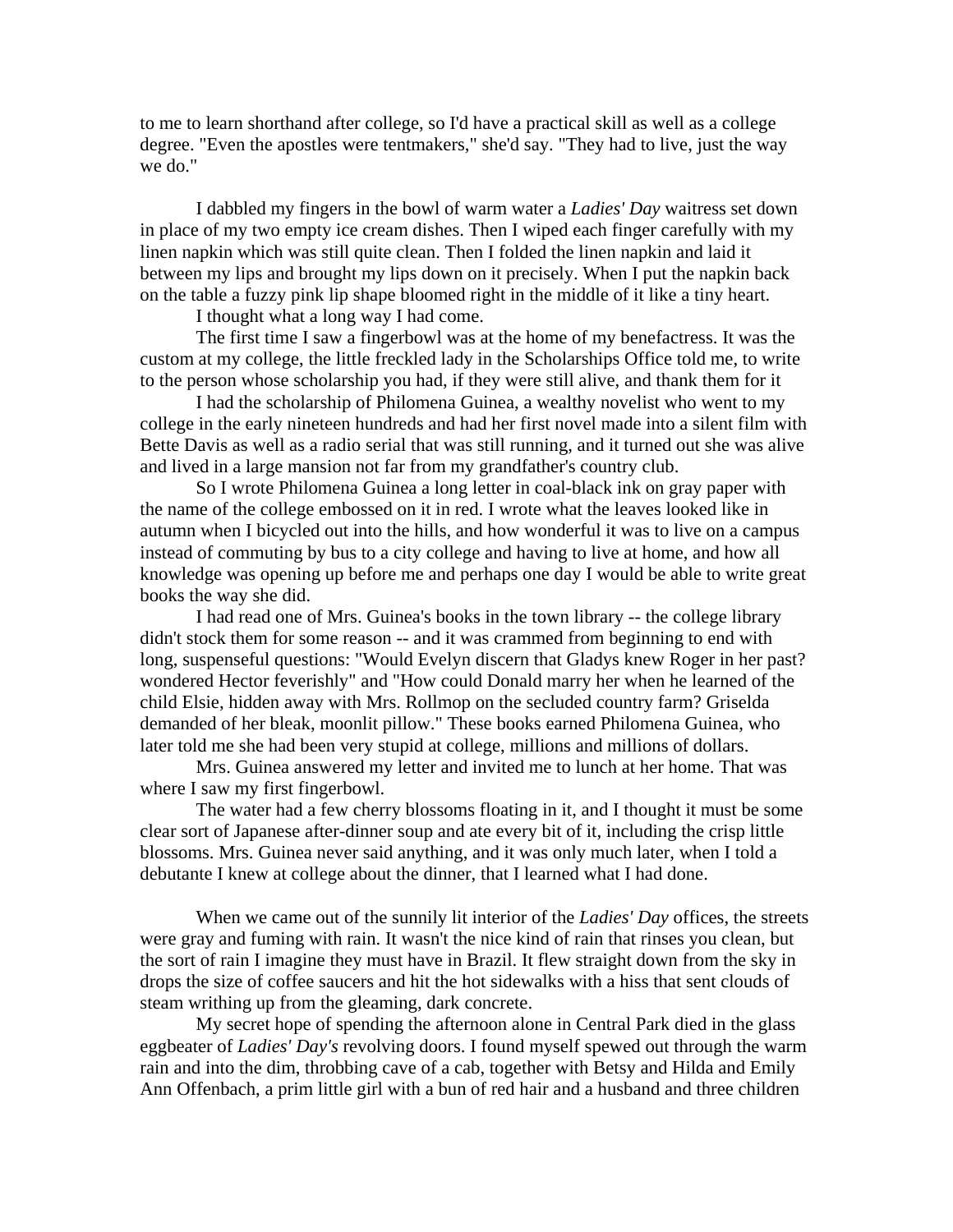to me to learn shorthand after college, so I'd have a practical skill as well as a college degree. "Even the apostles were tentmakers," she'd say. "They had to live, just the way we do."

 I dabbled my fingers in the bowl of warm water a *Ladies' Day* waitress set down in place of my two empty ice cream dishes. Then I wiped each finger carefully with my linen napkin which was still quite clean. Then I folded the linen napkin and laid it between my lips and brought my lips down on it precisely. When I put the napkin back on the table a fuzzy pink lip shape bloomed right in the middle of it like a tiny heart.

I thought what a long way I had come.

 The first time I saw a fingerbowl was at the home of my benefactress. It was the custom at my college, the little freckled lady in the Scholarships Office told me, to write to the person whose scholarship you had, if they were still alive, and thank them for it

 I had the scholarship of Philomena Guinea, a wealthy novelist who went to my college in the early nineteen hundreds and had her first novel made into a silent film with Bette Davis as well as a radio serial that was still running, and it turned out she was alive and lived in a large mansion not far from my grandfather's country club.

 So I wrote Philomena Guinea a long letter in coal-black ink on gray paper with the name of the college embossed on it in red. I wrote what the leaves looked like in autumn when I bicycled out into the hills, and how wonderful it was to live on a campus instead of commuting by bus to a city college and having to live at home, and how all knowledge was opening up before me and perhaps one day I would be able to write great books the way she did.

 I had read one of Mrs. Guinea's books in the town library -- the college library didn't stock them for some reason -- and it was crammed from beginning to end with long, suspenseful questions: "Would Evelyn discern that Gladys knew Roger in her past? wondered Hector feverishly" and "How could Donald marry her when he learned of the child Elsie, hidden away with Mrs. Rollmop on the secluded country farm? Griselda demanded of her bleak, moonlit pillow." These books earned Philomena Guinea, who later told me she had been very stupid at college, millions and millions of dollars.

 Mrs. Guinea answered my letter and invited me to lunch at her home. That was where I saw my first fingerbowl.

 The water had a few cherry blossoms floating in it, and I thought it must be some clear sort of Japanese after-dinner soup and ate every bit of it, including the crisp little blossoms. Mrs. Guinea never said anything, and it was only much later, when I told a debutante I knew at college about the dinner, that I learned what I had done.

 When we came out of the sunnily lit interior of the *Ladies' Day* offices, the streets were gray and fuming with rain. It wasn't the nice kind of rain that rinses you clean, but the sort of rain I imagine they must have in Brazil. It flew straight down from the sky in drops the size of coffee saucers and hit the hot sidewalks with a hiss that sent clouds of steam writhing up from the gleaming, dark concrete.

 My secret hope of spending the afternoon alone in Central Park died in the glass eggbeater of *Ladies' Day's* revolving doors. I found myself spewed out through the warm rain and into the dim, throbbing cave of a cab, together with Betsy and Hilda and Emily Ann Offenbach, a prim little girl with a bun of red hair and a husband and three children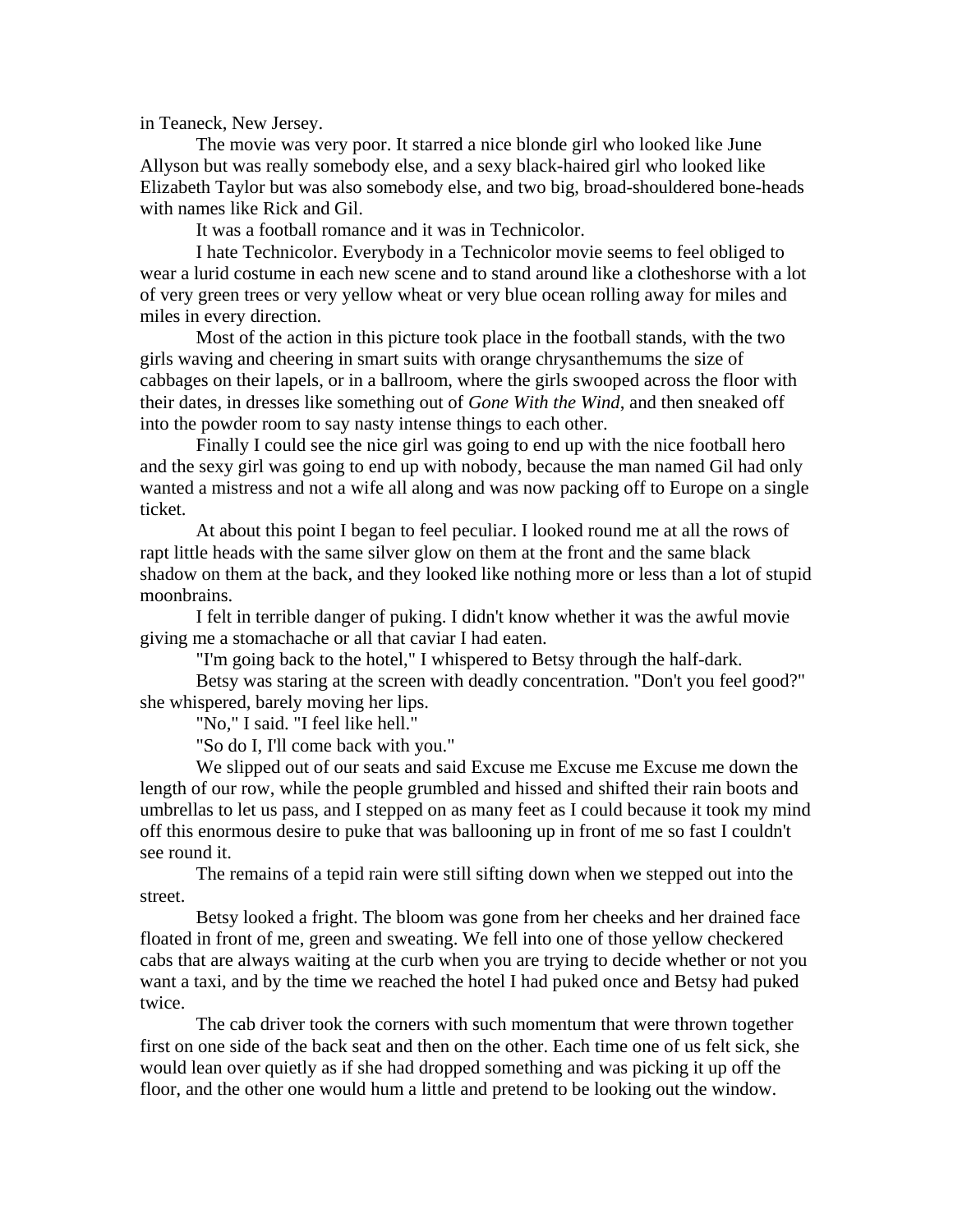in Teaneck, New Jersey.

 The movie was very poor. It starred a nice blonde girl who looked like June Allyson but was really somebody else, and a sexy black-haired girl who looked like Elizabeth Taylor but was also somebody else, and two big, broad-shouldered bone-heads with names like Rick and Gil.

It was a football romance and it was in Technicolor.

 I hate Technicolor. Everybody in a Technicolor movie seems to feel obliged to wear a lurid costume in each new scene and to stand around like a clotheshorse with a lot of very green trees or very yellow wheat or very blue ocean rolling away for miles and miles in every direction.

 Most of the action in this picture took place in the football stands, with the two girls waving and cheering in smart suits with orange chrysanthemums the size of cabbages on their lapels, or in a ballroom, where the girls swooped across the floor with their dates, in dresses like something out of *Gone With the Wind*, and then sneaked off into the powder room to say nasty intense things to each other.

 Finally I could see the nice girl was going to end up with the nice football hero and the sexy girl was going to end up with nobody, because the man named Gil had only wanted a mistress and not a wife all along and was now packing off to Europe on a single ticket.

 At about this point I began to feel peculiar. I looked round me at all the rows of rapt little heads with the same silver glow on them at the front and the same black shadow on them at the back, and they looked like nothing more or less than a lot of stupid moonbrains.

 I felt in terrible danger of puking. I didn't know whether it was the awful movie giving me a stomachache or all that caviar I had eaten.

"I'm going back to the hotel," I whispered to Betsy through the half-dark.

 Betsy was staring at the screen with deadly concentration. "Don't you feel good?" she whispered, barely moving her lips.

"No," I said. "I feel like hell."

"So do I, I'll come back with you."

 We slipped out of our seats and said Excuse me Excuse me Excuse me down the length of our row, while the people grumbled and hissed and shifted their rain boots and umbrellas to let us pass, and I stepped on as many feet as I could because it took my mind off this enormous desire to puke that was ballooning up in front of me so fast I couldn't see round it.

 The remains of a tepid rain were still sifting down when we stepped out into the street.

 Betsy looked a fright. The bloom was gone from her cheeks and her drained face floated in front of me, green and sweating. We fell into one of those yellow checkered cabs that are always waiting at the curb when you are trying to decide whether or not you want a taxi, and by the time we reached the hotel I had puked once and Betsy had puked twice.

 The cab driver took the corners with such momentum that were thrown together first on one side of the back seat and then on the other. Each time one of us felt sick, she would lean over quietly as if she had dropped something and was picking it up off the floor, and the other one would hum a little and pretend to be looking out the window.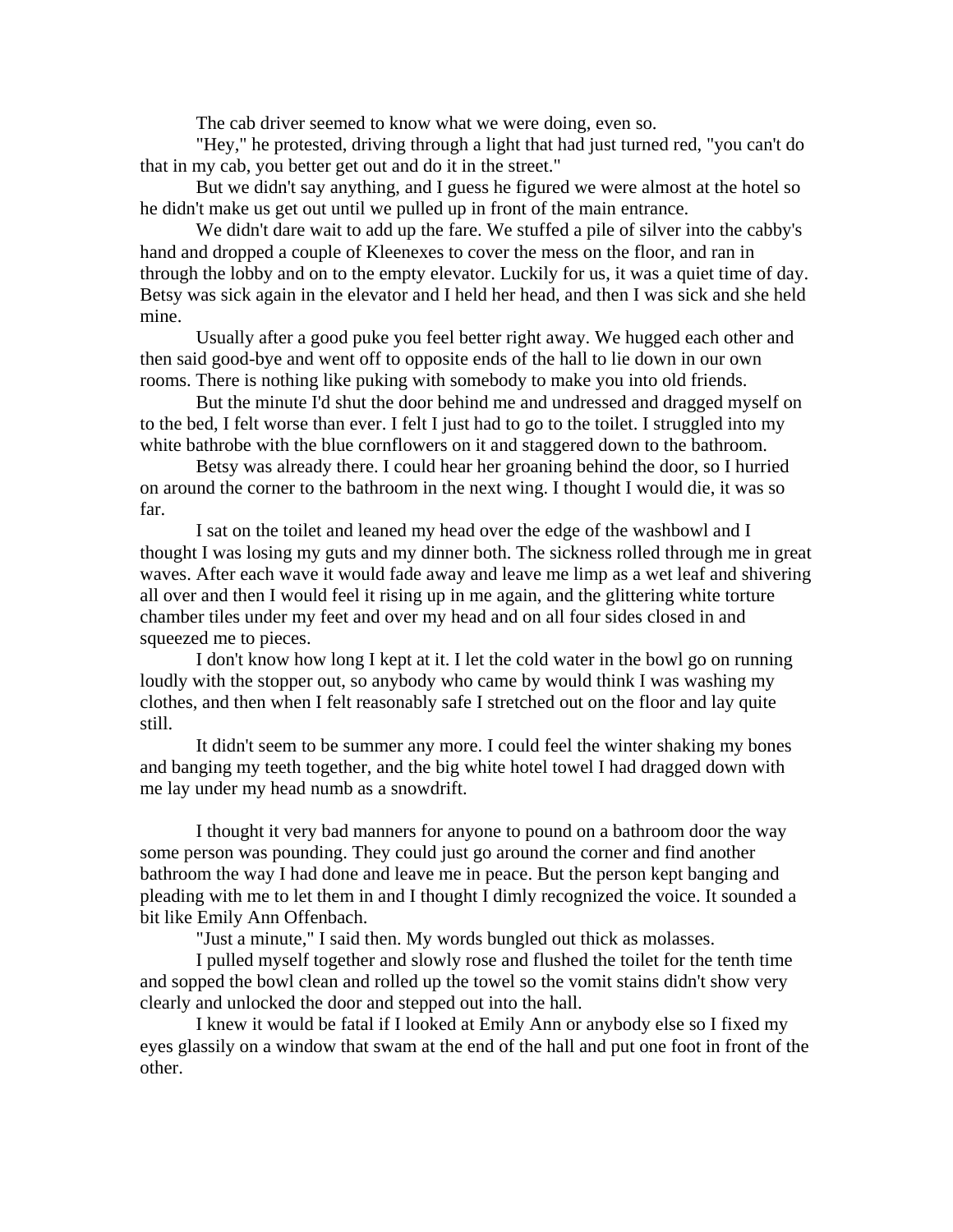The cab driver seemed to know what we were doing, even so.

 "Hey," he protested, driving through a light that had just turned red, "you can't do that in my cab, you better get out and do it in the street."

 But we didn't say anything, and I guess he figured we were almost at the hotel so he didn't make us get out until we pulled up in front of the main entrance.

 We didn't dare wait to add up the fare. We stuffed a pile of silver into the cabby's hand and dropped a couple of Kleenexes to cover the mess on the floor, and ran in through the lobby and on to the empty elevator. Luckily for us, it was a quiet time of day. Betsy was sick again in the elevator and I held her head, and then I was sick and she held mine.

 Usually after a good puke you feel better right away. We hugged each other and then said good-bye and went off to opposite ends of the hall to lie down in our own rooms. There is nothing like puking with somebody to make you into old friends.

 But the minute I'd shut the door behind me and undressed and dragged myself on to the bed, I felt worse than ever. I felt I just had to go to the toilet. I struggled into my white bathrobe with the blue cornflowers on it and staggered down to the bathroom.

 Betsy was already there. I could hear her groaning behind the door, so I hurried on around the corner to the bathroom in the next wing. I thought I would die, it was so far.

 I sat on the toilet and leaned my head over the edge of the washbowl and I thought I was losing my guts and my dinner both. The sickness rolled through me in great waves. After each wave it would fade away and leave me limp as a wet leaf and shivering all over and then I would feel it rising up in me again, and the glittering white torture chamber tiles under my feet and over my head and on all four sides closed in and squeezed me to pieces.

 I don't know how long I kept at it. I let the cold water in the bowl go on running loudly with the stopper out, so anybody who came by would think I was washing my clothes, and then when I felt reasonably safe I stretched out on the floor and lay quite still.

 It didn't seem to be summer any more. I could feel the winter shaking my bones and banging my teeth together, and the big white hotel towel I had dragged down with me lay under my head numb as a snowdrift.

 I thought it very bad manners for anyone to pound on a bathroom door the way some person was pounding. They could just go around the corner and find another bathroom the way I had done and leave me in peace. But the person kept banging and pleading with me to let them in and I thought I dimly recognized the voice. It sounded a bit like Emily Ann Offenbach.

"Just a minute," I said then. My words bungled out thick as molasses.

 I pulled myself together and slowly rose and flushed the toilet for the tenth time and sopped the bowl clean and rolled up the towel so the vomit stains didn't show very clearly and unlocked the door and stepped out into the hall.

 I knew it would be fatal if I looked at Emily Ann or anybody else so I fixed my eyes glassily on a window that swam at the end of the hall and put one foot in front of the other.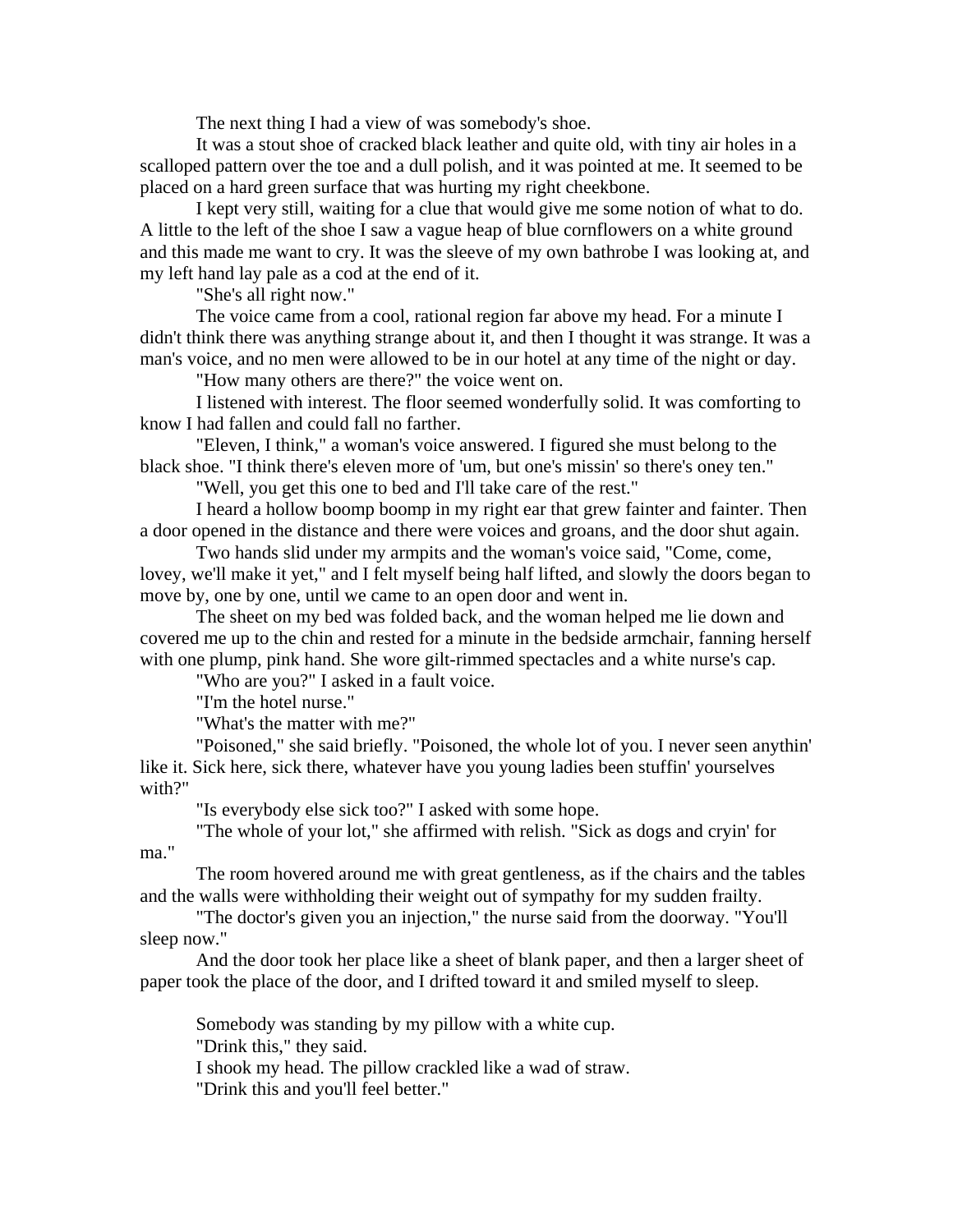The next thing I had a view of was somebody's shoe.

 It was a stout shoe of cracked black leather and quite old, with tiny air holes in a scalloped pattern over the toe and a dull polish, and it was pointed at me. It seemed to be placed on a hard green surface that was hurting my right cheekbone.

 I kept very still, waiting for a clue that would give me some notion of what to do. A little to the left of the shoe I saw a vague heap of blue cornflowers on a white ground and this made me want to cry. It was the sleeve of my own bathrobe I was looking at, and my left hand lay pale as a cod at the end of it.

"She's all right now."

 The voice came from a cool, rational region far above my head. For a minute I didn't think there was anything strange about it, and then I thought it was strange. It was a man's voice, and no men were allowed to be in our hotel at any time of the night or day.

"How many others are there?" the voice went on.

 I listened with interest. The floor seemed wonderfully solid. It was comforting to know I had fallen and could fall no farther.

 "Eleven, I think," a woman's voice answered. I figured she must belong to the black shoe. "I think there's eleven more of 'um, but one's missin' so there's oney ten."

"Well, you get this one to bed and I'll take care of the rest."

 I heard a hollow boomp boomp in my right ear that grew fainter and fainter. Then a door opened in the distance and there were voices and groans, and the door shut again.

 Two hands slid under my armpits and the woman's voice said, "Come, come, lovey, we'll make it yet," and I felt myself being half lifted, and slowly the doors began to move by, one by one, until we came to an open door and went in.

 The sheet on my bed was folded back, and the woman helped me lie down and covered me up to the chin and rested for a minute in the bedside armchair, fanning herself with one plump, pink hand. She wore gilt-rimmed spectacles and a white nurse's cap.

"Who are you?" I asked in a fault voice.

"I'm the hotel nurse."

"What's the matter with me?"

 "Poisoned," she said briefly. "Poisoned, the whole lot of you. I never seen anythin' like it. Sick here, sick there, whatever have you young ladies been stuffin' yourselves with?"

"Is everybody else sick too?" I asked with some hope.

 "The whole of your lot," she affirmed with relish. "Sick as dogs and cryin' for ma."

 The room hovered around me with great gentleness, as if the chairs and the tables and the walls were withholding their weight out of sympathy for my sudden frailty.

 "The doctor's given you an injection," the nurse said from the doorway. "You'll sleep now."

 And the door took her place like a sheet of blank paper, and then a larger sheet of paper took the place of the door, and I drifted toward it and smiled myself to sleep.

Somebody was standing by my pillow with a white cup.

"Drink this," they said.

I shook my head. The pillow crackled like a wad of straw.

"Drink this and you'll feel better."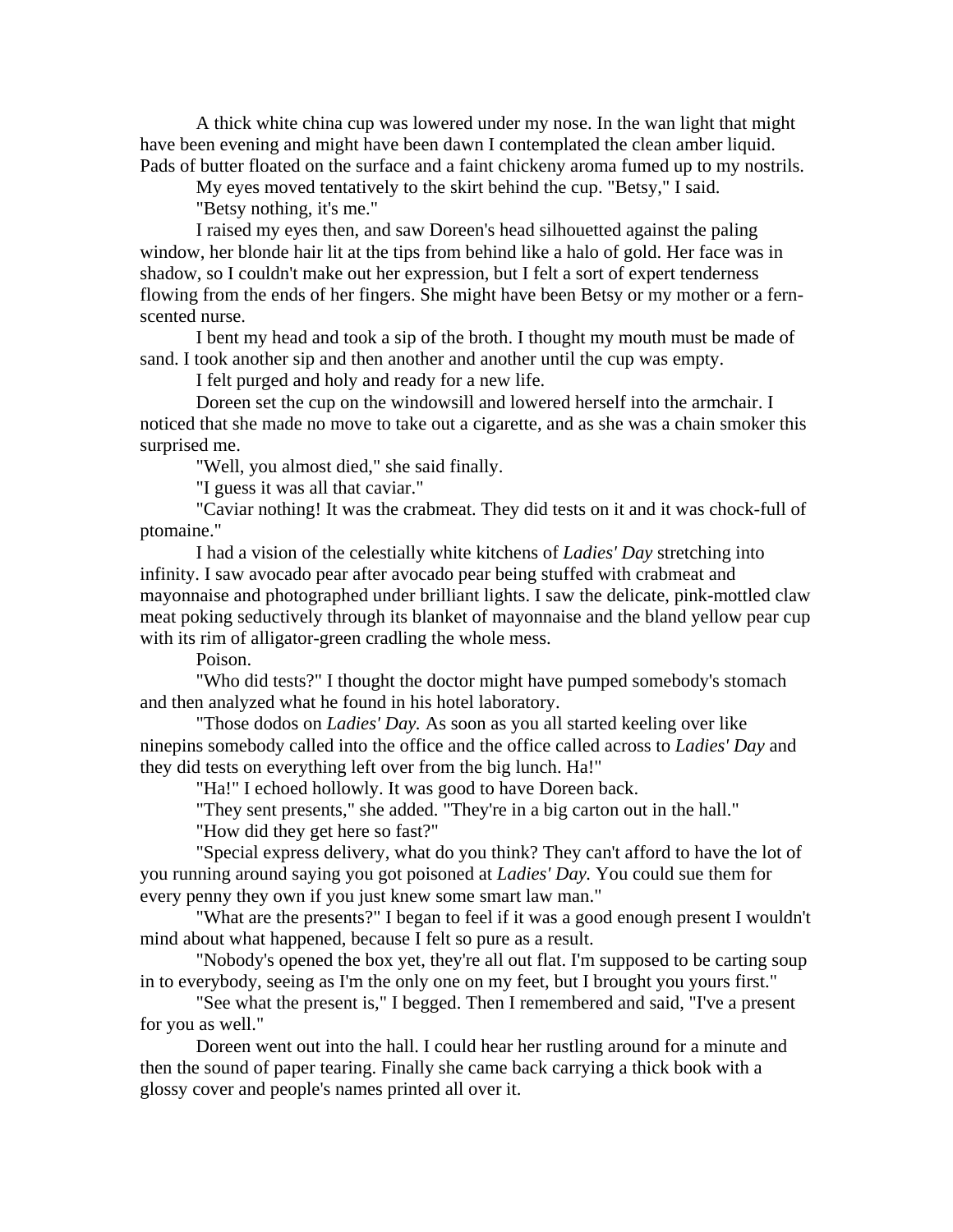A thick white china cup was lowered under my nose. In the wan light that might have been evening and might have been dawn I contemplated the clean amber liquid. Pads of butter floated on the surface and a faint chickeny aroma fumed up to my nostrils.

 My eyes moved tentatively to the skirt behind the cup. "Betsy," I said. "Betsy nothing, it's me."

 I raised my eyes then, and saw Doreen's head silhouetted against the paling window, her blonde hair lit at the tips from behind like a halo of gold. Her face was in shadow, so I couldn't make out her expression, but I felt a sort of expert tenderness flowing from the ends of her fingers. She might have been Betsy or my mother or a fernscented nurse.

 I bent my head and took a sip of the broth. I thought my mouth must be made of sand. I took another sip and then another and another until the cup was empty.

I felt purged and holy and ready for a new life.

 Doreen set the cup on the windowsill and lowered herself into the armchair. I noticed that she made no move to take out a cigarette, and as she was a chain smoker this surprised me.

"Well, you almost died," she said finally.

"I guess it was all that caviar."

 "Caviar nothing! It was the crabmeat. They did tests on it and it was chock-full of ptomaine."

 I had a vision of the celestially white kitchens of *Ladies' Day* stretching into infinity. I saw avocado pear after avocado pear being stuffed with crabmeat and mayonnaise and photographed under brilliant lights. I saw the delicate, pink-mottled claw meat poking seductively through its blanket of mayonnaise and the bland yellow pear cup with its rim of alligator-green cradling the whole mess.

Poison.

 "Who did tests?" I thought the doctor might have pumped somebody's stomach and then analyzed what he found in his hotel laboratory.

 "Those dodos on *Ladies' Day.* As soon as you all started keeling over like ninepins somebody called into the office and the office called across to *Ladies' Day* and they did tests on everything left over from the big lunch. Ha!"

"Ha!" I echoed hollowly. It was good to have Doreen back.

"They sent presents," she added. "They're in a big carton out in the hall."

"How did they get here so fast?"

 "Special express delivery, what do you think? They can't afford to have the lot of you running around saying you got poisoned at *Ladies' Day.* You could sue them for every penny they own if you just knew some smart law man."

 "What are the presents?" I began to feel if it was a good enough present I wouldn't mind about what happened, because I felt so pure as a result.

 "Nobody's opened the box yet, they're all out flat. I'm supposed to be carting soup in to everybody, seeing as I'm the only one on my feet, but I brought you yours first."

 "See what the present is," I begged. Then I remembered and said, "I've a present for you as well."

 Doreen went out into the hall. I could hear her rustling around for a minute and then the sound of paper tearing. Finally she came back carrying a thick book with a glossy cover and people's names printed all over it.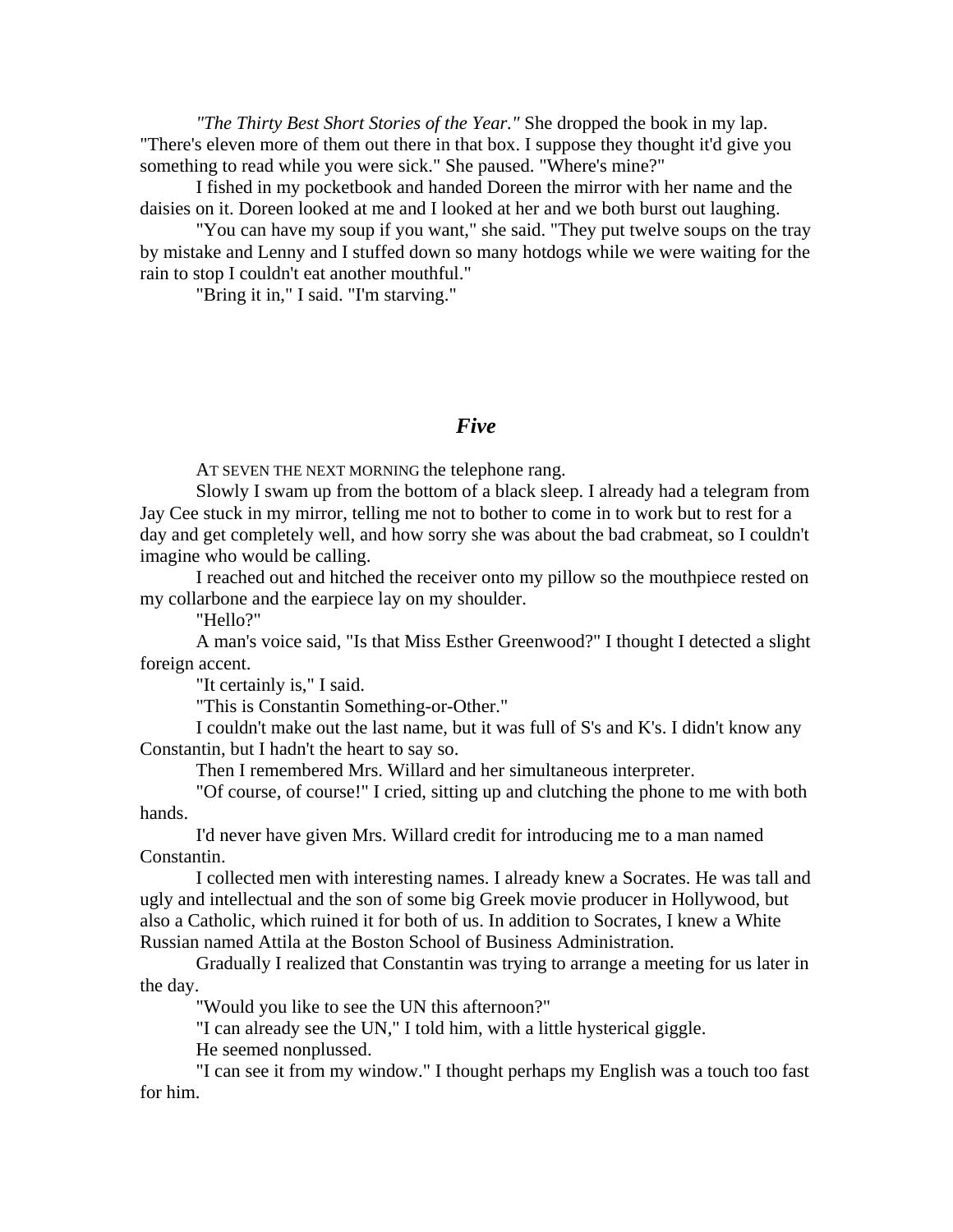*"The Thirty Best Short Stories of the Year."* She dropped the book in my lap. "There's eleven more of them out there in that box. I suppose they thought it'd give you something to read while you were sick." She paused. "Where's mine?"

 I fished in my pocketbook and handed Doreen the mirror with her name and the daisies on it. Doreen looked at me and I looked at her and we both burst out laughing.

 "You can have my soup if you want," she said. "They put twelve soups on the tray by mistake and Lenny and I stuffed down so many hotdogs while we were waiting for the rain to stop I couldn't eat another mouthful."

"Bring it in," I said. "I'm starving."

## *Five*

AT SEVEN THE NEXT MORNING the telephone rang.

 Slowly I swam up from the bottom of a black sleep. I already had a telegram from Jay Cee stuck in my mirror, telling me not to bother to come in to work but to rest for a day and get completely well, and how sorry she was about the bad crabmeat, so I couldn't imagine who would be calling.

 I reached out and hitched the receiver onto my pillow so the mouthpiece rested on my collarbone and the earpiece lay on my shoulder.

"Hello?"

 A man's voice said, "Is that Miss Esther Greenwood?" I thought I detected a slight foreign accent.

"It certainly is," I said.

"This is Constantin Something-or-Other."

 I couldn't make out the last name, but it was full of S's and K's. I didn't know any Constantin, but I hadn't the heart to say so.

Then I remembered Mrs. Willard and her simultaneous interpreter.

 "Of course, of course!" I cried, sitting up and clutching the phone to me with both hands.

 I'd never have given Mrs. Willard credit for introducing me to a man named Constantin.

 I collected men with interesting names. I already knew a Socrates. He was tall and ugly and intellectual and the son of some big Greek movie producer in Hollywood, but also a Catholic, which ruined it for both of us. In addition to Socrates, I knew a White Russian named Attila at the Boston School of Business Administration.

 Gradually I realized that Constantin was trying to arrange a meeting for us later in the day.

"Would you like to see the UN this afternoon?"

"I can already see the UN," I told him, with a little hysterical giggle.

He seemed nonplussed.

 "I can see it from my window." I thought perhaps my English was a touch too fast for him.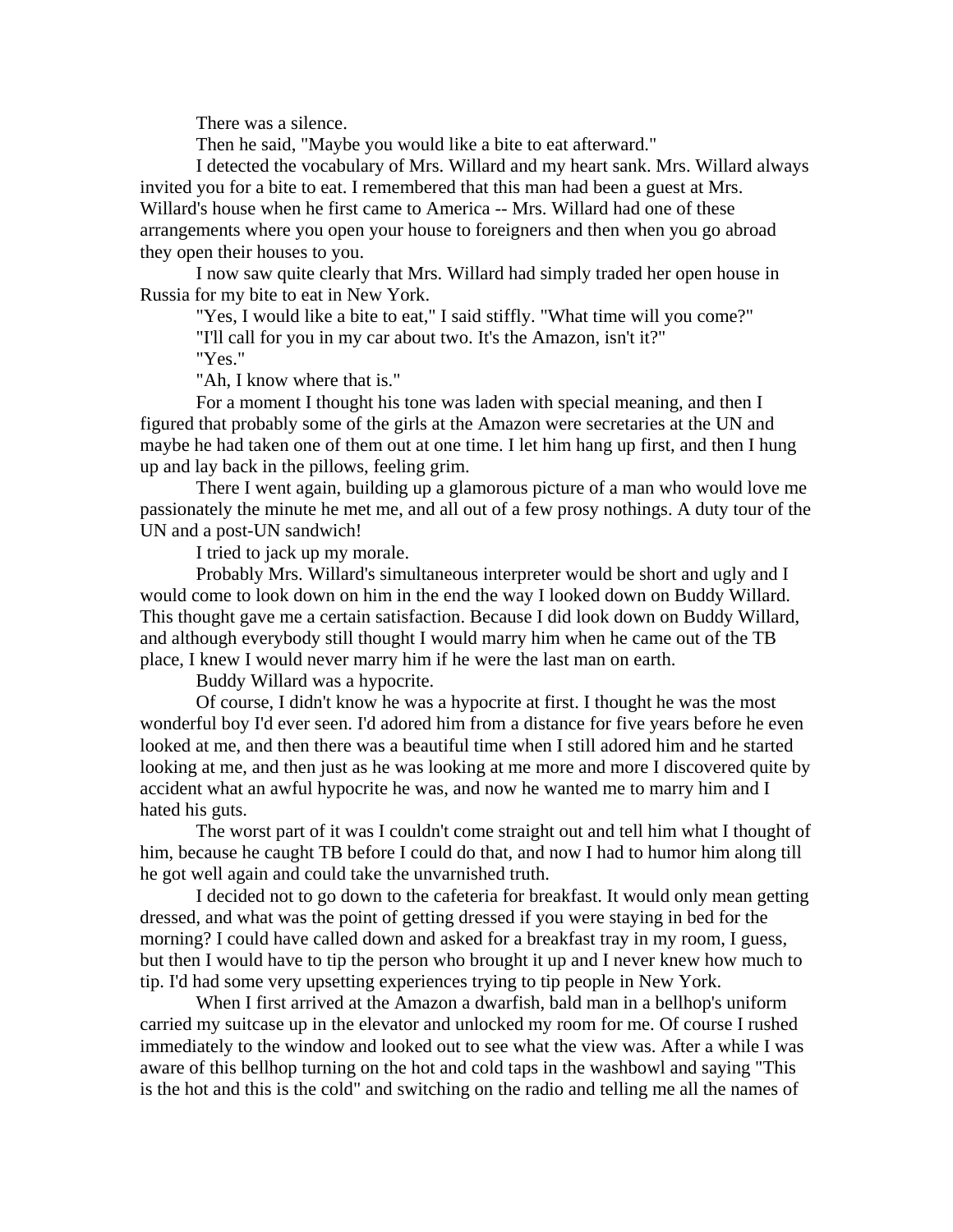There was a silence.

Then he said, "Maybe you would like a bite to eat afterward."

 I detected the vocabulary of Mrs. Willard and my heart sank. Mrs. Willard always invited you for a bite to eat. I remembered that this man had been a guest at Mrs. Willard's house when he first came to America -- Mrs. Willard had one of these arrangements where you open your house to foreigners and then when you go abroad they open their houses to you.

 I now saw quite clearly that Mrs. Willard had simply traded her open house in Russia for my bite to eat in New York.

 "Yes, I would like a bite to eat," I said stiffly. "What time will you come?" "I'll call for you in my car about two. It's the Amazon, isn't it?" "Yes."

"Ah, I know where that is."

 For a moment I thought his tone was laden with special meaning, and then I figured that probably some of the girls at the Amazon were secretaries at the UN and maybe he had taken one of them out at one time. I let him hang up first, and then I hung up and lay back in the pillows, feeling grim.

 There I went again, building up a glamorous picture of a man who would love me passionately the minute he met me, and all out of a few prosy nothings. A duty tour of the UN and a post-UN sandwich!

I tried to jack up my morale.

 Probably Mrs. Willard's simultaneous interpreter would be short and ugly and I would come to look down on him in the end the way I looked down on Buddy Willard. This thought gave me a certain satisfaction. Because I did look down on Buddy Willard, and although everybody still thought I would marry him when he came out of the TB place, I knew I would never marry him if he were the last man on earth.

Buddy Willard was a hypocrite.

 Of course, I didn't know he was a hypocrite at first. I thought he was the most wonderful boy I'd ever seen. I'd adored him from a distance for five years before he even looked at me, and then there was a beautiful time when I still adored him and he started looking at me, and then just as he was looking at me more and more I discovered quite by accident what an awful hypocrite he was, and now he wanted me to marry him and I hated his guts.

 The worst part of it was I couldn't come straight out and tell him what I thought of him, because he caught TB before I could do that, and now I had to humor him along till he got well again and could take the unvarnished truth.

 I decided not to go down to the cafeteria for breakfast. It would only mean getting dressed, and what was the point of getting dressed if you were staying in bed for the morning? I could have called down and asked for a breakfast tray in my room, I guess, but then I would have to tip the person who brought it up and I never knew how much to tip. I'd had some very upsetting experiences trying to tip people in New York.

 When I first arrived at the Amazon a dwarfish, bald man in a bellhop's uniform carried my suitcase up in the elevator and unlocked my room for me. Of course I rushed immediately to the window and looked out to see what the view was. After a while I was aware of this bellhop turning on the hot and cold taps in the washbowl and saying "This is the hot and this is the cold" and switching on the radio and telling me all the names of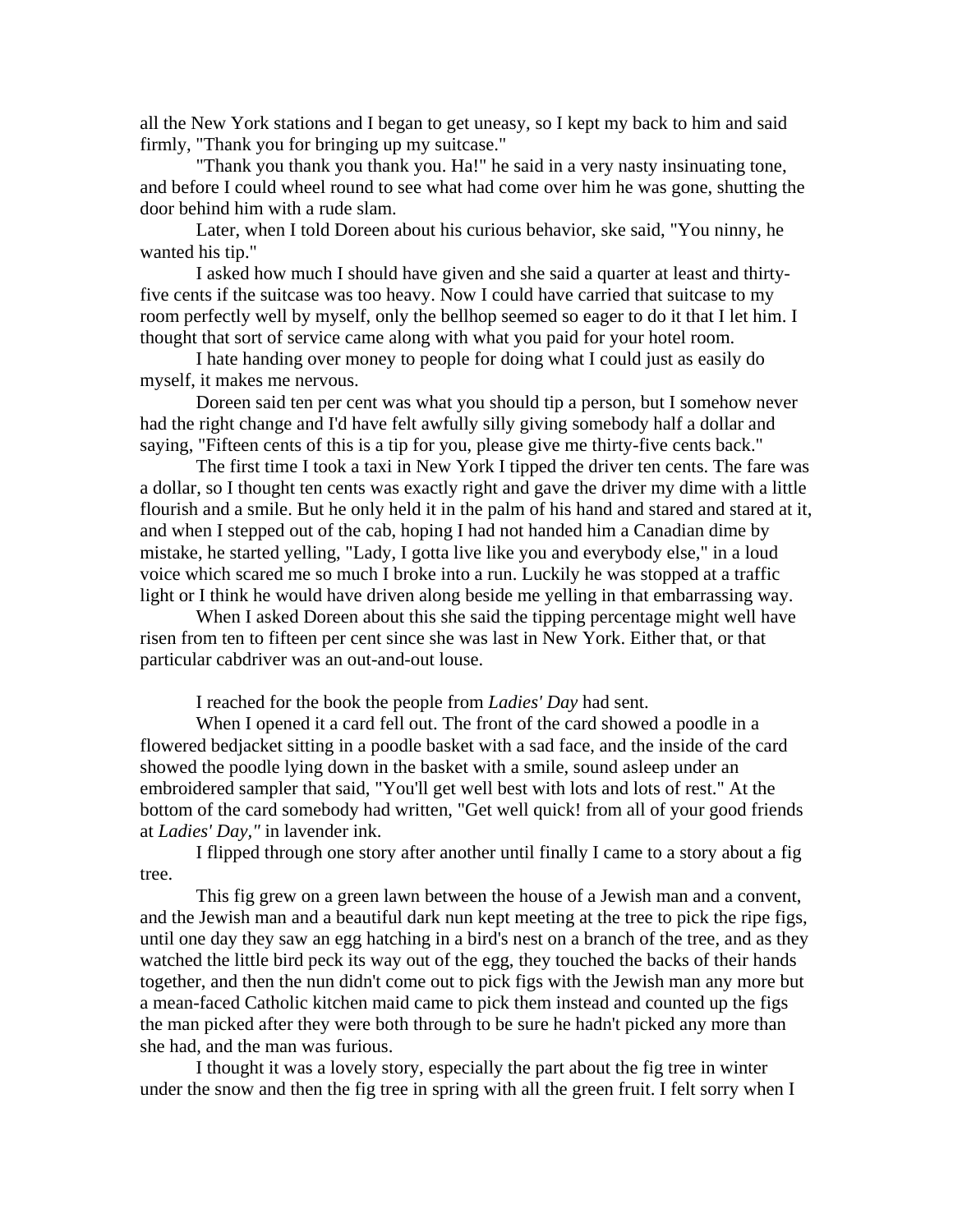all the New York stations and I began to get uneasy, so I kept my back to him and said firmly, "Thank you for bringing up my suitcase."

 "Thank you thank you thank you. Ha!" he said in a very nasty insinuating tone, and before I could wheel round to see what had come over him he was gone, shutting the door behind him with a rude slam.

 Later, when I told Doreen about his curious behavior, ske said, "You ninny, he wanted his tip."

 I asked how much I should have given and she said a quarter at least and thirtyfive cents if the suitcase was too heavy. Now I could have carried that suitcase to my room perfectly well by myself, only the bellhop seemed so eager to do it that I let him. I thought that sort of service came along with what you paid for your hotel room.

 I hate handing over money to people for doing what I could just as easily do myself, it makes me nervous.

 Doreen said ten per cent was what you should tip a person, but I somehow never had the right change and I'd have felt awfully silly giving somebody half a dollar and saying, "Fifteen cents of this is a tip for you, please give me thirty-five cents back."

 The first time I took a taxi in New York I tipped the driver ten cents. The fare was a dollar, so I thought ten cents was exactly right and gave the driver my dime with a little flourish and a smile. But he only held it in the palm of his hand and stared and stared at it, and when I stepped out of the cab, hoping I had not handed him a Canadian dime by mistake, he started yelling, "Lady, I gotta live like you and everybody else," in a loud voice which scared me so much I broke into a run. Luckily he was stopped at a traffic light or I think he would have driven along beside me yelling in that embarrassing way.

 When I asked Doreen about this she said the tipping percentage might well have risen from ten to fifteen per cent since she was last in New York. Either that, or that particular cabdriver was an out-and-out louse.

I reached for the book the people from *Ladies' Day* had sent.

 When I opened it a card fell out. The front of the card showed a poodle in a flowered bedjacket sitting in a poodle basket with a sad face, and the inside of the card showed the poodle lying down in the basket with a smile, sound asleep under an embroidered sampler that said, "You'll get well best with lots and lots of rest." At the bottom of the card somebody had written, "Get well quick! from all of your good friends at *Ladies' Day,"* in lavender ink.

 I flipped through one story after another until finally I came to a story about a fig tree.

 This fig grew on a green lawn between the house of a Jewish man and a convent, and the Jewish man and a beautiful dark nun kept meeting at the tree to pick the ripe figs, until one day they saw an egg hatching in a bird's nest on a branch of the tree, and as they watched the little bird peck its way out of the egg, they touched the backs of their hands together, and then the nun didn't come out to pick figs with the Jewish man any more but a mean-faced Catholic kitchen maid came to pick them instead and counted up the figs the man picked after they were both through to be sure he hadn't picked any more than she had, and the man was furious.

 I thought it was a lovely story, especially the part about the fig tree in winter under the snow and then the fig tree in spring with all the green fruit. I felt sorry when I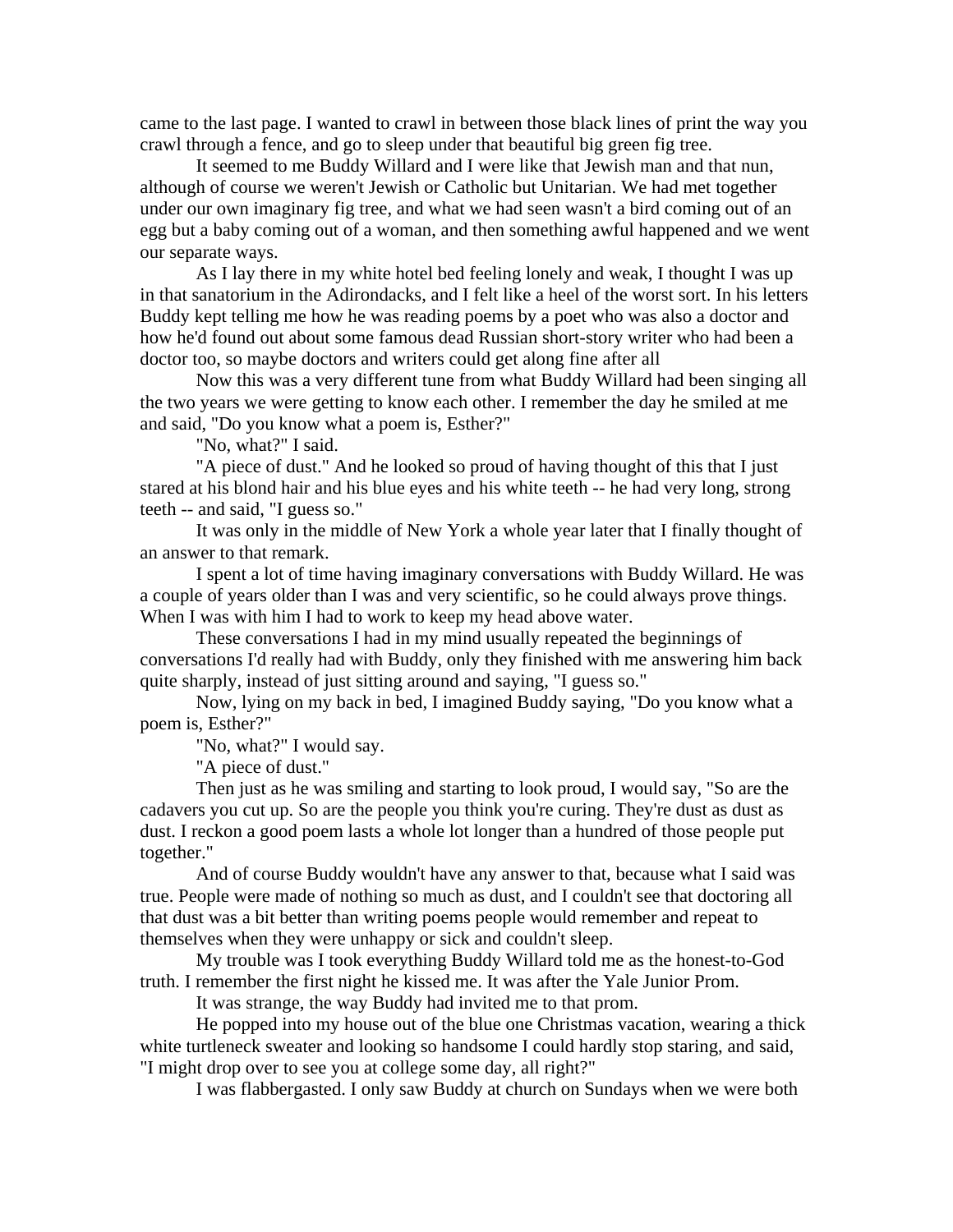came to the last page. I wanted to crawl in between those black lines of print the way you crawl through a fence, and go to sleep under that beautiful big green fig tree.

 It seemed to me Buddy Willard and I were like that Jewish man and that nun, although of course we weren't Jewish or Catholic but Unitarian. We had met together under our own imaginary fig tree, and what we had seen wasn't a bird coming out of an egg but a baby coming out of a woman, and then something awful happened and we went our separate ways.

 As I lay there in my white hotel bed feeling lonely and weak, I thought I was up in that sanatorium in the Adirondacks, and I felt like a heel of the worst sort. In his letters Buddy kept telling me how he was reading poems by a poet who was also a doctor and how he'd found out about some famous dead Russian short-story writer who had been a doctor too, so maybe doctors and writers could get along fine after all

 Now this was a very different tune from what Buddy Willard had been singing all the two years we were getting to know each other. I remember the day he smiled at me and said, "Do you know what a poem is, Esther?"

"No, what?" I said.

 "A piece of dust." And he looked so proud of having thought of this that I just stared at his blond hair and his blue eyes and his white teeth -- he had very long, strong teeth -- and said, "I guess so."

 It was only in the middle of New York a whole year later that I finally thought of an answer to that remark.

 I spent a lot of time having imaginary conversations with Buddy Willard. He was a couple of years older than I was and very scientific, so he could always prove things. When I was with him I had to work to keep my head above water.

 These conversations I had in my mind usually repeated the beginnings of conversations I'd really had with Buddy, only they finished with me answering him back quite sharply, instead of just sitting around and saying, "I guess so."

 Now, lying on my back in bed, I imagined Buddy saying, "Do you know what a poem is, Esther?"

"No, what?" I would say.

"A piece of dust."

 Then just as he was smiling and starting to look proud, I would say, "So are the cadavers you cut up. So are the people you think you're curing. They're dust as dust as dust. I reckon a good poem lasts a whole lot longer than a hundred of those people put together."

 And of course Buddy wouldn't have any answer to that, because what I said was true. People were made of nothing so much as dust, and I couldn't see that doctoring all that dust was a bit better than writing poems people would remember and repeat to themselves when they were unhappy or sick and couldn't sleep.

 My trouble was I took everything Buddy Willard told me as the honest-to-God truth. I remember the first night he kissed me. It was after the Yale Junior Prom.

It was strange, the way Buddy had invited me to that prom.

 He popped into my house out of the blue one Christmas vacation, wearing a thick white turtleneck sweater and looking so handsome I could hardly stop staring, and said, "I might drop over to see you at college some day, all right?"

I was flabbergasted. I only saw Buddy at church on Sundays when we were both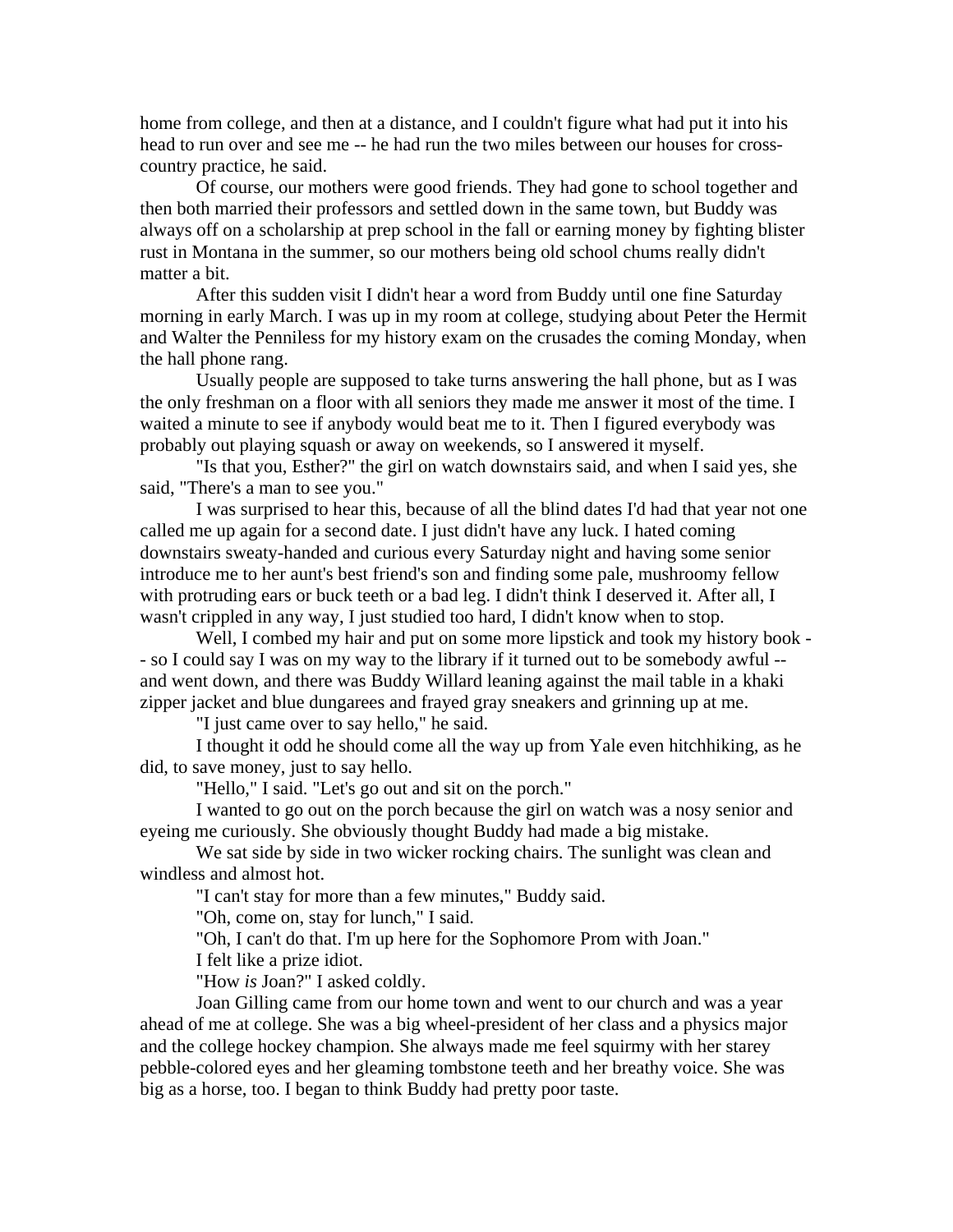home from college, and then at a distance, and I couldn't figure what had put it into his head to run over and see me -- he had run the two miles between our houses for crosscountry practice, he said.

 Of course, our mothers were good friends. They had gone to school together and then both married their professors and settled down in the same town, but Buddy was always off on a scholarship at prep school in the fall or earning money by fighting blister rust in Montana in the summer, so our mothers being old school chums really didn't matter a bit.

 After this sudden visit I didn't hear a word from Buddy until one fine Saturday morning in early March. I was up in my room at college, studying about Peter the Hermit and Walter the Penniless for my history exam on the crusades the coming Monday, when the hall phone rang.

 Usually people are supposed to take turns answering the hall phone, but as I was the only freshman on a floor with all seniors they made me answer it most of the time. I waited a minute to see if anybody would beat me to it. Then I figured everybody was probably out playing squash or away on weekends, so I answered it myself.

 "Is that you, Esther?" the girl on watch downstairs said, and when I said yes, she said, "There's a man to see you."

 I was surprised to hear this, because of all the blind dates I'd had that year not one called me up again for a second date. I just didn't have any luck. I hated coming downstairs sweaty-handed and curious every Saturday night and having some senior introduce me to her aunt's best friend's son and finding some pale, mushroomy fellow with protruding ears or buck teeth or a bad leg. I didn't think I deserved it. After all, I wasn't crippled in any way, I just studied too hard, I didn't know when to stop.

 Well, I combed my hair and put on some more lipstick and took my history book - - so I could say I was on my way to the library if it turned out to be somebody awful - and went down, and there was Buddy Willard leaning against the mail table in a khaki zipper jacket and blue dungarees and frayed gray sneakers and grinning up at me.

"I just came over to say hello," he said.

 I thought it odd he should come all the way up from Yale even hitchhiking, as he did, to save money, just to say hello.

"Hello," I said. "Let's go out and sit on the porch."

 I wanted to go out on the porch because the girl on watch was a nosy senior and eyeing me curiously. She obviously thought Buddy had made a big mistake.

 We sat side by side in two wicker rocking chairs. The sunlight was clean and windless and almost hot.

"I can't stay for more than a few minutes," Buddy said.

"Oh, come on, stay for lunch," I said.

"Oh, I can't do that. I'm up here for the Sophomore Prom with Joan."

I felt like a prize idiot.

"How *is* Joan?" I asked coldly.

 Joan Gilling came from our home town and went to our church and was a year ahead of me at college. She was a big wheel-president of her class and a physics major and the college hockey champion. She always made me feel squirmy with her starey pebble-colored eyes and her gleaming tombstone teeth and her breathy voice. She was big as a horse, too. I began to think Buddy had pretty poor taste.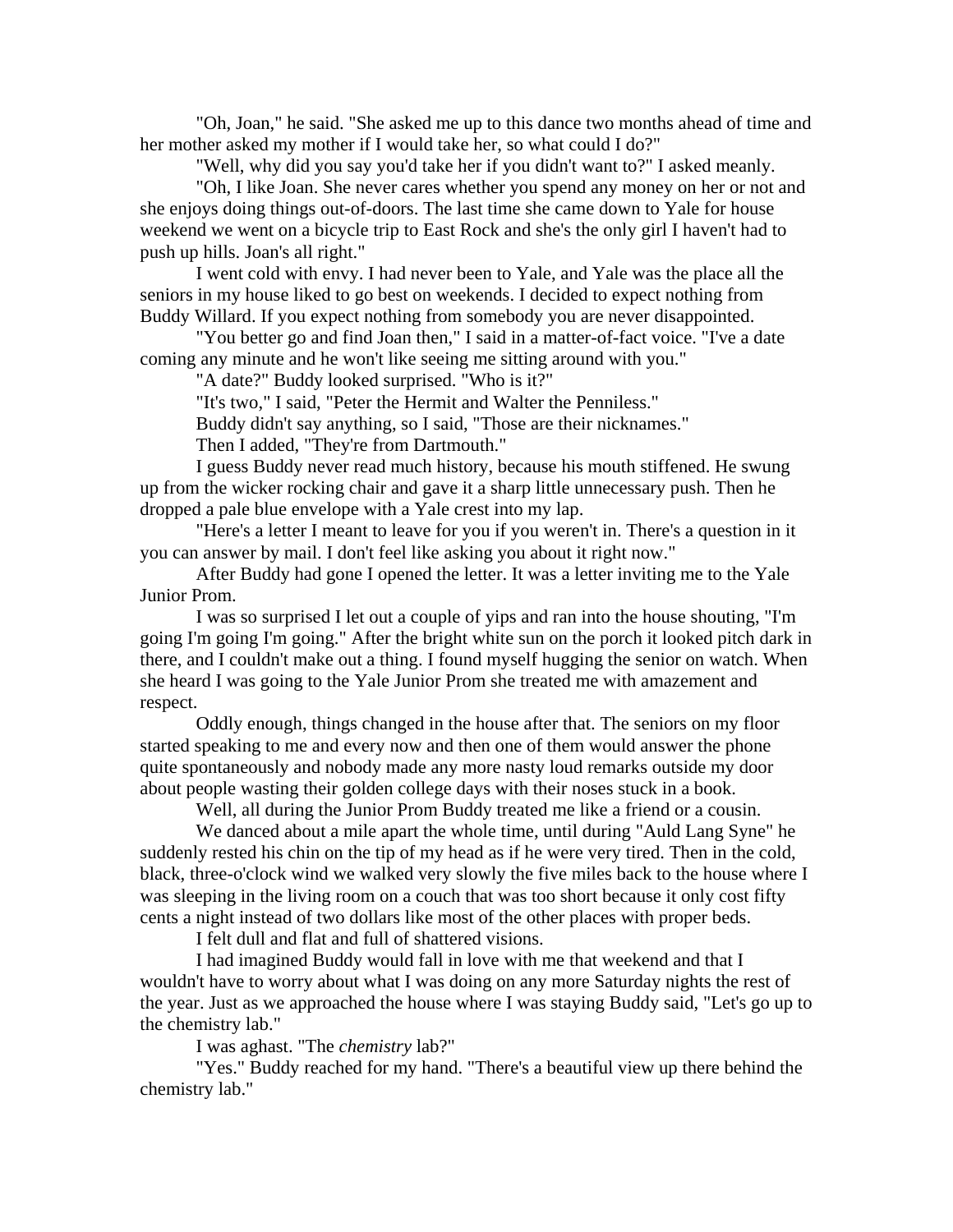"Oh, Joan," he said. "She asked me up to this dance two months ahead of time and her mother asked my mother if I would take her, so what could I do?"

"Well, why did you say you'd take her if you didn't want to?" I asked meanly.

 "Oh, I like Joan. She never cares whether you spend any money on her or not and she enjoys doing things out-of-doors. The last time she came down to Yale for house weekend we went on a bicycle trip to East Rock and she's the only girl I haven't had to push up hills. Joan's all right."

 I went cold with envy. I had never been to Yale, and Yale was the place all the seniors in my house liked to go best on weekends. I decided to expect nothing from Buddy Willard. If you expect nothing from somebody you are never disappointed.

 "You better go and find Joan then," I said in a matter-of-fact voice. "I've a date coming any minute and he won't like seeing me sitting around with you."

"A date?" Buddy looked surprised. "Who is it?"

"It's two," I said, "Peter the Hermit and Walter the Penniless."

Buddy didn't say anything, so I said, "Those are their nicknames."

Then I added, "They're from Dartmouth."

 I guess Buddy never read much history, because his mouth stiffened. He swung up from the wicker rocking chair and gave it a sharp little unnecessary push. Then he dropped a pale blue envelope with a Yale crest into my lap.

 "Here's a letter I meant to leave for you if you weren't in. There's a question in it you can answer by mail. I don't feel like asking you about it right now."

 After Buddy had gone I opened the letter. It was a letter inviting me to the Yale Junior Prom.

 I was so surprised I let out a couple of yips and ran into the house shouting, "I'm going I'm going I'm going." After the bright white sun on the porch it looked pitch dark in there, and I couldn't make out a thing. I found myself hugging the senior on watch. When she heard I was going to the Yale Junior Prom she treated me with amazement and respect.

 Oddly enough, things changed in the house after that. The seniors on my floor started speaking to me and every now and then one of them would answer the phone quite spontaneously and nobody made any more nasty loud remarks outside my door about people wasting their golden college days with their noses stuck in a book.

Well, all during the Junior Prom Buddy treated me like a friend or a cousin.

 We danced about a mile apart the whole time, until during "Auld Lang Syne" he suddenly rested his chin on the tip of my head as if he were very tired. Then in the cold, black, three-o'clock wind we walked very slowly the five miles back to the house where I was sleeping in the living room on a couch that was too short because it only cost fifty cents a night instead of two dollars like most of the other places with proper beds.

I felt dull and flat and full of shattered visions.

 I had imagined Buddy would fall in love with me that weekend and that I wouldn't have to worry about what I was doing on any more Saturday nights the rest of the year. Just as we approached the house where I was staying Buddy said, "Let's go up to the chemistry lab."

I was aghast. "The *chemistry* lab?"

 "Yes." Buddy reached for my hand. "There's a beautiful view up there behind the chemistry lab."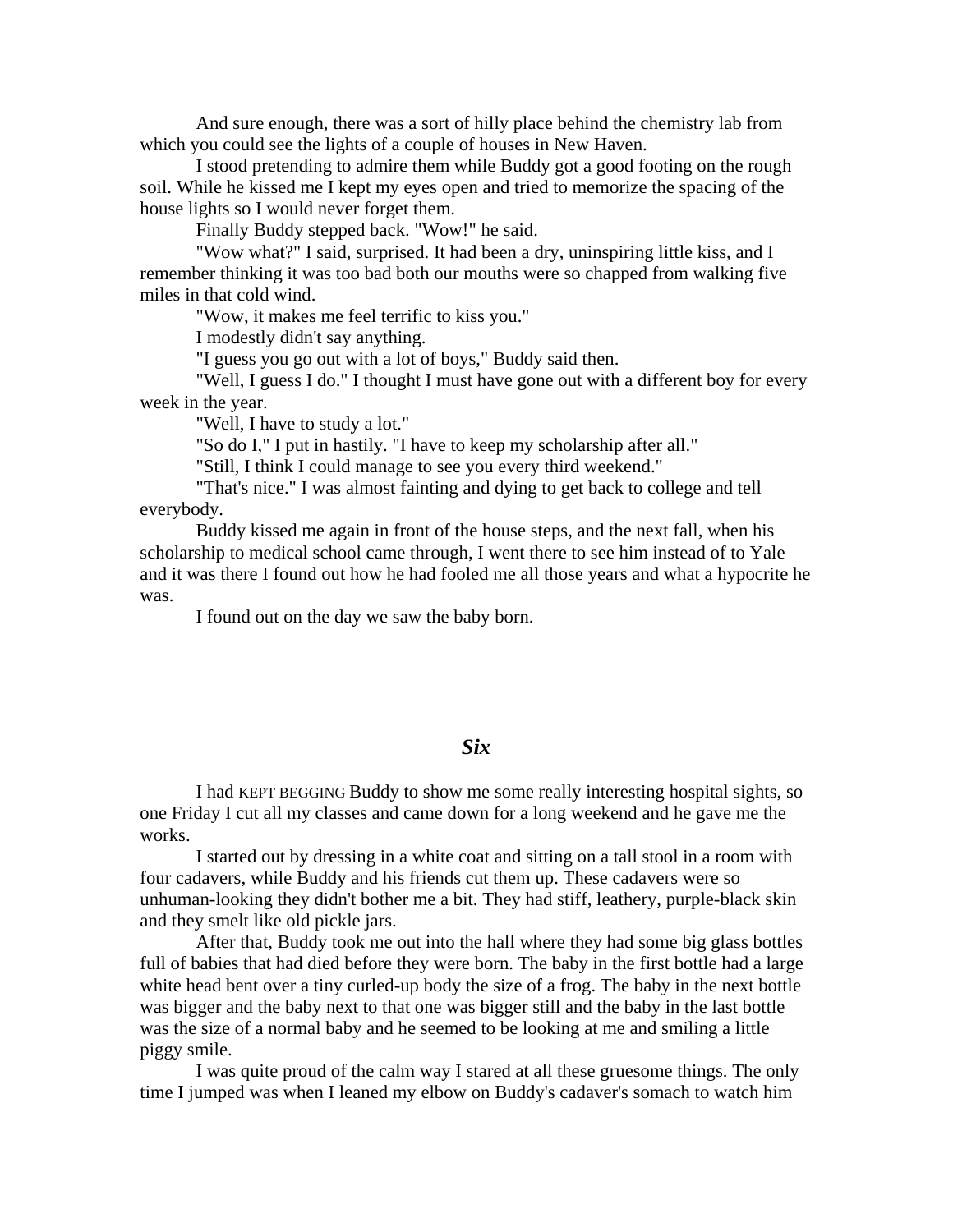And sure enough, there was a sort of hilly place behind the chemistry lab from which you could see the lights of a couple of houses in New Haven.

 I stood pretending to admire them while Buddy got a good footing on the rough soil. While he kissed me I kept my eyes open and tried to memorize the spacing of the house lights so I would never forget them.

Finally Buddy stepped back. "Wow!" he said.

 "Wow what?" I said, surprised. It had been a dry, uninspiring little kiss, and I remember thinking it was too bad both our mouths were so chapped from walking five miles in that cold wind.

"Wow, it makes me feel terrific to kiss you."

I modestly didn't say anything.

"I guess you go out with a lot of boys," Buddy said then.

 "Well, I guess I do." I thought I must have gone out with a different boy for every week in the year.

"Well, I have to study a lot."

"So do I," I put in hastily. "I have to keep my scholarship after all."

"Still, I think I could manage to see you every third weekend."

 "That's nice." I was almost fainting and dying to get back to college and tell everybody.

 Buddy kissed me again in front of the house steps, and the next fall, when his scholarship to medical school came through, I went there to see him instead of to Yale and it was there I found out how he had fooled me all those years and what a hypocrite he was.

I found out on the day we saw the baby born.

# *Six*

 I had KEPT BEGGING Buddy to show me some really interesting hospital sights, so one Friday I cut all my classes and came down for a long weekend and he gave me the works.

 I started out by dressing in a white coat and sitting on a tall stool in a room with four cadavers, while Buddy and his friends cut them up. These cadavers were so unhuman-looking they didn't bother me a bit. They had stiff, leathery, purple-black skin and they smelt like old pickle jars.

 After that, Buddy took me out into the hall where they had some big glass bottles full of babies that had died before they were born. The baby in the first bottle had a large white head bent over a tiny curled-up body the size of a frog. The baby in the next bottle was bigger and the baby next to that one was bigger still and the baby in the last bottle was the size of a normal baby and he seemed to be looking at me and smiling a little piggy smile.

 I was quite proud of the calm way I stared at all these gruesome things. The only time I jumped was when I leaned my elbow on Buddy's cadaver's somach to watch him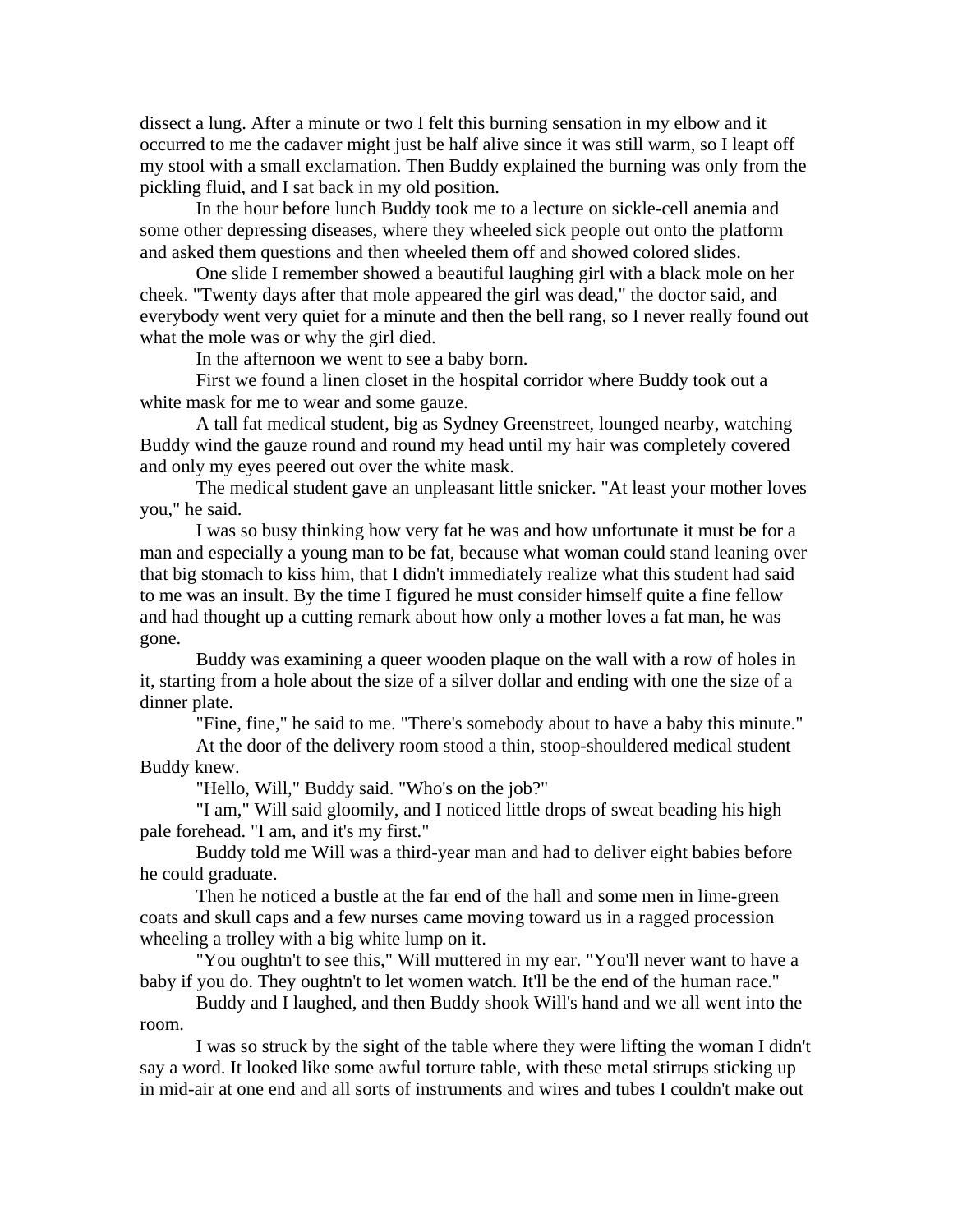dissect a lung. After a minute or two I felt this burning sensation in my elbow and it occurred to me the cadaver might just be half alive since it was still warm, so I leapt off my stool with a small exclamation. Then Buddy explained the burning was only from the pickling fluid, and I sat back in my old position.

 In the hour before lunch Buddy took me to a lecture on sickle-cell anemia and some other depressing diseases, where they wheeled sick people out onto the platform and asked them questions and then wheeled them off and showed colored slides.

 One slide I remember showed a beautiful laughing girl with a black mole on her cheek. "Twenty days after that mole appeared the girl was dead," the doctor said, and everybody went very quiet for a minute and then the bell rang, so I never really found out what the mole was or why the girl died.

In the afternoon we went to see a baby born.

 First we found a linen closet in the hospital corridor where Buddy took out a white mask for me to wear and some gauze.

 A tall fat medical student, big as Sydney Greenstreet, lounged nearby, watching Buddy wind the gauze round and round my head until my hair was completely covered and only my eyes peered out over the white mask.

 The medical student gave an unpleasant little snicker. "At least your mother loves you," he said.

 I was so busy thinking how very fat he was and how unfortunate it must be for a man and especially a young man to be fat, because what woman could stand leaning over that big stomach to kiss him, that I didn't immediately realize what this student had said to me was an insult. By the time I figured he must consider himself quite a fine fellow and had thought up a cutting remark about how only a mother loves a fat man, he was gone.

 Buddy was examining a queer wooden plaque on the wall with a row of holes in it, starting from a hole about the size of a silver dollar and ending with one the size of a dinner plate.

"Fine, fine," he said to me. "There's somebody about to have a baby this minute."

 At the door of the delivery room stood a thin, stoop-shouldered medical student Buddy knew.

"Hello, Will," Buddy said. "Who's on the job?"

 "I am," Will said gloomily, and I noticed little drops of sweat beading his high pale forehead. "I am, and it's my first."

 Buddy told me Will was a third-year man and had to deliver eight babies before he could graduate.

 Then he noticed a bustle at the far end of the hall and some men in lime-green coats and skull caps and a few nurses came moving toward us in a ragged procession wheeling a trolley with a big white lump on it.

 "You oughtn't to see this," Will muttered in my ear. "You'll never want to have a baby if you do. They oughtn't to let women watch. It'll be the end of the human race."

 Buddy and I laughed, and then Buddy shook Will's hand and we all went into the room.

 I was so struck by the sight of the table where they were lifting the woman I didn't say a word. It looked like some awful torture table, with these metal stirrups sticking up in mid-air at one end and all sorts of instruments and wires and tubes I couldn't make out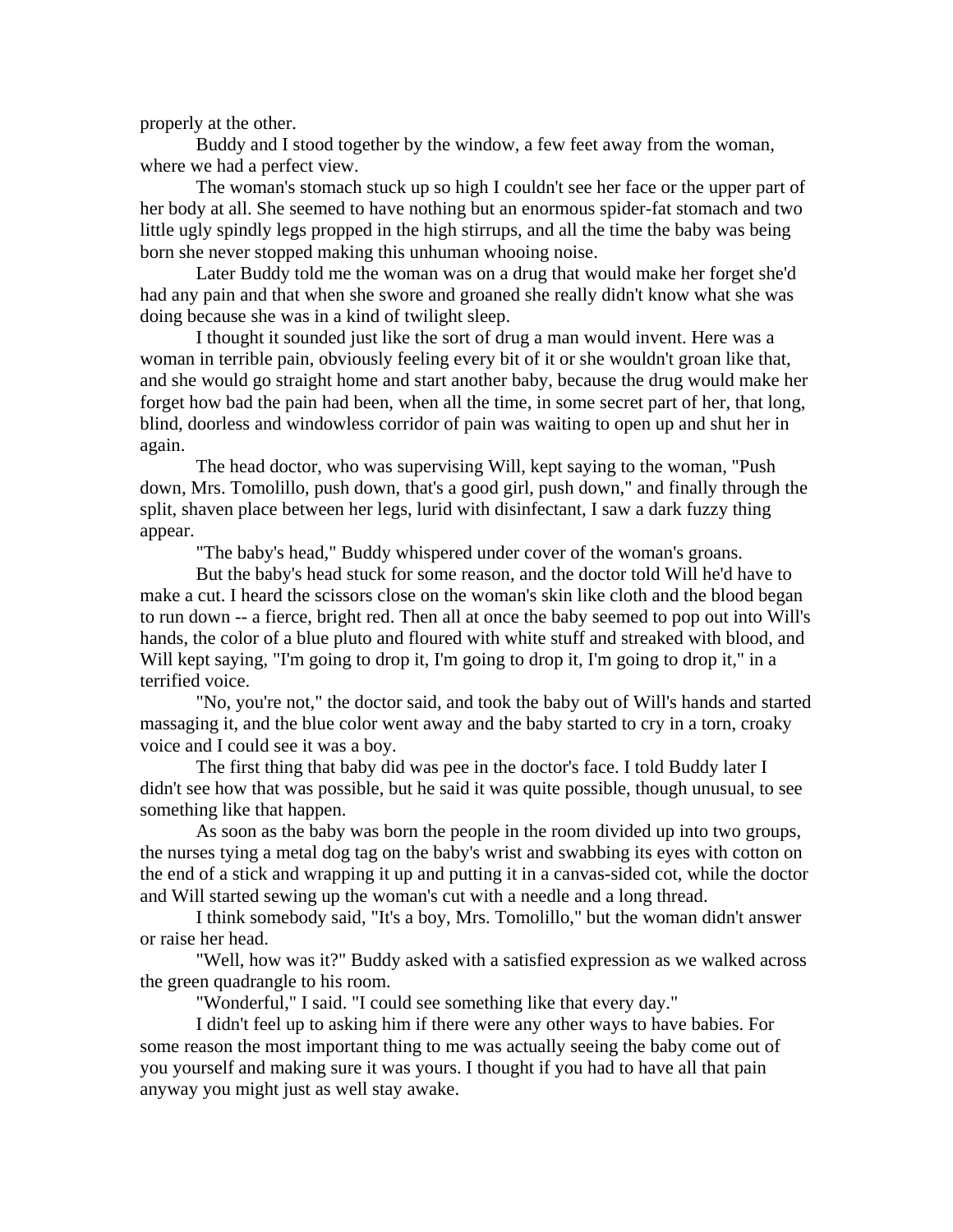properly at the other.

 Buddy and I stood together by the window, a few feet away from the woman, where we had a perfect view.

 The woman's stomach stuck up so high I couldn't see her face or the upper part of her body at all. She seemed to have nothing but an enormous spider-fat stomach and two little ugly spindly legs propped in the high stirrups, and all the time the baby was being born she never stopped making this unhuman whooing noise.

 Later Buddy told me the woman was on a drug that would make her forget she'd had any pain and that when she swore and groaned she really didn't know what she was doing because she was in a kind of twilight sleep.

 I thought it sounded just like the sort of drug a man would invent. Here was a woman in terrible pain, obviously feeling every bit of it or she wouldn't groan like that, and she would go straight home and start another baby, because the drug would make her forget how bad the pain had been, when all the time, in some secret part of her, that long, blind, doorless and windowless corridor of pain was waiting to open up and shut her in again.

 The head doctor, who was supervising Will, kept saying to the woman, "Push down, Mrs. Tomolillo, push down, that's a good girl, push down," and finally through the split, shaven place between her legs, lurid with disinfectant, I saw a dark fuzzy thing appear.

"The baby's head," Buddy whispered under cover of the woman's groans.

 But the baby's head stuck for some reason, and the doctor told Will he'd have to make a cut. I heard the scissors close on the woman's skin like cloth and the blood began to run down -- a fierce, bright red. Then all at once the baby seemed to pop out into Will's hands, the color of a blue pluto and floured with white stuff and streaked with blood, and Will kept saying, "I'm going to drop it, I'm going to drop it, I'm going to drop it," in a terrified voice.

 "No, you're not," the doctor said, and took the baby out of Will's hands and started massaging it, and the blue color went away and the baby started to cry in a torn, croaky voice and I could see it was a boy.

 The first thing that baby did was pee in the doctor's face. I told Buddy later I didn't see how that was possible, but he said it was quite possible, though unusual, to see something like that happen.

 As soon as the baby was born the people in the room divided up into two groups, the nurses tying a metal dog tag on the baby's wrist and swabbing its eyes with cotton on the end of a stick and wrapping it up and putting it in a canvas-sided cot, while the doctor and Will started sewing up the woman's cut with a needle and a long thread.

 I think somebody said, "It's a boy, Mrs. Tomolillo," but the woman didn't answer or raise her head.

 "Well, how was it?" Buddy asked with a satisfied expression as we walked across the green quadrangle to his room.

"Wonderful," I said. "I could see something like that every day."

 I didn't feel up to asking him if there were any other ways to have babies. For some reason the most important thing to me was actually seeing the baby come out of you yourself and making sure it was yours. I thought if you had to have all that pain anyway you might just as well stay awake.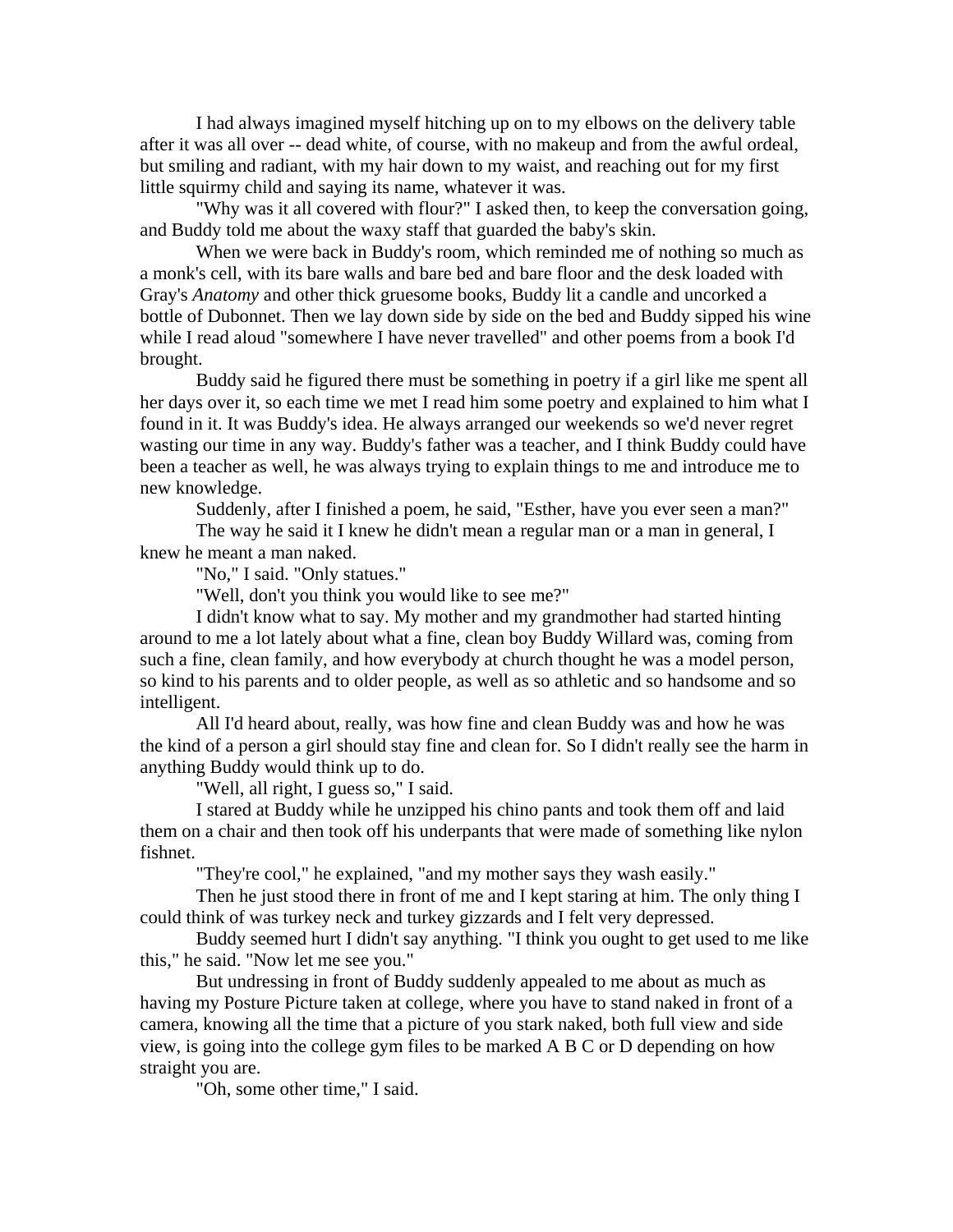I had always imagined myself hitching up on to my elbows on the delivery table after it was all over -- dead white, of course, with no makeup and from the awful ordeal, but smiling and radiant, with my hair down to my waist, and reaching out for my first little squirmy child and saying its name, whatever it was.

 "Why was it all covered with flour?" I asked then, to keep the conversation going, and Buddy told me about the waxy staff that guarded the baby's skin.

 When we were back in Buddy's room, which reminded me of nothing so much as a monk's cell, with its bare walls and bare bed and bare floor and the desk loaded with Gray's *Anatomy* and other thick gruesome books, Buddy lit a candle and uncorked a bottle of Dubonnet. Then we lay down side by side on the bed and Buddy sipped his wine while I read aloud "somewhere I have never travelled" and other poems from a book I'd brought.

 Buddy said he figured there must be something in poetry if a girl like me spent all her days over it, so each time we met I read him some poetry and explained to him what I found in it. It was Buddy's idea. He always arranged our weekends so we'd never regret wasting our time in any way. Buddy's father was a teacher, and I think Buddy could have been a teacher as well, he was always trying to explain things to me and introduce me to new knowledge.

Suddenly, after I finished a poem, he said, "Esther, have you ever seen a man?"

 The way he said it I knew he didn't mean a regular man or a man in general, I knew he meant a man naked.

"No," I said. "Only statues."

"Well, don't you think you would like to see me?"

 I didn't know what to say. My mother and my grandmother had started hinting around to me a lot lately about what a fine, clean boy Buddy Willard was, coming from such a fine, clean family, and how everybody at church thought he was a model person, so kind to his parents and to older people, as well as so athletic and so handsome and so intelligent.

 All I'd heard about, really, was how fine and clean Buddy was and how he was the kind of a person a girl should stay fine and clean for. So I didn't really see the harm in anything Buddy would think up to do.

"Well, all right, I guess so," I said.

 I stared at Buddy while he unzipped his chino pants and took them off and laid them on a chair and then took off his underpants that were made of something like nylon fishnet.

"They're cool," he explained, "and my mother says they wash easily."

 Then he just stood there in front of me and I kept staring at him. The only thing I could think of was turkey neck and turkey gizzards and I felt very depressed.

 Buddy seemed hurt I didn't say anything. "I think you ought to get used to me like this," he said. "Now let me see you."

 But undressing in front of Buddy suddenly appealed to me about as much as having my Posture Picture taken at college, where you have to stand naked in front of a camera, knowing all the time that a picture of you stark naked, both full view and side view, is going into the college gym files to be marked A B C or D depending on how straight you are.

"Oh, some other time," I said.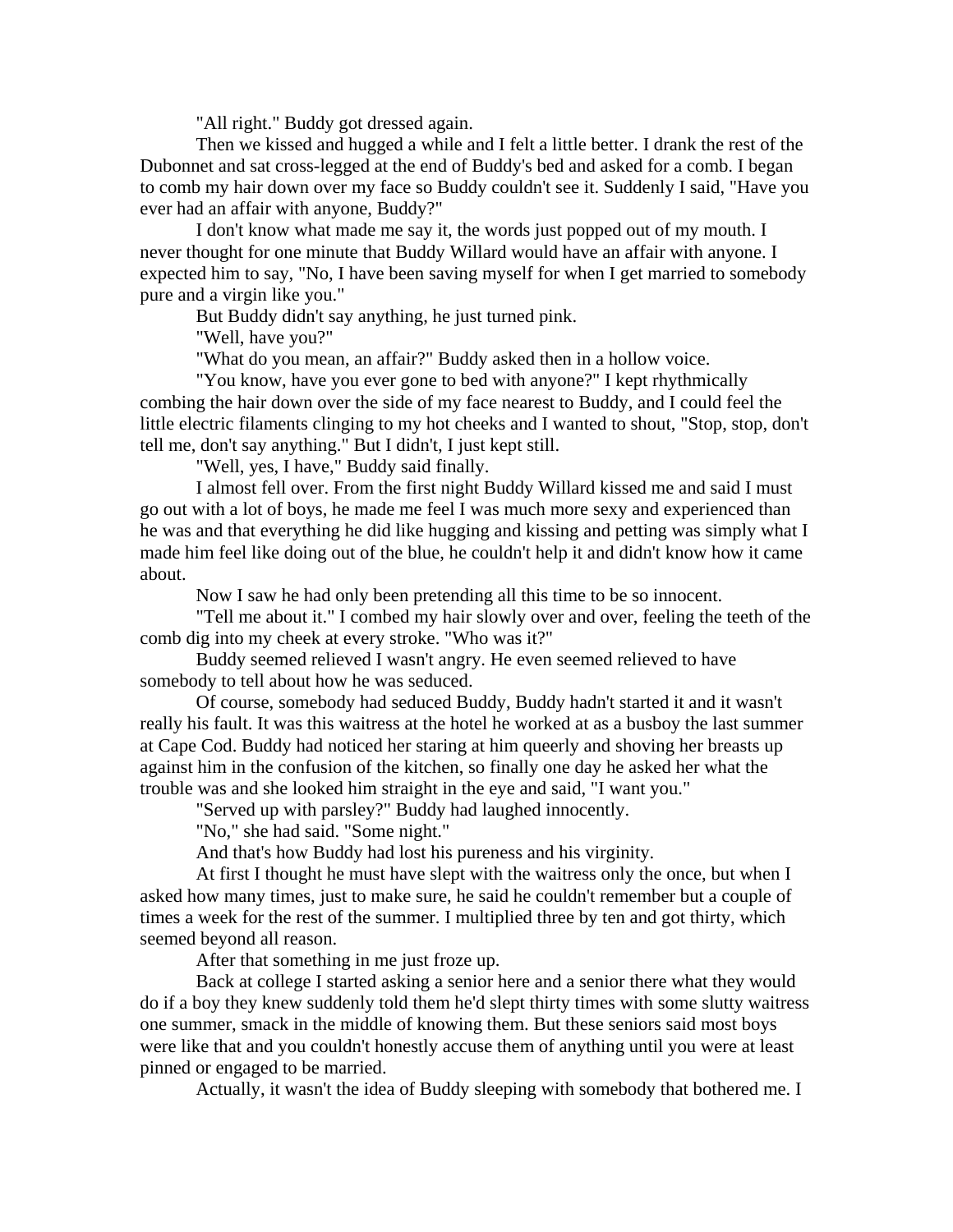"All right." Buddy got dressed again.

 Then we kissed and hugged a while and I felt a little better. I drank the rest of the Dubonnet and sat cross-legged at the end of Buddy's bed and asked for a comb. I began to comb my hair down over my face so Buddy couldn't see it. Suddenly I said, "Have you ever had an affair with anyone, Buddy?"

 I don't know what made me say it, the words just popped out of my mouth. I never thought for one minute that Buddy Willard would have an affair with anyone. I expected him to say, "No, I have been saving myself for when I get married to somebody pure and a virgin like you."

But Buddy didn't say anything, he just turned pink.

"Well, have you?"

"What do you mean, an affair?" Buddy asked then in a hollow voice.

 "You know, have you ever gone to bed with anyone?" I kept rhythmically combing the hair down over the side of my face nearest to Buddy, and I could feel the little electric filaments clinging to my hot cheeks and I wanted to shout, "Stop, stop, don't tell me, don't say anything." But I didn't, I just kept still.

"Well, yes, I have," Buddy said finally.

 I almost fell over. From the first night Buddy Willard kissed me and said I must go out with a lot of boys, he made me feel I was much more sexy and experienced than he was and that everything he did like hugging and kissing and petting was simply what I made him feel like doing out of the blue, he couldn't help it and didn't know how it came about.

Now I saw he had only been pretending all this time to be so innocent.

 "Tell me about it." I combed my hair slowly over and over, feeling the teeth of the comb dig into my cheek at every stroke. "Who was it?"

 Buddy seemed relieved I wasn't angry. He even seemed relieved to have somebody to tell about how he was seduced.

 Of course, somebody had seduced Buddy, Buddy hadn't started it and it wasn't really his fault. It was this waitress at the hotel he worked at as a busboy the last summer at Cape Cod. Buddy had noticed her staring at him queerly and shoving her breasts up against him in the confusion of the kitchen, so finally one day he asked her what the trouble was and she looked him straight in the eye and said, "I want you."

"Served up with parsley?" Buddy had laughed innocently.

"No," she had said. "Some night."

And that's how Buddy had lost his pureness and his virginity.

 At first I thought he must have slept with the waitress only the once, but when I asked how many times, just to make sure, he said he couldn't remember but a couple of times a week for the rest of the summer. I multiplied three by ten and got thirty, which seemed beyond all reason.

After that something in me just froze up.

 Back at college I started asking a senior here and a senior there what they would do if a boy they knew suddenly told them he'd slept thirty times with some slutty waitress one summer, smack in the middle of knowing them. But these seniors said most boys were like that and you couldn't honestly accuse them of anything until you were at least pinned or engaged to be married.

Actually, it wasn't the idea of Buddy sleeping with somebody that bothered me. I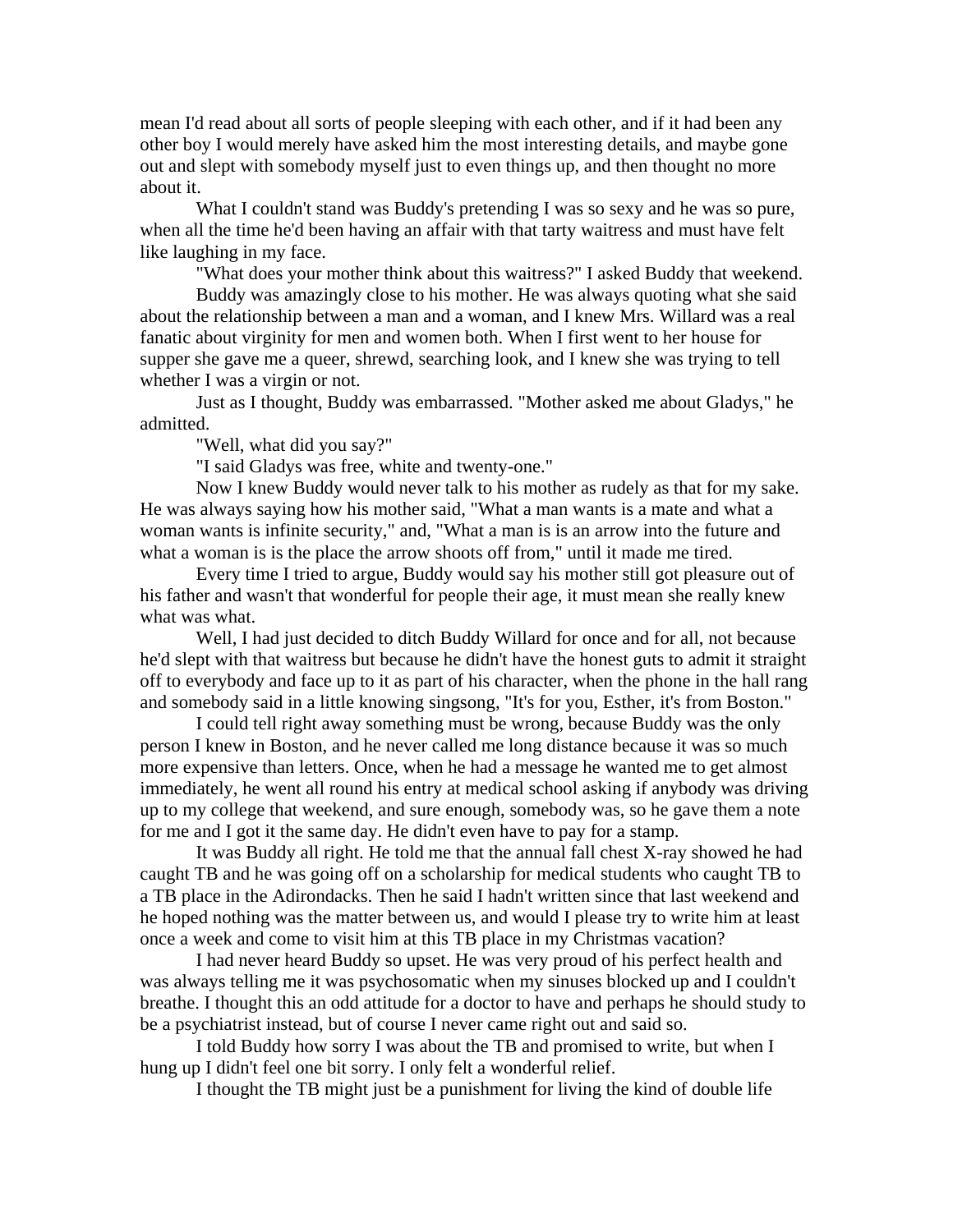mean I'd read about all sorts of people sleeping with each other, and if it had been any other boy I would merely have asked him the most interesting details, and maybe gone out and slept with somebody myself just to even things up, and then thought no more about it.

 What I couldn't stand was Buddy's pretending I was so sexy and he was so pure, when all the time he'd been having an affair with that tarty waitress and must have felt like laughing in my face.

"What does your mother think about this waitress?" I asked Buddy that weekend.

 Buddy was amazingly close to his mother. He was always quoting what she said about the relationship between a man and a woman, and I knew Mrs. Willard was a real fanatic about virginity for men and women both. When I first went to her house for supper she gave me a queer, shrewd, searching look, and I knew she was trying to tell whether I was a virgin or not.

 Just as I thought, Buddy was embarrassed. "Mother asked me about Gladys," he admitted.

"Well, what did you say?"

"I said Gladys was free, white and twenty-one."

 Now I knew Buddy would never talk to his mother as rudely as that for my sake. He was always saying how his mother said, "What a man wants is a mate and what a woman wants is infinite security," and, "What a man is is an arrow into the future and what a woman is is the place the arrow shoots off from," until it made me tired.

 Every time I tried to argue, Buddy would say his mother still got pleasure out of his father and wasn't that wonderful for people their age, it must mean she really knew what was what.

 Well, I had just decided to ditch Buddy Willard for once and for all, not because he'd slept with that waitress but because he didn't have the honest guts to admit it straight off to everybody and face up to it as part of his character, when the phone in the hall rang and somebody said in a little knowing singsong, "It's for you, Esther, it's from Boston."

 I could tell right away something must be wrong, because Buddy was the only person I knew in Boston, and he never called me long distance because it was so much more expensive than letters. Once, when he had a message he wanted me to get almost immediately, he went all round his entry at medical school asking if anybody was driving up to my college that weekend, and sure enough, somebody was, so he gave them a note for me and I got it the same day. He didn't even have to pay for a stamp.

 It was Buddy all right. He told me that the annual fall chest X-ray showed he had caught TB and he was going off on a scholarship for medical students who caught TB to a TB place in the Adirondacks. Then he said I hadn't written since that last weekend and he hoped nothing was the matter between us, and would I please try to write him at least once a week and come to visit him at this TB place in my Christmas vacation?

 I had never heard Buddy so upset. He was very proud of his perfect health and was always telling me it was psychosomatic when my sinuses blocked up and I couldn't breathe. I thought this an odd attitude for a doctor to have and perhaps he should study to be a psychiatrist instead, but of course I never came right out and said so.

 I told Buddy how sorry I was about the TB and promised to write, but when I hung up I didn't feel one bit sorry. I only felt a wonderful relief.

I thought the TB might just be a punishment for living the kind of double life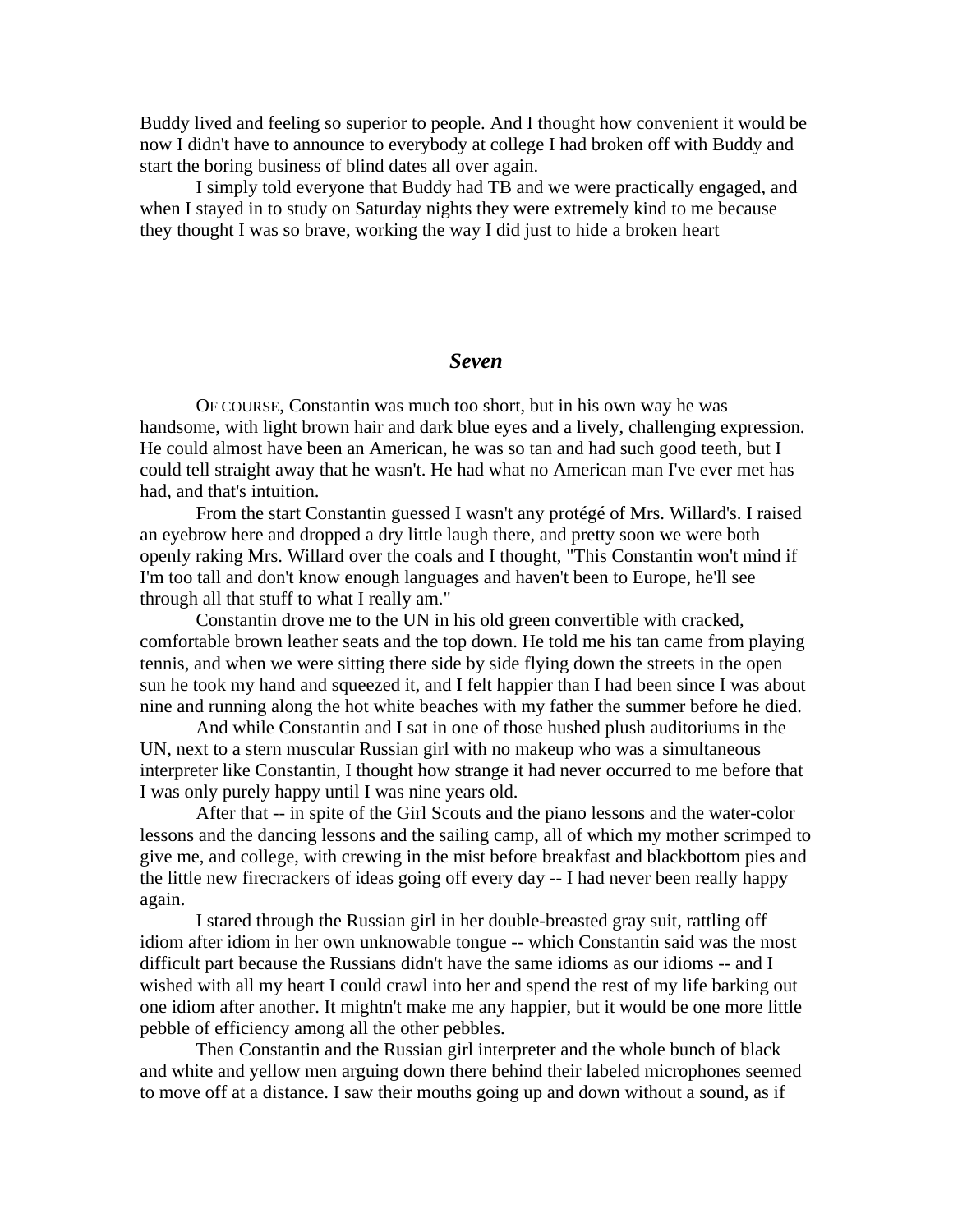Buddy lived and feeling so superior to people. And I thought how convenient it would be now I didn't have to announce to everybody at college I had broken off with Buddy and start the boring business of blind dates all over again.

 I simply told everyone that Buddy had TB and we were practically engaged, and when I stayed in to study on Saturday nights they were extremely kind to me because they thought I was so brave, working the way I did just to hide a broken heart

### *Seven*

 OF COURSE, Constantin was much too short, but in his own way he was handsome, with light brown hair and dark blue eyes and a lively, challenging expression. He could almost have been an American, he was so tan and had such good teeth, but I could tell straight away that he wasn't. He had what no American man I've ever met has had, and that's intuition.

 From the start Constantin guessed I wasn't any protégé of Mrs. Willard's. I raised an eyebrow here and dropped a dry little laugh there, and pretty soon we were both openly raking Mrs. Willard over the coals and I thought, "This Constantin won't mind if I'm too tall and don't know enough languages and haven't been to Europe, he'll see through all that stuff to what I really am."

 Constantin drove me to the UN in his old green convertible with cracked, comfortable brown leather seats and the top down. He told me his tan came from playing tennis, and when we were sitting there side by side flying down the streets in the open sun he took my hand and squeezed it, and I felt happier than I had been since I was about nine and running along the hot white beaches with my father the summer before he died.

 And while Constantin and I sat in one of those hushed plush auditoriums in the UN, next to a stern muscular Russian girl with no makeup who was a simultaneous interpreter like Constantin, I thought how strange it had never occurred to me before that I was only purely happy until I was nine years old.

 After that -- in spite of the Girl Scouts and the piano lessons and the water-color lessons and the dancing lessons and the sailing camp, all of which my mother scrimped to give me, and college, with crewing in the mist before breakfast and blackbottom pies and the little new firecrackers of ideas going off every day -- I had never been really happy again.

 I stared through the Russian girl in her double-breasted gray suit, rattling off idiom after idiom in her own unknowable tongue -- which Constantin said was the most difficult part because the Russians didn't have the same idioms as our idioms -- and I wished with all my heart I could crawl into her and spend the rest of my life barking out one idiom after another. It mightn't make me any happier, but it would be one more little pebble of efficiency among all the other pebbles.

 Then Constantin and the Russian girl interpreter and the whole bunch of black and white and yellow men arguing down there behind their labeled microphones seemed to move off at a distance. I saw their mouths going up and down without a sound, as if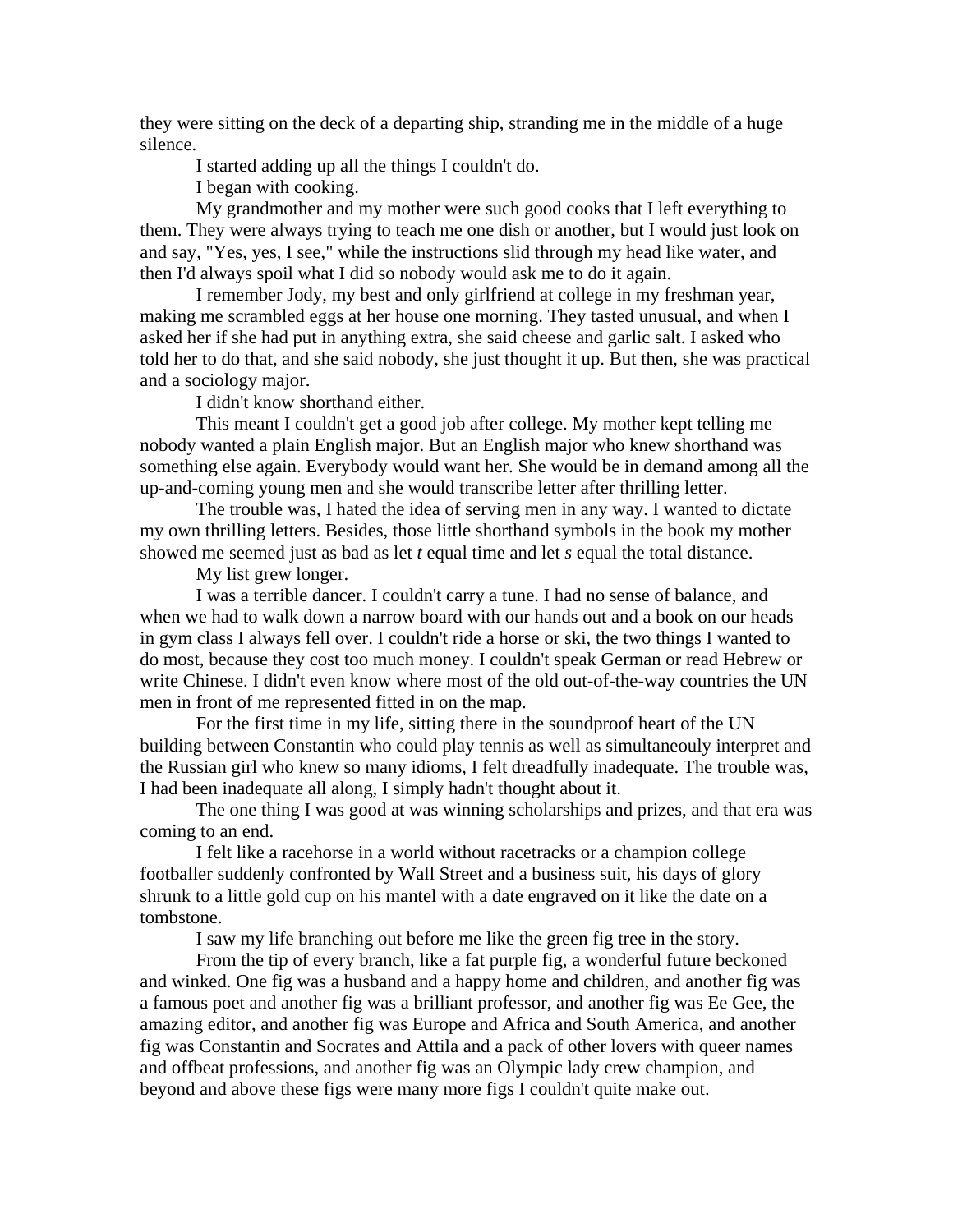they were sitting on the deck of a departing ship, stranding me in the middle of a huge silence.

I started adding up all the things I couldn't do.

I began with cooking.

 My grandmother and my mother were such good cooks that I left everything to them. They were always trying to teach me one dish or another, but I would just look on and say, "Yes, yes, I see," while the instructions slid through my head like water, and then I'd always spoil what I did so nobody would ask me to do it again.

 I remember Jody, my best and only girlfriend at college in my freshman year, making me scrambled eggs at her house one morning. They tasted unusual, and when I asked her if she had put in anything extra, she said cheese and garlic salt. I asked who told her to do that, and she said nobody, she just thought it up. But then, she was practical and a sociology major.

I didn't know shorthand either.

 This meant I couldn't get a good job after college. My mother kept telling me nobody wanted a plain English major. But an English major who knew shorthand was something else again. Everybody would want her. She would be in demand among all the up-and-coming young men and she would transcribe letter after thrilling letter.

 The trouble was, I hated the idea of serving men in any way. I wanted to dictate my own thrilling letters. Besides, those little shorthand symbols in the book my mother showed me seemed just as bad as let *t* equal time and let *s* equal the total distance.

My list grew longer.

 I was a terrible dancer. I couldn't carry a tune. I had no sense of balance, and when we had to walk down a narrow board with our hands out and a book on our heads in gym class I always fell over. I couldn't ride a horse or ski, the two things I wanted to do most, because they cost too much money. I couldn't speak German or read Hebrew or write Chinese. I didn't even know where most of the old out-of-the-way countries the UN men in front of me represented fitted in on the map.

 For the first time in my life, sitting there in the soundproof heart of the UN building between Constantin who could play tennis as well as simultaneouly interpret and the Russian girl who knew so many idioms, I felt dreadfully inadequate. The trouble was, I had been inadequate all along, I simply hadn't thought about it.

 The one thing I was good at was winning scholarships and prizes, and that era was coming to an end.

 I felt like a racehorse in a world without racetracks or a champion college footballer suddenly confronted by Wall Street and a business suit, his days of glory shrunk to a little gold cup on his mantel with a date engraved on it like the date on a tombstone.

I saw my life branching out before me like the green fig tree in the story.

 From the tip of every branch, like a fat purple fig, a wonderful future beckoned and winked. One fig was a husband and a happy home and children, and another fig was a famous poet and another fig was a brilliant professor, and another fig was Ee Gee, the amazing editor, and another fig was Europe and Africa and South America, and another fig was Constantin and Socrates and Attila and a pack of other lovers with queer names and offbeat professions, and another fig was an Olympic lady crew champion, and beyond and above these figs were many more figs I couldn't quite make out.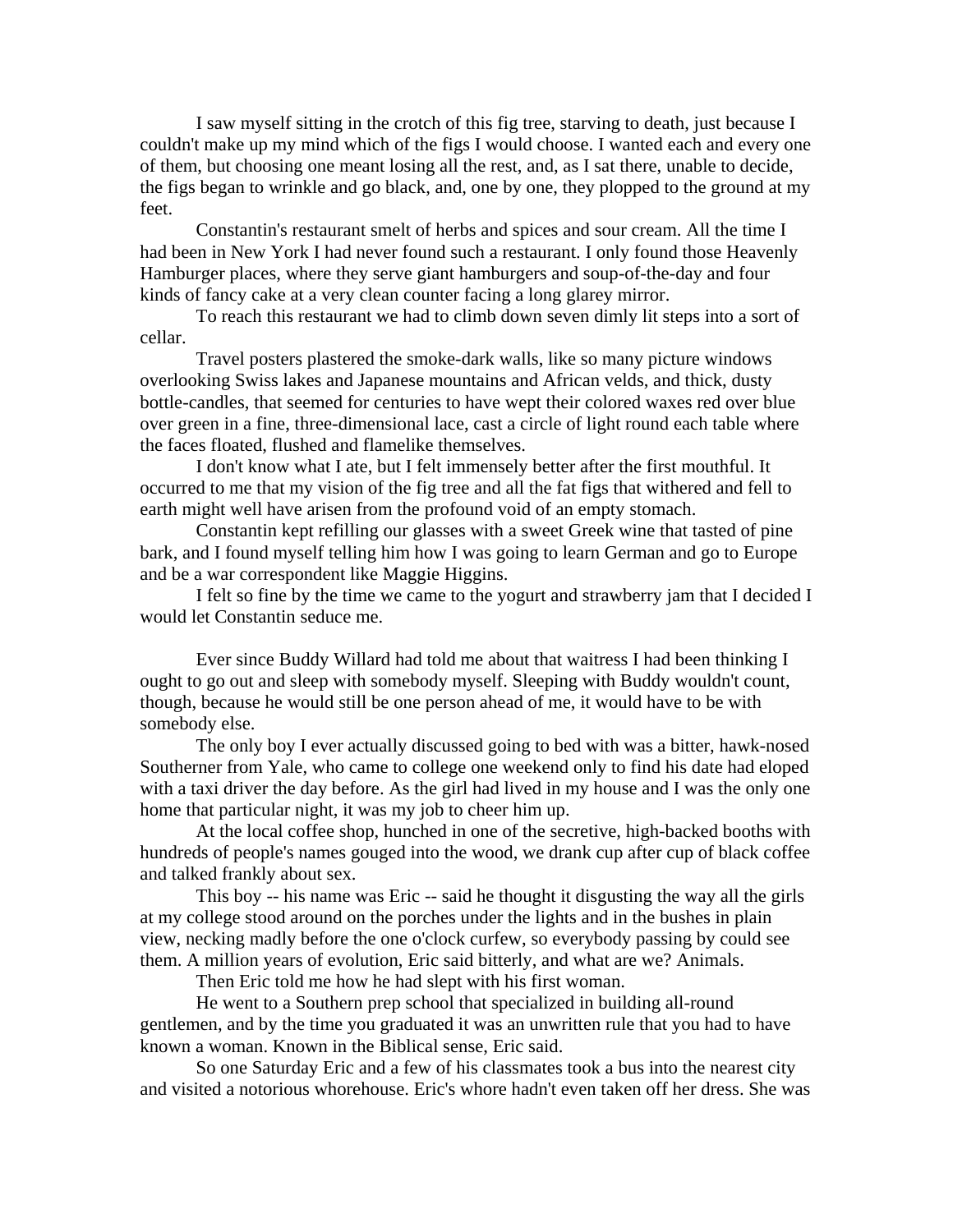I saw myself sitting in the crotch of this fig tree, starving to death, just because I couldn't make up my mind which of the figs I would choose. I wanted each and every one of them, but choosing one meant losing all the rest, and, as I sat there, unable to decide, the figs began to wrinkle and go black, and, one by one, they plopped to the ground at my feet.

 Constantin's restaurant smelt of herbs and spices and sour cream. All the time I had been in New York I had never found such a restaurant. I only found those Heavenly Hamburger places, where they serve giant hamburgers and soup-of-the-day and four kinds of fancy cake at a very clean counter facing a long glarey mirror.

 To reach this restaurant we had to climb down seven dimly lit steps into a sort of cellar.

 Travel posters plastered the smoke-dark walls, like so many picture windows overlooking Swiss lakes and Japanese mountains and African velds, and thick, dusty bottle-candles, that seemed for centuries to have wept their colored waxes red over blue over green in a fine, three-dimensional lace, cast a circle of light round each table where the faces floated, flushed and flamelike themselves.

 I don't know what I ate, but I felt immensely better after the first mouthful. It occurred to me that my vision of the fig tree and all the fat figs that withered and fell to earth might well have arisen from the profound void of an empty stomach.

 Constantin kept refilling our glasses with a sweet Greek wine that tasted of pine bark, and I found myself telling him how I was going to learn German and go to Europe and be a war correspondent like Maggie Higgins.

 I felt so fine by the time we came to the yogurt and strawberry jam that I decided I would let Constantin seduce me.

 Ever since Buddy Willard had told me about that waitress I had been thinking I ought to go out and sleep with somebody myself. Sleeping with Buddy wouldn't count, though, because he would still be one person ahead of me, it would have to be with somebody else.

 The only boy I ever actually discussed going to bed with was a bitter, hawk-nosed Southerner from Yale, who came to college one weekend only to find his date had eloped with a taxi driver the day before. As the girl had lived in my house and I was the only one home that particular night, it was my job to cheer him up.

 At the local coffee shop, hunched in one of the secretive, high-backed booths with hundreds of people's names gouged into the wood, we drank cup after cup of black coffee and talked frankly about sex.

 This boy -- his name was Eric -- said he thought it disgusting the way all the girls at my college stood around on the porches under the lights and in the bushes in plain view, necking madly before the one o'clock curfew, so everybody passing by could see them. A million years of evolution, Eric said bitterly, and what are we? Animals.

Then Eric told me how he had slept with his first woman.

 He went to a Southern prep school that specialized in building all-round gentlemen, and by the time you graduated it was an unwritten rule that you had to have known a woman. Known in the Biblical sense, Eric said.

 So one Saturday Eric and a few of his classmates took a bus into the nearest city and visited a notorious whorehouse. Eric's whore hadn't even taken off her dress. She was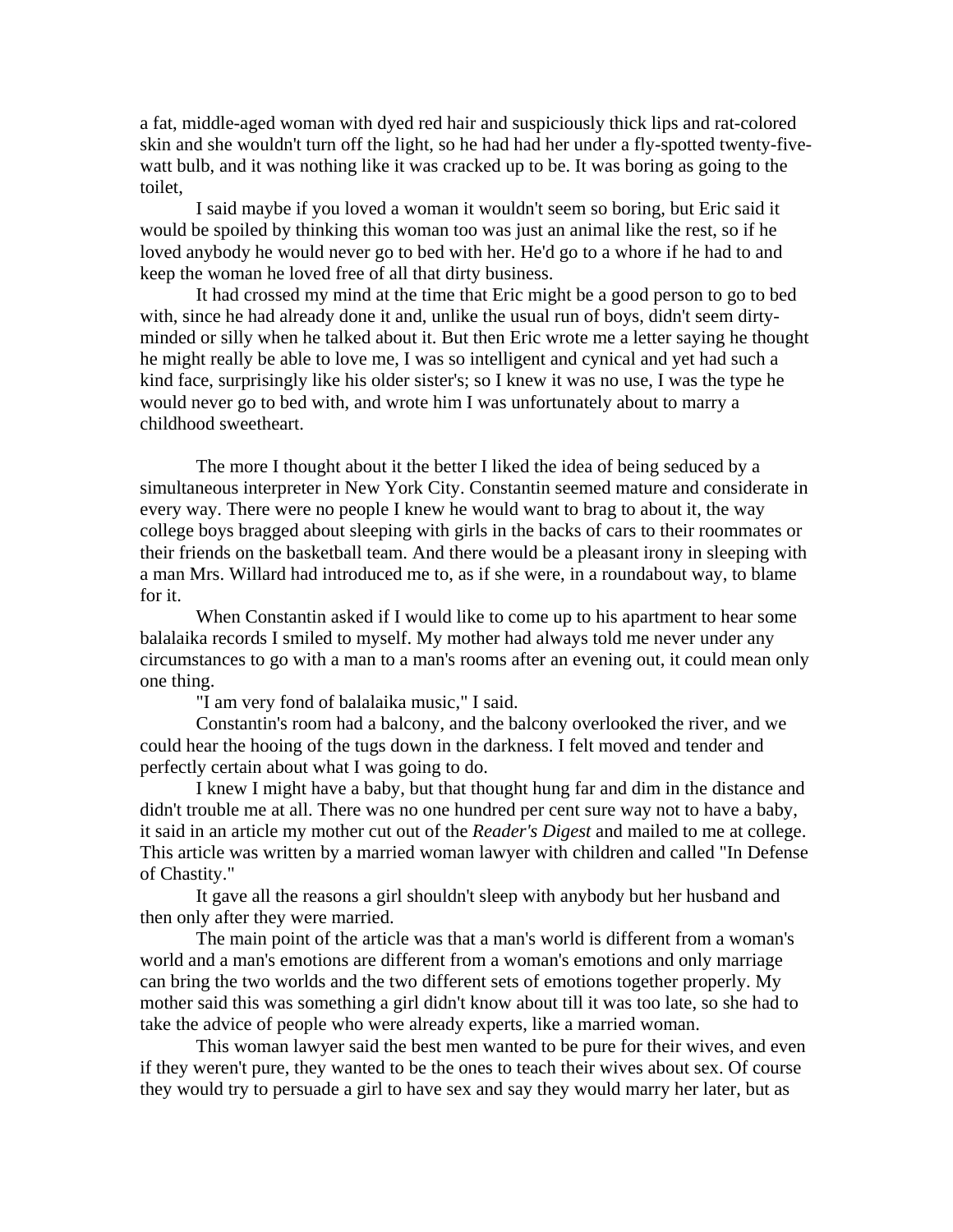a fat, middle-aged woman with dyed red hair and suspiciously thick lips and rat-colored skin and she wouldn't turn off the light, so he had had her under a fly-spotted twenty-fivewatt bulb, and it was nothing like it was cracked up to be. It was boring as going to the toilet,

 I said maybe if you loved a woman it wouldn't seem so boring, but Eric said it would be spoiled by thinking this woman too was just an animal like the rest, so if he loved anybody he would never go to bed with her. He'd go to a whore if he had to and keep the woman he loved free of all that dirty business.

 It had crossed my mind at the time that Eric might be a good person to go to bed with, since he had already done it and, unlike the usual run of boys, didn't seem dirtyminded or silly when he talked about it. But then Eric wrote me a letter saying he thought he might really be able to love me, I was so intelligent and cynical and yet had such a kind face, surprisingly like his older sister's; so I knew it was no use, I was the type he would never go to bed with, and wrote him I was unfortunately about to marry a childhood sweetheart.

 The more I thought about it the better I liked the idea of being seduced by a simultaneous interpreter in New York City. Constantin seemed mature and considerate in every way. There were no people I knew he would want to brag to about it, the way college boys bragged about sleeping with girls in the backs of cars to their roommates or their friends on the basketball team. And there would be a pleasant irony in sleeping with a man Mrs. Willard had introduced me to, as if she were, in a roundabout way, to blame for it.

 When Constantin asked if I would like to come up to his apartment to hear some balalaika records I smiled to myself. My mother had always told me never under any circumstances to go with a man to a man's rooms after an evening out, it could mean only one thing.

"I am very fond of balalaika music," I said.

 Constantin's room had a balcony, and the balcony overlooked the river, and we could hear the hooing of the tugs down in the darkness. I felt moved and tender and perfectly certain about what I was going to do.

 I knew I might have a baby, but that thought hung far and dim in the distance and didn't trouble me at all. There was no one hundred per cent sure way not to have a baby, it said in an article my mother cut out of the *Reader's Digest* and mailed to me at college. This article was written by a married woman lawyer with children and called "In Defense of Chastity."

 It gave all the reasons a girl shouldn't sleep with anybody but her husband and then only after they were married.

 The main point of the article was that a man's world is different from a woman's world and a man's emotions are different from a woman's emotions and only marriage can bring the two worlds and the two different sets of emotions together properly. My mother said this was something a girl didn't know about till it was too late, so she had to take the advice of people who were already experts, like a married woman.

 This woman lawyer said the best men wanted to be pure for their wives, and even if they weren't pure, they wanted to be the ones to teach their wives about sex. Of course they would try to persuade a girl to have sex and say they would marry her later, but as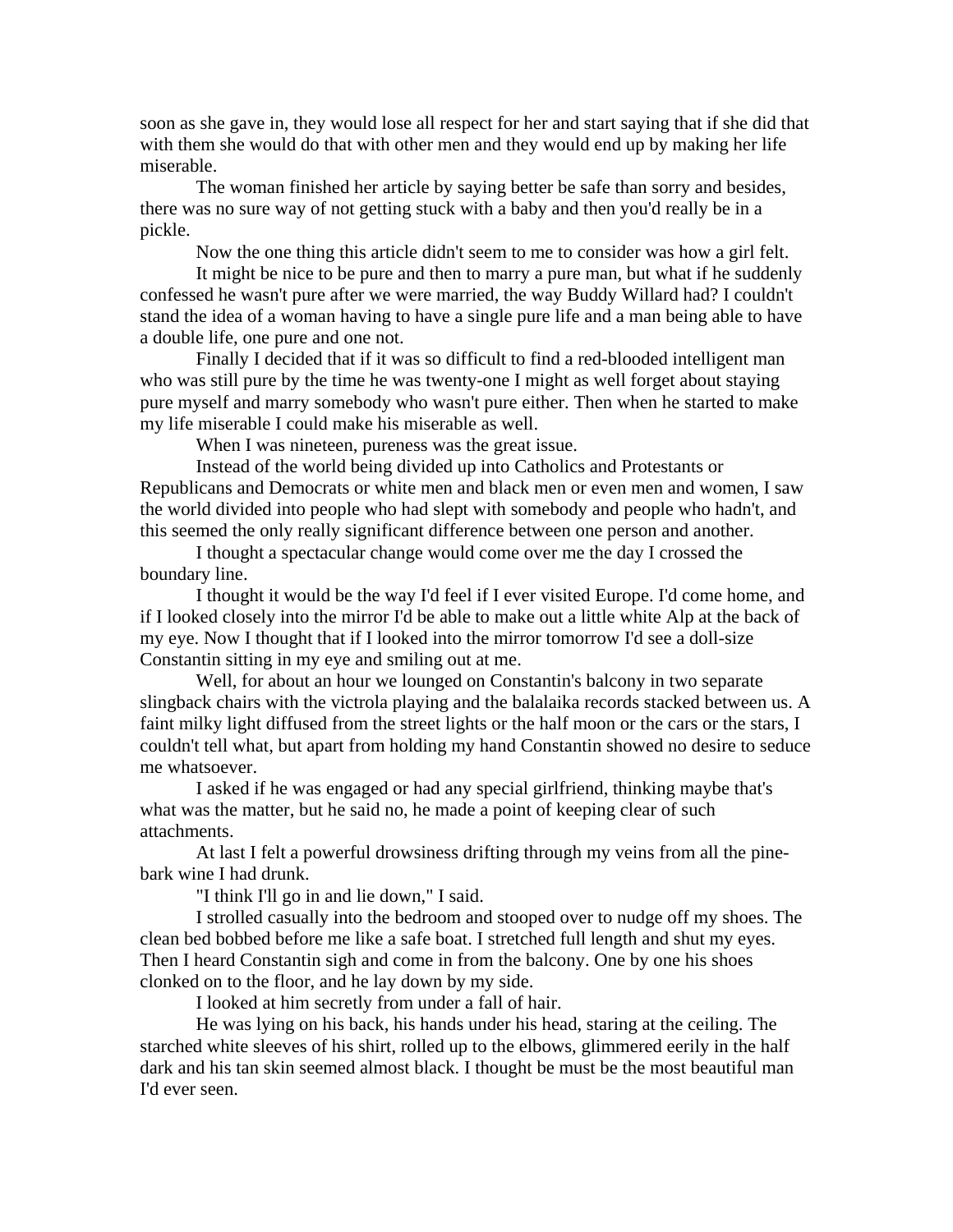soon as she gave in, they would lose all respect for her and start saying that if she did that with them she would do that with other men and they would end up by making her life miserable.

 The woman finished her article by saying better be safe than sorry and besides, there was no sure way of not getting stuck with a baby and then you'd really be in a pickle.

Now the one thing this article didn't seem to me to consider was how a girl felt.

 It might be nice to be pure and then to marry a pure man, but what if he suddenly confessed he wasn't pure after we were married, the way Buddy Willard had? I couldn't stand the idea of a woman having to have a single pure life and a man being able to have a double life, one pure and one not.

 Finally I decided that if it was so difficult to find a red-blooded intelligent man who was still pure by the time he was twenty-one I might as well forget about staying pure myself and marry somebody who wasn't pure either. Then when he started to make my life miserable I could make his miserable as well.

When I was nineteen, pureness was the great issue.

 Instead of the world being divided up into Catholics and Protestants or Republicans and Democrats or white men and black men or even men and women, I saw the world divided into people who had slept with somebody and people who hadn't, and this seemed the only really significant difference between one person and another.

 I thought a spectacular change would come over me the day I crossed the boundary line.

 I thought it would be the way I'd feel if I ever visited Europe. I'd come home, and if I looked closely into the mirror I'd be able to make out a little white Alp at the back of my eye. Now I thought that if I looked into the mirror tomorrow I'd see a doll-size Constantin sitting in my eye and smiling out at me.

 Well, for about an hour we lounged on Constantin's balcony in two separate slingback chairs with the victrola playing and the balalaika records stacked between us. A faint milky light diffused from the street lights or the half moon or the cars or the stars, I couldn't tell what, but apart from holding my hand Constantin showed no desire to seduce me whatsoever.

 I asked if he was engaged or had any special girlfriend, thinking maybe that's what was the matter, but he said no, he made a point of keeping clear of such attachments.

 At last I felt a powerful drowsiness drifting through my veins from all the pinebark wine I had drunk.

"I think I'll go in and lie down," I said.

 I strolled casually into the bedroom and stooped over to nudge off my shoes. The clean bed bobbed before me like a safe boat. I stretched full length and shut my eyes. Then I heard Constantin sigh and come in from the balcony. One by one his shoes clonked on to the floor, and he lay down by my side.

I looked at him secretly from under a fall of hair.

 He was lying on his back, his hands under his head, staring at the ceiling. The starched white sleeves of his shirt, rolled up to the elbows, glimmered eerily in the half dark and his tan skin seemed almost black. I thought be must be the most beautiful man I'd ever seen.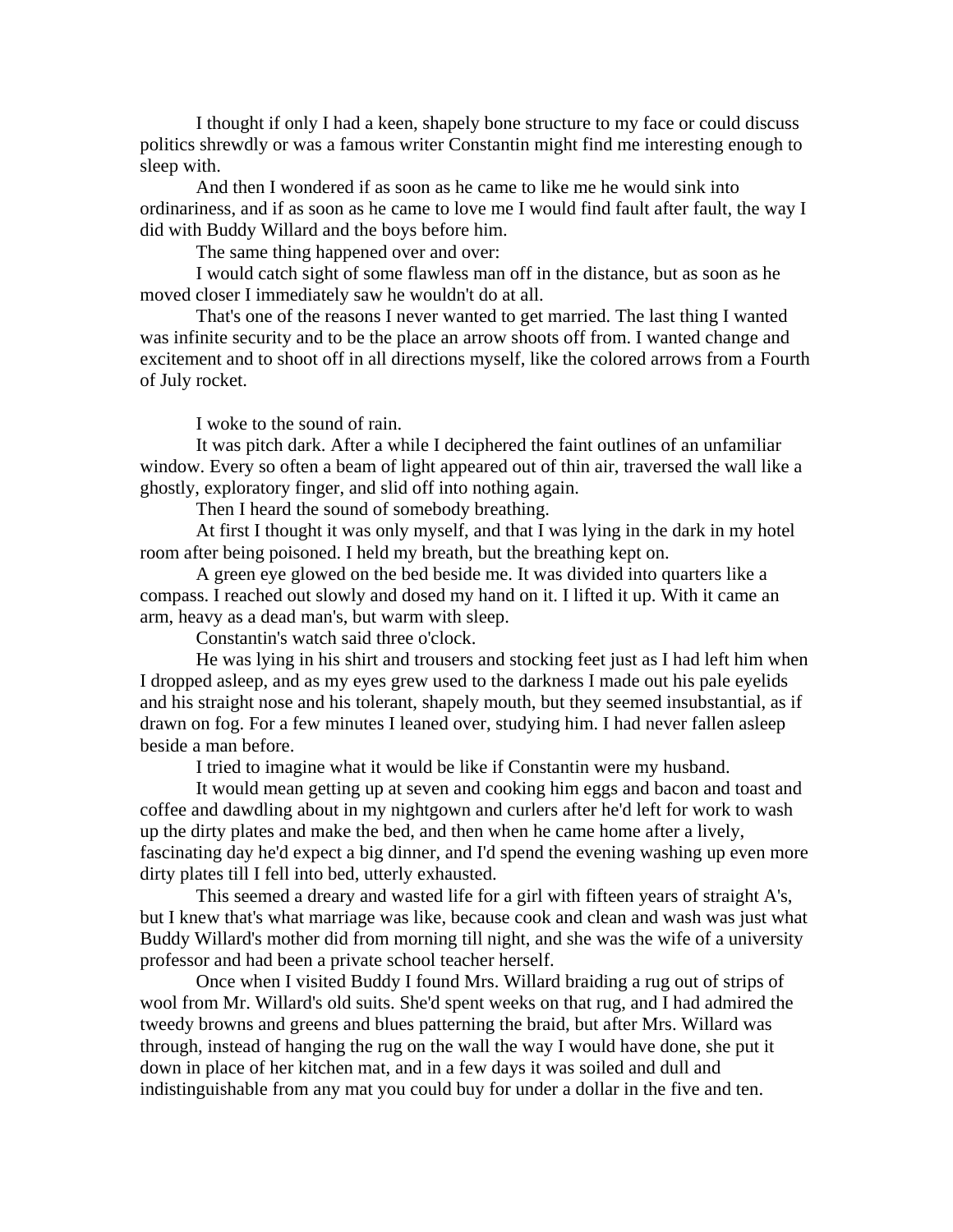I thought if only I had a keen, shapely bone structure to my face or could discuss politics shrewdly or was a famous writer Constantin might find me interesting enough to sleep with.

 And then I wondered if as soon as he came to like me he would sink into ordinariness, and if as soon as he came to love me I would find fault after fault, the way I did with Buddy Willard and the boys before him.

The same thing happened over and over:

 I would catch sight of some flawless man off in the distance, but as soon as he moved closer I immediately saw he wouldn't do at all.

 That's one of the reasons I never wanted to get married. The last thing I wanted was infinite security and to be the place an arrow shoots off from. I wanted change and excitement and to shoot off in all directions myself, like the colored arrows from a Fourth of July rocket.

I woke to the sound of rain.

 It was pitch dark. After a while I deciphered the faint outlines of an unfamiliar window. Every so often a beam of light appeared out of thin air, traversed the wall like a ghostly, exploratory finger, and slid off into nothing again.

Then I heard the sound of somebody breathing.

 At first I thought it was only myself, and that I was lying in the dark in my hotel room after being poisoned. I held my breath, but the breathing kept on.

 A green eye glowed on the bed beside me. It was divided into quarters like a compass. I reached out slowly and dosed my hand on it. I lifted it up. With it came an arm, heavy as a dead man's, but warm with sleep.

Constantin's watch said three o'clock.

 He was lying in his shirt and trousers and stocking feet just as I had left him when I dropped asleep, and as my eyes grew used to the darkness I made out his pale eyelids and his straight nose and his tolerant, shapely mouth, but they seemed insubstantial, as if drawn on fog. For a few minutes I leaned over, studying him. I had never fallen asleep beside a man before.

I tried to imagine what it would be like if Constantin were my husband.

 It would mean getting up at seven and cooking him eggs and bacon and toast and coffee and dawdling about in my nightgown and curlers after he'd left for work to wash up the dirty plates and make the bed, and then when he came home after a lively, fascinating day he'd expect a big dinner, and I'd spend the evening washing up even more dirty plates till I fell into bed, utterly exhausted.

 This seemed a dreary and wasted life for a girl with fifteen years of straight A's, but I knew that's what marriage was like, because cook and clean and wash was just what Buddy Willard's mother did from morning till night, and she was the wife of a university professor and had been a private school teacher herself.

 Once when I visited Buddy I found Mrs. Willard braiding a rug out of strips of wool from Mr. Willard's old suits. She'd spent weeks on that rug, and I had admired the tweedy browns and greens and blues patterning the braid, but after Mrs. Willard was through, instead of hanging the rug on the wall the way I would have done, she put it down in place of her kitchen mat, and in a few days it was soiled and dull and indistinguishable from any mat you could buy for under a dollar in the five and ten.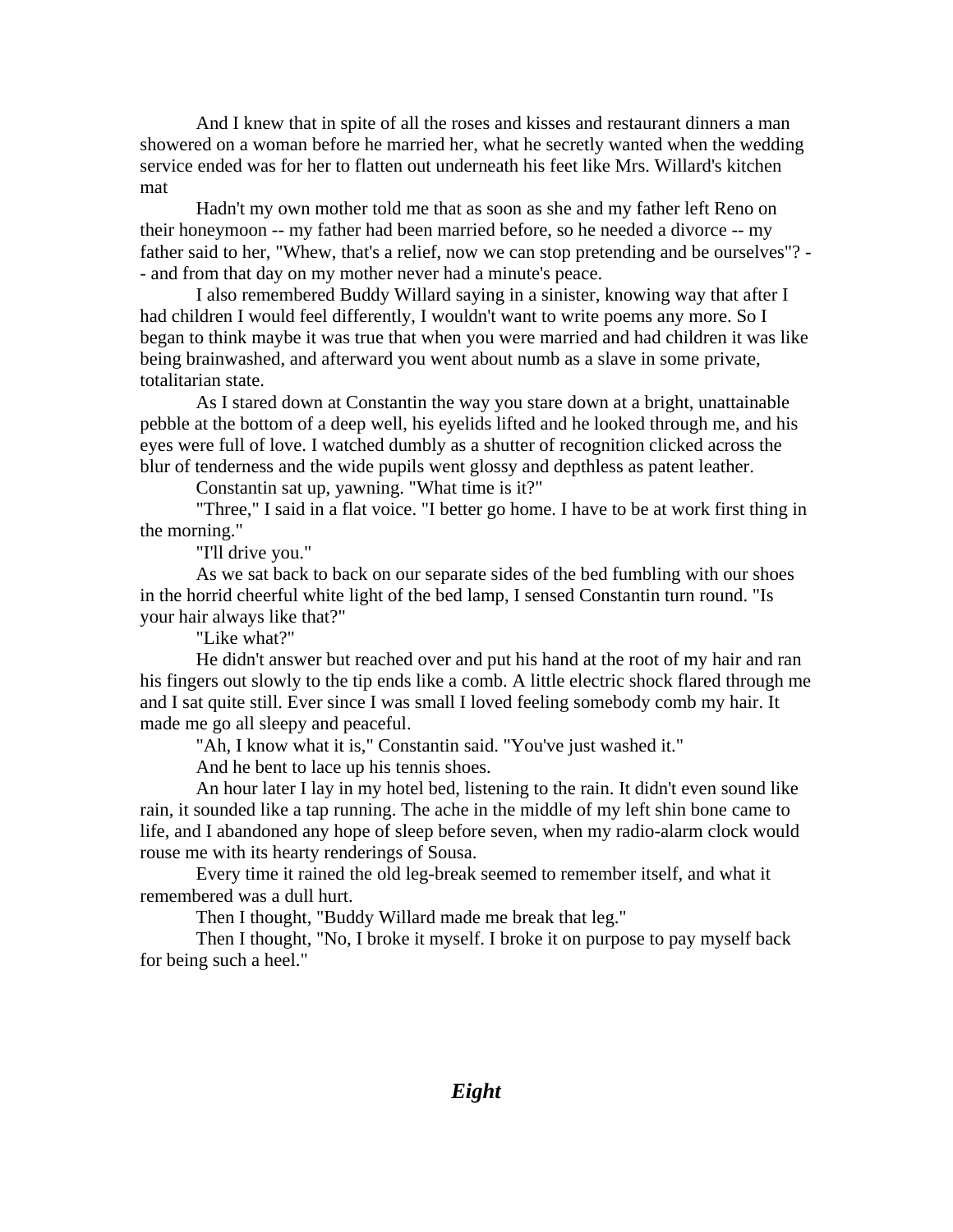And I knew that in spite of all the roses and kisses and restaurant dinners a man showered on a woman before he married her, what he secretly wanted when the wedding service ended was for her to flatten out underneath his feet like Mrs. Willard's kitchen mat

 Hadn't my own mother told me that as soon as she and my father left Reno on their honeymoon -- my father had been married before, so he needed a divorce -- my father said to her, "Whew, that's a relief, now we can stop pretending and be ourselves"? - - and from that day on my mother never had a minute's peace.

 I also remembered Buddy Willard saying in a sinister, knowing way that after I had children I would feel differently, I wouldn't want to write poems any more. So I began to think maybe it was true that when you were married and had children it was like being brainwashed, and afterward you went about numb as a slave in some private, totalitarian state.

 As I stared down at Constantin the way you stare down at a bright, unattainable pebble at the bottom of a deep well, his eyelids lifted and he looked through me, and his eyes were full of love. I watched dumbly as a shutter of recognition clicked across the blur of tenderness and the wide pupils went glossy and depthless as patent leather.

Constantin sat up, yawning. "What time is it?"

 "Three," I said in a flat voice. "I better go home. I have to be at work first thing in the morning."

"I'll drive you."

 As we sat back to back on our separate sides of the bed fumbling with our shoes in the horrid cheerful white light of the bed lamp, I sensed Constantin turn round. "Is your hair always like that?"

"Like what?"

 He didn't answer but reached over and put his hand at the root of my hair and ran his fingers out slowly to the tip ends like a comb. A little electric shock flared through me and I sat quite still. Ever since I was small I loved feeling somebody comb my hair. It made me go all sleepy and peaceful.

"Ah, I know what it is," Constantin said. "You've just washed it."

And he bent to lace up his tennis shoes.

 An hour later I lay in my hotel bed, listening to the rain. It didn't even sound like rain, it sounded like a tap running. The ache in the middle of my left shin bone came to life, and I abandoned any hope of sleep before seven, when my radio-alarm clock would rouse me with its hearty renderings of Sousa.

 Every time it rained the old leg-break seemed to remember itself, and what it remembered was a dull hurt.

Then I thought, "Buddy Willard made me break that leg."

 Then I thought, "No, I broke it myself. I broke it on purpose to pay myself back for being such a heel."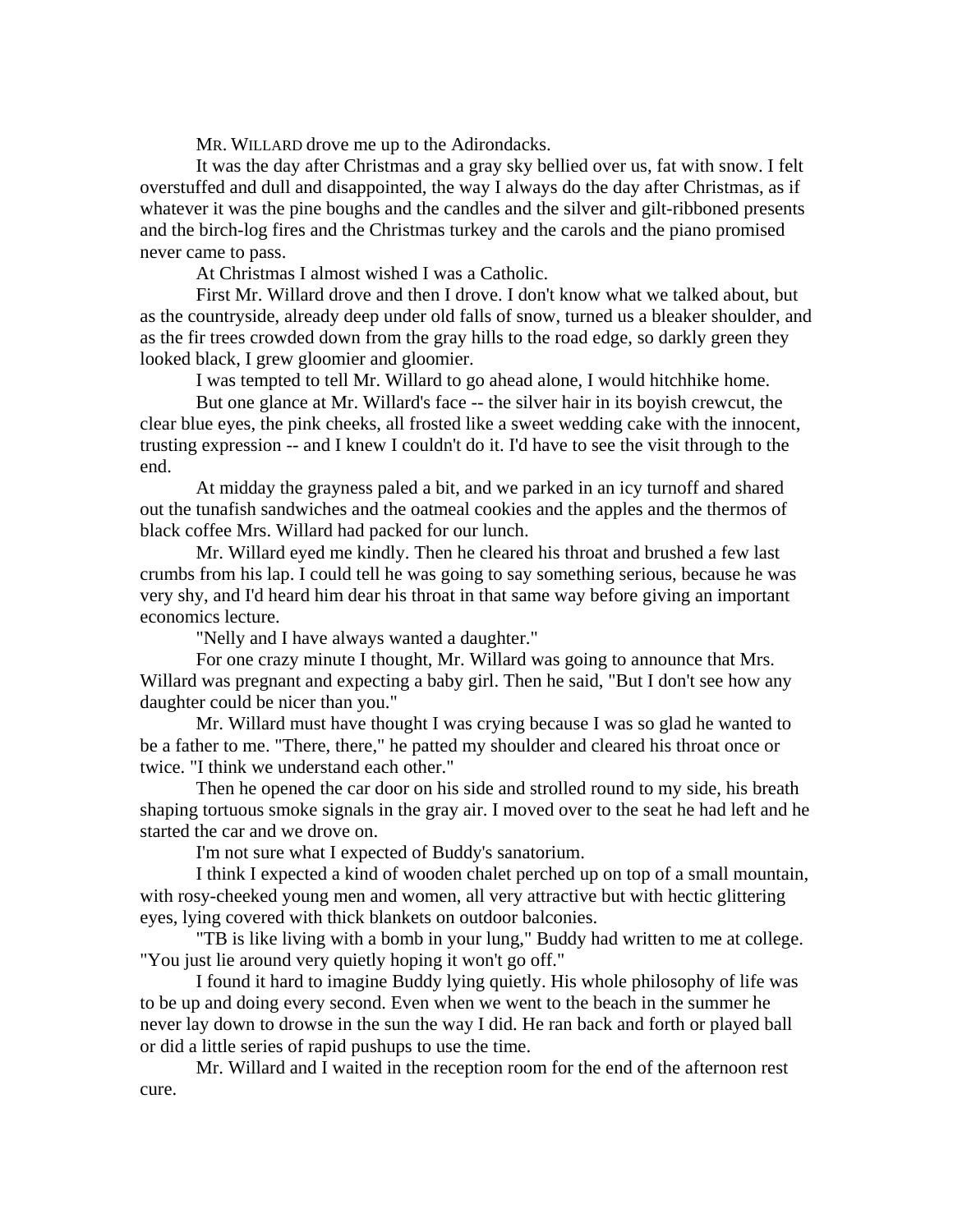MR. WILLARD drove me up to the Adirondacks.

 It was the day after Christmas and a gray sky bellied over us, fat with snow. I felt overstuffed and dull and disappointed, the way I always do the day after Christmas, as if whatever it was the pine boughs and the candles and the silver and gilt-ribboned presents and the birch-log fires and the Christmas turkey and the carols and the piano promised never came to pass.

At Christmas I almost wished I was a Catholic.

 First Mr. Willard drove and then I drove. I don't know what we talked about, but as the countryside, already deep under old falls of snow, turned us a bleaker shoulder, and as the fir trees crowded down from the gray hills to the road edge, so darkly green they looked black, I grew gloomier and gloomier.

I was tempted to tell Mr. Willard to go ahead alone, I would hitchhike home.

 But one glance at Mr. Willard's face -- the silver hair in its boyish crewcut, the clear blue eyes, the pink cheeks, all frosted like a sweet wedding cake with the innocent, trusting expression -- and I knew I couldn't do it. I'd have to see the visit through to the end.

 At midday the grayness paled a bit, and we parked in an icy turnoff and shared out the tunafish sandwiches and the oatmeal cookies and the apples and the thermos of black coffee Mrs. Willard had packed for our lunch.

 Mr. Willard eyed me kindly. Then he cleared his throat and brushed a few last crumbs from his lap. I could tell he was going to say something serious, because he was very shy, and I'd heard him dear his throat in that same way before giving an important economics lecture.

"Nelly and I have always wanted a daughter."

 For one crazy minute I thought, Mr. Willard was going to announce that Mrs. Willard was pregnant and expecting a baby girl. Then he said, "But I don't see how any daughter could be nicer than you."

 Mr. Willard must have thought I was crying because I was so glad he wanted to be a father to me. "There, there," he patted my shoulder and cleared his throat once or twice. "I think we understand each other."

 Then he opened the car door on his side and strolled round to my side, his breath shaping tortuous smoke signals in the gray air. I moved over to the seat he had left and he started the car and we drove on.

I'm not sure what I expected of Buddy's sanatorium.

 I think I expected a kind of wooden chalet perched up on top of a small mountain, with rosy-cheeked young men and women, all very attractive but with hectic glittering eyes, lying covered with thick blankets on outdoor balconies.

 "TB is like living with a bomb in your lung," Buddy had written to me at college. "You just lie around very quietly hoping it won't go off."

 I found it hard to imagine Buddy lying quietly. His whole philosophy of life was to be up and doing every second. Even when we went to the beach in the summer he never lay down to drowse in the sun the way I did. He ran back and forth or played ball or did a little series of rapid pushups to use the time.

 Mr. Willard and I waited in the reception room for the end of the afternoon rest cure.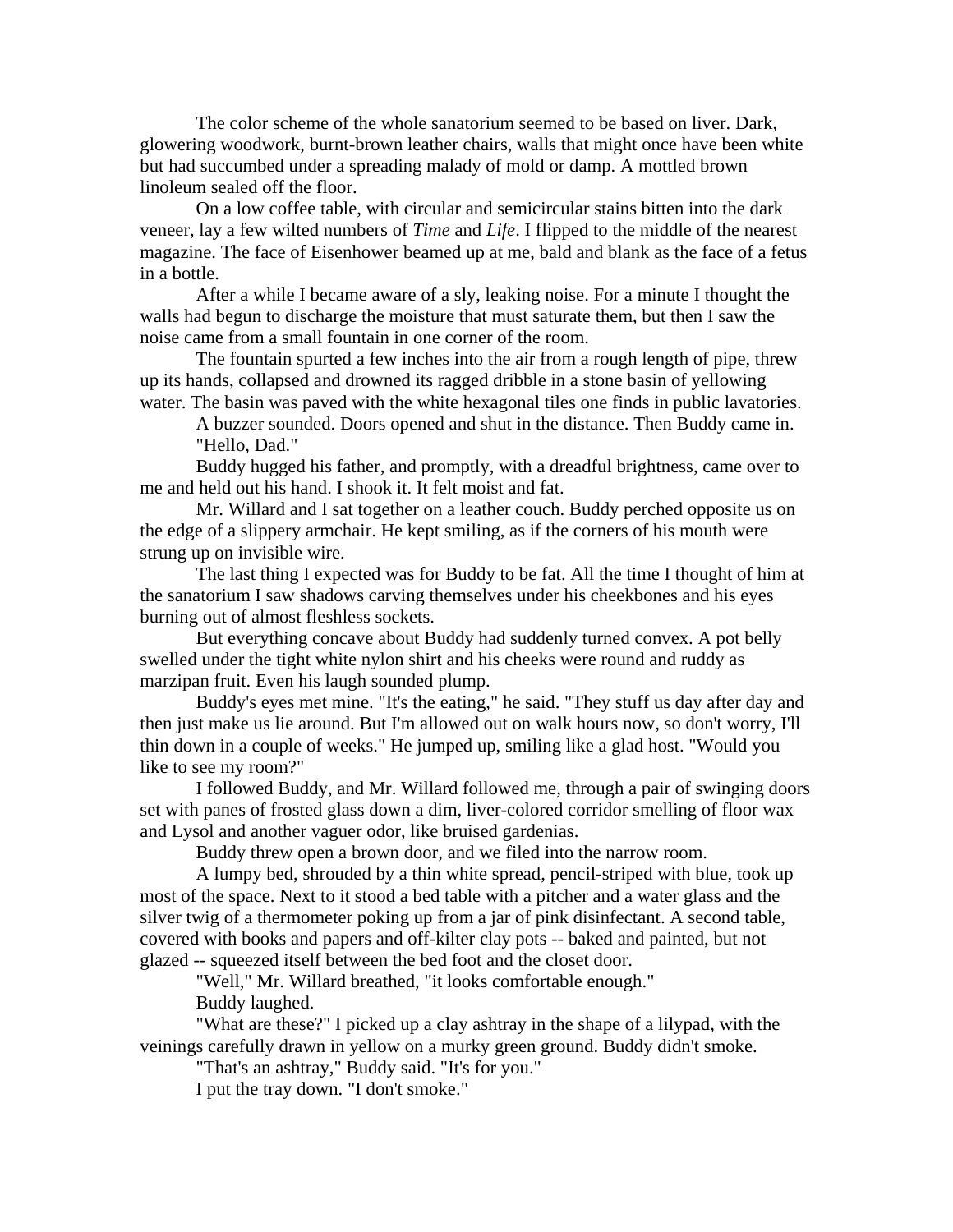The color scheme of the whole sanatorium seemed to be based on liver. Dark, glowering woodwork, burnt-brown leather chairs, walls that might once have been white but had succumbed under a spreading malady of mold or damp. A mottled brown linoleum sealed off the floor.

 On a low coffee table, with circular and semicircular stains bitten into the dark veneer, lay a few wilted numbers of *Time* and *Life*. I flipped to the middle of the nearest magazine. The face of Eisenhower beamed up at me, bald and blank as the face of a fetus in a bottle.

 After a while I became aware of a sly, leaking noise. For a minute I thought the walls had begun to discharge the moisture that must saturate them, but then I saw the noise came from a small fountain in one corner of the room.

 The fountain spurted a few inches into the air from a rough length of pipe, threw up its hands, collapsed and drowned its ragged dribble in a stone basin of yellowing water. The basin was paved with the white hexagonal tiles one finds in public lavatories.

 A buzzer sounded. Doors opened and shut in the distance. Then Buddy came in. "Hello, Dad."

 Buddy hugged his father, and promptly, with a dreadful brightness, came over to me and held out his hand. I shook it. It felt moist and fat.

 Mr. Willard and I sat together on a leather couch. Buddy perched opposite us on the edge of a slippery armchair. He kept smiling, as if the corners of his mouth were strung up on invisible wire.

 The last thing I expected was for Buddy to be fat. All the time I thought of him at the sanatorium I saw shadows carving themselves under his cheekbones and his eyes burning out of almost fleshless sockets.

 But everything concave about Buddy had suddenly turned convex. A pot belly swelled under the tight white nylon shirt and his cheeks were round and ruddy as marzipan fruit. Even his laugh sounded plump.

 Buddy's eyes met mine. "It's the eating," he said. "They stuff us day after day and then just make us lie around. But I'm allowed out on walk hours now, so don't worry, I'll thin down in a couple of weeks." He jumped up, smiling like a glad host. "Would you like to see my room?"

 I followed Buddy, and Mr. Willard followed me, through a pair of swinging doors set with panes of frosted glass down a dim, liver-colored corridor smelling of floor wax and Lysol and another vaguer odor, like bruised gardenias.

Buddy threw open a brown door, and we filed into the narrow room.

 A lumpy bed, shrouded by a thin white spread, pencil-striped with blue, took up most of the space. Next to it stood a bed table with a pitcher and a water glass and the silver twig of a thermometer poking up from a jar of pink disinfectant. A second table, covered with books and papers and off-kilter clay pots -- baked and painted, but not glazed -- squeezed itself between the bed foot and the closet door.

 "Well," Mr. Willard breathed, "it looks comfortable enough." Buddy laughed.

 "What are these?" I picked up a clay ashtray in the shape of a lilypad, with the veinings carefully drawn in yellow on a murky green ground. Buddy didn't smoke.

"That's an ashtray," Buddy said. "It's for you."

I put the tray down. "I don't smoke."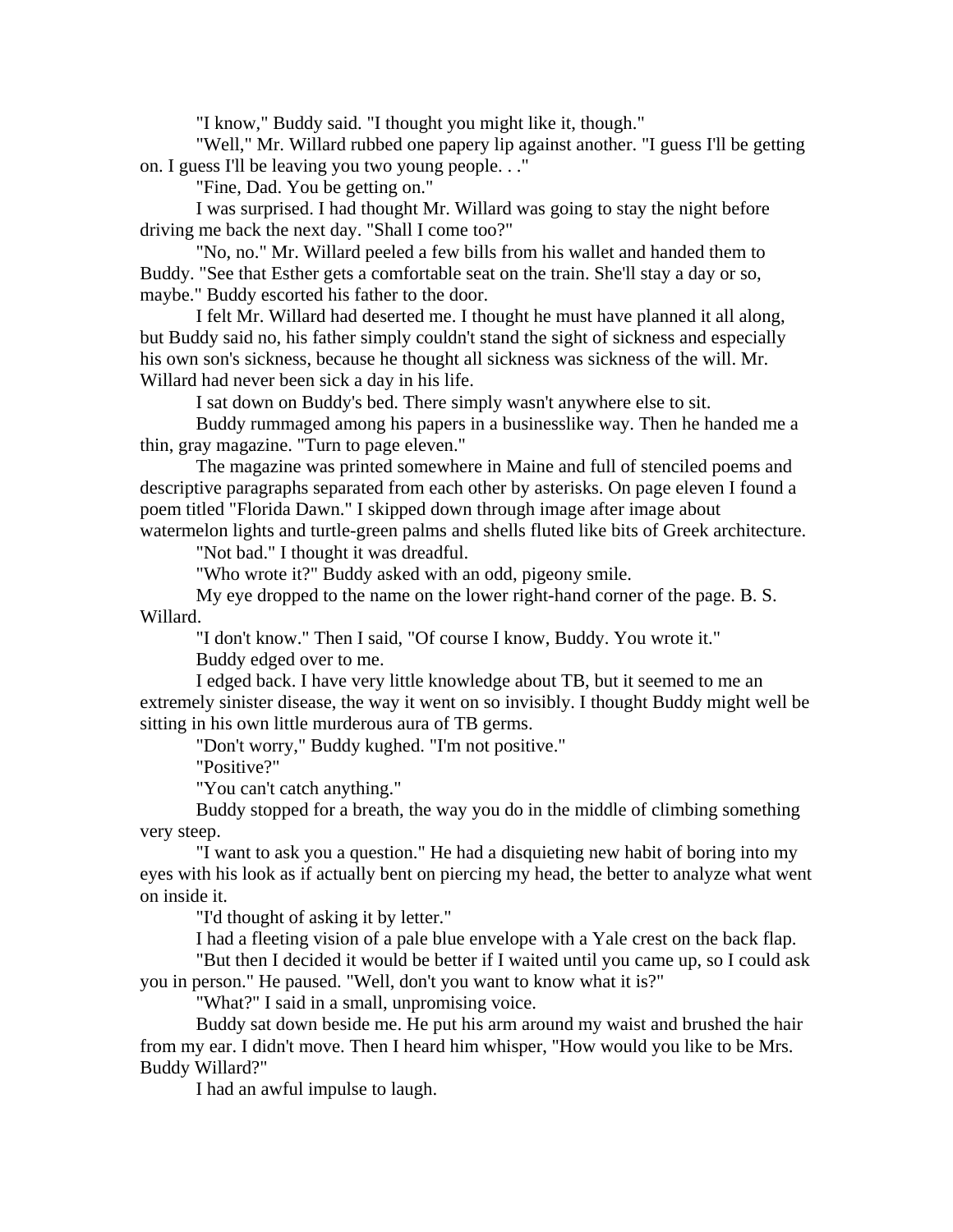"I know," Buddy said. "I thought you might like it, though."

 "Well," Mr. Willard rubbed one papery lip against another. "I guess I'll be getting on. I guess I'll be leaving you two young people. . ."

"Fine, Dad. You be getting on."

 I was surprised. I had thought Mr. Willard was going to stay the night before driving me back the next day. "Shall I come too?"

 "No, no." Mr. Willard peeled a few bills from his wallet and handed them to Buddy. "See that Esther gets a comfortable seat on the train. She'll stay a day or so, maybe." Buddy escorted his father to the door.

 I felt Mr. Willard had deserted me. I thought he must have planned it all along, but Buddy said no, his father simply couldn't stand the sight of sickness and especially his own son's sickness, because he thought all sickness was sickness of the will. Mr. Willard had never been sick a day in his life.

I sat down on Buddy's bed. There simply wasn't anywhere else to sit.

 Buddy rummaged among his papers in a businesslike way. Then he handed me a thin, gray magazine. "Turn to page eleven."

 The magazine was printed somewhere in Maine and full of stenciled poems and descriptive paragraphs separated from each other by asterisks. On page eleven I found a poem titled "Florida Dawn." I skipped down through image after image about

watermelon lights and turtle-green palms and shells fluted like bits of Greek architecture. "Not bad." I thought it was dreadful.

"Who wrote it?" Buddy asked with an odd, pigeony smile.

 My eye dropped to the name on the lower right-hand corner of the page. B. S. Willard.

 "I don't know." Then I said, "Of course I know, Buddy. You wrote it." Buddy edged over to me.

 I edged back. I have very little knowledge about TB, but it seemed to me an extremely sinister disease, the way it went on so invisibly. I thought Buddy might well be sitting in his own little murderous aura of TB germs.

"Don't worry," Buddy kughed. "I'm not positive."

"Positive?"

"You can't catch anything."

 Buddy stopped for a breath, the way you do in the middle of climbing something very steep.

 "I want to ask you a question." He had a disquieting new habit of boring into my eyes with his look as if actually bent on piercing my head, the better to analyze what went on inside it.

"I'd thought of asking it by letter."

I had a fleeting vision of a pale blue envelope with a Yale crest on the back flap.

 "But then I decided it would be better if I waited until you came up, so I could ask you in person." He paused. "Well, don't you want to know what it is?"

"What?" I said in a small, unpromising voice.

 Buddy sat down beside me. He put his arm around my waist and brushed the hair from my ear. I didn't move. Then I heard him whisper, "How would you like to be Mrs. Buddy Willard?"

I had an awful impulse to laugh.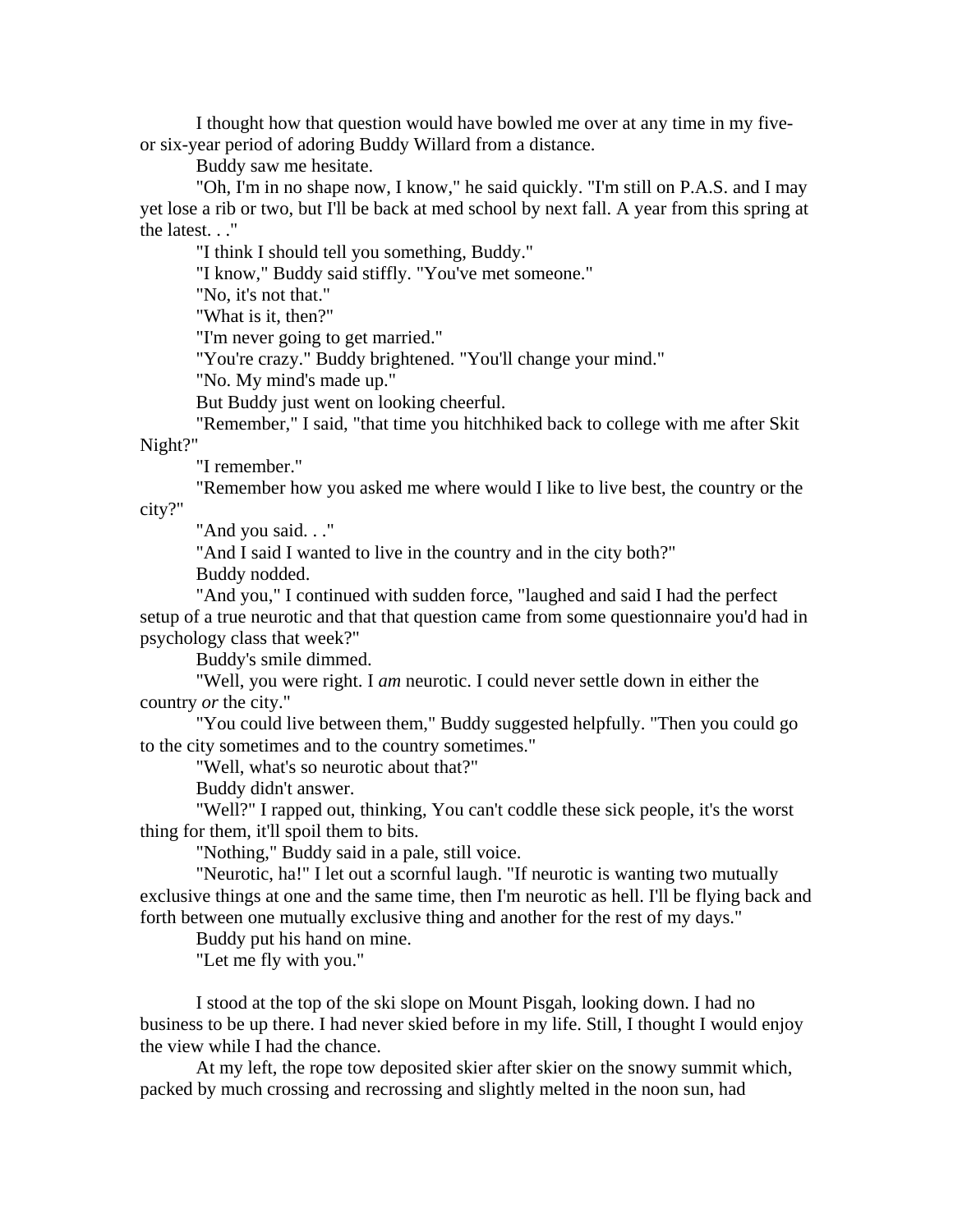I thought how that question would have bowled me over at any time in my fiveor six-year period of adoring Buddy Willard from a distance.

Buddy saw me hesitate.

 "Oh, I'm in no shape now, I know," he said quickly. "I'm still on P.A.S. and I may yet lose a rib or two, but I'll be back at med school by next fall. A year from this spring at the latest. . ."

"I think I should tell you something, Buddy."

"I know," Buddy said stiffly. "You've met someone."

"No, it's not that."

"What is it, then?"

"I'm never going to get married."

"You're crazy." Buddy brightened. "You'll change your mind."

"No. My mind's made up."

But Buddy just went on looking cheerful.

 "Remember," I said, "that time you hitchhiked back to college with me after Skit Night?"

"I remember."

 "Remember how you asked me where would I like to live best, the country or the city?"

"And you said. . ."

"And I said I wanted to live in the country and in the city both?"

Buddy nodded.

 "And you," I continued with sudden force, "laughed and said I had the perfect setup of a true neurotic and that that question came from some questionnaire you'd had in psychology class that week?"

Buddy's smile dimmed.

 "Well, you were right. I *am* neurotic. I could never settle down in either the country *or* the city."

 "You could live between them," Buddy suggested helpfully. "Then you could go to the city sometimes and to the country sometimes."

"Well, what's so neurotic about that?"

Buddy didn't answer.

 "Well?" I rapped out, thinking, You can't coddle these sick people, it's the worst thing for them, it'll spoil them to bits.

"Nothing," Buddy said in a pale, still voice.

 "Neurotic, ha!" I let out a scornful laugh. "If neurotic is wanting two mutually exclusive things at one and the same time, then I'm neurotic as hell. I'll be flying back and forth between one mutually exclusive thing and another for the rest of my days."

Buddy put his hand on mine.

"Let me fly with you."

 I stood at the top of the ski slope on Mount Pisgah, looking down. I had no business to be up there. I had never skied before in my life. Still, I thought I would enjoy the view while I had the chance.

 At my left, the rope tow deposited skier after skier on the snowy summit which, packed by much crossing and recrossing and slightly melted in the noon sun, had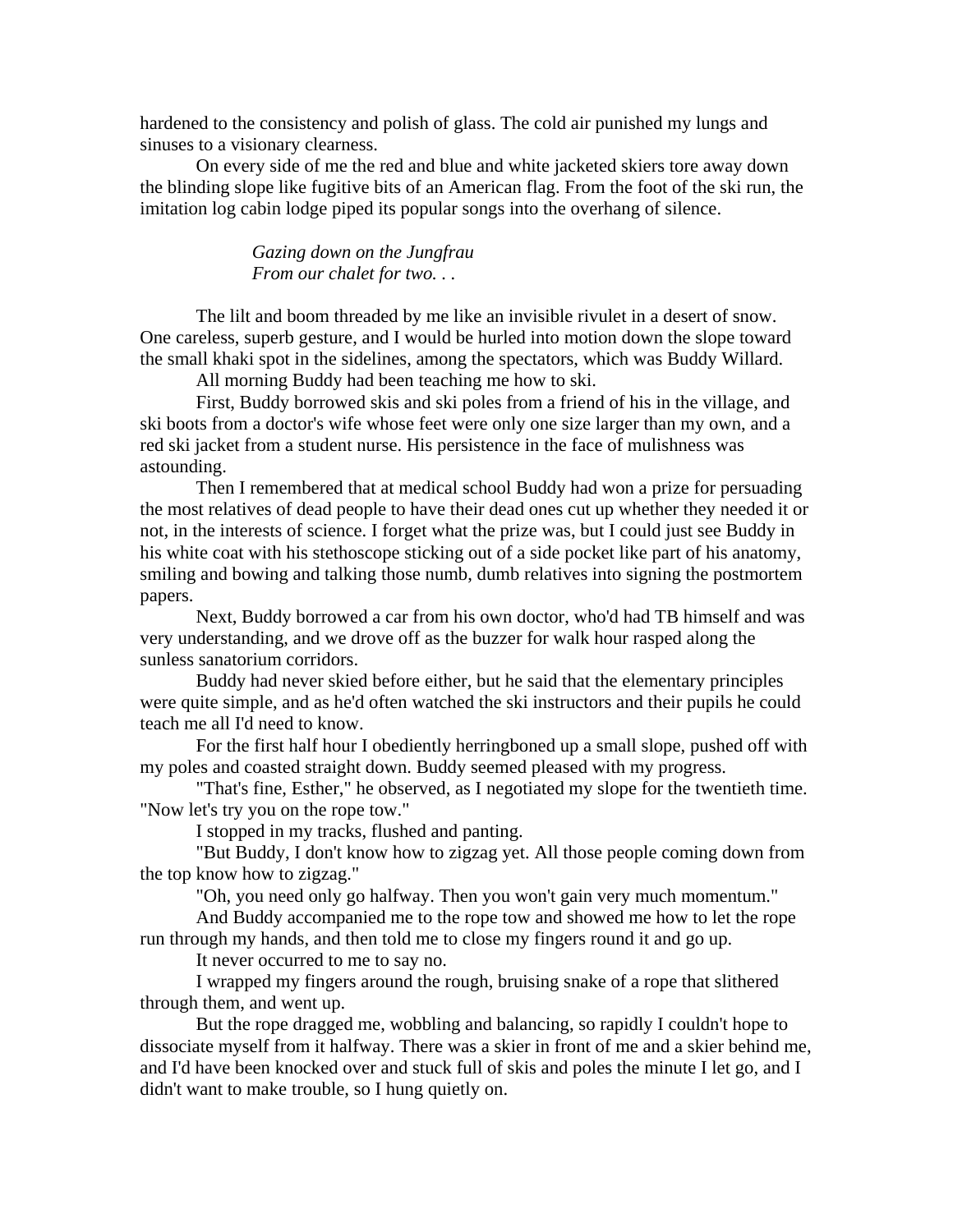hardened to the consistency and polish of glass. The cold air punished my lungs and sinuses to a visionary clearness.

 On every side of me the red and blue and white jacketed skiers tore away down the blinding slope like fugitive bits of an American flag. From the foot of the ski run, the imitation log cabin lodge piped its popular songs into the overhang of silence.

> *Gazing down on the Jungfrau From our chalet for two. . .*

 The lilt and boom threaded by me like an invisible rivulet in a desert of snow. One careless, superb gesture, and I would be hurled into motion down the slope toward the small khaki spot in the sidelines, among the spectators, which was Buddy Willard.

All morning Buddy had been teaching me how to ski.

 First, Buddy borrowed skis and ski poles from a friend of his in the village, and ski boots from a doctor's wife whose feet were only one size larger than my own, and a red ski jacket from a student nurse. His persistence in the face of mulishness was astounding.

 Then I remembered that at medical school Buddy had won a prize for persuading the most relatives of dead people to have their dead ones cut up whether they needed it or not, in the interests of science. I forget what the prize was, but I could just see Buddy in his white coat with his stethoscope sticking out of a side pocket like part of his anatomy, smiling and bowing and talking those numb, dumb relatives into signing the postmortem papers.

 Next, Buddy borrowed a car from his own doctor, who'd had TB himself and was very understanding, and we drove off as the buzzer for walk hour rasped along the sunless sanatorium corridors.

 Buddy had never skied before either, but he said that the elementary principles were quite simple, and as he'd often watched the ski instructors and their pupils he could teach me all I'd need to know.

 For the first half hour I obediently herringboned up a small slope, pushed off with my poles and coasted straight down. Buddy seemed pleased with my progress.

 "That's fine, Esther," he observed, as I negotiated my slope for the twentieth time. "Now let's try you on the rope tow."

I stopped in my tracks, flushed and panting.

 "But Buddy, I don't know how to zigzag yet. All those people coming down from the top know how to zigzag."

"Oh, you need only go halfway. Then you won't gain very much momentum."

 And Buddy accompanied me to the rope tow and showed me how to let the rope run through my hands, and then told me to close my fingers round it and go up.

It never occurred to me to say no.

 I wrapped my fingers around the rough, bruising snake of a rope that slithered through them, and went up.

 But the rope dragged me, wobbling and balancing, so rapidly I couldn't hope to dissociate myself from it halfway. There was a skier in front of me and a skier behind me, and I'd have been knocked over and stuck full of skis and poles the minute I let go, and I didn't want to make trouble, so I hung quietly on.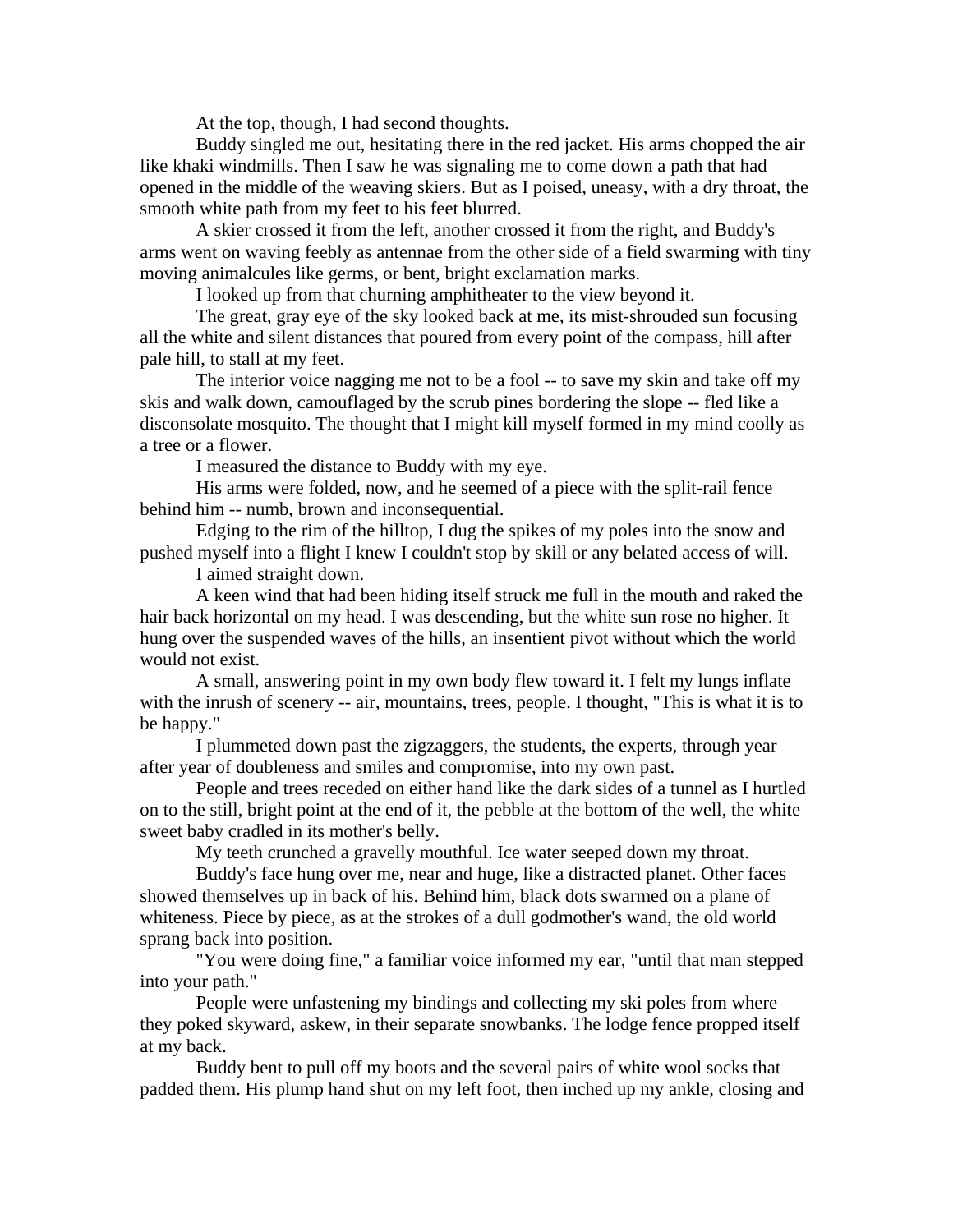At the top, though, I had second thoughts.

 Buddy singled me out, hesitating there in the red jacket. His arms chopped the air like khaki windmills. Then I saw he was signaling me to come down a path that had opened in the middle of the weaving skiers. But as I poised, uneasy, with a dry throat, the smooth white path from my feet to his feet blurred.

 A skier crossed it from the left, another crossed it from the right, and Buddy's arms went on waving feebly as antennae from the other side of a field swarming with tiny moving animalcules like germs, or bent, bright exclamation marks.

I looked up from that churning amphitheater to the view beyond it.

 The great, gray eye of the sky looked back at me, its mist-shrouded sun focusing all the white and silent distances that poured from every point of the compass, hill after pale hill, to stall at my feet.

 The interior voice nagging me not to be a fool -- to save my skin and take off my skis and walk down, camouflaged by the scrub pines bordering the slope -- fled like a disconsolate mosquito. The thought that I might kill myself formed in my mind coolly as a tree or a flower.

I measured the distance to Buddy with my eye.

 His arms were folded, now, and he seemed of a piece with the split-rail fence behind him -- numb, brown and inconsequential.

 Edging to the rim of the hilltop, I dug the spikes of my poles into the snow and pushed myself into a flight I knew I couldn't stop by skill or any belated access of will.

I aimed straight down.

 A keen wind that had been hiding itself struck me full in the mouth and raked the hair back horizontal on my head. I was descending, but the white sun rose no higher. It hung over the suspended waves of the hills, an insentient pivot without which the world would not exist.

 A small, answering point in my own body flew toward it. I felt my lungs inflate with the inrush of scenery -- air, mountains, trees, people. I thought, "This is what it is to be happy."

 I plummeted down past the zigzaggers, the students, the experts, through year after year of doubleness and smiles and compromise, into my own past.

 People and trees receded on either hand like the dark sides of a tunnel as I hurtled on to the still, bright point at the end of it, the pebble at the bottom of the well, the white sweet baby cradled in its mother's belly.

My teeth crunched a gravelly mouthful. Ice water seeped down my throat.

 Buddy's face hung over me, near and huge, like a distracted planet. Other faces showed themselves up in back of his. Behind him, black dots swarmed on a plane of whiteness. Piece by piece, as at the strokes of a dull godmother's wand, the old world sprang back into position.

 "You were doing fine," a familiar voice informed my ear, "until that man stepped into your path."

 People were unfastening my bindings and collecting my ski poles from where they poked skyward, askew, in their separate snowbanks. The lodge fence propped itself at my back.

 Buddy bent to pull off my boots and the several pairs of white wool socks that padded them. His plump hand shut on my left foot, then inched up my ankle, closing and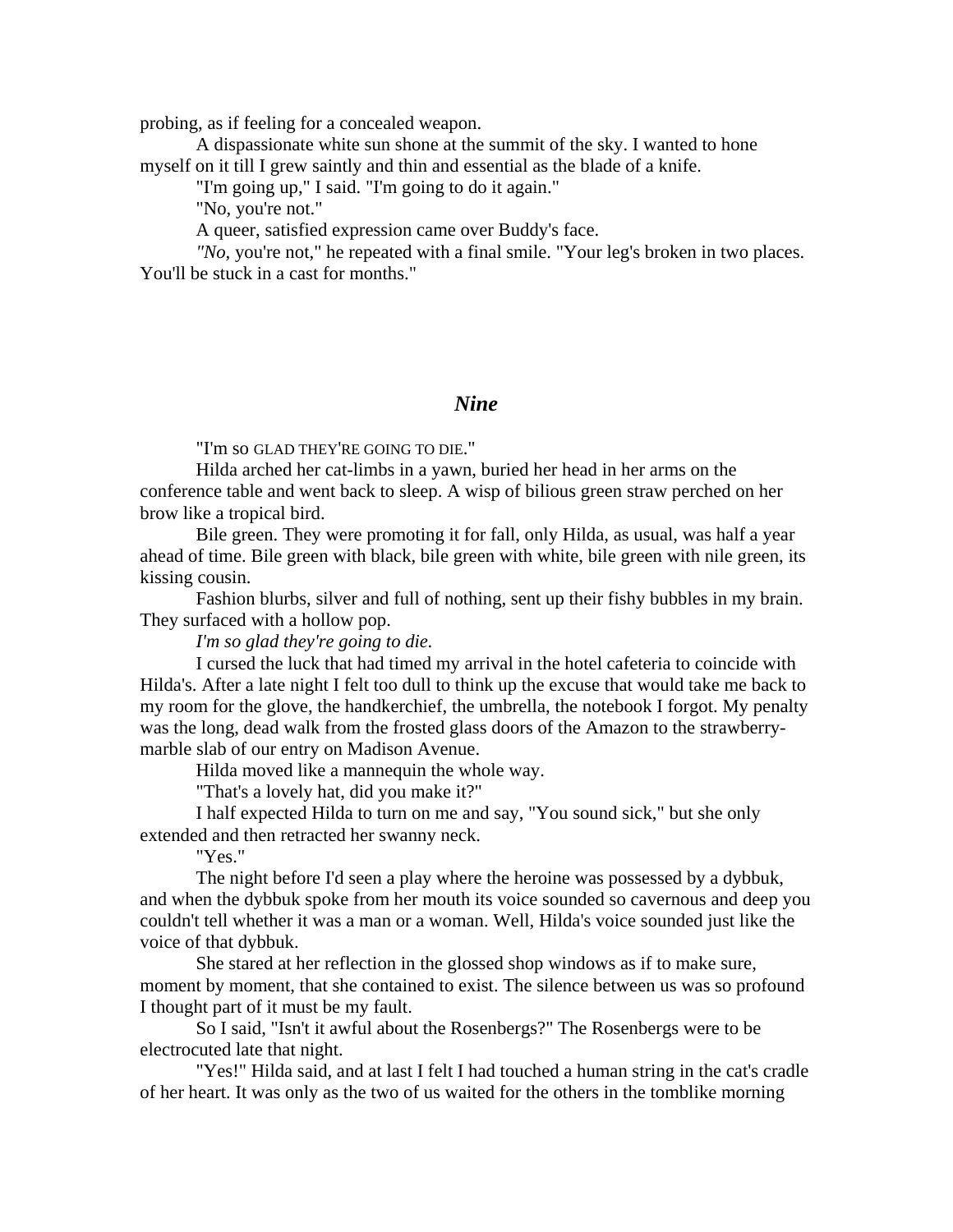probing, as if feeling for a concealed weapon.

 A dispassionate white sun shone at the summit of the sky. I wanted to hone myself on it till I grew saintly and thin and essential as the blade of a knife.

"I'm going up," I said. "I'm going to do it again."

"No, you're not."

A queer, satisfied expression came over Buddy's face.

*"No,* you're not," he repeated with a final smile. "Your leg's broken in two places. You'll be stuck in a cast for months."

# *Nine*

"I'm so GLAD THEY'RE GOING TO DIE."

 Hilda arched her cat-limbs in a yawn, buried her head in her arms on the conference table and went back to sleep. A wisp of bilious green straw perched on her brow like a tropical bird.

 Bile green. They were promoting it for fall, only Hilda, as usual, was half a year ahead of time. Bile green with black, bile green with white, bile green with nile green, its kissing cousin.

 Fashion blurbs, silver and full of nothing, sent up their fishy bubbles in my brain. They surfaced with a hollow pop.

*I'm so glad they're going to die.*

 I cursed the luck that had timed my arrival in the hotel cafeteria to coincide with Hilda's. After a late night I felt too dull to think up the excuse that would take me back to my room for the glove, the handkerchief, the umbrella, the notebook I forgot. My penalty was the long, dead walk from the frosted glass doors of the Amazon to the strawberrymarble slab of our entry on Madison Avenue.

Hilda moved like a mannequin the whole way.

"That's a lovely hat, did you make it?"

 I half expected Hilda to turn on me and say, "You sound sick," but she only extended and then retracted her swanny neck.

"Yes."

 The night before I'd seen a play where the heroine was possessed by a dybbuk, and when the dybbuk spoke from her mouth its voice sounded so cavernous and deep you couldn't tell whether it was a man or a woman. Well, Hilda's voice sounded just like the voice of that dybbuk.

 She stared at her reflection in the glossed shop windows as if to make sure, moment by moment, that she contained to exist. The silence between us was so profound I thought part of it must be my fault.

 So I said, "Isn't it awful about the Rosenbergs?" The Rosenbergs were to be electrocuted late that night.

 "Yes!" Hilda said, and at last I felt I had touched a human string in the cat's cradle of her heart. It was only as the two of us waited for the others in the tomblike morning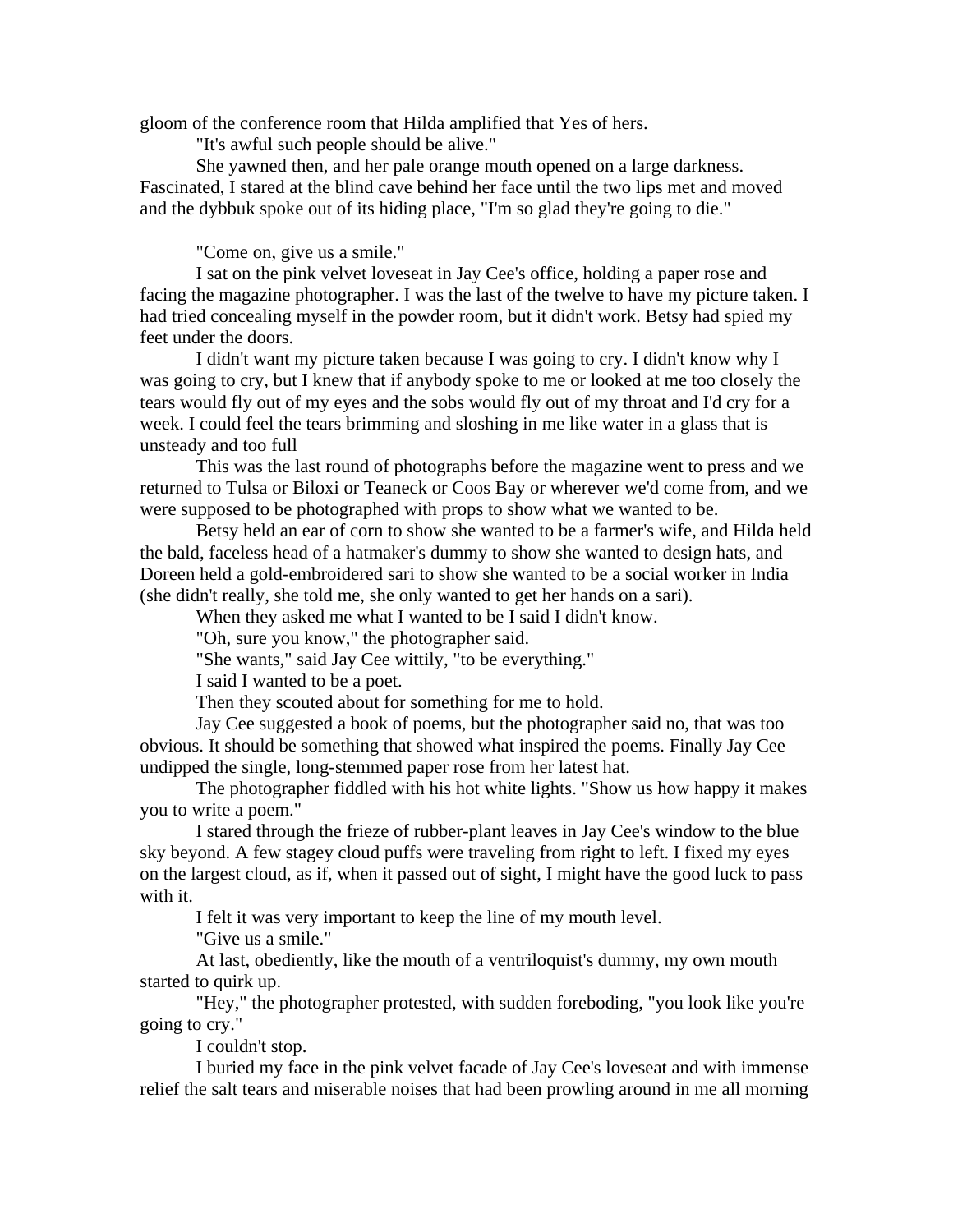gloom of the conference room that Hilda amplified that Yes of hers.

"It's awful such people should be alive."

 She yawned then, and her pale orange mouth opened on a large darkness. Fascinated, I stared at the blind cave behind her face until the two lips met and moved and the dybbuk spoke out of its hiding place, "I'm so glad they're going to die."

"Come on, give us a smile."

 I sat on the pink velvet loveseat in Jay Cee's office, holding a paper rose and facing the magazine photographer. I was the last of the twelve to have my picture taken. I had tried concealing myself in the powder room, but it didn't work. Betsy had spied my feet under the doors.

 I didn't want my picture taken because I was going to cry. I didn't know why I was going to cry, but I knew that if anybody spoke to me or looked at me too closely the tears would fly out of my eyes and the sobs would fly out of my throat and I'd cry for a week. I could feel the tears brimming and sloshing in me like water in a glass that is unsteady and too full

 This was the last round of photographs before the magazine went to press and we returned to Tulsa or Biloxi or Teaneck or Coos Bay or wherever we'd come from, and we were supposed to be photographed with props to show what we wanted to be.

 Betsy held an ear of corn to show she wanted to be a farmer's wife, and Hilda held the bald, faceless head of a hatmaker's dummy to show she wanted to design hats, and Doreen held a gold-embroidered sari to show she wanted to be a social worker in India (she didn't really, she told me, she only wanted to get her hands on a sari).

When they asked me what I wanted to be I said I didn't know.

"Oh, sure you know," the photographer said.

"She wants," said Jay Cee wittily, "to be everything."

I said I wanted to be a poet.

Then they scouted about for something for me to hold.

 Jay Cee suggested a book of poems, but the photographer said no, that was too obvious. It should be something that showed what inspired the poems. Finally Jay Cee undipped the single, long-stemmed paper rose from her latest hat.

 The photographer fiddled with his hot white lights. "Show us how happy it makes you to write a poem."

 I stared through the frieze of rubber-plant leaves in Jay Cee's window to the blue sky beyond. A few stagey cloud puffs were traveling from right to left. I fixed my eyes on the largest cloud, as if, when it passed out of sight, I might have the good luck to pass with it.

I felt it was very important to keep the line of my mouth level.

"Give us a smile."

 At last, obediently, like the mouth of a ventriloquist's dummy, my own mouth started to quirk up.

 "Hey," the photographer protested, with sudden foreboding, "you look like you're going to cry."

I couldn't stop.

 I buried my face in the pink velvet facade of Jay Cee's loveseat and with immense relief the salt tears and miserable noises that had been prowling around in me all morning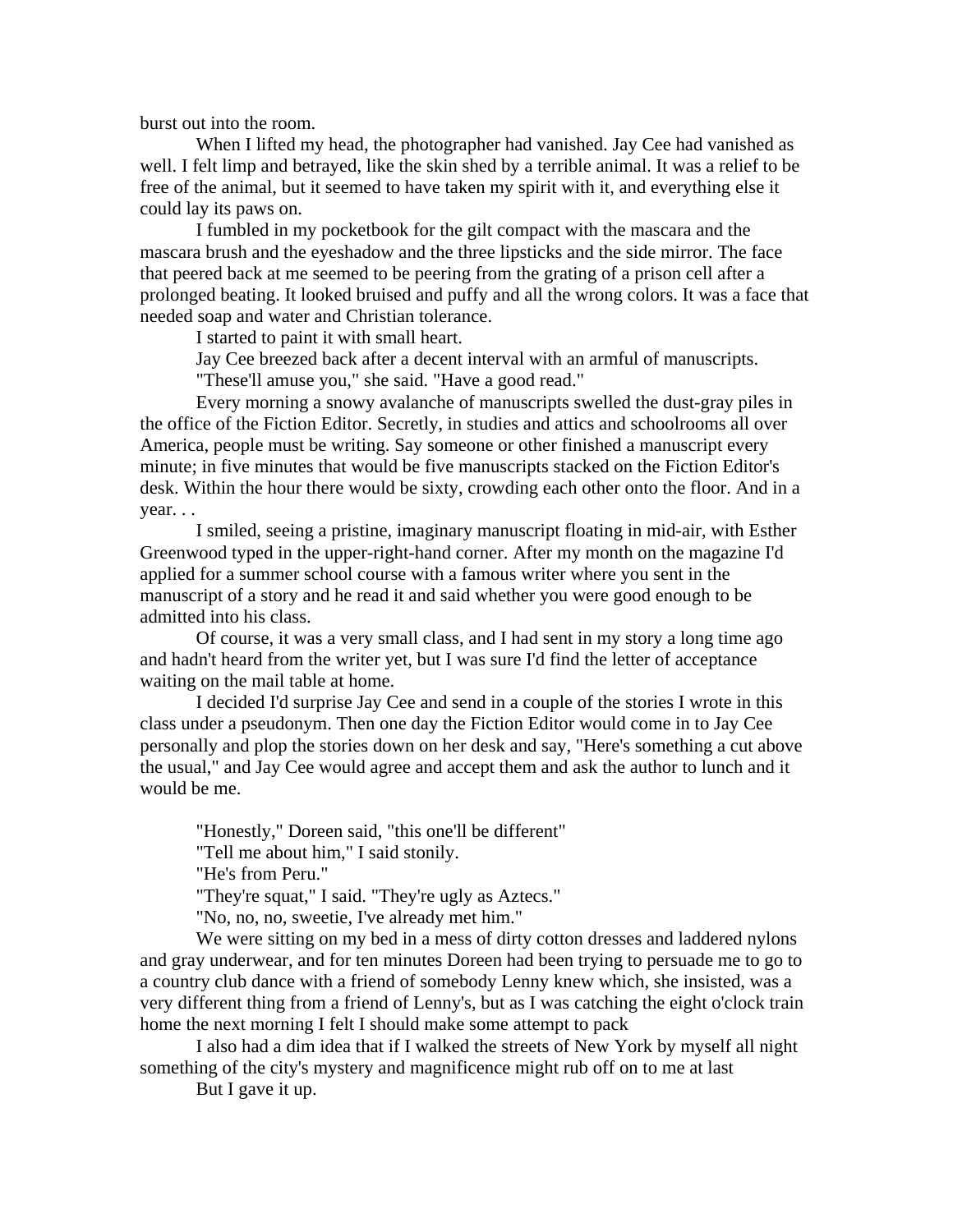burst out into the room.

 When I lifted my head, the photographer had vanished. Jay Cee had vanished as well. I felt limp and betrayed, like the skin shed by a terrible animal. It was a relief to be free of the animal, but it seemed to have taken my spirit with it, and everything else it could lay its paws on.

 I fumbled in my pocketbook for the gilt compact with the mascara and the mascara brush and the eyeshadow and the three lipsticks and the side mirror. The face that peered back at me seemed to be peering from the grating of a prison cell after a prolonged beating. It looked bruised and puffy and all the wrong colors. It was a face that needed soap and water and Christian tolerance.

I started to paint it with small heart.

 Jay Cee breezed back after a decent interval with an armful of manuscripts. "These'll amuse you," she said. "Have a good read."

 Every morning a snowy avalanche of manuscripts swelled the dust-gray piles in the office of the Fiction Editor. Secretly, in studies and attics and schoolrooms all over America, people must be writing. Say someone or other finished a manuscript every minute; in five minutes that would be five manuscripts stacked on the Fiction Editor's desk. Within the hour there would be sixty, crowding each other onto the floor. And in a year. . .

 I smiled, seeing a pristine, imaginary manuscript floating in mid-air, with Esther Greenwood typed in the upper-right-hand corner. After my month on the magazine I'd applied for a summer school course with a famous writer where you sent in the manuscript of a story and he read it and said whether you were good enough to be admitted into his class.

 Of course, it was a very small class, and I had sent in my story a long time ago and hadn't heard from the writer yet, but I was sure I'd find the letter of acceptance waiting on the mail table at home.

 I decided I'd surprise Jay Cee and send in a couple of the stories I wrote in this class under a pseudonym. Then one day the Fiction Editor would come in to Jay Cee personally and plop the stories down on her desk and say, "Here's something a cut above the usual," and Jay Cee would agree and accept them and ask the author to lunch and it would be me.

"Honestly," Doreen said, "this one'll be different"

"Tell me about him," I said stonily.

"He's from Peru."

"They're squat," I said. "They're ugly as Aztecs."

"No, no, no, sweetie, I've already met him."

 We were sitting on my bed in a mess of dirty cotton dresses and laddered nylons and gray underwear, and for ten minutes Doreen had been trying to persuade me to go to a country club dance with a friend of somebody Lenny knew which, she insisted, was a very different thing from a friend of Lenny's, but as I was catching the eight o'clock train home the next morning I felt I should make some attempt to pack

 I also had a dim idea that if I walked the streets of New York by myself all night something of the city's mystery and magnificence might rub off on to me at last

But I gave it up.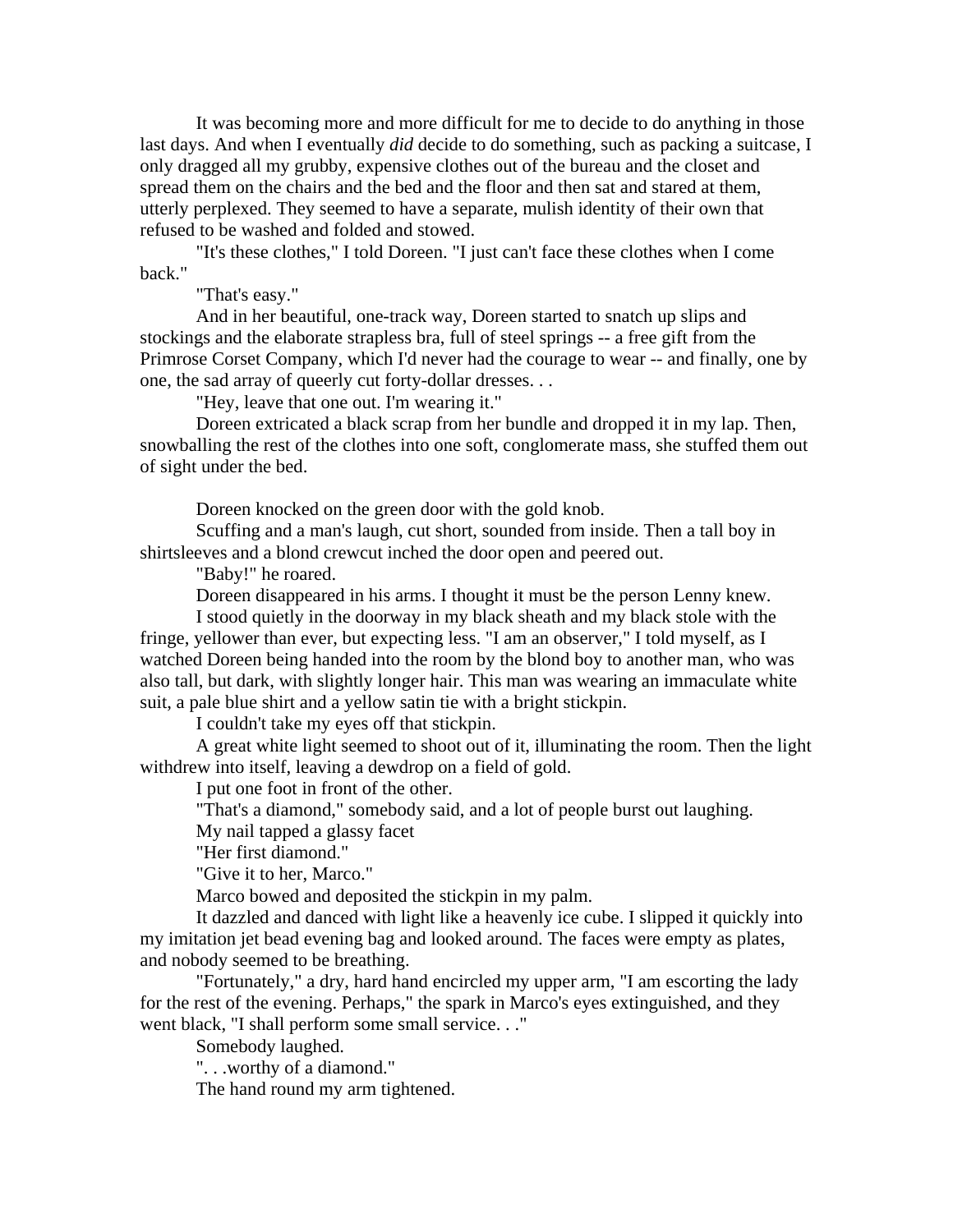It was becoming more and more difficult for me to decide to do anything in those last days. And when I eventually *did* decide to do something, such as packing a suitcase, I only dragged all my grubby, expensive clothes out of the bureau and the closet and spread them on the chairs and the bed and the floor and then sat and stared at them, utterly perplexed. They seemed to have a separate, mulish identity of their own that refused to be washed and folded and stowed.

 "It's these clothes," I told Doreen. "I just can't face these clothes when I come back."

"That's easy."

 And in her beautiful, one-track way, Doreen started to snatch up slips and stockings and the elaborate strapless bra, full of steel springs -- a free gift from the Primrose Corset Company, which I'd never had the courage to wear -- and finally, one by one, the sad array of queerly cut forty-dollar dresses. . .

"Hey, leave that one out. I'm wearing it."

 Doreen extricated a black scrap from her bundle and dropped it in my lap. Then, snowballing the rest of the clothes into one soft, conglomerate mass, she stuffed them out of sight under the bed.

Doreen knocked on the green door with the gold knob.

 Scuffing and a man's laugh, cut short, sounded from inside. Then a tall boy in shirtsleeves and a blond crewcut inched the door open and peered out.

"Baby!" he roared.

Doreen disappeared in his arms. I thought it must be the person Lenny knew.

 I stood quietly in the doorway in my black sheath and my black stole with the fringe, yellower than ever, but expecting less. "I am an observer," I told myself, as I watched Doreen being handed into the room by the blond boy to another man, who was also tall, but dark, with slightly longer hair. This man was wearing an immaculate white suit, a pale blue shirt and a yellow satin tie with a bright stickpin.

I couldn't take my eyes off that stickpin.

 A great white light seemed to shoot out of it, illuminating the room. Then the light withdrew into itself, leaving a dewdrop on a field of gold.

I put one foot in front of the other.

"That's a diamond," somebody said, and a lot of people burst out laughing.

My nail tapped a glassy facet

"Her first diamond."

"Give it to her, Marco."

Marco bowed and deposited the stickpin in my palm.

 It dazzled and danced with light like a heavenly ice cube. I slipped it quickly into my imitation jet bead evening bag and looked around. The faces were empty as plates, and nobody seemed to be breathing.

 "Fortunately," a dry, hard hand encircled my upper arm, "I am escorting the lady for the rest of the evening. Perhaps," the spark in Marco's eyes extinguished, and they went black, "I shall perform some small service. . ."

Somebody laughed.

". . .worthy of a diamond."

The hand round my arm tightened.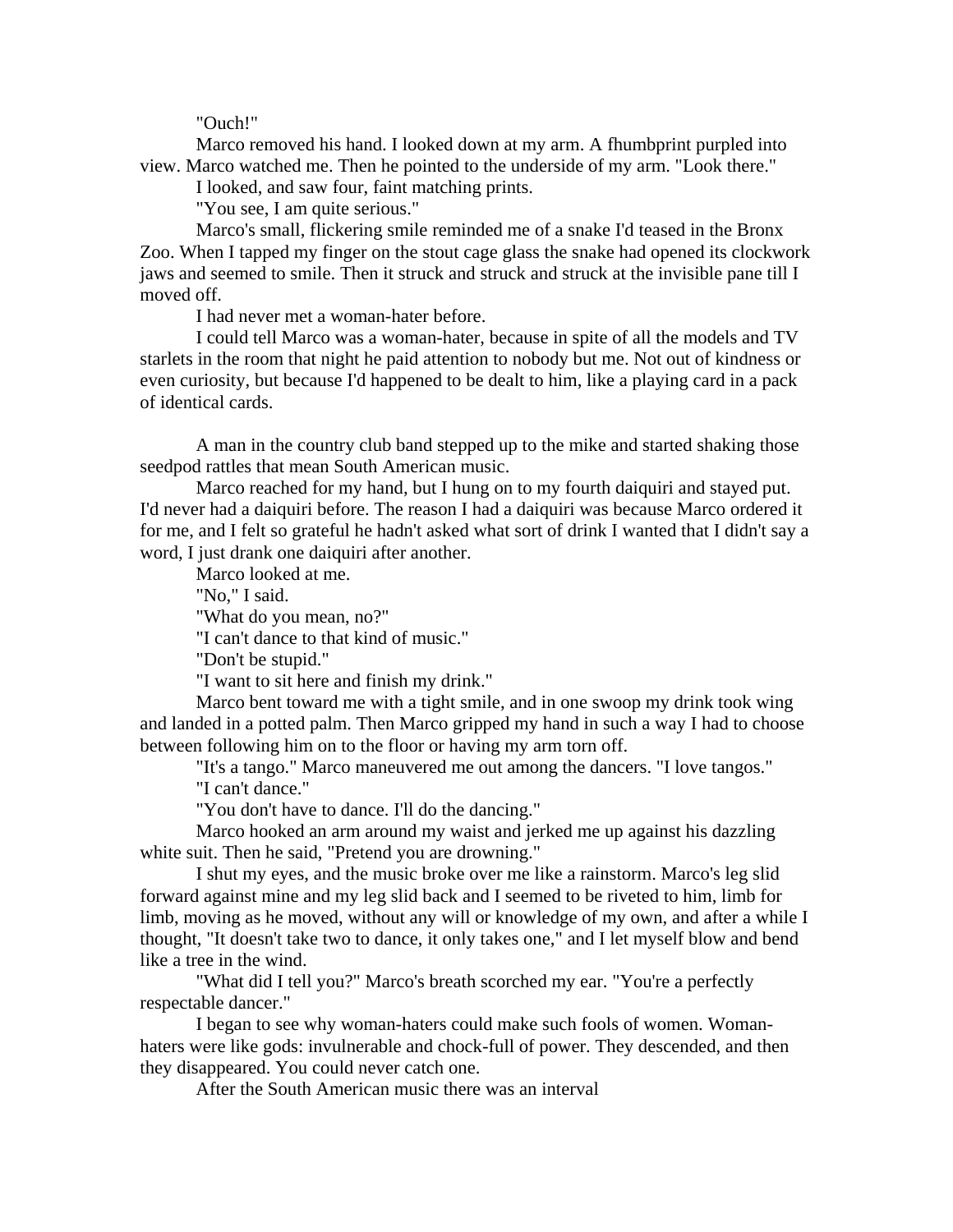"Ouch!"

 Marco removed his hand. I looked down at my arm. A fhumbprint purpled into view. Marco watched me. Then he pointed to the underside of my arm. "Look there."

I looked, and saw four, faint matching prints.

"You see, I am quite serious."

 Marco's small, flickering smile reminded me of a snake I'd teased in the Bronx Zoo. When I tapped my finger on the stout cage glass the snake had opened its clockwork jaws and seemed to smile. Then it struck and struck and struck at the invisible pane till I moved off.

I had never met a woman-hater before.

 I could tell Marco was a woman-hater, because in spite of all the models and TV starlets in the room that night he paid attention to nobody but me. Not out of kindness or even curiosity, but because I'd happened to be dealt to him, like a playing card in a pack of identical cards.

 A man in the country club band stepped up to the mike and started shaking those seedpod rattles that mean South American music.

 Marco reached for my hand, but I hung on to my fourth daiquiri and stayed put. I'd never had a daiquiri before. The reason I had a daiquiri was because Marco ordered it for me, and I felt so grateful he hadn't asked what sort of drink I wanted that I didn't say a word, I just drank one daiquiri after another.

Marco looked at me.

"No," I said.

"What do you mean, no?"

"I can't dance to that kind of music."

"Don't be stupid."

"I want to sit here and finish my drink."

 Marco bent toward me with a tight smile, and in one swoop my drink took wing and landed in a potted palm. Then Marco gripped my hand in such a way I had to choose between following him on to the floor or having my arm torn off.

 "It's a tango." Marco maneuvered me out among the dancers. "I love tangos." "I can't dance."

"You don't have to dance. I'll do the dancing."

 Marco hooked an arm around my waist and jerked me up against his dazzling white suit. Then he said, "Pretend you are drowning."

 I shut my eyes, and the music broke over me like a rainstorm. Marco's leg slid forward against mine and my leg slid back and I seemed to be riveted to him, limb for limb, moving as he moved, without any will or knowledge of my own, and after a while I thought, "It doesn't take two to dance, it only takes one," and I let myself blow and bend like a tree in the wind.

 "What did I tell you?" Marco's breath scorched my ear. "You're a perfectly respectable dancer."

 I began to see why woman-haters could make such fools of women. Womanhaters were like gods: invulnerable and chock-full of power. They descended, and then they disappeared. You could never catch one.

After the South American music there was an interval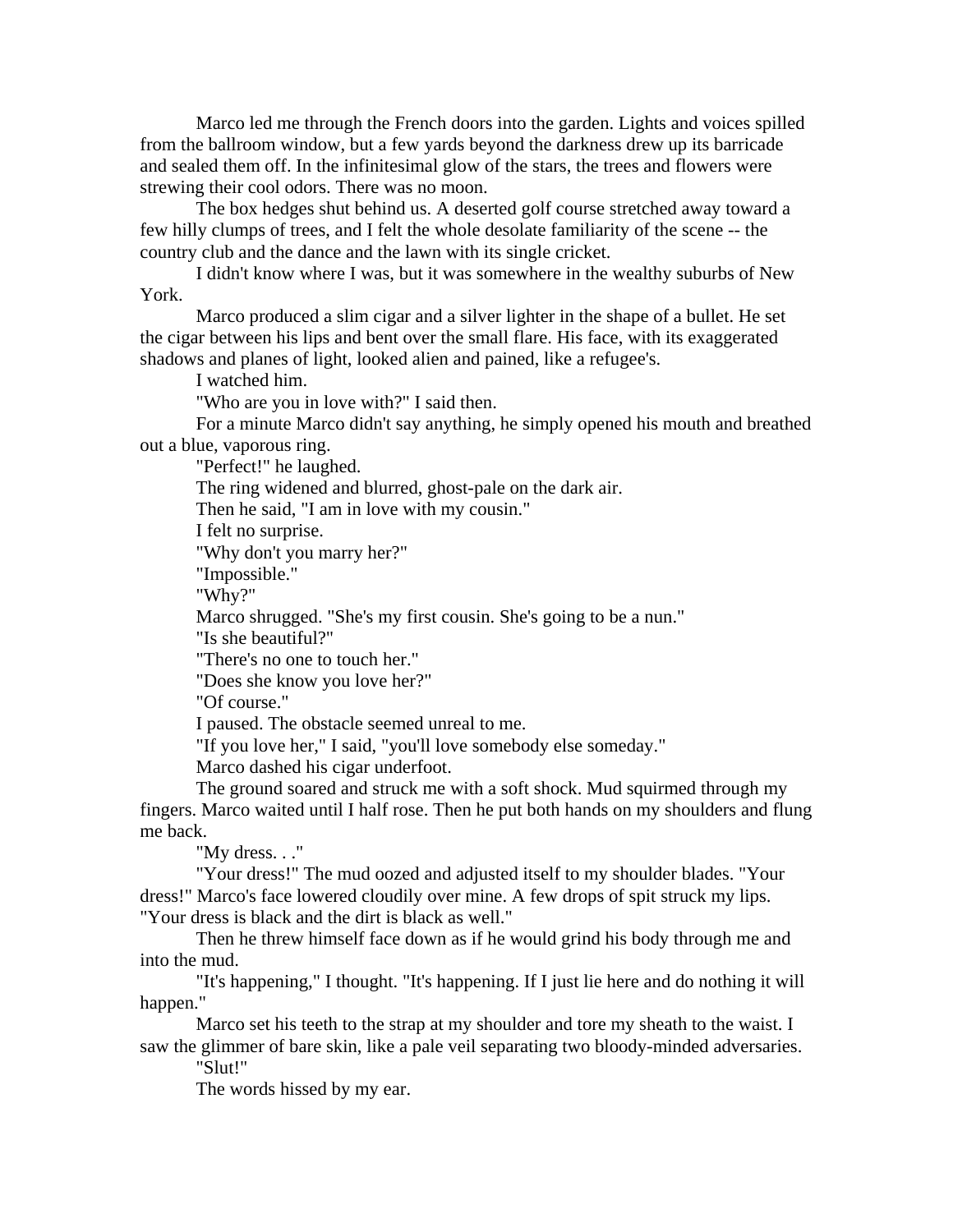Marco led me through the French doors into the garden. Lights and voices spilled from the ballroom window, but a few yards beyond the darkness drew up its barricade and sealed them off. In the infinitesimal glow of the stars, the trees and flowers were strewing their cool odors. There was no moon.

 The box hedges shut behind us. A deserted golf course stretched away toward a few hilly clumps of trees, and I felt the whole desolate familiarity of the scene -- the country club and the dance and the lawn with its single cricket.

 I didn't know where I was, but it was somewhere in the wealthy suburbs of New York.

 Marco produced a slim cigar and a silver lighter in the shape of a bullet. He set the cigar between his lips and bent over the small flare. His face, with its exaggerated shadows and planes of light, looked alien and pained, like a refugee's.

I watched him.

"Who are you in love with?" I said then.

 For a minute Marco didn't say anything, he simply opened his mouth and breathed out a blue, vaporous ring.

"Perfect!" he laughed.

The ring widened and blurred, ghost-pale on the dark air.

Then he said, "I am in love with my cousin."

I felt no surprise.

"Why don't you marry her?"

"Impossible."

"Why?"

Marco shrugged. "She's my first cousin. She's going to be a nun."

"Is she beautiful?"

"There's no one to touch her."

"Does she know you love her?"

"Of course."

I paused. The obstacle seemed unreal to me.

"If you love her," I said, "you'll love somebody else someday."

Marco dashed his cigar underfoot.

 The ground soared and struck me with a soft shock. Mud squirmed through my fingers. Marco waited until I half rose. Then he put both hands on my shoulders and flung me back.

"My dress. . ."

 "Your dress!" The mud oozed and adjusted itself to my shoulder blades. "Your dress!" Marco's face lowered cloudily over mine. A few drops of spit struck my lips. "Your dress is black and the dirt is black as well."

 Then he threw himself face down as if he would grind his body through me and into the mud.

 "It's happening," I thought. "It's happening. If I just lie here and do nothing it will happen."

Marco set his teeth to the strap at my shoulder and tore my sheath to the waist. I

saw the glimmer of bare skin, like a pale veil separating two bloody-minded adversaries. "Slut!"

The words hissed by my ear.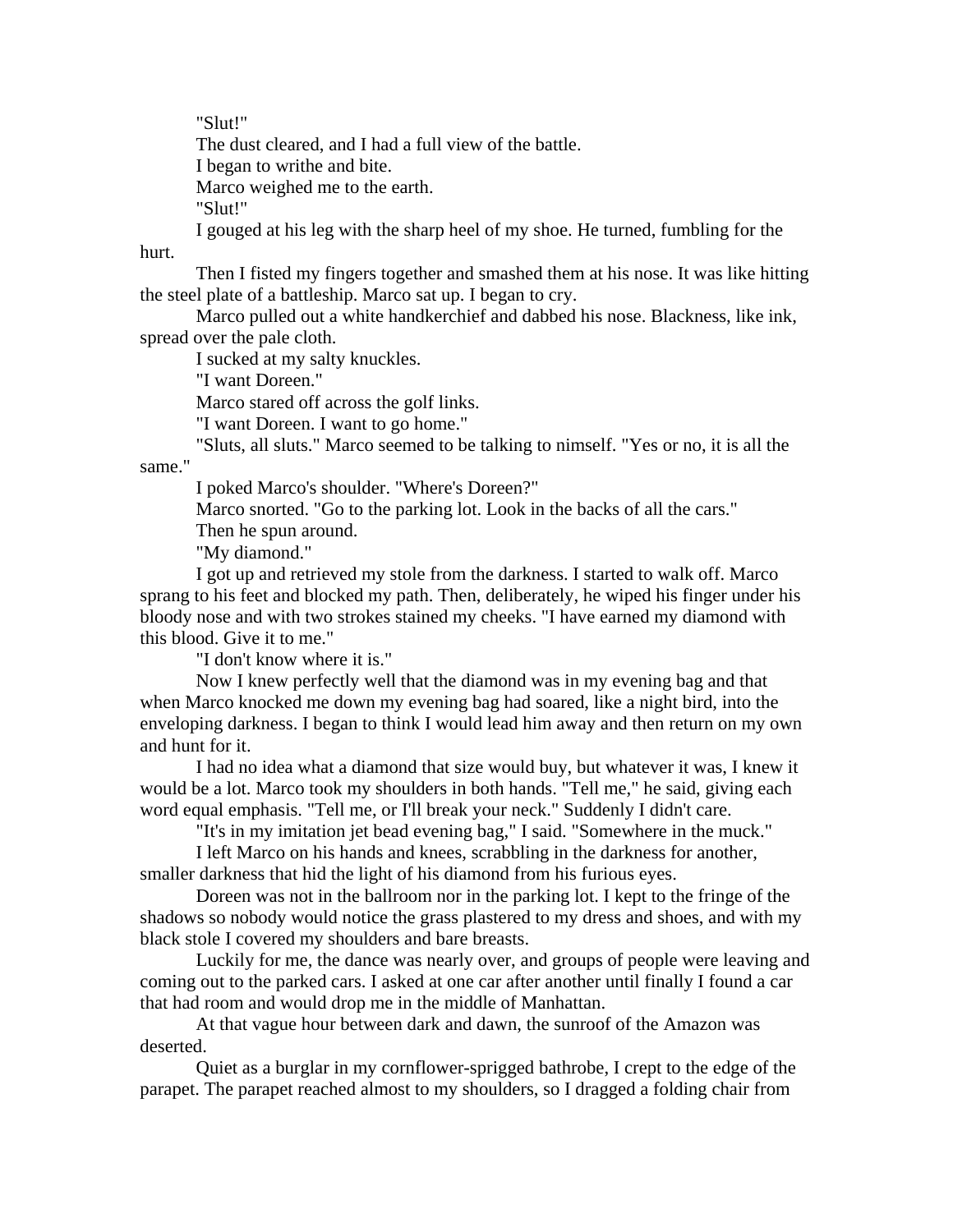"Slut!"

The dust cleared, and I had a full view of the battle.

I began to writhe and bite.

Marco weighed me to the earth.

"Slut!"

 I gouged at his leg with the sharp heel of my shoe. He turned, fumbling for the hurt.

 Then I fisted my fingers together and smashed them at his nose. It was like hitting the steel plate of a battleship. Marco sat up. I began to cry.

 Marco pulled out a white handkerchief and dabbed his nose. Blackness, like ink, spread over the pale cloth.

I sucked at my salty knuckles.

"I want Doreen."

Marco stared off across the golf links.

"I want Doreen. I want to go home."

"Sluts, all sluts." Marco seemed to be talking to nimself. "Yes or no, it is all the

same."

I poked Marco's shoulder. "Where's Doreen?"

Marco snorted. "Go to the parking lot. Look in the backs of all the cars."

Then he spun around.

"My diamond."

 I got up and retrieved my stole from the darkness. I started to walk off. Marco sprang to his feet and blocked my path. Then, deliberately, he wiped his finger under his bloody nose and with two strokes stained my cheeks. "I have earned my diamond with this blood. Give it to me."

"I don't know where it is."

 Now I knew perfectly well that the diamond was in my evening bag and that when Marco knocked me down my evening bag had soared, like a night bird, into the enveloping darkness. I began to think I would lead him away and then return on my own and hunt for it.

 I had no idea what a diamond that size would buy, but whatever it was, I knew it would be a lot. Marco took my shoulders in both hands. "Tell me," he said, giving each word equal emphasis. "Tell me, or I'll break your neck." Suddenly I didn't care.

"It's in my imitation jet bead evening bag," I said. "Somewhere in the muck."

 I left Marco on his hands and knees, scrabbling in the darkness for another, smaller darkness that hid the light of his diamond from his furious eyes.

 Doreen was not in the ballroom nor in the parking lot. I kept to the fringe of the shadows so nobody would notice the grass plastered to my dress and shoes, and with my black stole I covered my shoulders and bare breasts.

 Luckily for me, the dance was nearly over, and groups of people were leaving and coming out to the parked cars. I asked at one car after another until finally I found a car that had room and would drop me in the middle of Manhattan.

 At that vague hour between dark and dawn, the sunroof of the Amazon was deserted.

 Quiet as a burglar in my cornflower-sprigged bathrobe, I crept to the edge of the parapet. The parapet reached almost to my shoulders, so I dragged a folding chair from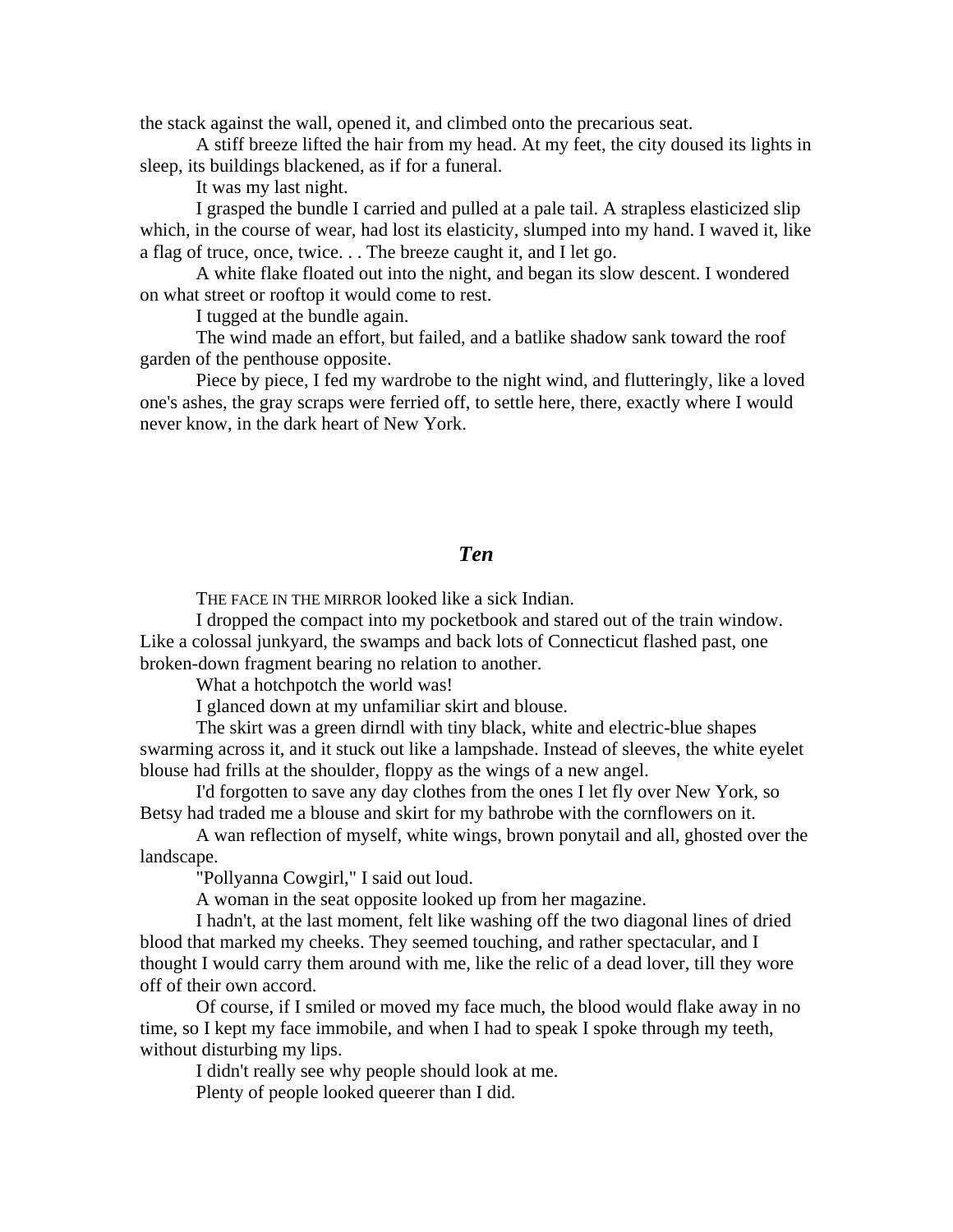the stack against the wall, opened it, and climbed onto the precarious seat.

 A stiff breeze lifted the hair from my head. At my feet, the city doused its lights in sleep, its buildings blackened, as if for a funeral.

It was my last night.

 I grasped the bundle I carried and pulled at a pale tail. A strapless elasticized slip which, in the course of wear, had lost its elasticity, slumped into my hand. I waved it, like a flag of truce, once, twice. . . The breeze caught it, and I let go.

 A white flake floated out into the night, and began its slow descent. I wondered on what street or rooftop it would come to rest.

I tugged at the bundle again.

 The wind made an effort, but failed, and a batlike shadow sank toward the roof garden of the penthouse opposite.

 Piece by piece, I fed my wardrobe to the night wind, and flutteringly, like a loved one's ashes, the gray scraps were ferried off, to settle here, there, exactly where I would never know, in the dark heart of New York.

### *Ten*

THE FACE IN THE MIRROR looked like a sick Indian.

 I dropped the compact into my pocketbook and stared out of the train window. Like a colossal junkyard, the swamps and back lots of Connecticut flashed past, one broken-down fragment bearing no relation to another.

What a hotchpotch the world was!

I glanced down at my unfamiliar skirt and blouse.

 The skirt was a green dirndl with tiny black, white and electric-blue shapes swarming across it, and it stuck out like a lampshade. Instead of sleeves, the white eyelet blouse had frills at the shoulder, floppy as the wings of a new angel.

 I'd forgotten to save any day clothes from the ones I let fly over New York, so Betsy had traded me a blouse and skirt for my bathrobe with the cornflowers on it.

 A wan reflection of myself, white wings, brown ponytail and all, ghosted over the landscape.

"Pollyanna Cowgirl," I said out loud.

A woman in the seat opposite looked up from her magazine.

 I hadn't, at the last moment, felt like washing off the two diagonal lines of dried blood that marked my cheeks. They seemed touching, and rather spectacular, and I thought I would carry them around with me, like the relic of a dead lover, till they wore off of their own accord.

 Of course, if I smiled or moved my face much, the blood would flake away in no time, so I kept my face immobile, and when I had to speak I spoke through my teeth, without disturbing my lips.

I didn't really see why people should look at me.

Plenty of people looked queerer than I did.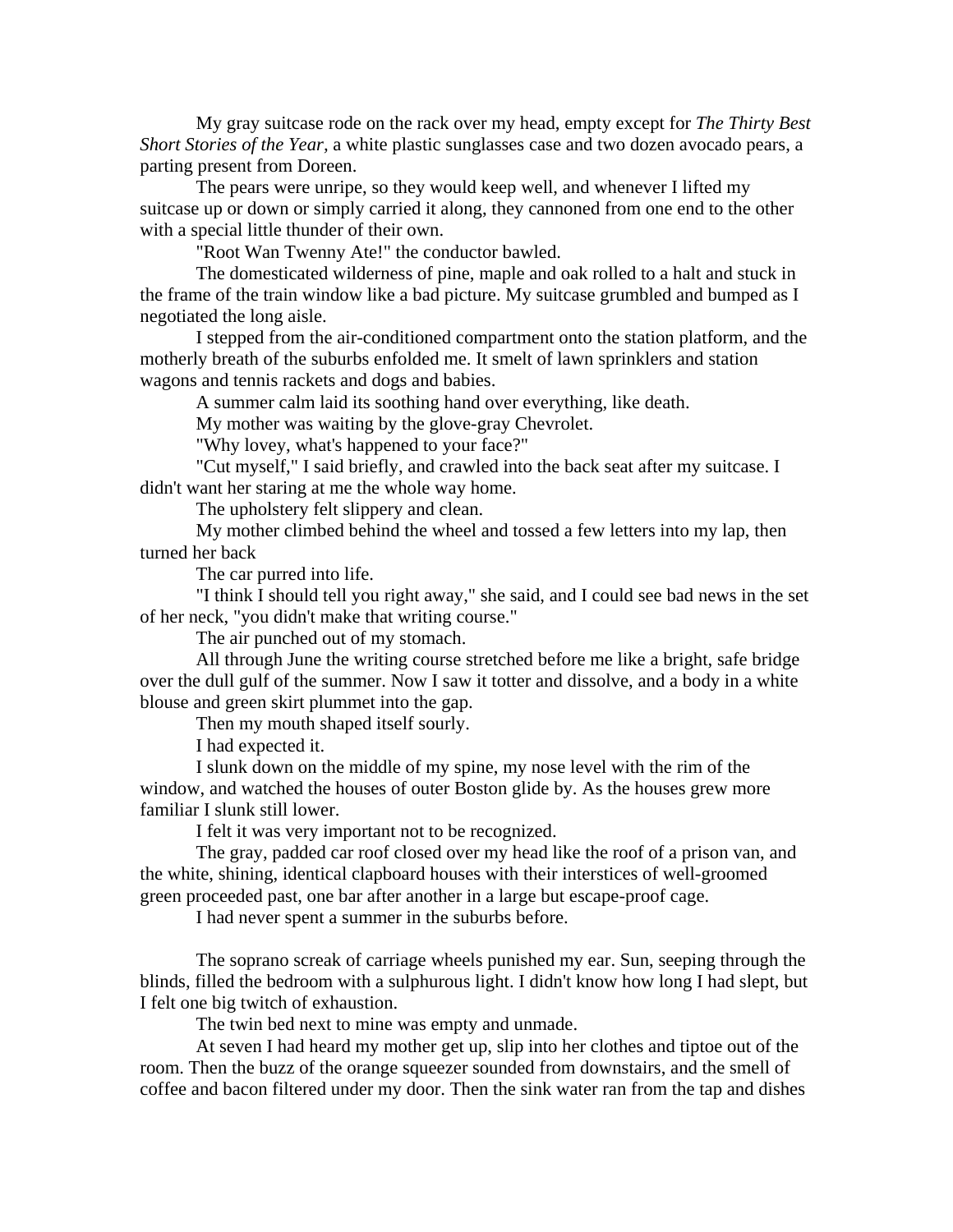My gray suitcase rode on the rack over my head, empty except for *The Thirty Best Short Stories of the Year,* a white plastic sunglasses case and two dozen avocado pears, a parting present from Doreen.

 The pears were unripe, so they would keep well, and whenever I lifted my suitcase up or down or simply carried it along, they cannoned from one end to the other with a special little thunder of their own.

"Root Wan Twenny Ate!" the conductor bawled.

 The domesticated wilderness of pine, maple and oak rolled to a halt and stuck in the frame of the train window like a bad picture. My suitcase grumbled and bumped as I negotiated the long aisle.

 I stepped from the air-conditioned compartment onto the station platform, and the motherly breath of the suburbs enfolded me. It smelt of lawn sprinklers and station wagons and tennis rackets and dogs and babies.

A summer calm laid its soothing hand over everything, like death.

My mother was waiting by the glove-gray Chevrolet.

"Why lovey, what's happened to your face?"

 "Cut myself," I said briefly, and crawled into the back seat after my suitcase. I didn't want her staring at me the whole way home.

The upholstery felt slippery and clean.

 My mother climbed behind the wheel and tossed a few letters into my lap, then turned her back

The car purred into life.

 "I think I should tell you right away," she said, and I could see bad news in the set of her neck, "you didn't make that writing course."

The air punched out of my stomach.

 All through June the writing course stretched before me like a bright, safe bridge over the dull gulf of the summer. Now I saw it totter and dissolve, and a body in a white blouse and green skirt plummet into the gap.

Then my mouth shaped itself sourly.

I had expected it.

 I slunk down on the middle of my spine, my nose level with the rim of the window, and watched the houses of outer Boston glide by. As the houses grew more familiar I slunk still lower.

I felt it was very important not to be recognized.

 The gray, padded car roof closed over my head like the roof of a prison van, and the white, shining, identical clapboard houses with their interstices of well-groomed green proceeded past, one bar after another in a large but escape-proof cage.

I had never spent a summer in the suburbs before.

 The soprano screak of carriage wheels punished my ear. Sun, seeping through the blinds, filled the bedroom with a sulphurous light. I didn't know how long I had slept, but I felt one big twitch of exhaustion.

The twin bed next to mine was empty and unmade.

 At seven I had heard my mother get up, slip into her clothes and tiptoe out of the room. Then the buzz of the orange squeezer sounded from downstairs, and the smell of coffee and bacon filtered under my door. Then the sink water ran from the tap and dishes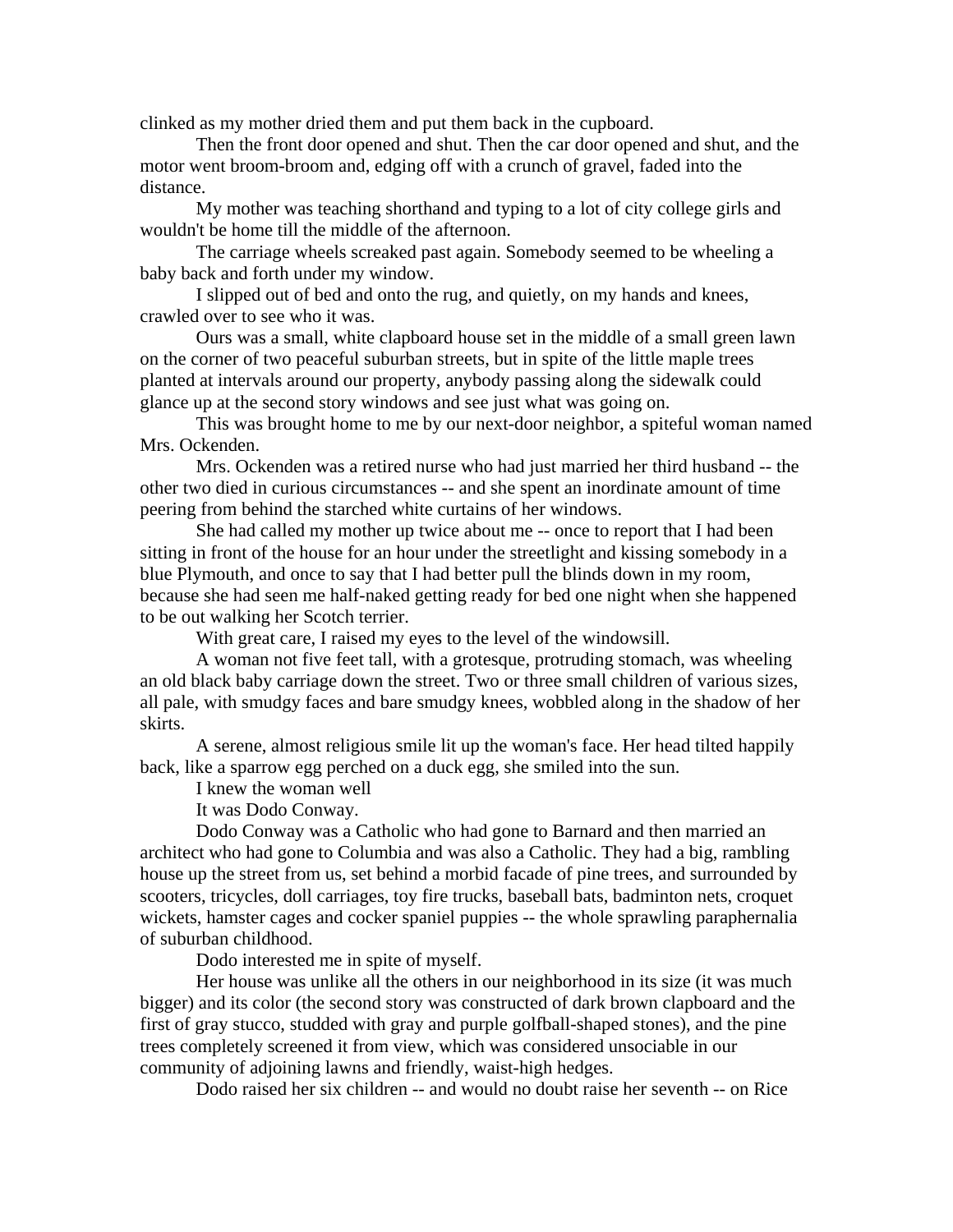clinked as my mother dried them and put them back in the cupboard.

 Then the front door opened and shut. Then the car door opened and shut, and the motor went broom-broom and, edging off with a crunch of gravel, faded into the distance.

 My mother was teaching shorthand and typing to a lot of city college girls and wouldn't be home till the middle of the afternoon.

 The carriage wheels screaked past again. Somebody seemed to be wheeling a baby back and forth under my window.

 I slipped out of bed and onto the rug, and quietly, on my hands and knees, crawled over to see who it was.

 Ours was a small, white clapboard house set in the middle of a small green lawn on the corner of two peaceful suburban streets, but in spite of the little maple trees planted at intervals around our property, anybody passing along the sidewalk could glance up at the second story windows and see just what was going on.

 This was brought home to me by our next-door neighbor, a spiteful woman named Mrs. Ockenden.

 Mrs. Ockenden was a retired nurse who had just married her third husband -- the other two died in curious circumstances -- and she spent an inordinate amount of time peering from behind the starched white curtains of her windows.

 She had called my mother up twice about me -- once to report that I had been sitting in front of the house for an hour under the streetlight and kissing somebody in a blue Plymouth, and once to say that I had better pull the blinds down in my room, because she had seen me half-naked getting ready for bed one night when she happened to be out walking her Scotch terrier.

With great care, I raised my eyes to the level of the windowsill.

 A woman not five feet tall, with a grotesque, protruding stomach, was wheeling an old black baby carriage down the street. Two or three small children of various sizes, all pale, with smudgy faces and bare smudgy knees, wobbled along in the shadow of her skirts.

 A serene, almost religious smile lit up the woman's face. Her head tilted happily back, like a sparrow egg perched on a duck egg, she smiled into the sun.

I knew the woman well

It was Dodo Conway.

 Dodo Conway was a Catholic who had gone to Barnard and then married an architect who had gone to Columbia and was also a Catholic. They had a big, rambling house up the street from us, set behind a morbid facade of pine trees, and surrounded by scooters, tricycles, doll carriages, toy fire trucks, baseball bats, badminton nets, croquet wickets, hamster cages and cocker spaniel puppies -- the whole sprawling paraphernalia of suburban childhood.

Dodo interested me in spite of myself.

 Her house was unlike all the others in our neighborhood in its size (it was much bigger) and its color (the second story was constructed of dark brown clapboard and the first of gray stucco, studded with gray and purple golfball-shaped stones), and the pine trees completely screened it from view, which was considered unsociable in our community of adjoining lawns and friendly, waist-high hedges.

Dodo raised her six children -- and would no doubt raise her seventh -- on Rice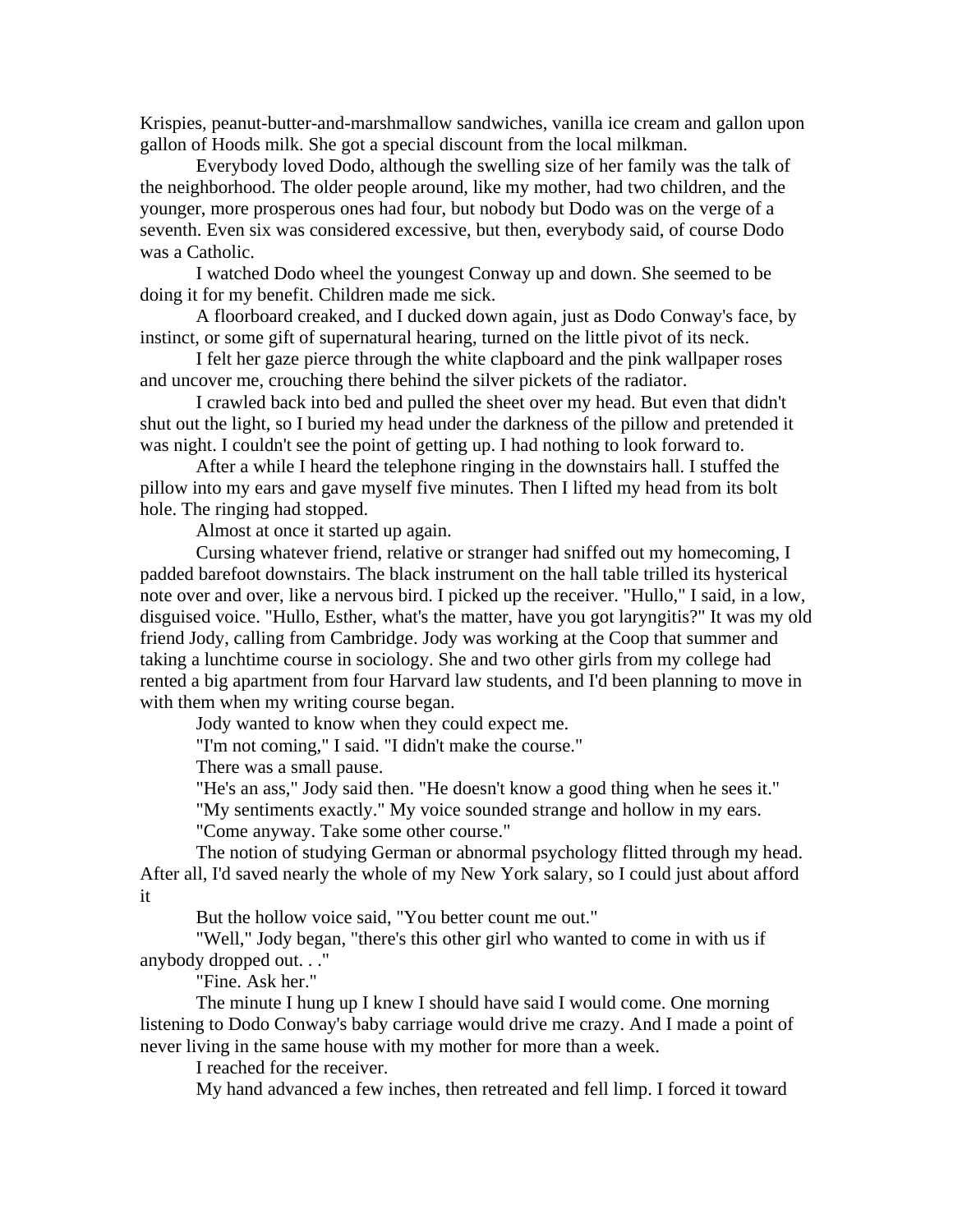Krispies, peanut-butter-and-marshmallow sandwiches, vanilla ice cream and gallon upon gallon of Hoods milk. She got a special discount from the local milkman.

 Everybody loved Dodo, although the swelling size of her family was the talk of the neighborhood. The older people around, like my mother, had two children, and the younger, more prosperous ones had four, but nobody but Dodo was on the verge of a seventh. Even six was considered excessive, but then, everybody said, of course Dodo was a Catholic.

 I watched Dodo wheel the youngest Conway up and down. She seemed to be doing it for my benefit. Children made me sick.

 A floorboard creaked, and I ducked down again, just as Dodo Conway's face, by instinct, or some gift of supernatural hearing, turned on the little pivot of its neck.

 I felt her gaze pierce through the white clapboard and the pink wallpaper roses and uncover me, crouching there behind the silver pickets of the radiator.

 I crawled back into bed and pulled the sheet over my head. But even that didn't shut out the light, so I buried my head under the darkness of the pillow and pretended it was night. I couldn't see the point of getting up. I had nothing to look forward to.

 After a while I heard the telephone ringing in the downstairs hall. I stuffed the pillow into my ears and gave myself five minutes. Then I lifted my head from its bolt hole. The ringing had stopped.

Almost at once it started up again.

 Cursing whatever friend, relative or stranger had sniffed out my homecoming, I padded barefoot downstairs. The black instrument on the hall table trilled its hysterical note over and over, like a nervous bird. I picked up the receiver. "Hullo," I said, in a low, disguised voice. "Hullo, Esther, what's the matter, have you got laryngitis?" It was my old friend Jody, calling from Cambridge. Jody was working at the Coop that summer and taking a lunchtime course in sociology. She and two other girls from my college had rented a big apartment from four Harvard law students, and I'd been planning to move in with them when my writing course began.

Jody wanted to know when they could expect me.

"I'm not coming," I said. "I didn't make the course."

There was a small pause.

 "He's an ass," Jody said then. "He doesn't know a good thing when he sees it." "My sentiments exactly." My voice sounded strange and hollow in my ears.

"Come anyway. Take some other course."

 The notion of studying German or abnormal psychology flitted through my head. After all, I'd saved nearly the whole of my New York salary, so I could just about afford it

But the hollow voice said, "You better count me out."

 "Well," Jody began, "there's this other girl who wanted to come in with us if anybody dropped out. . ."

"Fine. Ask her."

 The minute I hung up I knew I should have said I would come. One morning listening to Dodo Conway's baby carriage would drive me crazy. And I made a point of never living in the same house with my mother for more than a week.

I reached for the receiver.

My hand advanced a few inches, then retreated and fell limp. I forced it toward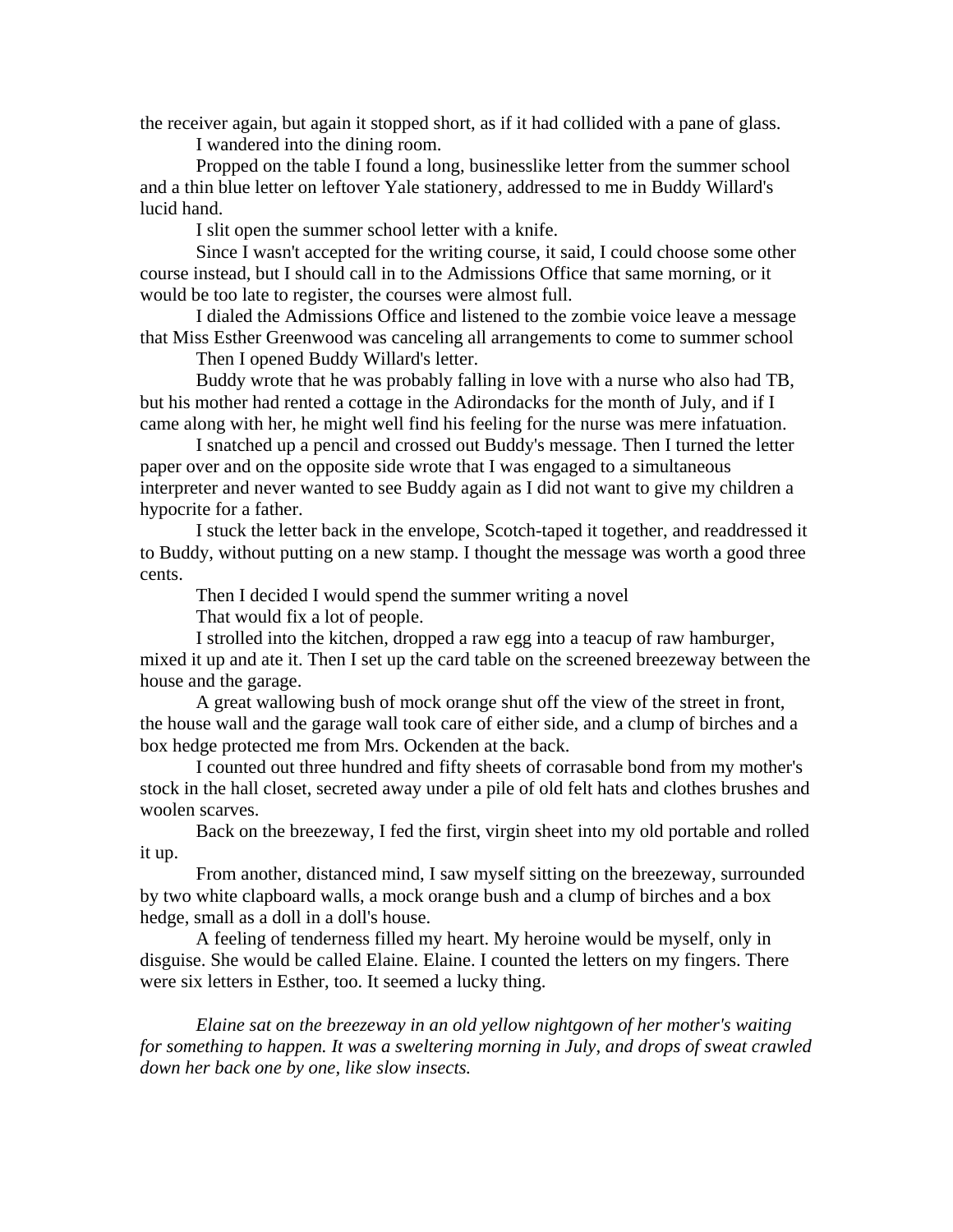the receiver again, but again it stopped short, as if it had collided with a pane of glass. I wandered into the dining room.

 Propped on the table I found a long, businesslike letter from the summer school and a thin blue letter on leftover Yale stationery, addressed to me in Buddy Willard's lucid hand.

I slit open the summer school letter with a knife.

 Since I wasn't accepted for the writing course, it said, I could choose some other course instead, but I should call in to the Admissions Office that same morning, or it would be too late to register, the courses were almost full.

 I dialed the Admissions Office and listened to the zombie voice leave a message that Miss Esther Greenwood was canceling all arrangements to come to summer school

Then I opened Buddy Willard's letter.

 Buddy wrote that he was probably falling in love with a nurse who also had TB, but his mother had rented a cottage in the Adirondacks for the month of July, and if I came along with her, he might well find his feeling for the nurse was mere infatuation.

 I snatched up a pencil and crossed out Buddy's message. Then I turned the letter paper over and on the opposite side wrote that I was engaged to a simultaneous interpreter and never wanted to see Buddy again as I did not want to give my children a hypocrite for a father.

 I stuck the letter back in the envelope, Scotch-taped it together, and readdressed it to Buddy, without putting on a new stamp. I thought the message was worth a good three cents.

Then I decided I would spend the summer writing a novel

That would fix a lot of people.

 I strolled into the kitchen, dropped a raw egg into a teacup of raw hamburger, mixed it up and ate it. Then I set up the card table on the screened breezeway between the house and the garage.

 A great wallowing bush of mock orange shut off the view of the street in front, the house wall and the garage wall took care of either side, and a clump of birches and a box hedge protected me from Mrs. Ockenden at the back.

 I counted out three hundred and fifty sheets of corrasable bond from my mother's stock in the hall closet, secreted away under a pile of old felt hats and clothes brushes and woolen scarves.

 Back on the breezeway, I fed the first, virgin sheet into my old portable and rolled it up.

 From another, distanced mind, I saw myself sitting on the breezeway, surrounded by two white clapboard walls, a mock orange bush and a clump of birches and a box hedge, small as a doll in a doll's house.

 A feeling of tenderness filled my heart. My heroine would be myself, only in disguise. She would be called Elaine. Elaine. I counted the letters on my fingers. There were six letters in Esther, too. It seemed a lucky thing.

*Elaine sat on the breezeway in an old yellow nightgown of her mother's waiting for something to happen. It was a sweltering morning in July, and drops of sweat crawled down her back one by one, like slow insects.*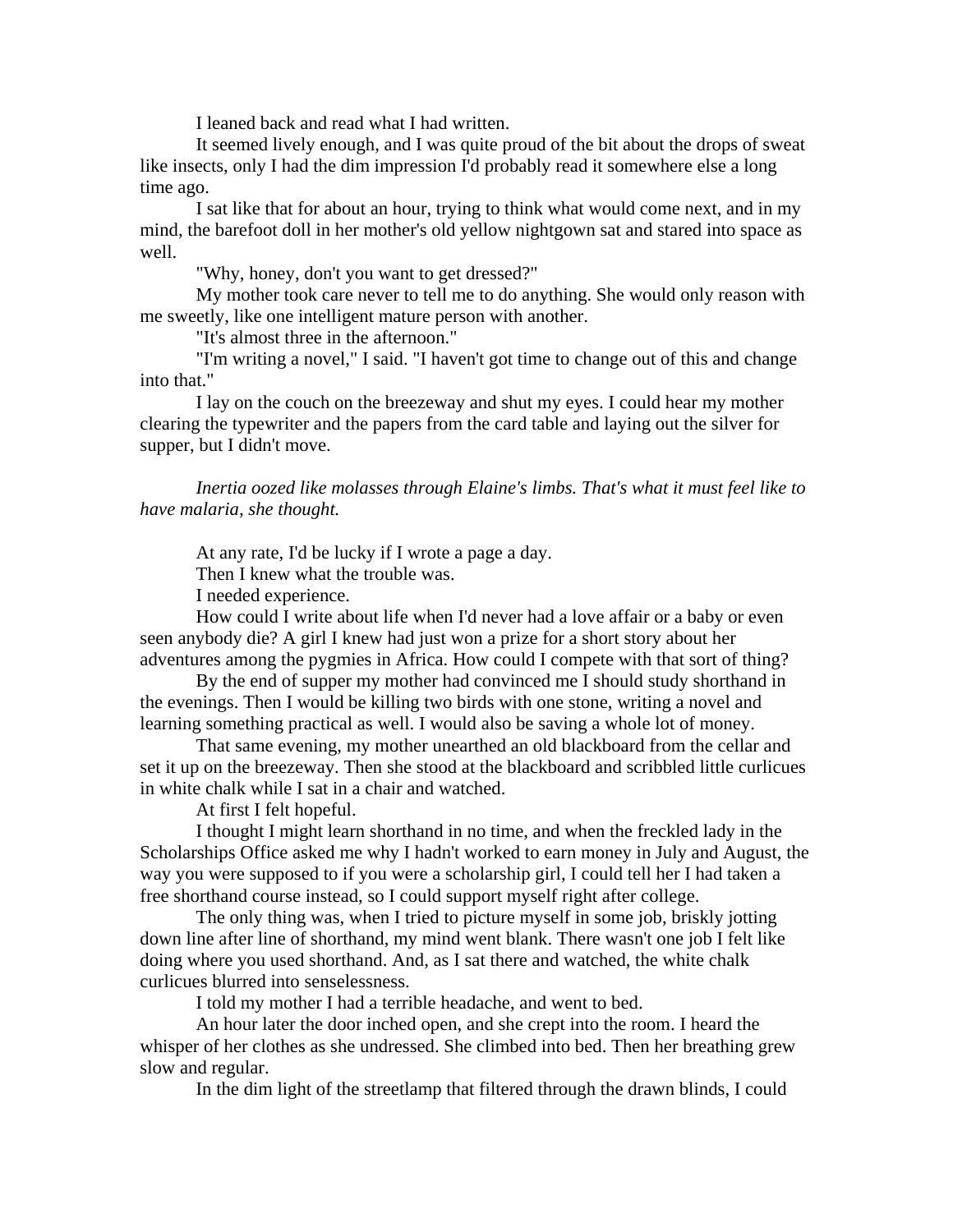I leaned back and read what I had written.

 It seemed lively enough, and I was quite proud of the bit about the drops of sweat like insects, only I had the dim impression I'd probably read it somewhere else a long time ago.

 I sat like that for about an hour, trying to think what would come next, and in my mind, the barefoot doll in her mother's old yellow nightgown sat and stared into space as well.

"Why, honey, don't you want to get dressed?"

 My mother took care never to tell me to do anything. She would only reason with me sweetly, like one intelligent mature person with another.

"It's almost three in the afternoon."

 "I'm writing a novel," I said. "I haven't got time to change out of this and change into that."

 I lay on the couch on the breezeway and shut my eyes. I could hear my mother clearing the typewriter and the papers from the card table and laying out the silver for supper, but I didn't move.

*Inertia oozed like molasses through Elaine's limbs. That's what it must feel like to have malaria, she thought.*

At any rate, I'd be lucky if I wrote a page a day.

Then I knew what the trouble was.

I needed experience.

 How could I write about life when I'd never had a love affair or a baby or even seen anybody die? A girl I knew had just won a prize for a short story about her adventures among the pygmies in Africa. How could I compete with that sort of thing?

 By the end of supper my mother had convinced me I should study shorthand in the evenings. Then I would be killing two birds with one stone, writing a novel and learning something practical as well. I would also be saving a whole lot of money.

 That same evening, my mother unearthed an old blackboard from the cellar and set it up on the breezeway. Then she stood at the blackboard and scribbled little curlicues in white chalk while I sat in a chair and watched.

At first I felt hopeful.

 I thought I might learn shorthand in no time, and when the freckled lady in the Scholarships Office asked me why I hadn't worked to earn money in July and August, the way you were supposed to if you were a scholarship girl, I could tell her I had taken a free shorthand course instead, so I could support myself right after college.

 The only thing was, when I tried to picture myself in some job, briskly jotting down line after line of shorthand, my mind went blank. There wasn't one job I felt like doing where you used shorthand. And, as I sat there and watched, the white chalk curlicues blurred into senselessness.

I told my mother I had a terrible headache, and went to bed.

 An hour later the door inched open, and she crept into the room. I heard the whisper of her clothes as she undressed. She climbed into bed. Then her breathing grew slow and regular.

In the dim light of the streetlamp that filtered through the drawn blinds, I could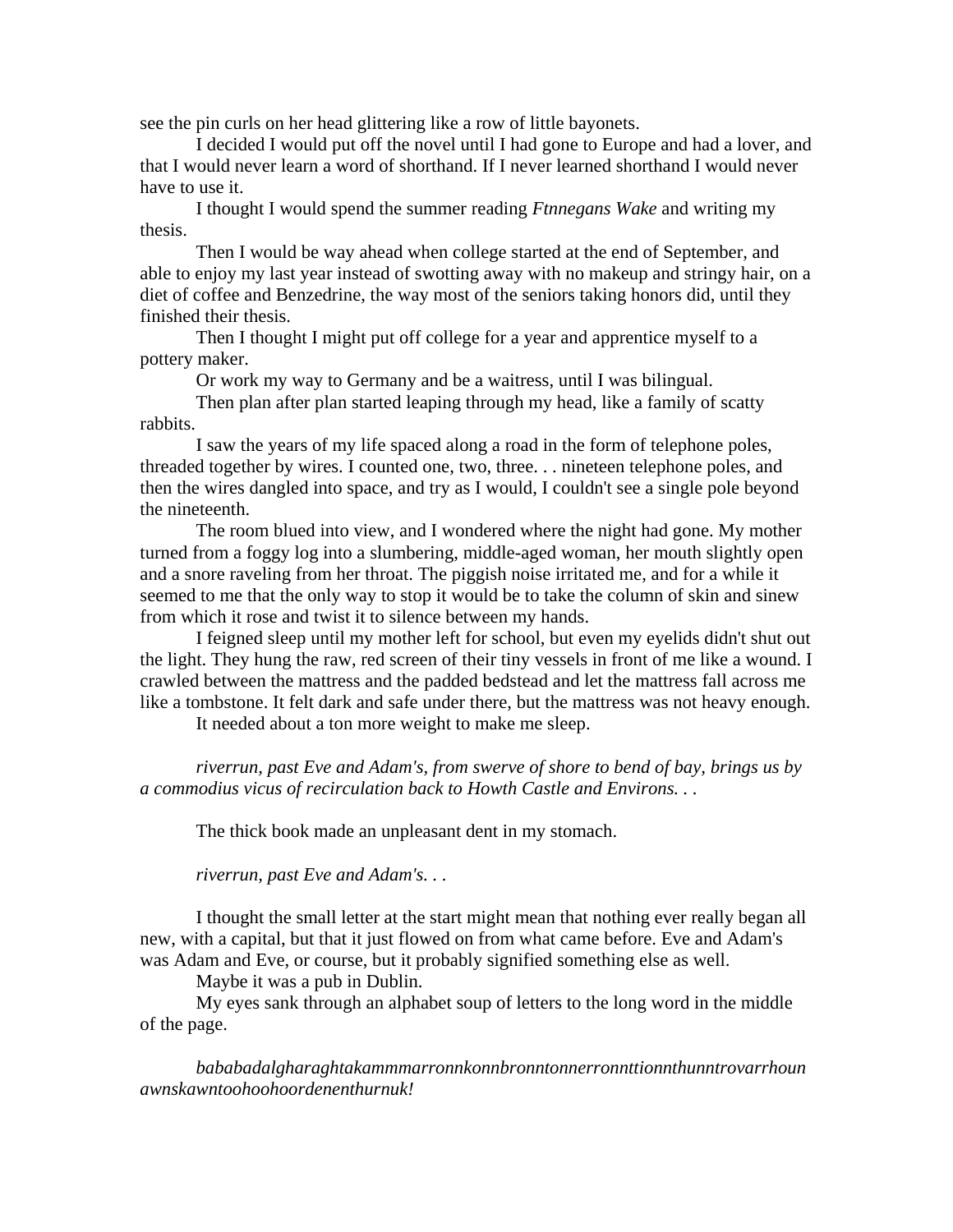see the pin curls on her head glittering like a row of little bayonets.

 I decided I would put off the novel until I had gone to Europe and had a lover, and that I would never learn a word of shorthand. If I never learned shorthand I would never have to use it.

 I thought I would spend the summer reading *Ftnnegans Wake* and writing my thesis.

 Then I would be way ahead when college started at the end of September, and able to enjoy my last year instead of swotting away with no makeup and stringy hair, on a diet of coffee and Benzedrine, the way most of the seniors taking honors did, until they finished their thesis.

 Then I thought I might put off college for a year and apprentice myself to a pottery maker.

Or work my way to Germany and be a waitress, until I was bilingual.

 Then plan after plan started leaping through my head, like a family of scatty rabbits.

 I saw the years of my life spaced along a road in the form of telephone poles, threaded together by wires. I counted one, two, three. . . nineteen telephone poles, and then the wires dangled into space, and try as I would, I couldn't see a single pole beyond the nineteenth.

 The room blued into view, and I wondered where the night had gone. My mother turned from a foggy log into a slumbering, middle-aged woman, her mouth slightly open and a snore raveling from her throat. The piggish noise irritated me, and for a while it seemed to me that the only way to stop it would be to take the column of skin and sinew from which it rose and twist it to silence between my hands.

 I feigned sleep until my mother left for school, but even my eyelids didn't shut out the light. They hung the raw, red screen of their tiny vessels in front of me like a wound. I crawled between the mattress and the padded bedstead and let the mattress fall across me like a tombstone. It felt dark and safe under there, but the mattress was not heavy enough.

It needed about a ton more weight to make me sleep.

*riverrun, past Eve and Adam's, from swerve of shore to bend of bay, brings us by a commodius vicus of recirculation back to Howth Castle and Environs. . .*

The thick book made an unpleasant dent in my stomach.

*riverrun, past Eve and Adam's. . .*

 I thought the small letter at the start might mean that nothing ever really began all new, with a capital, but that it just flowed on from what came before. Eve and Adam's was Adam and Eve, or course, but it probably signified something else as well.

Maybe it was a pub in Dublin.

 My eyes sank through an alphabet soup of letters to the long word in the middle of the page.

*bababadalgharaghtakammmarronnkonnbronntonnerronnttionnthunntrovarrhoun awnskawntoohoohoordenenthurnuk!*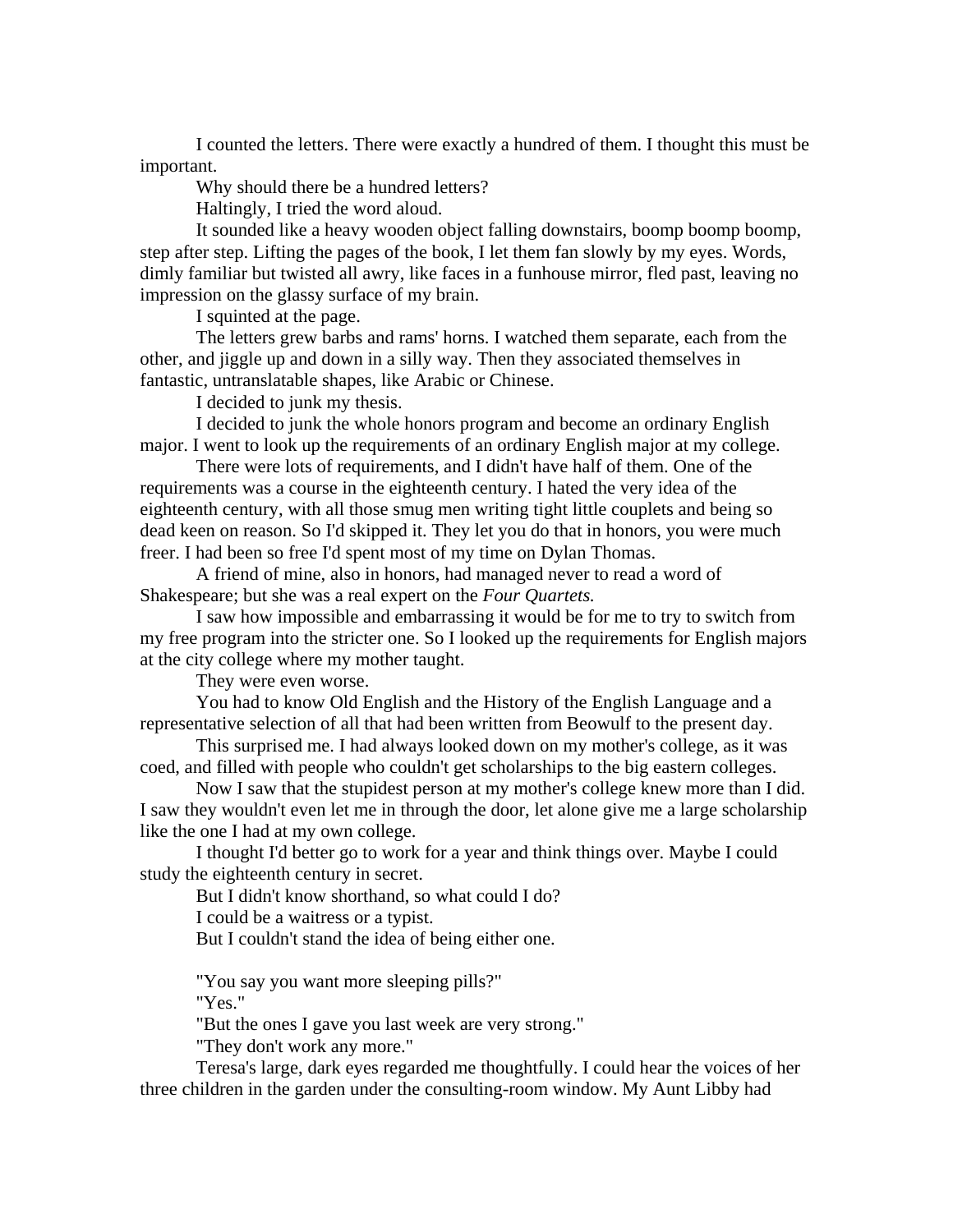I counted the letters. There were exactly a hundred of them. I thought this must be important.

Why should there be a hundred letters?

Haltingly, I tried the word aloud.

 It sounded like a heavy wooden object falling downstairs, boomp boomp boomp, step after step. Lifting the pages of the book, I let them fan slowly by my eyes. Words, dimly familiar but twisted all awry, like faces in a funhouse mirror, fled past, leaving no impression on the glassy surface of my brain.

I squinted at the page.

 The letters grew barbs and rams' horns. I watched them separate, each from the other, and jiggle up and down in a silly way. Then they associated themselves in fantastic, untranslatable shapes, like Arabic or Chinese.

I decided to junk my thesis.

 I decided to junk the whole honors program and become an ordinary English major. I went to look up the requirements of an ordinary English major at my college.

 There were lots of requirements, and I didn't have half of them. One of the requirements was a course in the eighteenth century. I hated the very idea of the eighteenth century, with all those smug men writing tight little couplets and being so dead keen on reason. So I'd skipped it. They let you do that in honors, you were much freer. I had been so free I'd spent most of my time on Dylan Thomas.

 A friend of mine, also in honors, had managed never to read a word of Shakespeare; but she was a real expert on the *Four Quartets.*

 I saw how impossible and embarrassing it would be for me to try to switch from my free program into the stricter one. So I looked up the requirements for English majors at the city college where my mother taught.

They were even worse.

 You had to know Old English and the History of the English Language and a representative selection of all that had been written from Beowulf to the present day.

 This surprised me. I had always looked down on my mother's college, as it was coed, and filled with people who couldn't get scholarships to the big eastern colleges.

 Now I saw that the stupidest person at my mother's college knew more than I did. I saw they wouldn't even let me in through the door, let alone give me a large scholarship like the one I had at my own college.

 I thought I'd better go to work for a year and think things over. Maybe I could study the eighteenth century in secret.

But I didn't know shorthand, so what could I do?

I could be a waitress or a typist.

But I couldn't stand the idea of being either one.

"You say you want more sleeping pills?"

"Yes."

"But the ones I gave you last week are very strong."

"They don't work any more."

 Teresa's large, dark eyes regarded me thoughtfully. I could hear the voices of her three children in the garden under the consulting-room window. My Aunt Libby had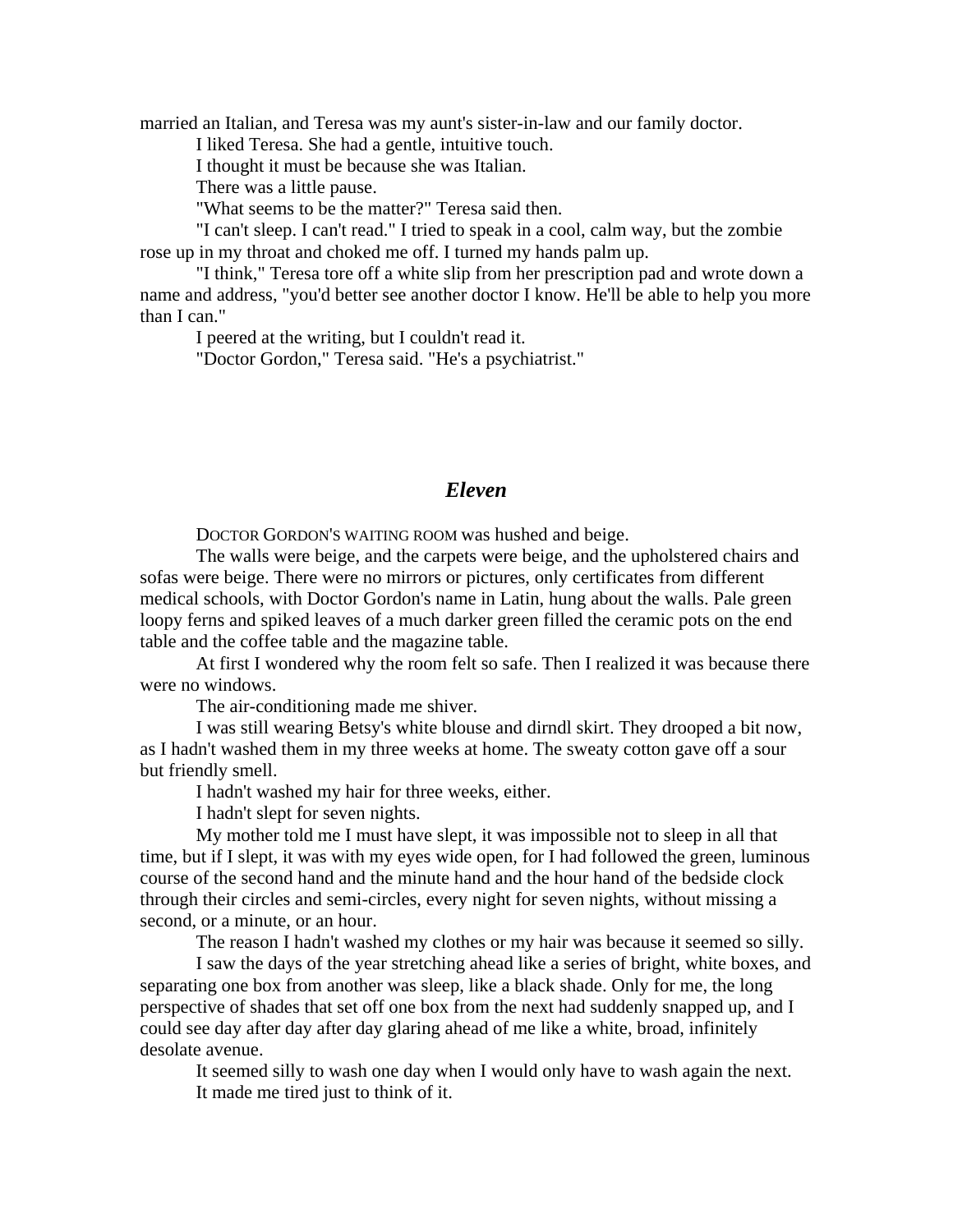married an Italian, and Teresa was my aunt's sister-in-law and our family doctor.

I liked Teresa. She had a gentle, intuitive touch.

I thought it must be because she was Italian.

There was a little pause.

"What seems to be the matter?" Teresa said then.

 "I can't sleep. I can't read." I tried to speak in a cool, calm way, but the zombie rose up in my throat and choked me off. I turned my hands palm up.

 "I think," Teresa tore off a white slip from her prescription pad and wrote down a name and address, "you'd better see another doctor I know. He'll be able to help you more than I can."

I peered at the writing, but I couldn't read it.

"Doctor Gordon," Teresa said. "He's a psychiatrist."

## *Eleven*

DOCTOR GORDON'S WAITING ROOM was hushed and beige.

 The walls were beige, and the carpets were beige, and the upholstered chairs and sofas were beige. There were no mirrors or pictures, only certificates from different medical schools, with Doctor Gordon's name in Latin, hung about the walls. Pale green loopy ferns and spiked leaves of a much darker green filled the ceramic pots on the end table and the coffee table and the magazine table.

 At first I wondered why the room felt so safe. Then I realized it was because there were no windows.

The air-conditioning made me shiver.

 I was still wearing Betsy's white blouse and dirndl skirt. They drooped a bit now, as I hadn't washed them in my three weeks at home. The sweaty cotton gave off a sour but friendly smell.

I hadn't washed my hair for three weeks, either.

I hadn't slept for seven nights.

 My mother told me I must have slept, it was impossible not to sleep in all that time, but if I slept, it was with my eyes wide open, for I had followed the green, luminous course of the second hand and the minute hand and the hour hand of the bedside clock through their circles and semi-circles, every night for seven nights, without missing a second, or a minute, or an hour.

The reason I hadn't washed my clothes or my hair was because it seemed so silly.

 I saw the days of the year stretching ahead like a series of bright, white boxes, and separating one box from another was sleep, like a black shade. Only for me, the long perspective of shades that set off one box from the next had suddenly snapped up, and I could see day after day after day glaring ahead of me like a white, broad, infinitely desolate avenue.

 It seemed silly to wash one day when I would only have to wash again the next. It made me tired just to think of it.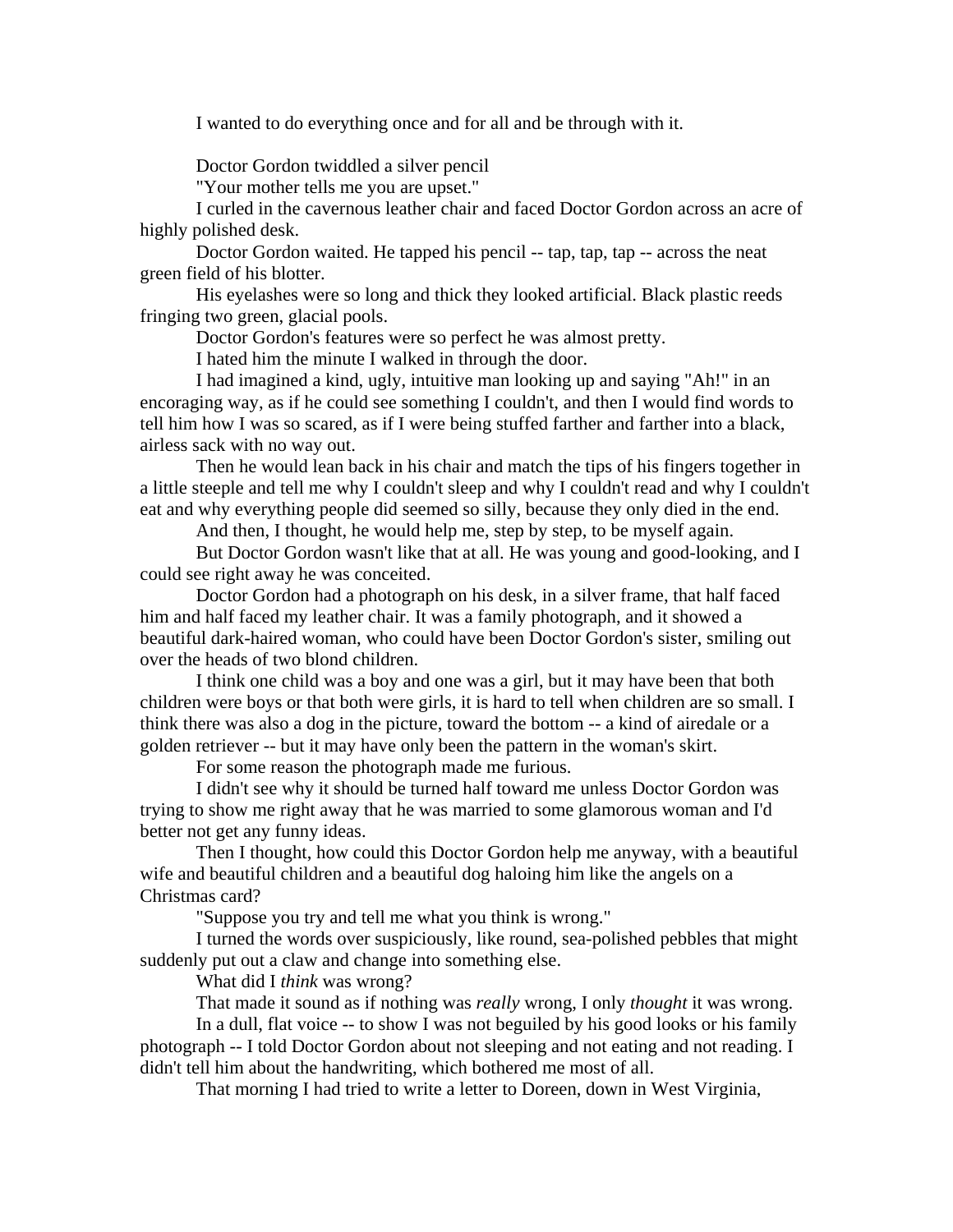I wanted to do everything once and for all and be through with it.

Doctor Gordon twiddled a silver pencil

"Your mother tells me you are upset."

 I curled in the cavernous leather chair and faced Doctor Gordon across an acre of highly polished desk.

 Doctor Gordon waited. He tapped his pencil -- tap, tap, tap -- across the neat green field of his blotter.

 His eyelashes were so long and thick they looked artificial. Black plastic reeds fringing two green, glacial pools.

Doctor Gordon's features were so perfect he was almost pretty.

I hated him the minute I walked in through the door.

 I had imagined a kind, ugly, intuitive man looking up and saying "Ah!" in an encoraging way, as if he could see something I couldn't, and then I would find words to tell him how I was so scared, as if I were being stuffed farther and farther into a black, airless sack with no way out.

 Then he would lean back in his chair and match the tips of his fingers together in a little steeple and tell me why I couldn't sleep and why I couldn't read and why I couldn't eat and why everything people did seemed so silly, because they only died in the end.

And then, I thought, he would help me, step by step, to be myself again.

 But Doctor Gordon wasn't like that at all. He was young and good-looking, and I could see right away he was conceited.

 Doctor Gordon had a photograph on his desk, in a silver frame, that half faced him and half faced my leather chair. It was a family photograph, and it showed a beautiful dark-haired woman, who could have been Doctor Gordon's sister, smiling out over the heads of two blond children.

 I think one child was a boy and one was a girl, but it may have been that both children were boys or that both were girls, it is hard to tell when children are so small. I think there was also a dog in the picture, toward the bottom -- a kind of airedale or a golden retriever -- but it may have only been the pattern in the woman's skirt.

For some reason the photograph made me furious.

 I didn't see why it should be turned half toward me unless Doctor Gordon was trying to show me right away that he was married to some glamorous woman and I'd better not get any funny ideas.

 Then I thought, how could this Doctor Gordon help me anyway, with a beautiful wife and beautiful children and a beautiful dog haloing him like the angels on a Christmas card?

"Suppose you try and tell me what you think is wrong."

 I turned the words over suspiciously, like round, sea-polished pebbles that might suddenly put out a claw and change into something else.

What did I *think* was wrong?

That made it sound as if nothing was *really* wrong, I only *thought* it was wrong.

 In a dull, flat voice -- to show I was not beguiled by his good looks or his family photograph -- I told Doctor Gordon about not sleeping and not eating and not reading. I didn't tell him about the handwriting, which bothered me most of all.

That morning I had tried to write a letter to Doreen, down in West Virginia,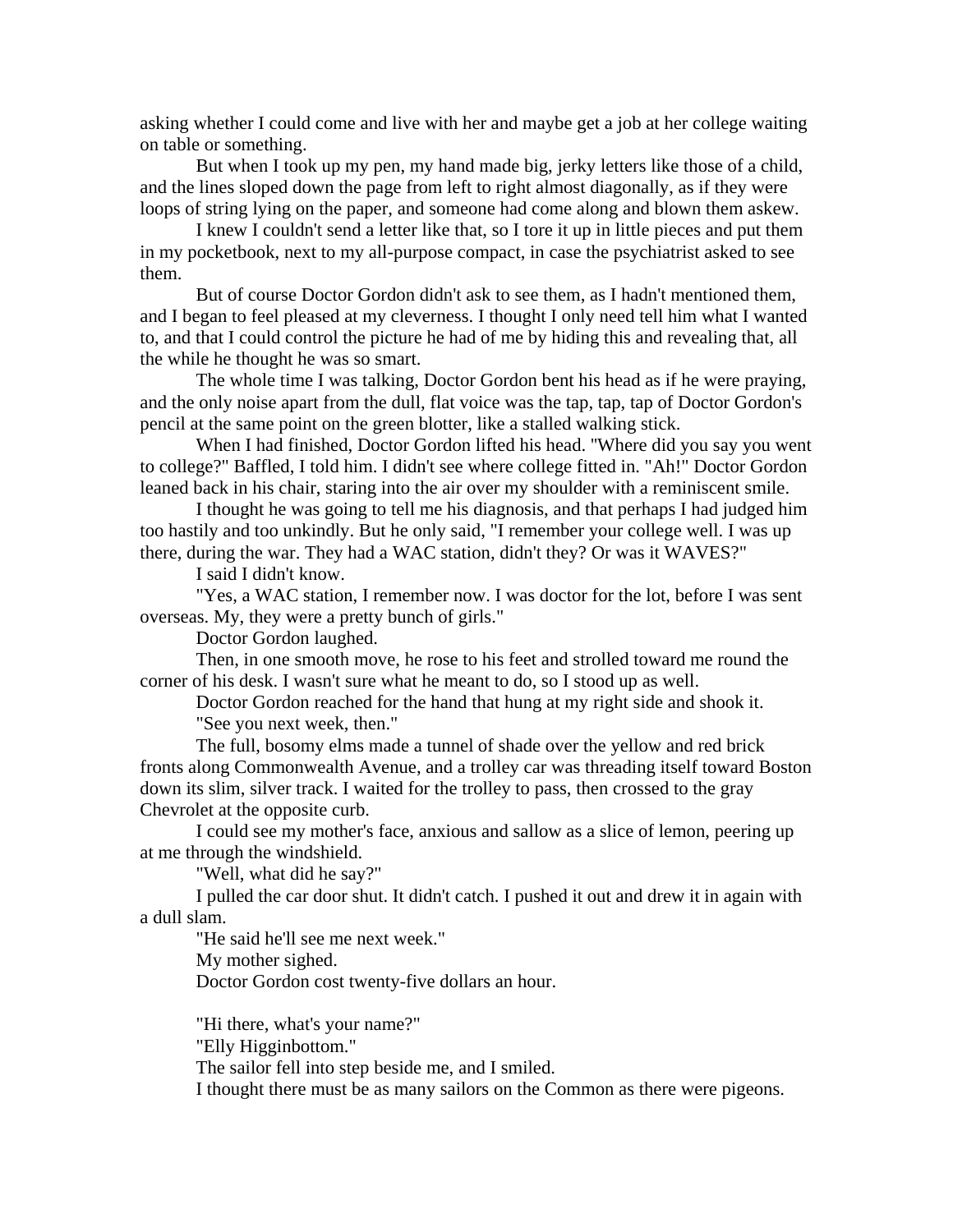asking whether I could come and live with her and maybe get a job at her college waiting on table or something.

 But when I took up my pen, my hand made big, jerky letters like those of a child, and the lines sloped down the page from left to right almost diagonally, as if they were loops of string lying on the paper, and someone had come along and blown them askew.

 I knew I couldn't send a letter like that, so I tore it up in little pieces and put them in my pocketbook, next to my all-purpose compact, in case the psychiatrist asked to see them.

 But of course Doctor Gordon didn't ask to see them, as I hadn't mentioned them, and I began to feel pleased at my cleverness. I thought I only need tell him what I wanted to, and that I could control the picture he had of me by hiding this and revealing that, all the while he thought he was so smart.

 The whole time I was talking, Doctor Gordon bent his head as if he were praying, and the only noise apart from the dull, flat voice was the tap, tap, tap of Doctor Gordon's pencil at the same point on the green blotter, like a stalled walking stick.

 When I had finished, Doctor Gordon lifted his head. ''Where did you say you went to college?" Baffled, I told him. I didn't see where college fitted in. "Ah!" Doctor Gordon leaned back in his chair, staring into the air over my shoulder with a reminiscent smile.

 I thought he was going to tell me his diagnosis, and that perhaps I had judged him too hastily and too unkindly. But he only said, "I remember your college well. I was up there, during the war. They had a WAC station, didn't they? Or was it WAVES?"

I said I didn't know.

 "Yes, a WAC station, I remember now. I was doctor for the lot, before I was sent overseas. My, they were a pretty bunch of girls."

Doctor Gordon laughed.

 Then, in one smooth move, he rose to his feet and strolled toward me round the corner of his desk. I wasn't sure what he meant to do, so I stood up as well.

 Doctor Gordon reached for the hand that hung at my right side and shook it. "See you next week, then."

 The full, bosomy elms made a tunnel of shade over the yellow and red brick fronts along Commonwealth Avenue, and a trolley car was threading itself toward Boston down its slim, silver track. I waited for the trolley to pass, then crossed to the gray Chevrolet at the opposite curb.

 I could see my mother's face, anxious and sallow as a slice of lemon, peering up at me through the windshield.

"Well, what did he say?"

 I pulled the car door shut. It didn't catch. I pushed it out and drew it in again with a dull slam.

"He said he'll see me next week."

My mother sighed.

Doctor Gordon cost twenty-five dollars an hour.

"Hi there, what's your name?"

"Elly Higginbottom."

The sailor fell into step beside me, and I smiled.

I thought there must be as many sailors on the Common as there were pigeons.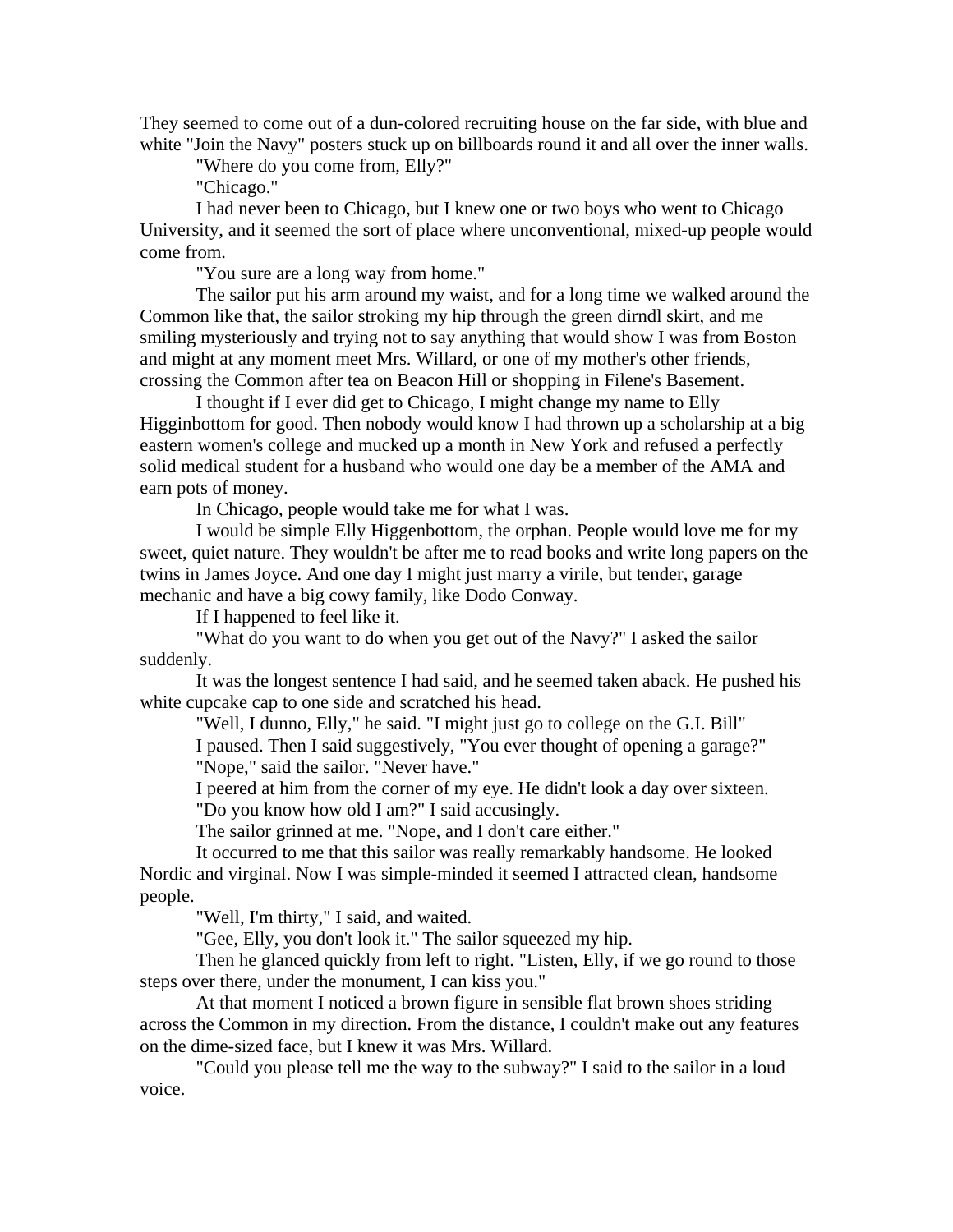They seemed to come out of a dun-colored recruiting house on the far side, with blue and white "Join the Navy" posters stuck up on billboards round it and all over the inner walls.

"Where do you come from, Elly?"

"Chicago."

 I had never been to Chicago, but I knew one or two boys who went to Chicago University, and it seemed the sort of place where unconventional, mixed-up people would come from.

"You sure are a long way from home."

 The sailor put his arm around my waist, and for a long time we walked around the Common like that, the sailor stroking my hip through the green dirndl skirt, and me smiling mysteriously and trying not to say anything that would show I was from Boston and might at any moment meet Mrs. Willard, or one of my mother's other friends, crossing the Common after tea on Beacon Hill or shopping in Filene's Basement.

 I thought if I ever did get to Chicago, I might change my name to Elly Higginbottom for good. Then nobody would know I had thrown up a scholarship at a big eastern women's college and mucked up a month in New York and refused a perfectly solid medical student for a husband who would one day be a member of the AMA and earn pots of money.

In Chicago, people would take me for what I was.

 I would be simple Elly Higgenbottom, the orphan. People would love me for my sweet, quiet nature. They wouldn't be after me to read books and write long papers on the twins in James Joyce. And one day I might just marry a virile, but tender, garage mechanic and have a big cowy family, like Dodo Conway.

If I happened to feel like it.

 "What do you want to do when you get out of the Navy?" I asked the sailor suddenly.

 It was the longest sentence I had said, and he seemed taken aback. He pushed his white cupcake cap to one side and scratched his head.

"Well, I dunno, Elly," he said. "I might just go to college on the G.I. Bill"

 I paused. Then I said suggestively, "You ever thought of opening a garage?" "Nope," said the sailor. "Never have."

 I peered at him from the corner of my eye. He didn't look a day over sixteen. "Do you know how old I am?" I said accusingly.

The sailor grinned at me. "Nope, and I don't care either."

 It occurred to me that this sailor was really remarkably handsome. He looked Nordic and virginal. Now I was simple-minded it seemed I attracted clean, handsome people.

"Well, I'm thirty," I said, and waited.

"Gee, Elly, you don't look it." The sailor squeezed my hip.

 Then he glanced quickly from left to right. "Listen, Elly, if we go round to those steps over there, under the monument, I can kiss you."

 At that moment I noticed a brown figure in sensible flat brown shoes striding across the Common in my direction. From the distance, I couldn't make out any features on the dime-sized face, but I knew it was Mrs. Willard.

 "Could you please tell me the way to the subway?" I said to the sailor in a loud voice.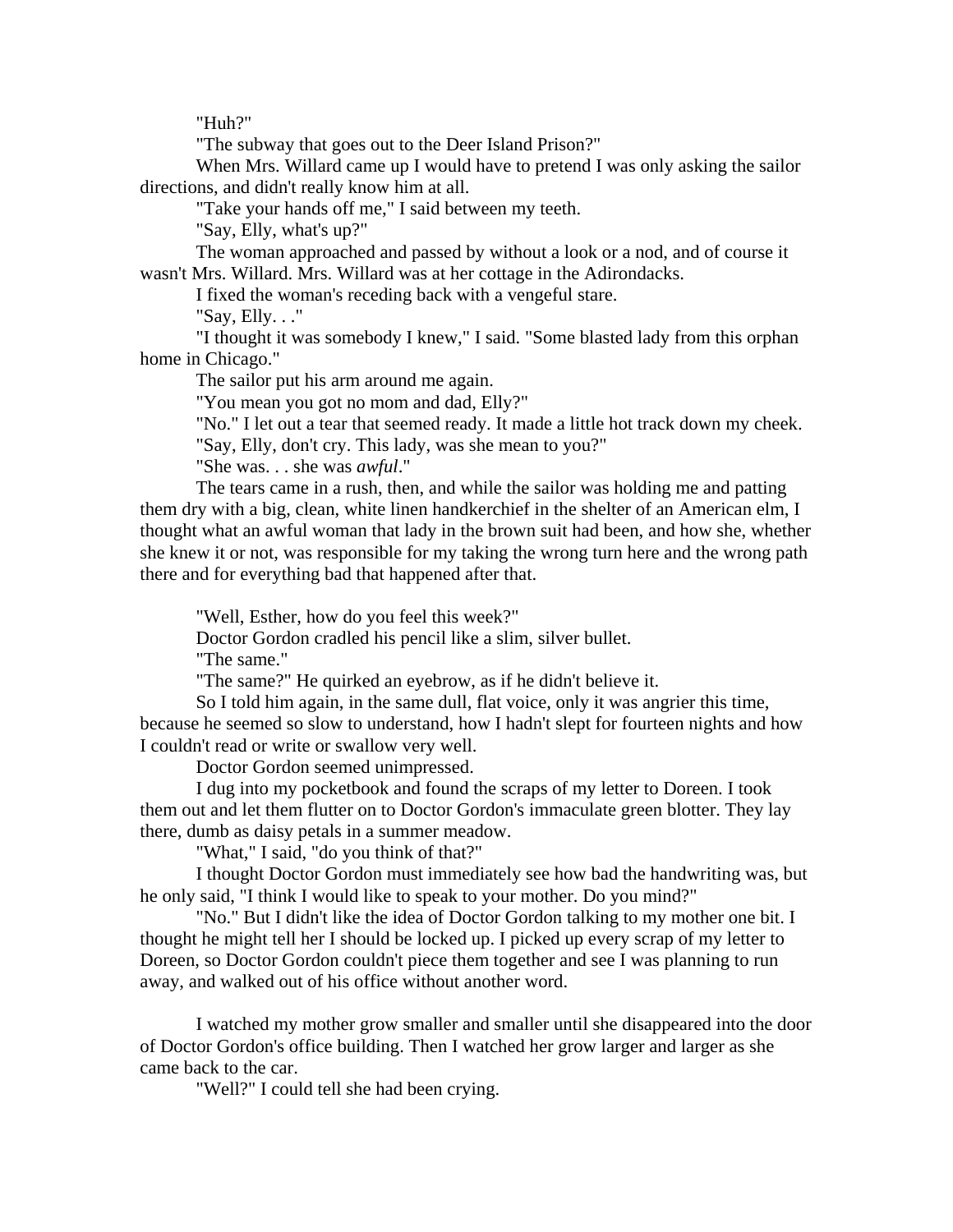"Huh?"

"The subway that goes out to the Deer Island Prison?"

When Mrs. Willard came up I would have to pretend I was only asking the sailor directions, and didn't really know him at all.

"Take your hands off me," I said between my teeth.

"Say, Elly, what's up?"

 The woman approached and passed by without a look or a nod, and of course it wasn't Mrs. Willard. Mrs. Willard was at her cottage in the Adirondacks.

I fixed the woman's receding back with a vengeful stare.

"Say, Elly.  $\ldots$ "

 "I thought it was somebody I knew," I said. "Some blasted lady from this orphan home in Chicago."

The sailor put his arm around me again.

"You mean you got no mom and dad, Elly?"

"No." I let out a tear that seemed ready. It made a little hot track down my cheek.

"Say, Elly, don't cry. This lady, was she mean to you?"

"She was. . . she was *awful*."

 The tears came in a rush, then, and while the sailor was holding me and patting them dry with a big, clean, white linen handkerchief in the shelter of an American elm, I thought what an awful woman that lady in the brown suit had been, and how she, whether she knew it or not, was responsible for my taking the wrong turn here and the wrong path there and for everything bad that happened after that.

"Well, Esther, how do you feel this week?"

Doctor Gordon cradled his pencil like a slim, silver bullet.

"The same."

"The same?" He quirked an eyebrow, as if he didn't believe it.

 So I told him again, in the same dull, flat voice, only it was angrier this time, because he seemed so slow to understand, how I hadn't slept for fourteen nights and how I couldn't read or write or swallow very well.

Doctor Gordon seemed unimpressed.

 I dug into my pocketbook and found the scraps of my letter to Doreen. I took them out and let them flutter on to Doctor Gordon's immaculate green blotter. They lay there, dumb as daisy petals in a summer meadow.

"What," I said, "do you think of that?"

 I thought Doctor Gordon must immediately see how bad the handwriting was, but he only said, "I think I would like to speak to your mother. Do you mind?"

 "No." But I didn't like the idea of Doctor Gordon talking to my mother one bit. I thought he might tell her I should be locked up. I picked up every scrap of my letter to Doreen, so Doctor Gordon couldn't piece them together and see I was planning to run away, and walked out of his office without another word.

 I watched my mother grow smaller and smaller until she disappeared into the door of Doctor Gordon's office building. Then I watched her grow larger and larger as she came back to the car.

"Well?" I could tell she had been crying.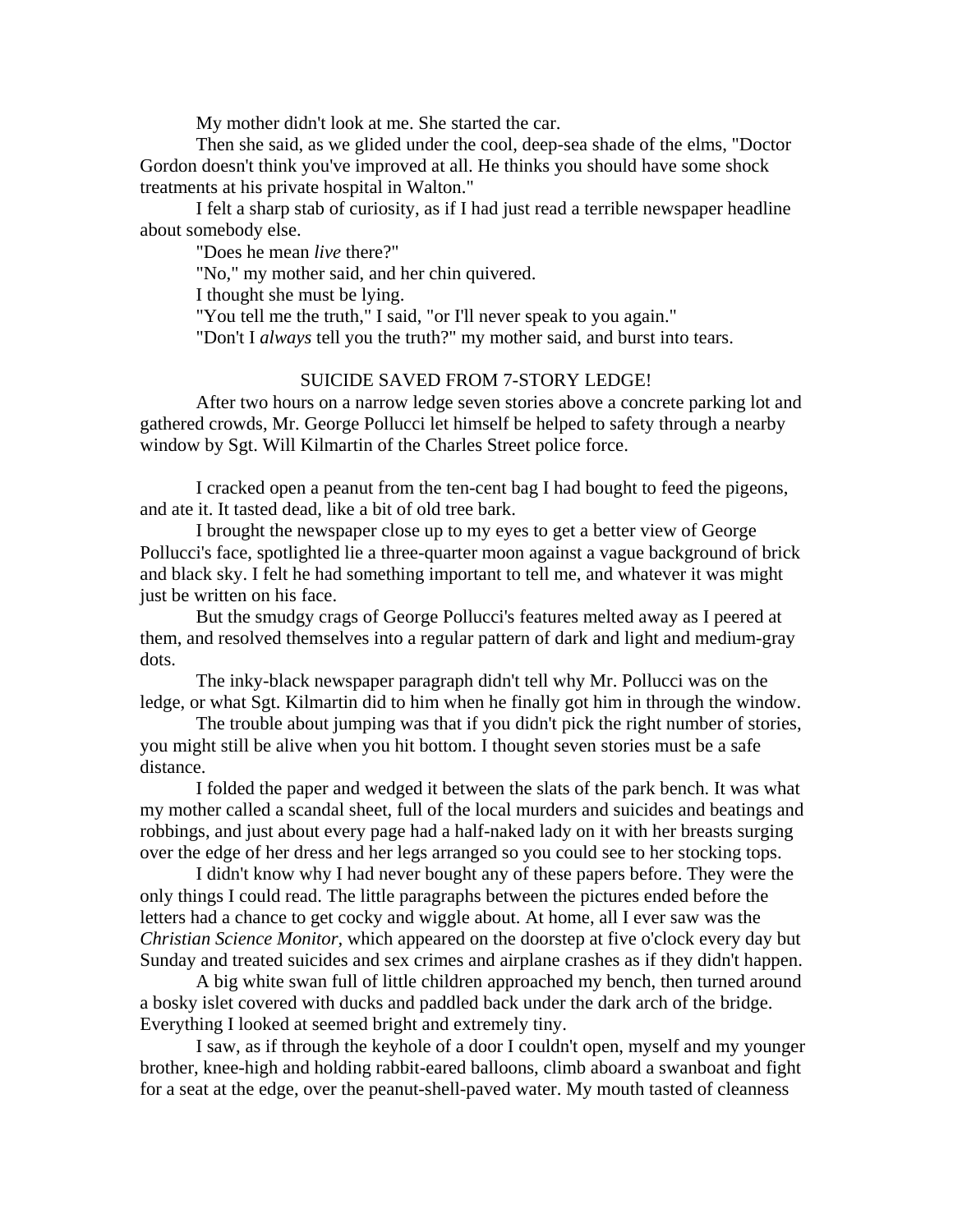My mother didn't look at me. She started the car.

 Then she said, as we glided under the cool, deep-sea shade of the elms, "Doctor Gordon doesn't think you've improved at all. He thinks you should have some shock treatments at his private hospital in Walton."

 I felt a sharp stab of curiosity, as if I had just read a terrible newspaper headline about somebody else.

"Does he mean *live* there?"

"No," my mother said, and her chin quivered.

I thought she must be lying.

"You tell me the truth," I said, "or I'll never speak to you again."

"Don't I *always* tell you the truth?" my mother said, and burst into tears.

#### SUICIDE SAVED FROM 7-STORY LEDGE!

 After two hours on a narrow ledge seven stories above a concrete parking lot and gathered crowds, Mr. George Pollucci let himself be helped to safety through a nearby window by Sgt. Will Kilmartin of the Charles Street police force.

 I cracked open a peanut from the ten-cent bag I had bought to feed the pigeons, and ate it. It tasted dead, like a bit of old tree bark.

 I brought the newspaper close up to my eyes to get a better view of George Pollucci's face, spotlighted lie a three-quarter moon against a vague background of brick and black sky. I felt he had something important to tell me, and whatever it was might just be written on his face.

 But the smudgy crags of George Pollucci's features melted away as I peered at them, and resolved themselves into a regular pattern of dark and light and medium-gray dots.

 The inky-black newspaper paragraph didn't tell why Mr. Pollucci was on the ledge, or what Sgt. Kilmartin did to him when he finally got him in through the window.

 The trouble about jumping was that if you didn't pick the right number of stories, you might still be alive when you hit bottom. I thought seven stories must be a safe distance.

 I folded the paper and wedged it between the slats of the park bench. It was what my mother called a scandal sheet, full of the local murders and suicides and beatings and robbings, and just about every page had a half-naked lady on it with her breasts surging over the edge of her dress and her legs arranged so you could see to her stocking tops.

 I didn't know why I had never bought any of these papers before. They were the only things I could read. The little paragraphs between the pictures ended before the letters had a chance to get cocky and wiggle about. At home, all I ever saw was the *Christian Science Monitor,* which appeared on the doorstep at five o'clock every day but Sunday and treated suicides and sex crimes and airplane crashes as if they didn't happen.

 A big white swan full of little children approached my bench, then turned around a bosky islet covered with ducks and paddled back under the dark arch of the bridge. Everything I looked at seemed bright and extremely tiny.

 I saw, as if through the keyhole of a door I couldn't open, myself and my younger brother, knee-high and holding rabbit-eared balloons, climb aboard a swanboat and fight for a seat at the edge, over the peanut-shell-paved water. My mouth tasted of cleanness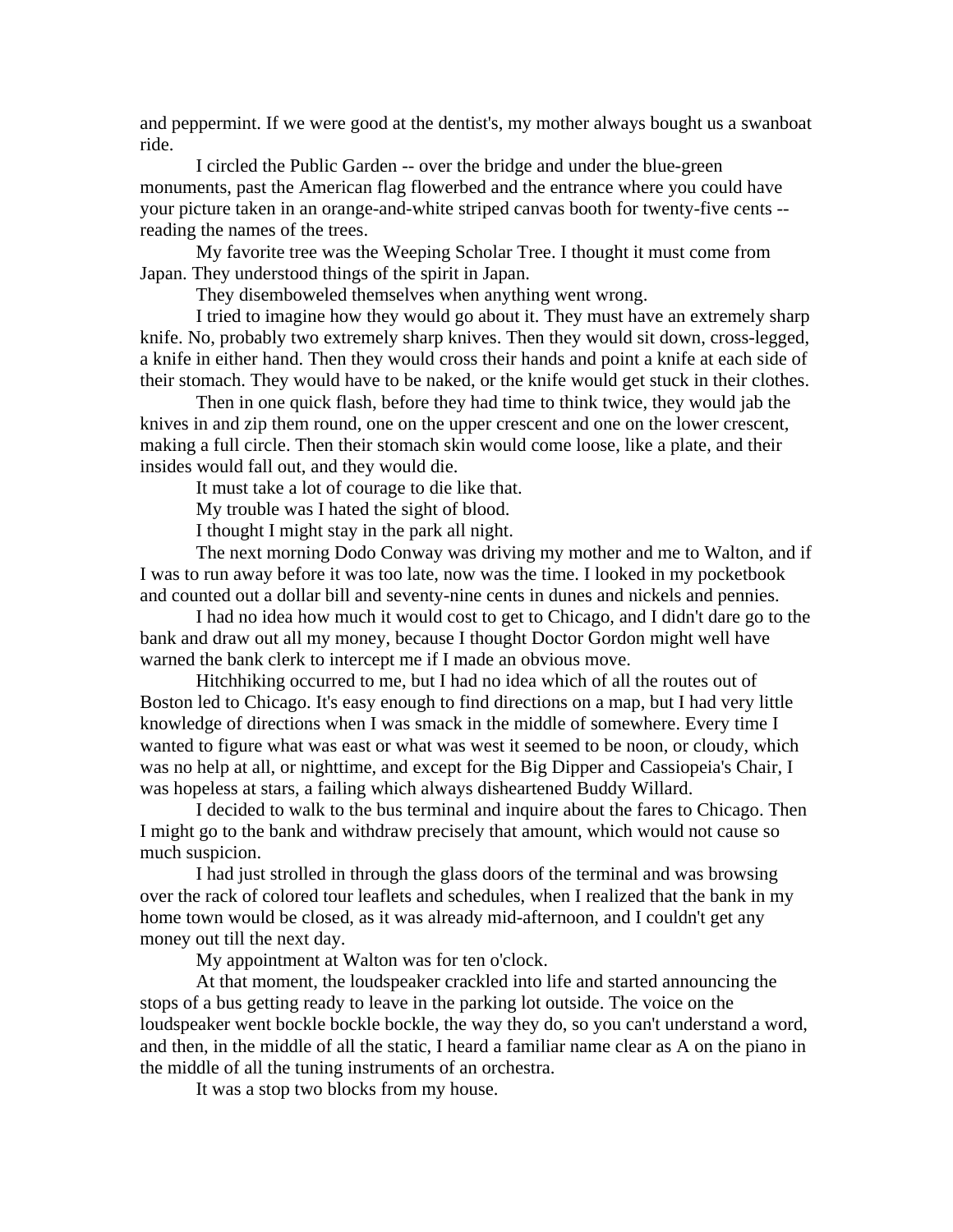and peppermint. If we were good at the dentist's, my mother always bought us a swanboat ride.

 I circled the Public Garden -- over the bridge and under the blue-green monuments, past the American flag flowerbed and the entrance where you could have your picture taken in an orange-and-white striped canvas booth for twenty-five cents - reading the names of the trees.

 My favorite tree was the Weeping Scholar Tree. I thought it must come from Japan. They understood things of the spirit in Japan.

They disemboweled themselves when anything went wrong.

 I tried to imagine how they would go about it. They must have an extremely sharp knife. No, probably two extremely sharp knives. Then they would sit down, cross-legged, a knife in either hand. Then they would cross their hands and point a knife at each side of their stomach. They would have to be naked, or the knife would get stuck in their clothes.

 Then in one quick flash, before they had time to think twice, they would jab the knives in and zip them round, one on the upper crescent and one on the lower crescent, making a full circle. Then their stomach skin would come loose, like a plate, and their insides would fall out, and they would die.

It must take a lot of courage to die like that.

My trouble was I hated the sight of blood.

I thought I might stay in the park all night.

 The next morning Dodo Conway was driving my mother and me to Walton, and if I was to run away before it was too late, now was the time. I looked in my pocketbook and counted out a dollar bill and seventy-nine cents in dunes and nickels and pennies.

 I had no idea how much it would cost to get to Chicago, and I didn't dare go to the bank and draw out all my money, because I thought Doctor Gordon might well have warned the bank clerk to intercept me if I made an obvious move.

 Hitchhiking occurred to me, but I had no idea which of all the routes out of Boston led to Chicago. It's easy enough to find directions on a map, but I had very little knowledge of directions when I was smack in the middle of somewhere. Every time I wanted to figure what was east or what was west it seemed to be noon, or cloudy, which was no help at all, or nighttime, and except for the Big Dipper and Cassiopeia's Chair, I was hopeless at stars, a failing which always disheartened Buddy Willard.

 I decided to walk to the bus terminal and inquire about the fares to Chicago. Then I might go to the bank and withdraw precisely that amount, which would not cause so much suspicion.

 I had just strolled in through the glass doors of the terminal and was browsing over the rack of colored tour leaflets and schedules, when I realized that the bank in my home town would be closed, as it was already mid-afternoon, and I couldn't get any money out till the next day.

My appointment at Walton was for ten o'clock.

 At that moment, the loudspeaker crackled into life and started announcing the stops of a bus getting ready to leave in the parking lot outside. The voice on the loudspeaker went bockle bockle bockle, the way they do, so you can't understand a word, and then, in the middle of all the static, I heard a familiar name clear as A on the piano in the middle of all the tuning instruments of an orchestra.

It was a stop two blocks from my house.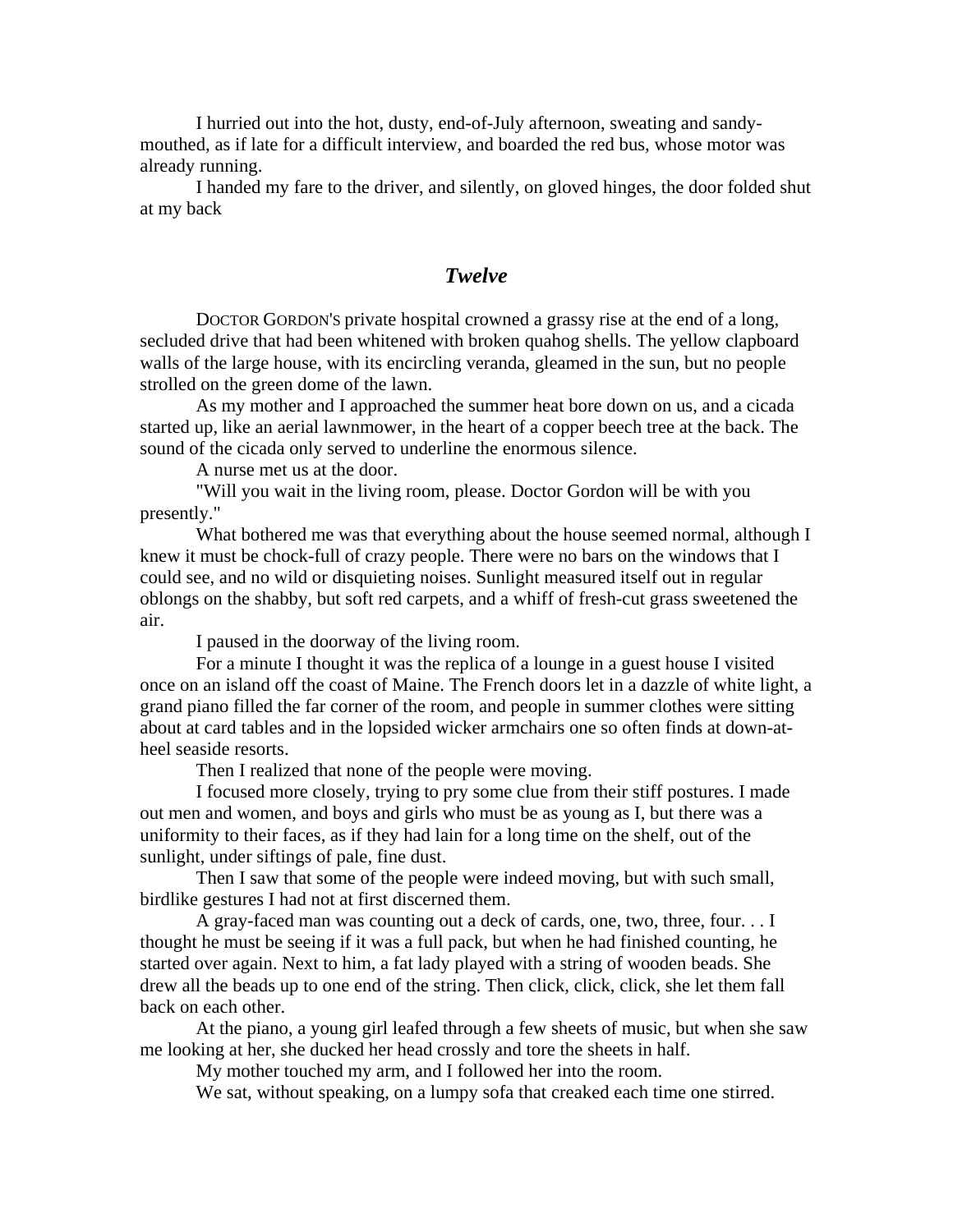I hurried out into the hot, dusty, end-of-July afternoon, sweating and sandymouthed, as if late for a difficult interview, and boarded the red bus, whose motor was already running.

 I handed my fare to the driver, and silently, on gloved hinges, the door folded shut at my back

## *Twelve*

 DOCTOR GORDON'S private hospital crowned a grassy rise at the end of a long, secluded drive that had been whitened with broken quahog shells. The yellow clapboard walls of the large house, with its encircling veranda, gleamed in the sun, but no people strolled on the green dome of the lawn.

 As my mother and I approached the summer heat bore down on us, and a cicada started up, like an aerial lawnmower, in the heart of a copper beech tree at the back. The sound of the cicada only served to underline the enormous silence.

A nurse met us at the door.

 "Will you wait in the living room, please. Doctor Gordon will be with you presently."

 What bothered me was that everything about the house seemed normal, although I knew it must be chock-full of crazy people. There were no bars on the windows that I could see, and no wild or disquieting noises. Sunlight measured itself out in regular oblongs on the shabby, but soft red carpets, and a whiff of fresh-cut grass sweetened the air.

I paused in the doorway of the living room.

 For a minute I thought it was the replica of a lounge in a guest house I visited once on an island off the coast of Maine. The French doors let in a dazzle of white light, a grand piano filled the far corner of the room, and people in summer clothes were sitting about at card tables and in the lopsided wicker armchairs one so often finds at down-atheel seaside resorts.

Then I realized that none of the people were moving.

 I focused more closely, trying to pry some clue from their stiff postures. I made out men and women, and boys and girls who must be as young as I, but there was a uniformity to their faces, as if they had lain for a long time on the shelf, out of the sunlight, under siftings of pale, fine dust.

 Then I saw that some of the people were indeed moving, but with such small, birdlike gestures I had not at first discerned them.

 A gray-faced man was counting out a deck of cards, one, two, three, four. . . I thought he must be seeing if it was a full pack, but when he had finished counting, he started over again. Next to him, a fat lady played with a string of wooden beads. She drew all the beads up to one end of the string. Then click, click, click, she let them fall back on each other.

 At the piano, a young girl leafed through a few sheets of music, but when she saw me looking at her, she ducked her head crossly and tore the sheets in half.

My mother touched my arm, and I followed her into the room.

We sat, without speaking, on a lumpy sofa that creaked each time one stirred.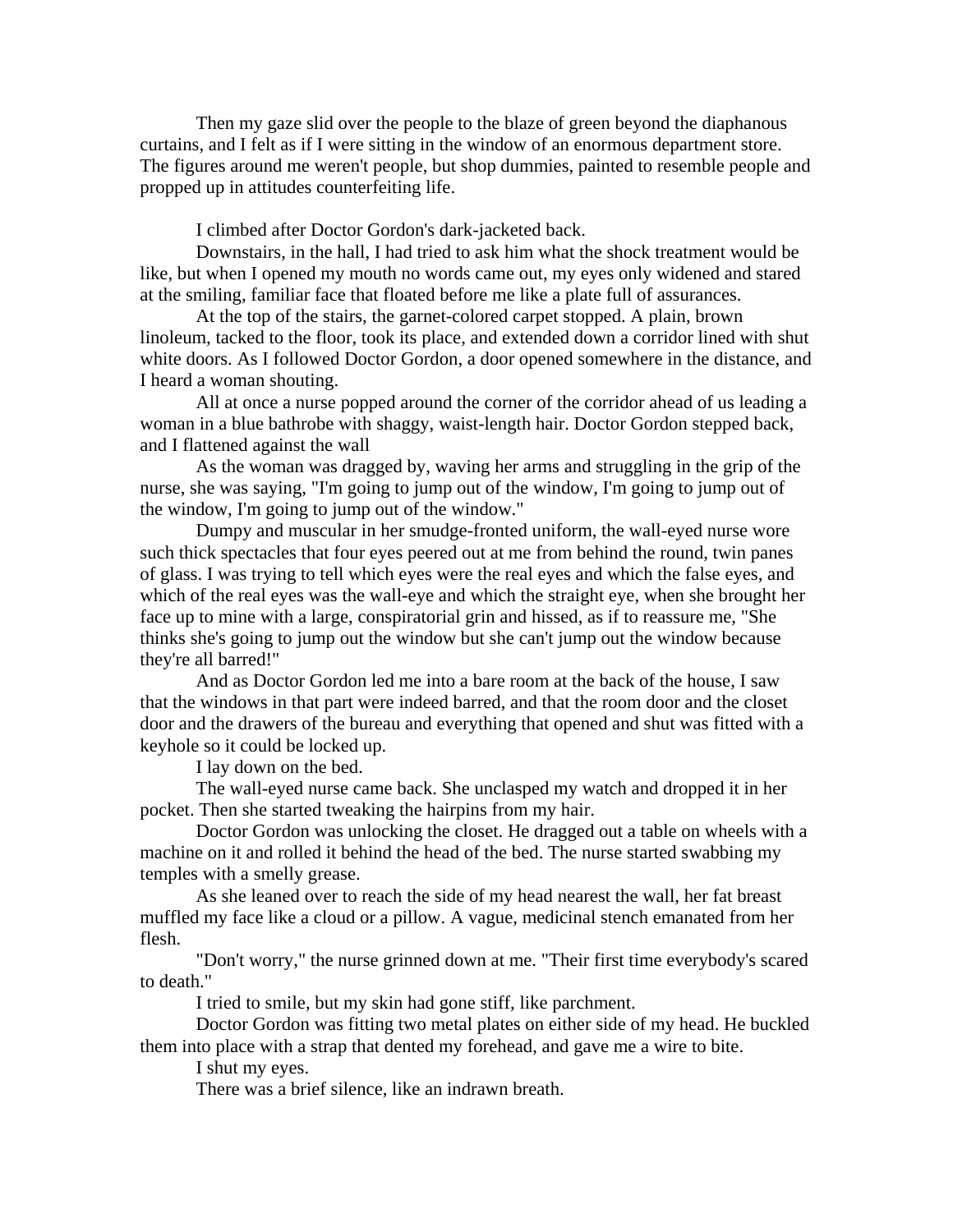Then my gaze slid over the people to the blaze of green beyond the diaphanous curtains, and I felt as if I were sitting in the window of an enormous department store. The figures around me weren't people, but shop dummies, painted to resemble people and propped up in attitudes counterfeiting life.

I climbed after Doctor Gordon's dark-jacketed back.

 Downstairs, in the hall, I had tried to ask him what the shock treatment would be like, but when I opened my mouth no words came out, my eyes only widened and stared at the smiling, familiar face that floated before me like a plate full of assurances.

 At the top of the stairs, the garnet-colored carpet stopped. A plain, brown linoleum, tacked to the floor, took its place, and extended down a corridor lined with shut white doors. As I followed Doctor Gordon, a door opened somewhere in the distance, and I heard a woman shouting.

 All at once a nurse popped around the corner of the corridor ahead of us leading a woman in a blue bathrobe with shaggy, waist-length hair. Doctor Gordon stepped back, and I flattened against the wall

 As the woman was dragged by, waving her arms and struggling in the grip of the nurse, she was saying, "I'm going to jump out of the window, I'm going to jump out of the window, I'm going to jump out of the window."

 Dumpy and muscular in her smudge-fronted uniform, the wall-eyed nurse wore such thick spectacles that four eyes peered out at me from behind the round, twin panes of glass. I was trying to tell which eyes were the real eyes and which the false eyes, and which of the real eyes was the wall-eye and which the straight eye, when she brought her face up to mine with a large, conspiratorial grin and hissed, as if to reassure me, "She thinks she's going to jump out the window but she can't jump out the window because they're all barred!"

 And as Doctor Gordon led me into a bare room at the back of the house, I saw that the windows in that part were indeed barred, and that the room door and the closet door and the drawers of the bureau and everything that opened and shut was fitted with a keyhole so it could be locked up.

I lay down on the bed.

 The wall-eyed nurse came back. She unclasped my watch and dropped it in her pocket. Then she started tweaking the hairpins from my hair.

 Doctor Gordon was unlocking the closet. He dragged out a table on wheels with a machine on it and rolled it behind the head of the bed. The nurse started swabbing my temples with a smelly grease.

 As she leaned over to reach the side of my head nearest the wall, her fat breast muffled my face like a cloud or a pillow. A vague, medicinal stench emanated from her flesh.

 "Don't worry," the nurse grinned down at me. "Their first time everybody's scared to death."

I tried to smile, but my skin had gone stiff, like parchment.

 Doctor Gordon was fitting two metal plates on either side of my head. He buckled them into place with a strap that dented my forehead, and gave me a wire to bite.

I shut my eyes.

There was a brief silence, like an indrawn breath.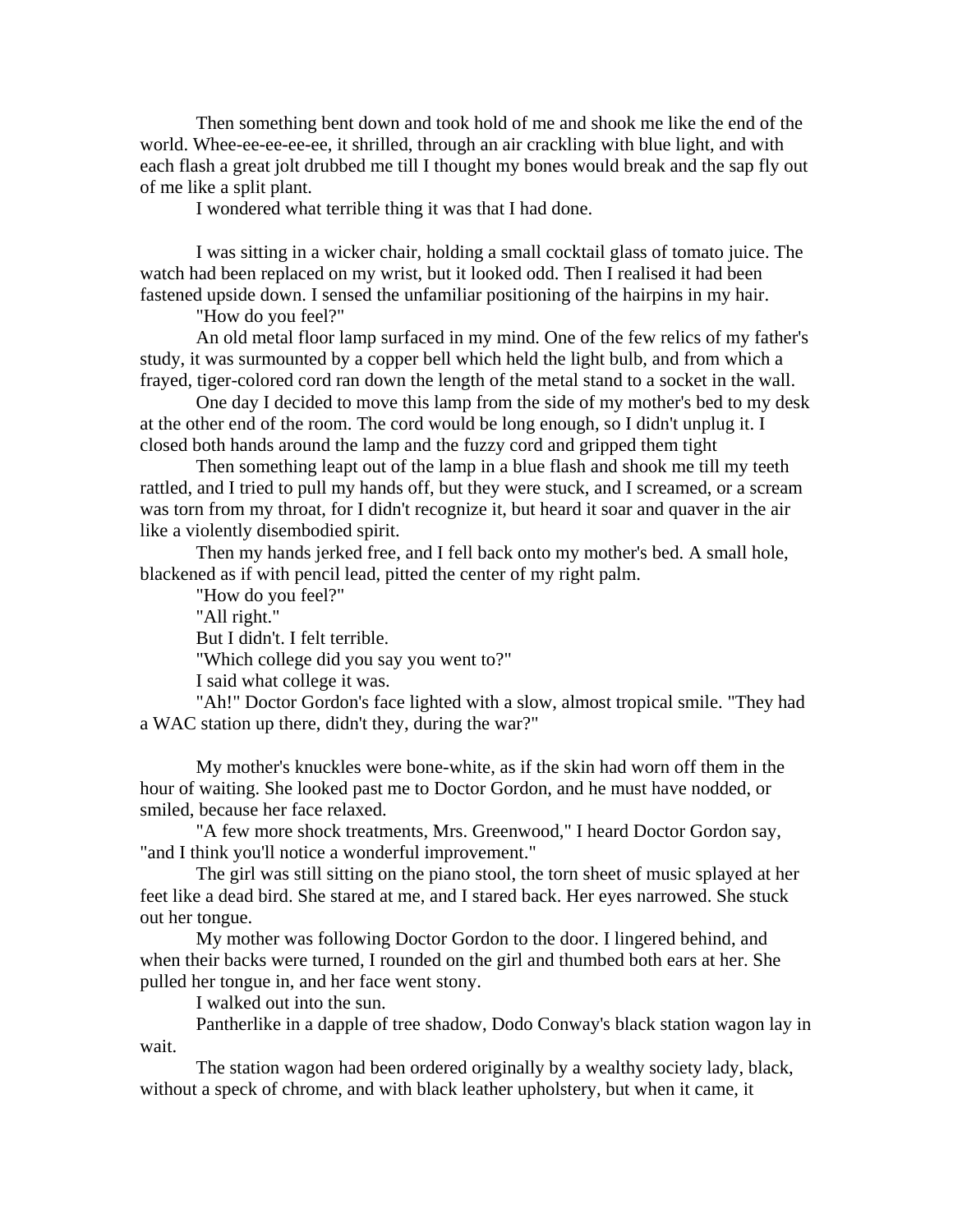Then something bent down and took hold of me and shook me like the end of the world. Whee-ee-ee-ee-ee, it shrilled, through an air crackling with blue light, and with each flash a great jolt drubbed me till I thought my bones would break and the sap fly out of me like a split plant.

I wondered what terrible thing it was that I had done.

 I was sitting in a wicker chair, holding a small cocktail glass of tomato juice. The watch had been replaced on my wrist, but it looked odd. Then I realised it had been fastened upside down. I sensed the unfamiliar positioning of the hairpins in my hair.

"How do you feel?"

 An old metal floor lamp surfaced in my mind. One of the few relics of my father's study, it was surmounted by a copper bell which held the light bulb, and from which a frayed, tiger-colored cord ran down the length of the metal stand to a socket in the wall.

 One day I decided to move this lamp from the side of my mother's bed to my desk at the other end of the room. The cord would be long enough, so I didn't unplug it. I closed both hands around the lamp and the fuzzy cord and gripped them tight

 Then something leapt out of the lamp in a blue flash and shook me till my teeth rattled, and I tried to pull my hands off, but they were stuck, and I screamed, or a scream was torn from my throat, for I didn't recognize it, but heard it soar and quaver in the air like a violently disembodied spirit.

 Then my hands jerked free, and I fell back onto my mother's bed. A small hole, blackened as if with pencil lead, pitted the center of my right palm.

 "How do you feel?" "All right." But I didn't. I felt terrible. "Which college did you say you went to?" I said what college it was.

 "Ah!" Doctor Gordon's face lighted with a slow, almost tropical smile. "They had a WAC station up there, didn't they, during the war?"

 My mother's knuckles were bone-white, as if the skin had worn off them in the hour of waiting. She looked past me to Doctor Gordon, and he must have nodded, or smiled, because her face relaxed.

 "A few more shock treatments, Mrs. Greenwood," I heard Doctor Gordon say, "and I think you'll notice a wonderful improvement."

 The girl was still sitting on the piano stool, the torn sheet of music splayed at her feet like a dead bird. She stared at me, and I stared back. Her eyes narrowed. She stuck out her tongue.

 My mother was following Doctor Gordon to the door. I lingered behind, and when their backs were turned, I rounded on the girl and thumbed both ears at her. She pulled her tongue in, and her face went stony.

I walked out into the sun.

 Pantherlike in a dapple of tree shadow, Dodo Conway's black station wagon lay in wait.

 The station wagon had been ordered originally by a wealthy society lady, black, without a speck of chrome, and with black leather upholstery, but when it came, it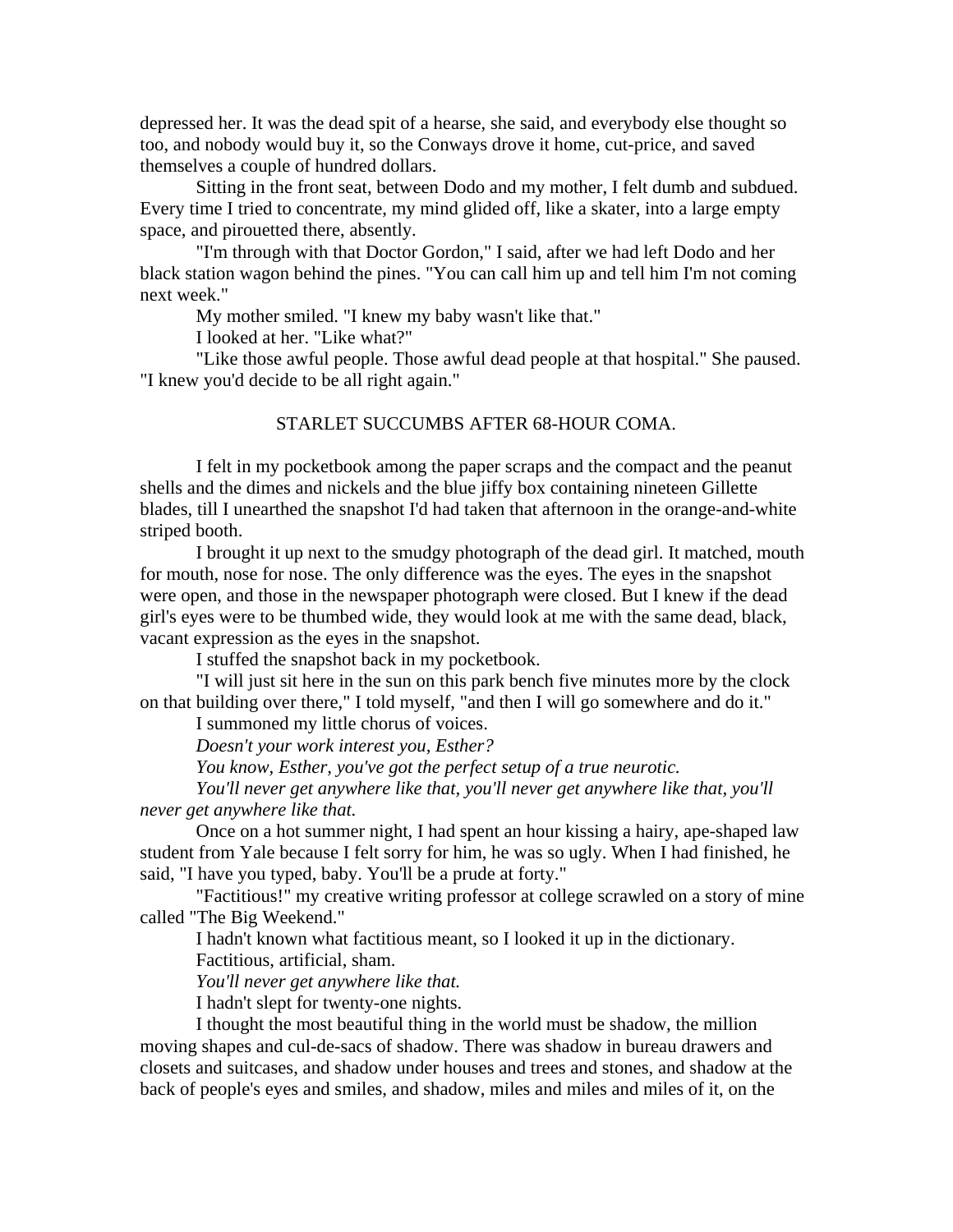depressed her. It was the dead spit of a hearse, she said, and everybody else thought so too, and nobody would buy it, so the Conways drove it home, cut-price, and saved themselves a couple of hundred dollars.

 Sitting in the front seat, between Dodo and my mother, I felt dumb and subdued. Every time I tried to concentrate, my mind glided off, like a skater, into a large empty space, and pirouetted there, absently.

 "I'm through with that Doctor Gordon," I said, after we had left Dodo and her black station wagon behind the pines. "You can call him up and tell him I'm not coming next week."

My mother smiled. "I knew my baby wasn't like that."

I looked at her. "Like what?"

 "Like those awful people. Those awful dead people at that hospital." She paused. "I knew you'd decide to be all right again."

### STARLET SUCCUMBS AFTER 68-HOUR COMA.

 I felt in my pocketbook among the paper scraps and the compact and the peanut shells and the dimes and nickels and the blue jiffy box containing nineteen Gillette blades, till I unearthed the snapshot I'd had taken that afternoon in the orange-and-white striped booth.

 I brought it up next to the smudgy photograph of the dead girl. It matched, mouth for mouth, nose for nose. The only difference was the eyes. The eyes in the snapshot were open, and those in the newspaper photograph were closed. But I knew if the dead girl's eyes were to be thumbed wide, they would look at me with the same dead, black, vacant expression as the eyes in the snapshot.

I stuffed the snapshot back in my pocketbook.

 "I will just sit here in the sun on this park bench five minutes more by the clock on that building over there," I told myself, "and then I will go somewhere and do it."

I summoned my little chorus of voices.

*Doesn't your work interest you, Esther?*

*You know, Esther, you've got the perfect setup of a true neurotic.*

*You'll never get anywhere like that, you'll never get anywhere like that, you'll never get anywhere like that.*

 Once on a hot summer night, I had spent an hour kissing a hairy, ape-shaped law student from Yale because I felt sorry for him, he was so ugly. When I had finished, he said, "I have you typed, baby. You'll be a prude at forty."

 "Factitious!" my creative writing professor at college scrawled on a story of mine called "The Big Weekend."

 I hadn't known what factitious meant, so I looked it up in the dictionary. Factitious, artificial, sham.

*You'll never get anywhere like that.*

I hadn't slept for twenty-one nights.

 I thought the most beautiful thing in the world must be shadow, the million moving shapes and cul-de-sacs of shadow. There was shadow in bureau drawers and closets and suitcases, and shadow under houses and trees and stones, and shadow at the back of people's eyes and smiles, and shadow, miles and miles and miles of it, on the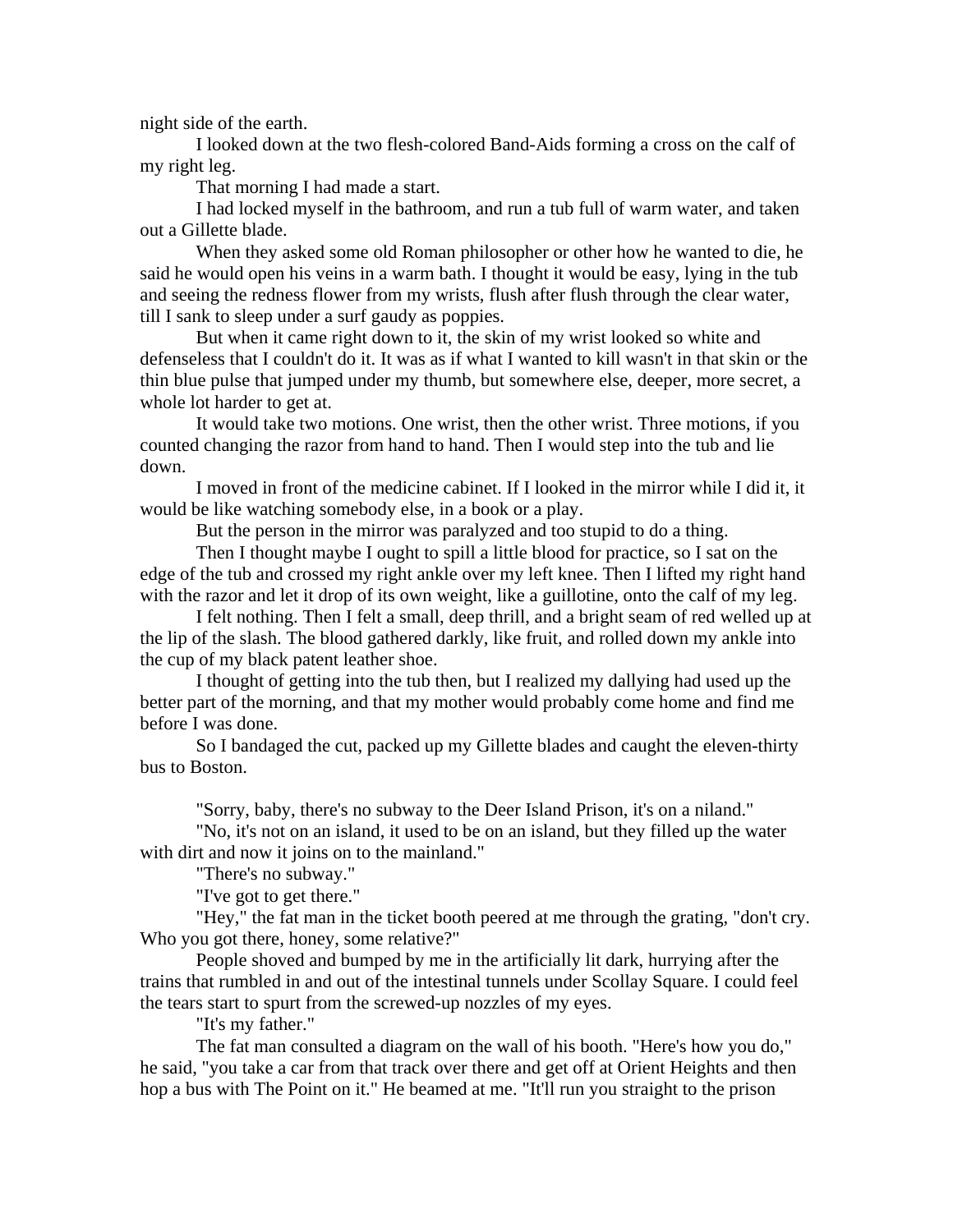night side of the earth.

 I looked down at the two flesh-colored Band-Aids forming a cross on the calf of my right leg.

That morning I had made a start.

 I had locked myself in the bathroom, and run a tub full of warm water, and taken out a Gillette blade.

 When they asked some old Roman philosopher or other how he wanted to die, he said he would open his veins in a warm bath. I thought it would be easy, lying in the tub and seeing the redness flower from my wrists, flush after flush through the clear water, till I sank to sleep under a surf gaudy as poppies.

 But when it came right down to it, the skin of my wrist looked so white and defenseless that I couldn't do it. It was as if what I wanted to kill wasn't in that skin or the thin blue pulse that jumped under my thumb, but somewhere else, deeper, more secret, a whole lot harder to get at.

 It would take two motions. One wrist, then the other wrist. Three motions, if you counted changing the razor from hand to hand. Then I would step into the tub and lie down.

 I moved in front of the medicine cabinet. If I looked in the mirror while I did it, it would be like watching somebody else, in a book or a play.

But the person in the mirror was paralyzed and too stupid to do a thing.

 Then I thought maybe I ought to spill a little blood for practice, so I sat on the edge of the tub and crossed my right ankle over my left knee. Then I lifted my right hand with the razor and let it drop of its own weight, like a guillotine, onto the calf of my leg.

 I felt nothing. Then I felt a small, deep thrill, and a bright seam of red welled up at the lip of the slash. The blood gathered darkly, like fruit, and rolled down my ankle into the cup of my black patent leather shoe.

 I thought of getting into the tub then, but I realized my dallying had used up the better part of the morning, and that my mother would probably come home and find me before I was done.

 So I bandaged the cut, packed up my Gillette blades and caught the eleven-thirty bus to Boston.

"Sorry, baby, there's no subway to the Deer Island Prison, it's on a niland."

 "No, it's not on an island, it used to be on an island, but they filled up the water with dirt and now it joins on to the mainland."

"There's no subway."

"I've got to get there."

 "Hey," the fat man in the ticket booth peered at me through the grating, "don't cry. Who you got there, honey, some relative?"

 People shoved and bumped by me in the artificially lit dark, hurrying after the trains that rumbled in and out of the intestinal tunnels under Scollay Square. I could feel the tears start to spurt from the screwed-up nozzles of my eyes.

"It's my father."

 The fat man consulted a diagram on the wall of his booth. "Here's how you do," he said, "you take a car from that track over there and get off at Orient Heights and then hop a bus with The Point on it." He beamed at me. "It'll run you straight to the prison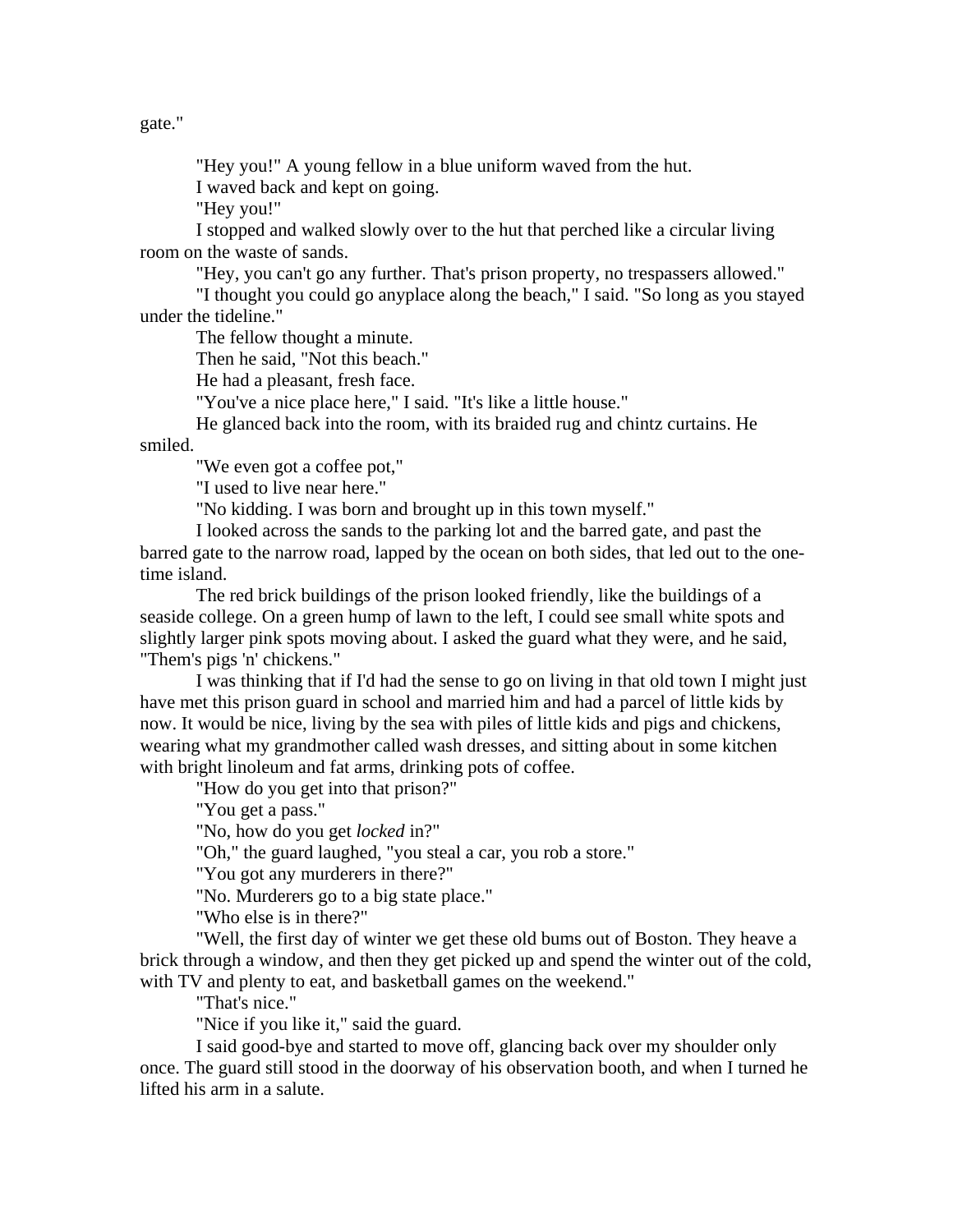gate."

 "Hey you!" A young fellow in a blue uniform waved from the hut. I waved back and kept on going.

"Hey you!"

 I stopped and walked slowly over to the hut that perched like a circular living room on the waste of sands.

 "Hey, you can't go any further. That's prison property, no trespassers allowed." "I thought you could go anyplace along the beach," I said. "So long as you stayed under the tideline."

The fellow thought a minute.

Then he said, "Not this beach."

He had a pleasant, fresh face.

"You've a nice place here," I said. "It's like a little house."

 He glanced back into the room, with its braided rug and chintz curtains. He smiled.

"We even got a coffee pot,"

"I used to live near here."

"No kidding. I was born and brought up in this town myself."

 I looked across the sands to the parking lot and the barred gate, and past the barred gate to the narrow road, lapped by the ocean on both sides, that led out to the onetime island.

 The red brick buildings of the prison looked friendly, like the buildings of a seaside college. On a green hump of lawn to the left, I could see small white spots and slightly larger pink spots moving about. I asked the guard what they were, and he said, "Them's pigs 'n' chickens."

 I was thinking that if I'd had the sense to go on living in that old town I might just have met this prison guard in school and married him and had a parcel of little kids by now. It would be nice, living by the sea with piles of little kids and pigs and chickens, wearing what my grandmother called wash dresses, and sitting about in some kitchen with bright linoleum and fat arms, drinking pots of coffee.

"How do you get into that prison?"

"You get a pass."

"No, how do you get *locked* in?"

"Oh," the guard laughed, "you steal a car, you rob a store."

"You got any murderers in there?"

"No. Murderers go to a big state place."

"Who else is in there?"

 "Well, the first day of winter we get these old bums out of Boston. They heave a brick through a window, and then they get picked up and spend the winter out of the cold, with TV and plenty to eat, and basketball games on the weekend."

"That's nice."

"Nice if you like it," said the guard.

 I said good-bye and started to move off, glancing back over my shoulder only once. The guard still stood in the doorway of his observation booth, and when I turned he lifted his arm in a salute.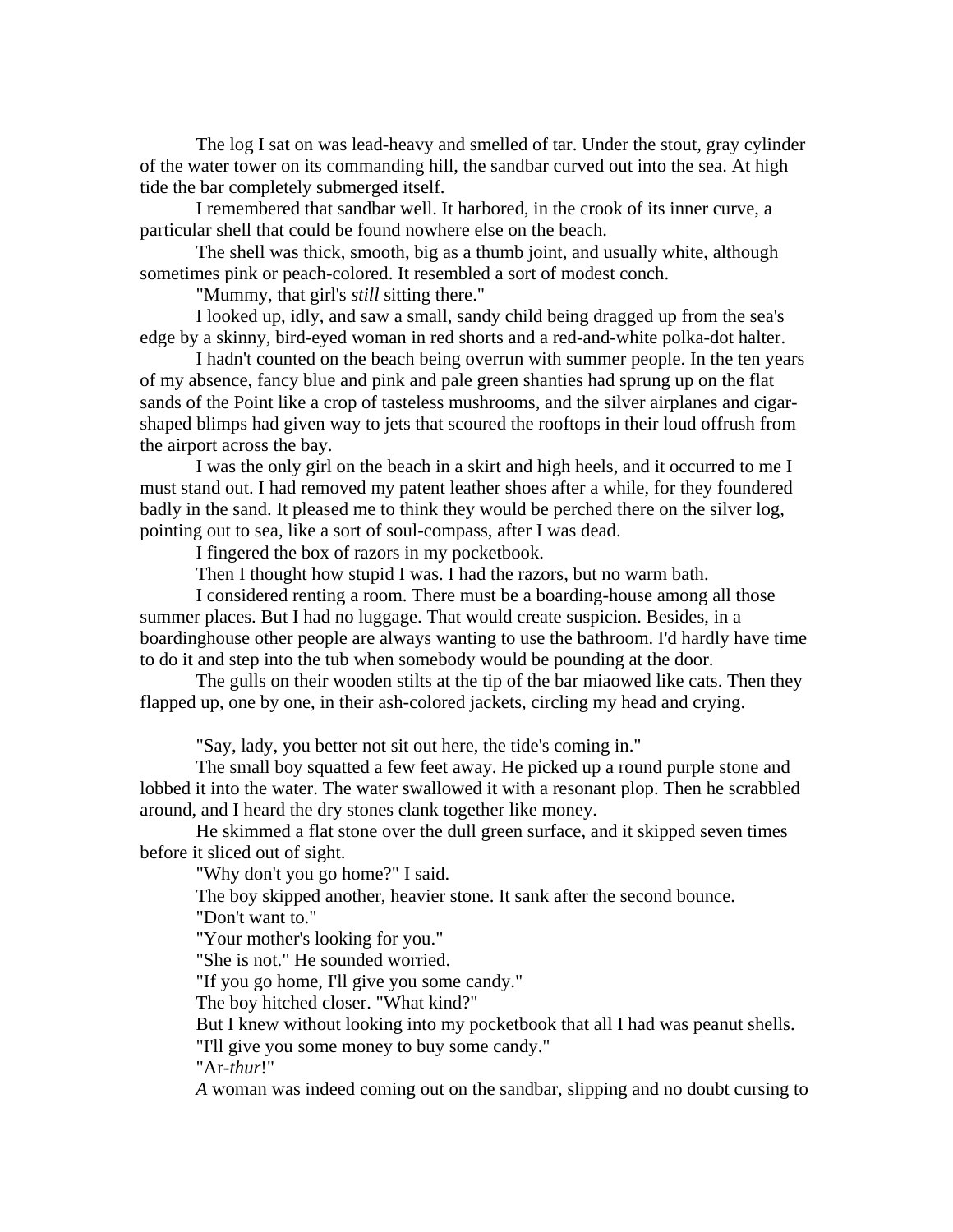The log I sat on was lead-heavy and smelled of tar. Under the stout, gray cylinder of the water tower on its commanding hill, the sandbar curved out into the sea. At high tide the bar completely submerged itself.

 I remembered that sandbar well. It harbored, in the crook of its inner curve, a particular shell that could be found nowhere else on the beach.

 The shell was thick, smooth, big as a thumb joint, and usually white, although sometimes pink or peach-colored. It resembled a sort of modest conch.

"Mummy, that girl's *still* sitting there."

 I looked up, idly, and saw a small, sandy child being dragged up from the sea's edge by a skinny, bird-eyed woman in red shorts and a red-and-white polka-dot halter.

 I hadn't counted on the beach being overrun with summer people. In the ten years of my absence, fancy blue and pink and pale green shanties had sprung up on the flat sands of the Point like a crop of tasteless mushrooms, and the silver airplanes and cigarshaped blimps had given way to jets that scoured the rooftops in their loud offrush from the airport across the bay.

 I was the only girl on the beach in a skirt and high heels, and it occurred to me I must stand out. I had removed my patent leather shoes after a while, for they foundered badly in the sand. It pleased me to think they would be perched there on the silver log, pointing out to sea, like a sort of soul-compass, after I was dead.

I fingered the box of razors in my pocketbook.

Then I thought how stupid I was. I had the razors, but no warm bath.

 I considered renting a room. There must be a boarding-house among all those summer places. But I had no luggage. That would create suspicion. Besides, in a boardinghouse other people are always wanting to use the bathroom. I'd hardly have time to do it and step into the tub when somebody would be pounding at the door.

 The gulls on their wooden stilts at the tip of the bar miaowed like cats. Then they flapped up, one by one, in their ash-colored jackets, circling my head and crying.

"Say, lady, you better not sit out here, the tide's coming in."

 The small boy squatted a few feet away. He picked up a round purple stone and lobbed it into the water. The water swallowed it with a resonant plop. Then he scrabbled around, and I heard the dry stones clank together like money.

 He skimmed a flat stone over the dull green surface, and it skipped seven times before it sliced out of sight.

"Why don't you go home?" I said.

The boy skipped another, heavier stone. It sank after the second bounce.

"Don't want to."

"Your mother's looking for you."

"She is not." He sounded worried.

"If you go home, I'll give you some candy."

The boy hitched closer. "What kind?"

But I knew without looking into my pocketbook that all I had was peanut shells.

"I'll give you some money to buy some candy."

"Ar-*thur*!"

*A* woman was indeed coming out on the sandbar, slipping and no doubt cursing to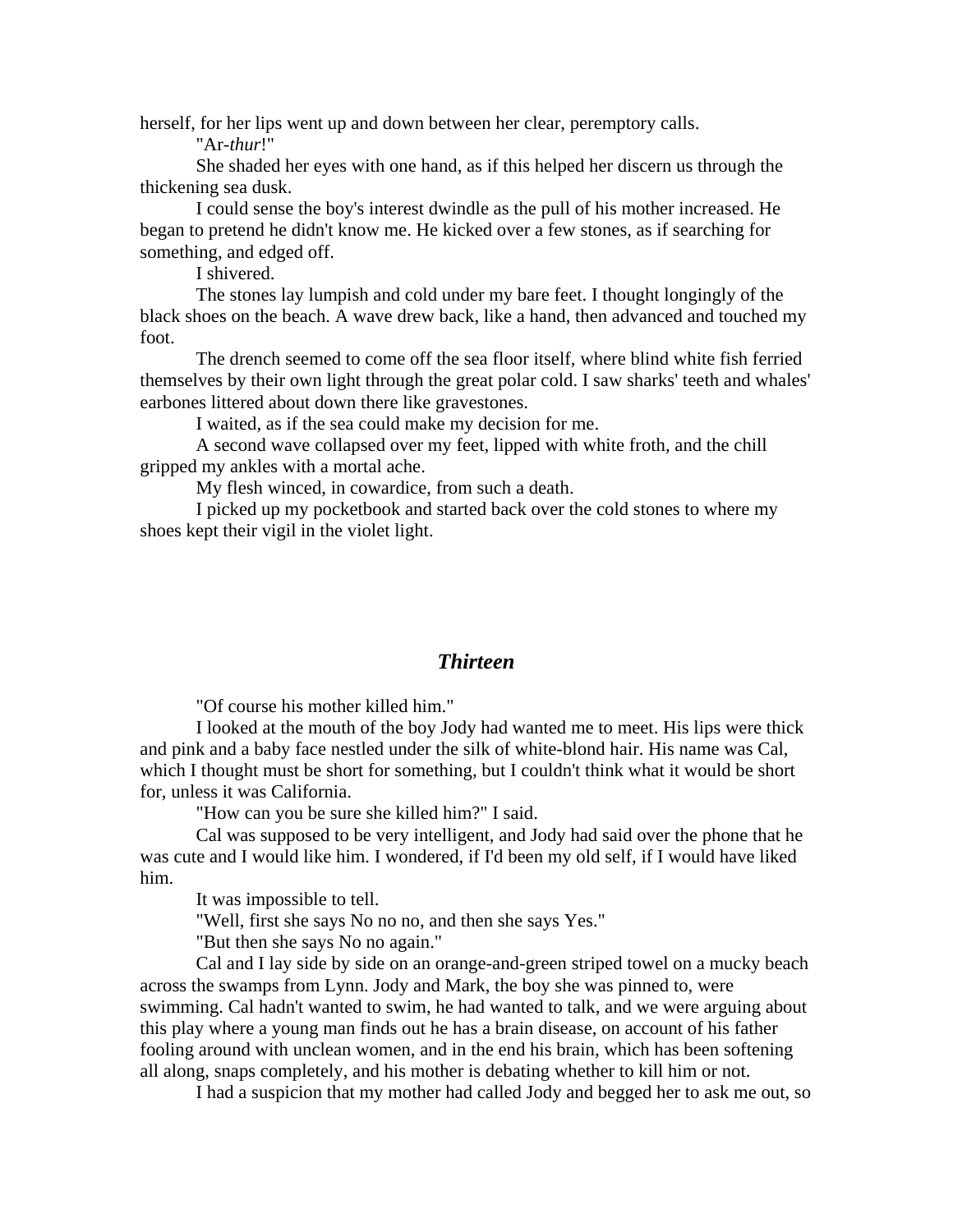herself, for her lips went up and down between her clear, peremptory calls.

"Ar-*thur*!"

 She shaded her eyes with one hand, as if this helped her discern us through the thickening sea dusk.

 I could sense the boy's interest dwindle as the pull of his mother increased. He began to pretend he didn't know me. He kicked over a few stones, as if searching for something, and edged off.

I shivered.

 The stones lay lumpish and cold under my bare feet. I thought longingly of the black shoes on the beach. A wave drew back, like a hand, then advanced and touched my foot.

 The drench seemed to come off the sea floor itself, where blind white fish ferried themselves by their own light through the great polar cold. I saw sharks' teeth and whales' earbones littered about down there like gravestones.

I waited, as if the sea could make my decision for me.

 A second wave collapsed over my feet, lipped with white froth, and the chill gripped my ankles with a mortal ache.

My flesh winced, in cowardice, from such a death.

 I picked up my pocketbook and started back over the cold stones to where my shoes kept their vigil in the violet light.

# *Thirteen*

"Of course his mother killed him."

 I looked at the mouth of the boy Jody had wanted me to meet. His lips were thick and pink and a baby face nestled under the silk of white-blond hair. His name was Cal, which I thought must be short for something, but I couldn't think what it would be short for, unless it was California.

"How can you be sure she killed him?" I said.

 Cal was supposed to be very intelligent, and Jody had said over the phone that he was cute and I would like him. I wondered, if I'd been my old self, if I would have liked him.

It was impossible to tell.

"Well, first she says No no no, and then she says Yes."

"But then she says No no again."

 Cal and I lay side by side on an orange-and-green striped towel on a mucky beach across the swamps from Lynn. Jody and Mark, the boy she was pinned to, were swimming. Cal hadn't wanted to swim, he had wanted to talk, and we were arguing about this play where a young man finds out he has a brain disease, on account of his father fooling around with unclean women, and in the end his brain, which has been softening all along, snaps completely, and his mother is debating whether to kill him or not.

I had a suspicion that my mother had called Jody and begged her to ask me out, so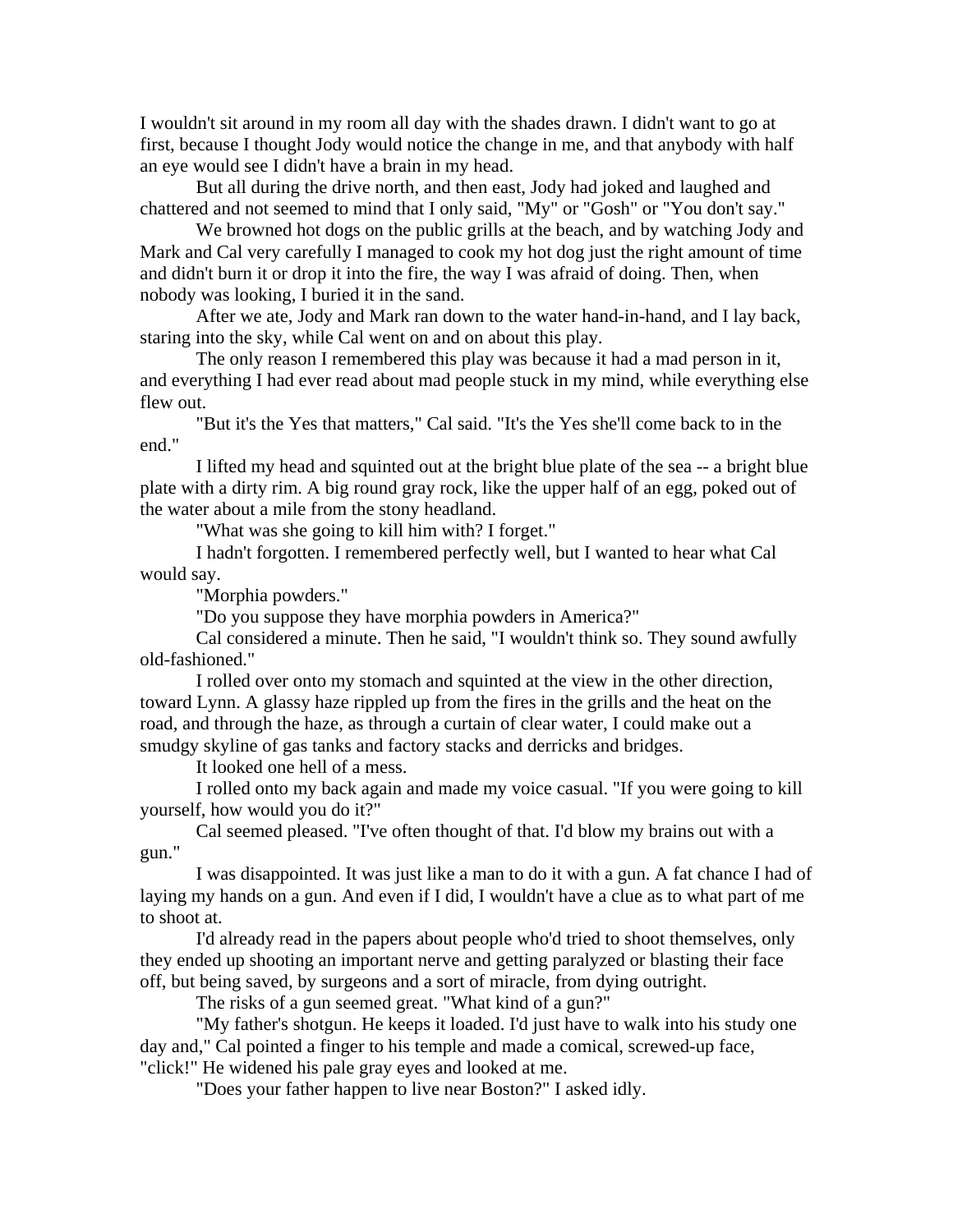I wouldn't sit around in my room all day with the shades drawn. I didn't want to go at first, because I thought Jody would notice the change in me, and that anybody with half an eye would see I didn't have a brain in my head.

 But all during the drive north, and then east, Jody had joked and laughed and chattered and not seemed to mind that I only said, "My" or "Gosh" or "You don't say."

 We browned hot dogs on the public grills at the beach, and by watching Jody and Mark and Cal very carefully I managed to cook my hot dog just the right amount of time and didn't burn it or drop it into the fire, the way I was afraid of doing. Then, when nobody was looking, I buried it in the sand.

 After we ate, Jody and Mark ran down to the water hand-in-hand, and I lay back, staring into the sky, while Cal went on and on about this play.

 The only reason I remembered this play was because it had a mad person in it, and everything I had ever read about mad people stuck in my mind, while everything else flew out.

 "But it's the Yes that matters," Cal said. "It's the Yes she'll come back to in the end."

 I lifted my head and squinted out at the bright blue plate of the sea -- a bright blue plate with a dirty rim. A big round gray rock, like the upper half of an egg, poked out of the water about a mile from the stony headland.

"What was she going to kill him with? I forget."

 I hadn't forgotten. I remembered perfectly well, but I wanted to hear what Cal would say.

"Morphia powders."

"Do you suppose they have morphia powders in America?"

 Cal considered a minute. Then he said, "I wouldn't think so. They sound awfully old-fashioned."

 I rolled over onto my stomach and squinted at the view in the other direction, toward Lynn. A glassy haze rippled up from the fires in the grills and the heat on the road, and through the haze, as through a curtain of clear water, I could make out a smudgy skyline of gas tanks and factory stacks and derricks and bridges.

It looked one hell of a mess.

 I rolled onto my back again and made my voice casual. "If you were going to kill yourself, how would you do it?"

 Cal seemed pleased. "I've often thought of that. I'd blow my brains out with a gun."

 I was disappointed. It was just like a man to do it with a gun. A fat chance I had of laying my hands on a gun. And even if I did, I wouldn't have a clue as to what part of me to shoot at.

 I'd already read in the papers about people who'd tried to shoot themselves, only they ended up shooting an important nerve and getting paralyzed or blasting their face off, but being saved, by surgeons and a sort of miracle, from dying outright.

The risks of a gun seemed great. "What kind of a gun?"

 "My father's shotgun. He keeps it loaded. I'd just have to walk into his study one day and," Cal pointed a finger to his temple and made a comical, screwed-up face, "click!" He widened his pale gray eyes and looked at me.

"Does your father happen to live near Boston?" I asked idly.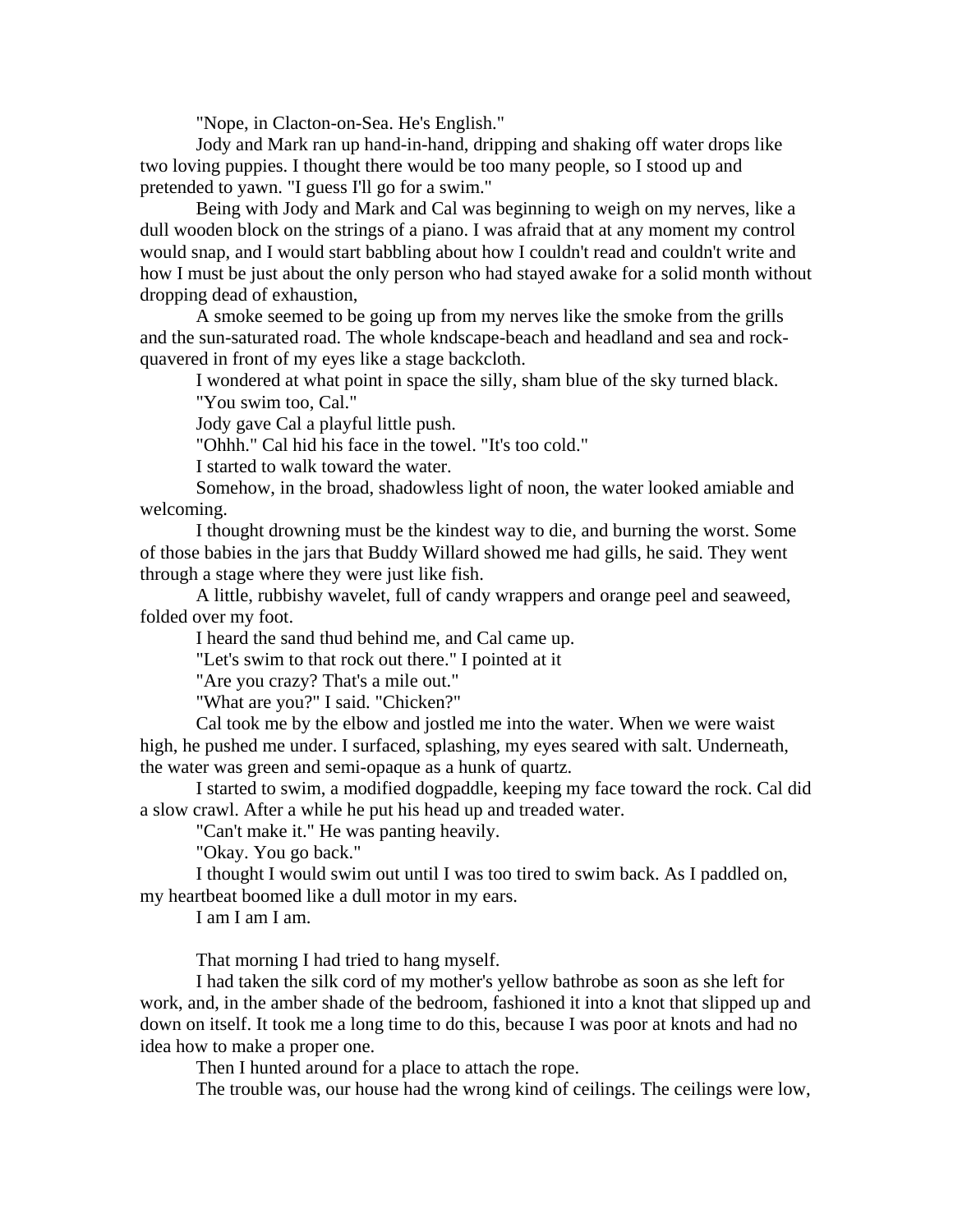"Nope, in Clacton-on-Sea. He's English."

 Jody and Mark ran up hand-in-hand, dripping and shaking off water drops like two loving puppies. I thought there would be too many people, so I stood up and pretended to yawn. "I guess I'll go for a swim."

 Being with Jody and Mark and Cal was beginning to weigh on my nerves, like a dull wooden block on the strings of a piano. I was afraid that at any moment my control would snap, and I would start babbling about how I couldn't read and couldn't write and how I must be just about the only person who had stayed awake for a solid month without dropping dead of exhaustion,

 A smoke seemed to be going up from my nerves like the smoke from the grills and the sun-saturated road. The whole kndscape-beach and headland and sea and rockquavered in front of my eyes like a stage backcloth.

 I wondered at what point in space the silly, sham blue of the sky turned black. "You swim too, Cal."

Jody gave Cal a playful little push.

"Ohhh." Cal hid his face in the towel. "It's too cold."

I started to walk toward the water.

 Somehow, in the broad, shadowless light of noon, the water looked amiable and welcoming.

 I thought drowning must be the kindest way to die, and burning the worst. Some of those babies in the jars that Buddy Willard showed me had gills, he said. They went through a stage where they were just like fish.

 A little, rubbishy wavelet, full of candy wrappers and orange peel and seaweed, folded over my foot.

I heard the sand thud behind me, and Cal came up.

"Let's swim to that rock out there." I pointed at it

"Are you crazy? That's a mile out."

"What are you?" I said. "Chicken?"

 Cal took me by the elbow and jostled me into the water. When we were waist high, he pushed me under. I surfaced, splashing, my eyes seared with salt. Underneath, the water was green and semi-opaque as a hunk of quartz.

 I started to swim, a modified dogpaddle, keeping my face toward the rock. Cal did a slow crawl. After a while he put his head up and treaded water.

"Can't make it." He was panting heavily.

"Okay. You go back."

 I thought I would swim out until I was too tired to swim back. As I paddled on, my heartbeat boomed like a dull motor in my ears.

I am I am I am.

That morning I had tried to hang myself.

 I had taken the silk cord of my mother's yellow bathrobe as soon as she left for work, and, in the amber shade of the bedroom, fashioned it into a knot that slipped up and down on itself. It took me a long time to do this, because I was poor at knots and had no idea how to make a proper one.

Then I hunted around for a place to attach the rope.

The trouble was, our house had the wrong kind of ceilings. The ceilings were low,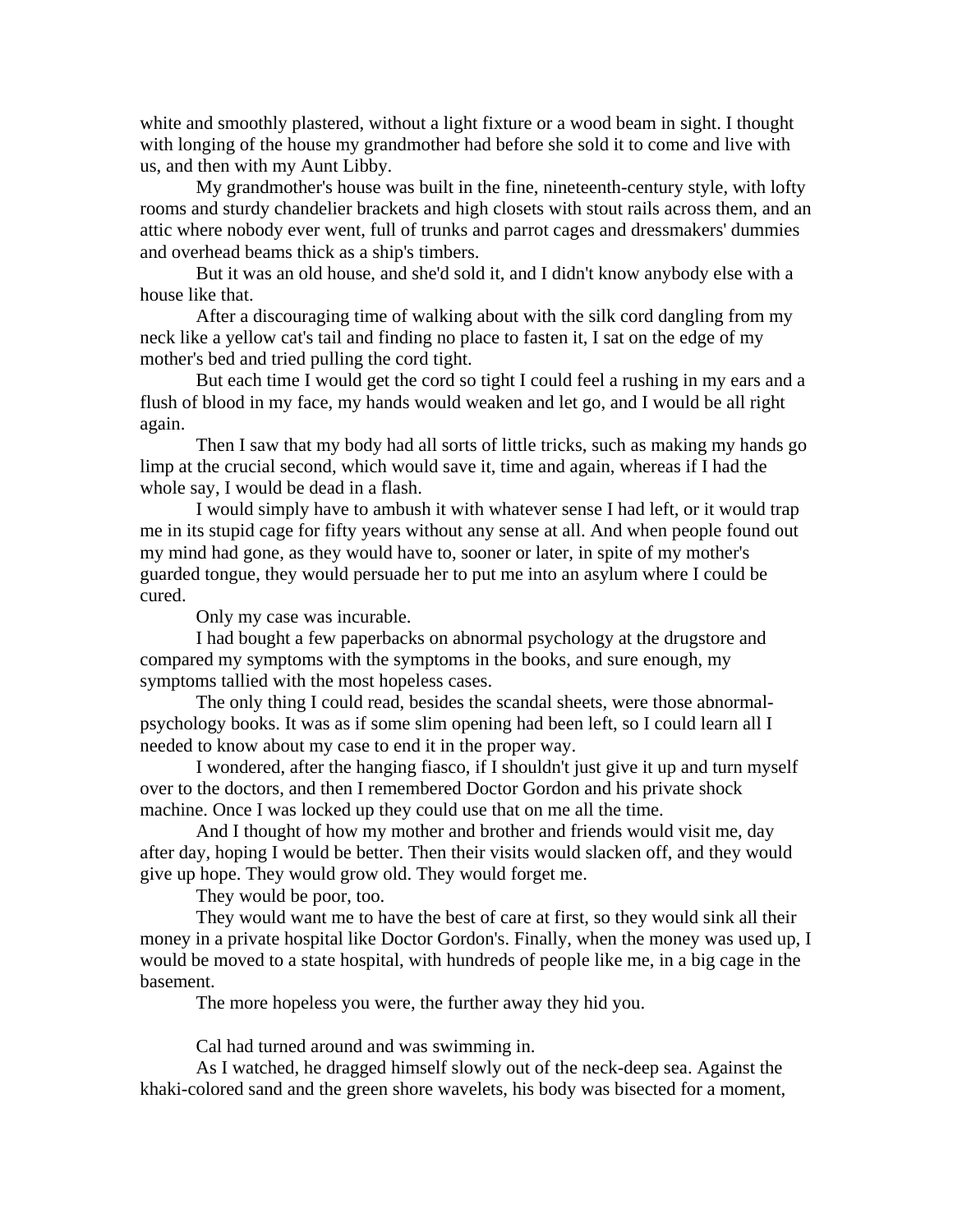white and smoothly plastered, without a light fixture or a wood beam in sight. I thought with longing of the house my grandmother had before she sold it to come and live with us, and then with my Aunt Libby.

 My grandmother's house was built in the fine, nineteenth-century style, with lofty rooms and sturdy chandelier brackets and high closets with stout rails across them, and an attic where nobody ever went, full of trunks and parrot cages and dressmakers' dummies and overhead beams thick as a ship's timbers.

 But it was an old house, and she'd sold it, and I didn't know anybody else with a house like that.

 After a discouraging time of walking about with the silk cord dangling from my neck like a yellow cat's tail and finding no place to fasten it, I sat on the edge of my mother's bed and tried pulling the cord tight.

 But each time I would get the cord so tight I could feel a rushing in my ears and a flush of blood in my face, my hands would weaken and let go, and I would be all right again.

 Then I saw that my body had all sorts of little tricks, such as making my hands go limp at the crucial second, which would save it, time and again, whereas if I had the whole say, I would be dead in a flash.

 I would simply have to ambush it with whatever sense I had left, or it would trap me in its stupid cage for fifty years without any sense at all. And when people found out my mind had gone, as they would have to, sooner or later, in spite of my mother's guarded tongue, they would persuade her to put me into an asylum where I could be cured.

Only my case was incurable.

 I had bought a few paperbacks on abnormal psychology at the drugstore and compared my symptoms with the symptoms in the books, and sure enough, my symptoms tallied with the most hopeless cases.

 The only thing I could read, besides the scandal sheets, were those abnormalpsychology books. It was as if some slim opening had been left, so I could learn all I needed to know about my case to end it in the proper way.

 I wondered, after the hanging fiasco, if I shouldn't just give it up and turn myself over to the doctors, and then I remembered Doctor Gordon and his private shock machine. Once I was locked up they could use that on me all the time.

 And I thought of how my mother and brother and friends would visit me, day after day, hoping I would be better. Then their visits would slacken off, and they would give up hope. They would grow old. They would forget me.

They would be poor, too.

 They would want me to have the best of care at first, so they would sink all their money in a private hospital like Doctor Gordon's. Finally, when the money was used up, I would be moved to a state hospital, with hundreds of people like me, in a big cage in the basement.

The more hopeless you were, the further away they hid you.

Cal had turned around and was swimming in.

 As I watched, he dragged himself slowly out of the neck-deep sea. Against the khaki-colored sand and the green shore wavelets, his body was bisected for a moment,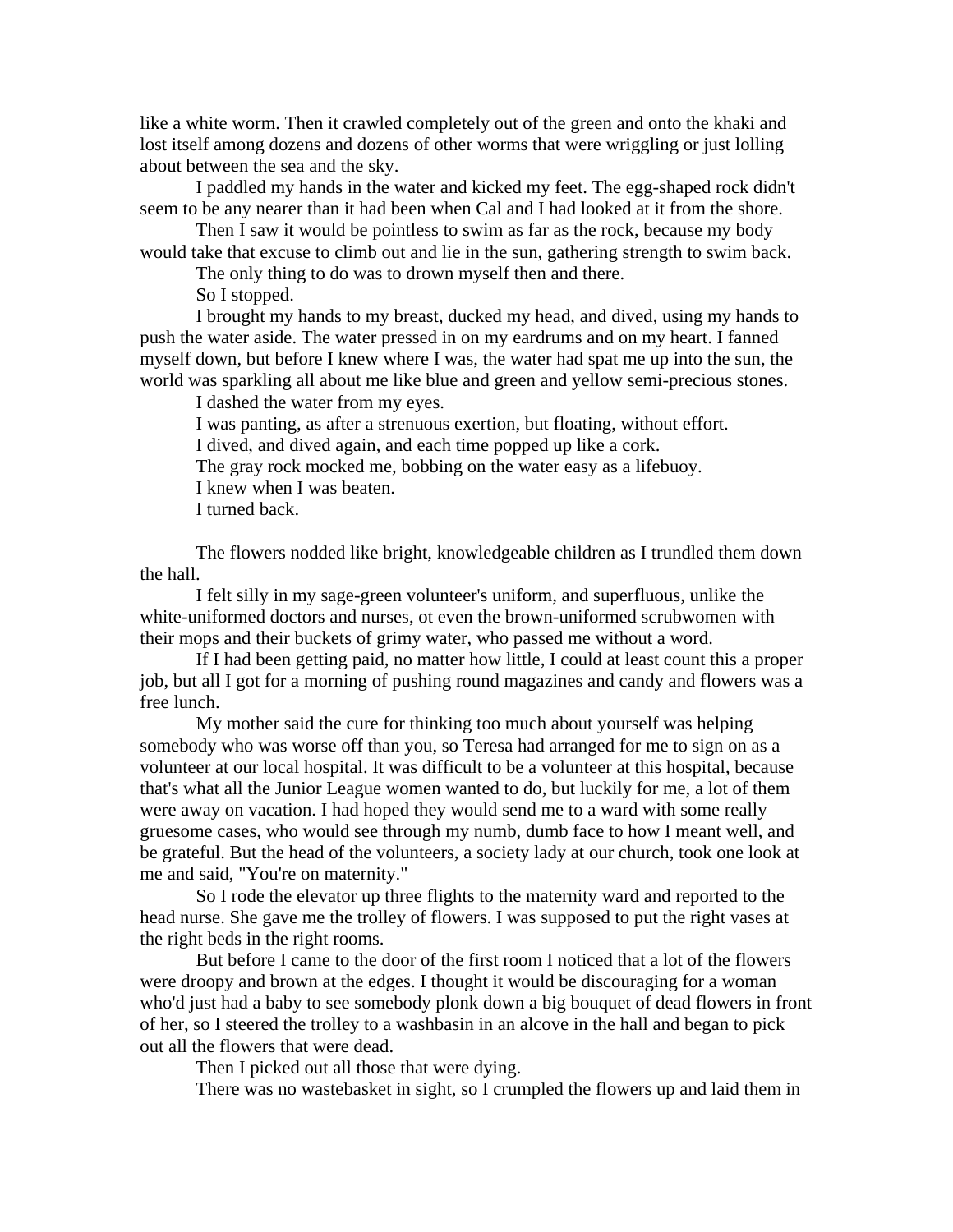like a white worm. Then it crawled completely out of the green and onto the khaki and lost itself among dozens and dozens of other worms that were wriggling or just lolling about between the sea and the sky.

 I paddled my hands in the water and kicked my feet. The egg-shaped rock didn't seem to be any nearer than it had been when Cal and I had looked at it from the shore.

 Then I saw it would be pointless to swim as far as the rock, because my body would take that excuse to climb out and lie in the sun, gathering strength to swim back.

The only thing to do was to drown myself then and there.

So I stopped.

 I brought my hands to my breast, ducked my head, and dived, using my hands to push the water aside. The water pressed in on my eardrums and on my heart. I fanned myself down, but before I knew where I was, the water had spat me up into the sun, the world was sparkling all about me like blue and green and yellow semi-precious stones.

I dashed the water from my eyes.

I was panting, as after a strenuous exertion, but floating, without effort.

I dived, and dived again, and each time popped up like a cork.

The gray rock mocked me, bobbing on the water easy as a lifebuoy.

I knew when I was beaten.

I turned back.

 The flowers nodded like bright, knowledgeable children as I trundled them down the hall.

 I felt silly in my sage-green volunteer's uniform, and superfluous, unlike the white-uniformed doctors and nurses, ot even the brown-uniformed scrubwomen with their mops and their buckets of grimy water, who passed me without a word.

 If I had been getting paid, no matter how little, I could at least count this a proper job, but all I got for a morning of pushing round magazines and candy and flowers was a free lunch.

 My mother said the cure for thinking too much about yourself was helping somebody who was worse off than you, so Teresa had arranged for me to sign on as a volunteer at our local hospital. It was difficult to be a volunteer at this hospital, because that's what all the Junior League women wanted to do, but luckily for me, a lot of them were away on vacation. I had hoped they would send me to a ward with some really gruesome cases, who would see through my numb, dumb face to how I meant well, and be grateful. But the head of the volunteers, a society lady at our church, took one look at me and said, "You're on maternity."

 So I rode the elevator up three flights to the maternity ward and reported to the head nurse. She gave me the trolley of flowers. I was supposed to put the right vases at the right beds in the right rooms.

 But before I came to the door of the first room I noticed that a lot of the flowers were droopy and brown at the edges. I thought it would be discouraging for a woman who'd just had a baby to see somebody plonk down a big bouquet of dead flowers in front of her, so I steered the trolley to a washbasin in an alcove in the hall and began to pick out all the flowers that were dead.

Then I picked out all those that were dying.

There was no wastebasket in sight, so I crumpled the flowers up and laid them in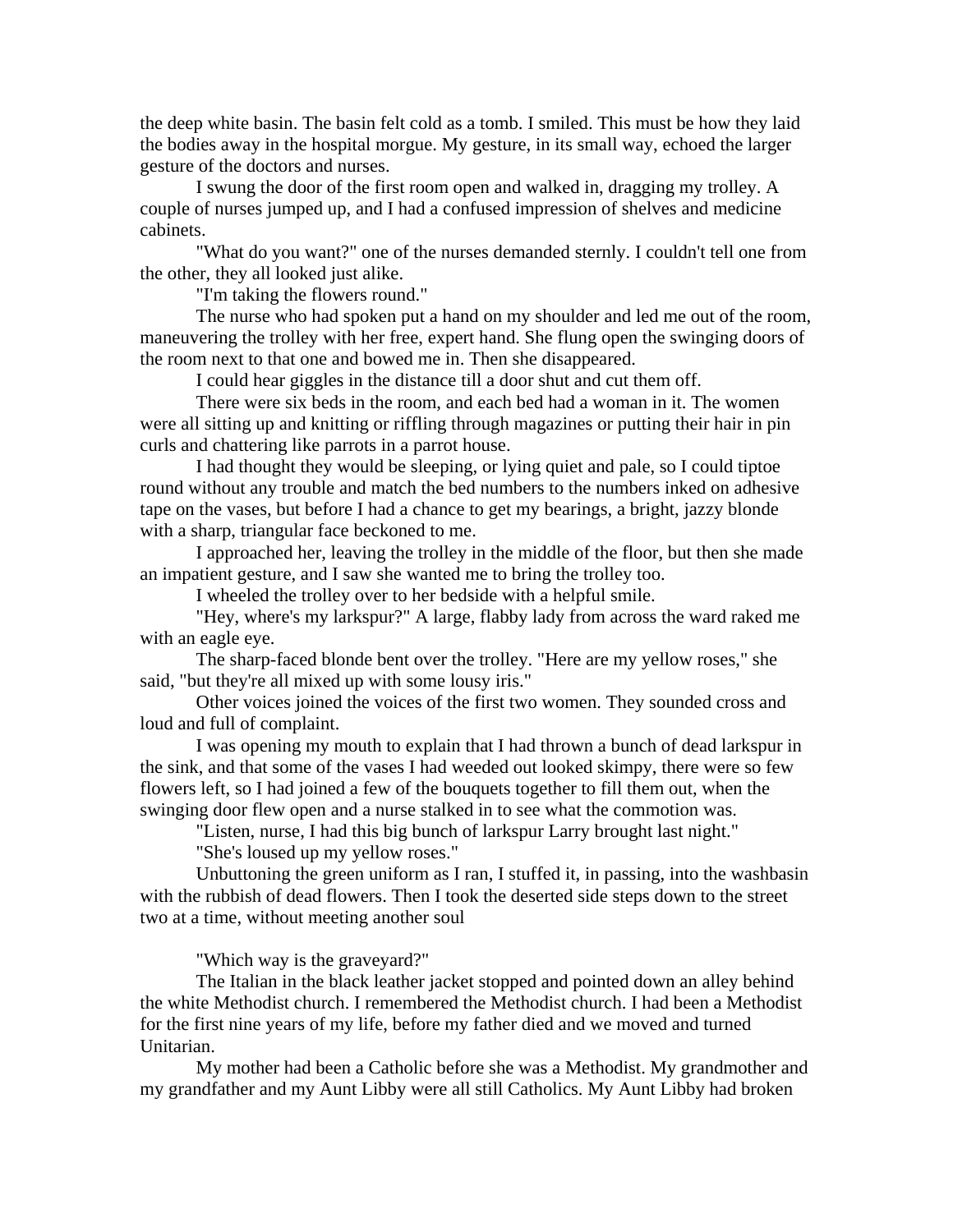the deep white basin. The basin felt cold as a tomb. I smiled. This must be how they laid the bodies away in the hospital morgue. My gesture, in its small way, echoed the larger gesture of the doctors and nurses.

 I swung the door of the first room open and walked in, dragging my trolley. A couple of nurses jumped up, and I had a confused impression of shelves and medicine cabinets.

 "What do you want?" one of the nurses demanded sternly. I couldn't tell one from the other, they all looked just alike.

"I'm taking the flowers round."

 The nurse who had spoken put a hand on my shoulder and led me out of the room, maneuvering the trolley with her free, expert hand. She flung open the swinging doors of the room next to that one and bowed me in. Then she disappeared.

I could hear giggles in the distance till a door shut and cut them off.

 There were six beds in the room, and each bed had a woman in it. The women were all sitting up and knitting or riffling through magazines or putting their hair in pin curls and chattering like parrots in a parrot house.

 I had thought they would be sleeping, or lying quiet and pale, so I could tiptoe round without any trouble and match the bed numbers to the numbers inked on adhesive tape on the vases, but before I had a chance to get my bearings, a bright, jazzy blonde with a sharp, triangular face beckoned to me.

 I approached her, leaving the trolley in the middle of the floor, but then she made an impatient gesture, and I saw she wanted me to bring the trolley too.

I wheeled the trolley over to her bedside with a helpful smile.

 "Hey, where's my larkspur?" A large, flabby lady from across the ward raked me with an eagle eye.

 The sharp-faced blonde bent over the trolley. "Here are my yellow roses," she said, "but they're all mixed up with some lousy iris."

 Other voices joined the voices of the first two women. They sounded cross and loud and full of complaint.

 I was opening my mouth to explain that I had thrown a bunch of dead larkspur in the sink, and that some of the vases I had weeded out looked skimpy, there were so few flowers left, so I had joined a few of the bouquets together to fill them out, when the swinging door flew open and a nurse stalked in to see what the commotion was.

"Listen, nurse, I had this big bunch of larkspur Larry brought last night."

"She's loused up my yellow roses."

 Unbuttoning the green uniform as I ran, I stuffed it, in passing, into the washbasin with the rubbish of dead flowers. Then I took the deserted side steps down to the street two at a time, without meeting another soul

"Which way is the graveyard?"

 The Italian in the black leather jacket stopped and pointed down an alley behind the white Methodist church. I remembered the Methodist church. I had been a Methodist for the first nine years of my life, before my father died and we moved and turned Unitarian.

 My mother had been a Catholic before she was a Methodist. My grandmother and my grandfather and my Aunt Libby were all still Catholics. My Aunt Libby had broken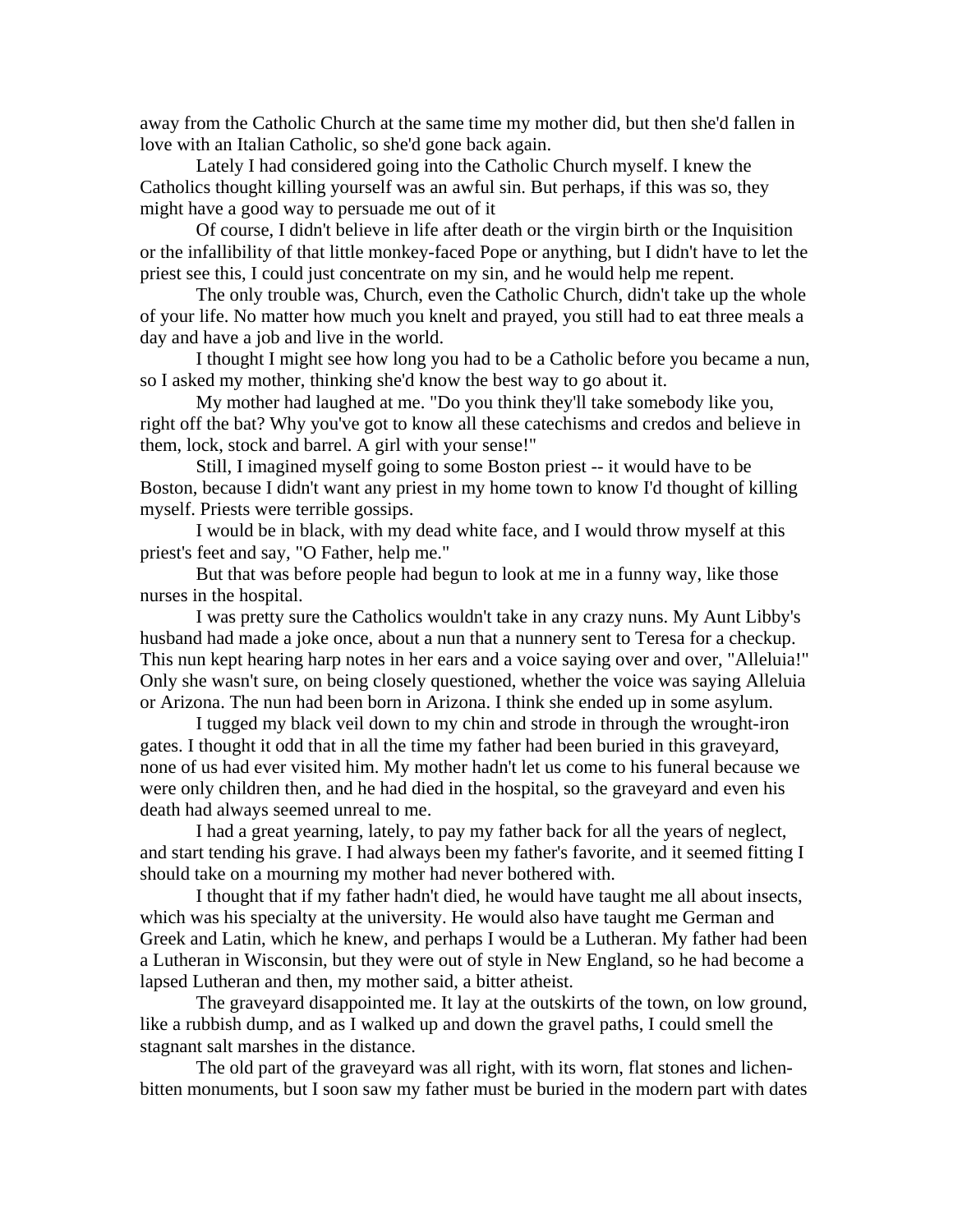away from the Catholic Church at the same time my mother did, but then she'd fallen in love with an Italian Catholic, so she'd gone back again.

 Lately I had considered going into the Catholic Church myself. I knew the Catholics thought killing yourself was an awful sin. But perhaps, if this was so, they might have a good way to persuade me out of it

 Of course, I didn't believe in life after death or the virgin birth or the Inquisition or the infallibility of that little monkey-faced Pope or anything, but I didn't have to let the priest see this, I could just concentrate on my sin, and he would help me repent.

 The only trouble was, Church, even the Catholic Church, didn't take up the whole of your life. No matter how much you knelt and prayed, you still had to eat three meals a day and have a job and live in the world.

 I thought I might see how long you had to be a Catholic before you became a nun, so I asked my mother, thinking she'd know the best way to go about it.

 My mother had laughed at me. "Do you think they'll take somebody like you, right off the bat? Why you've got to know all these catechisms and credos and believe in them, lock, stock and barrel. A girl with your sense!"

 Still, I imagined myself going to some Boston priest -- it would have to be Boston, because I didn't want any priest in my home town to know I'd thought of killing myself. Priests were terrible gossips.

 I would be in black, with my dead white face, and I would throw myself at this priest's feet and say, "O Father, help me."

 But that was before people had begun to look at me in a funny way, like those nurses in the hospital.

 I was pretty sure the Catholics wouldn't take in any crazy nuns. My Aunt Libby's husband had made a joke once, about a nun that a nunnery sent to Teresa for a checkup. This nun kept hearing harp notes in her ears and a voice saying over and over, "Alleluia!" Only she wasn't sure, on being closely questioned, whether the voice was saying Alleluia or Arizona. The nun had been born in Arizona. I think she ended up in some asylum.

 I tugged my black veil down to my chin and strode in through the wrought-iron gates. I thought it odd that in all the time my father had been buried in this graveyard, none of us had ever visited him. My mother hadn't let us come to his funeral because we were only children then, and he had died in the hospital, so the graveyard and even his death had always seemed unreal to me.

 I had a great yearning, lately, to pay my father back for all the years of neglect, and start tending his grave. I had always been my father's favorite, and it seemed fitting I should take on a mourning my mother had never bothered with.

 I thought that if my father hadn't died, he would have taught me all about insects, which was his specialty at the university. He would also have taught me German and Greek and Latin, which he knew, and perhaps I would be a Lutheran. My father had been a Lutheran in Wisconsin, but they were out of style in New England, so he had become a lapsed Lutheran and then, my mother said, a bitter atheist.

 The graveyard disappointed me. It lay at the outskirts of the town, on low ground, like a rubbish dump, and as I walked up and down the gravel paths, I could smell the stagnant salt marshes in the distance.

 The old part of the graveyard was all right, with its worn, flat stones and lichenbitten monuments, but I soon saw my father must be buried in the modern part with dates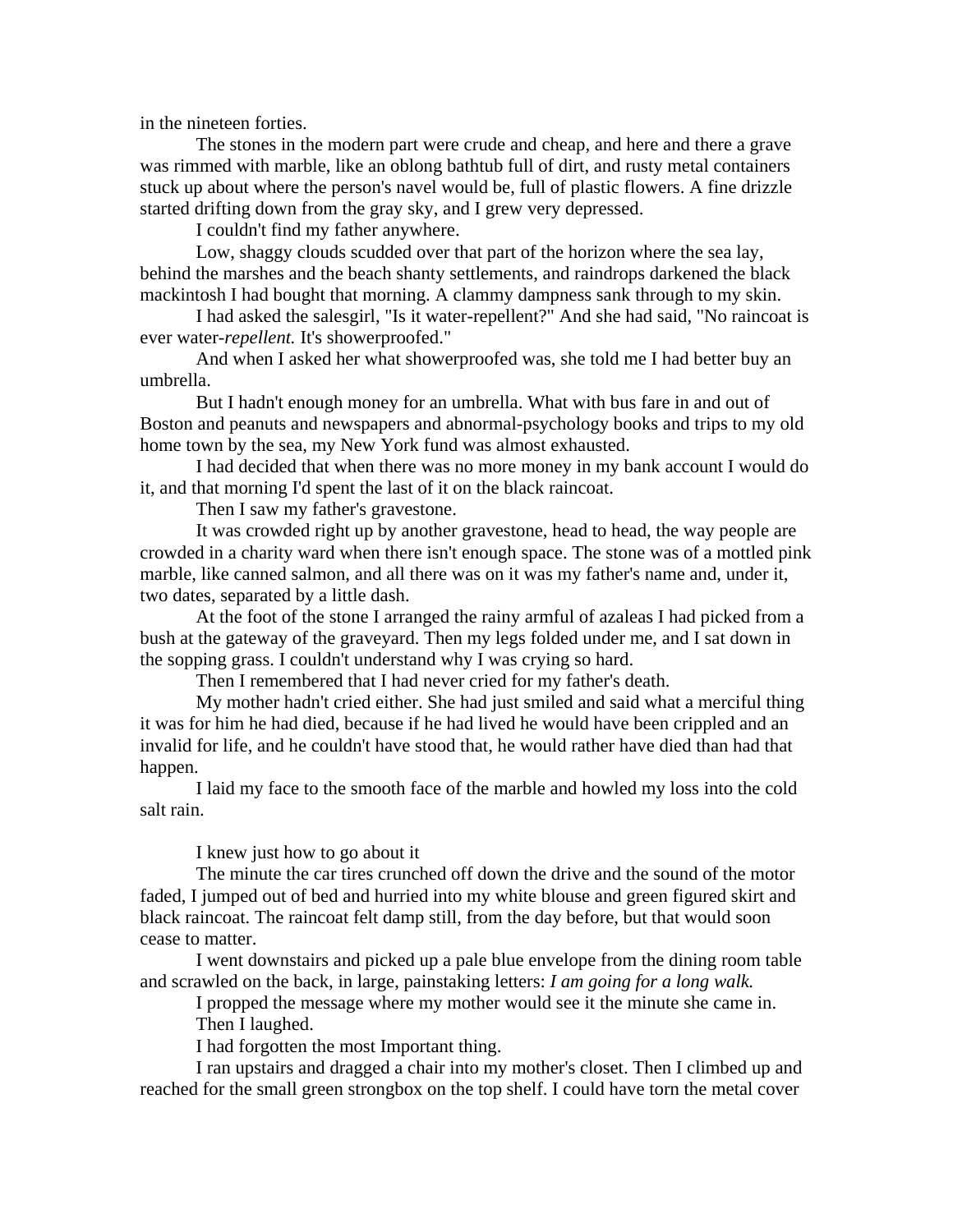in the nineteen forties.

 The stones in the modern part were crude and cheap, and here and there a grave was rimmed with marble, like an oblong bathtub full of dirt, and rusty metal containers stuck up about where the person's navel would be, full of plastic flowers. A fine drizzle started drifting down from the gray sky, and I grew very depressed.

I couldn't find my father anywhere.

 Low, shaggy clouds scudded over that part of the horizon where the sea lay, behind the marshes and the beach shanty settlements, and raindrops darkened the black mackintosh I had bought that morning. A clammy dampness sank through to my skin.

 I had asked the salesgirl, "Is it water-repellent?" And she had said, "No raincoat is ever water-*repellent.* It's showerproofed."

 And when I asked her what showerproofed was, she told me I had better buy an umbrella.

 But I hadn't enough money for an umbrella. What with bus fare in and out of Boston and peanuts and newspapers and abnormal-psychology books and trips to my old home town by the sea, my New York fund was almost exhausted.

 I had decided that when there was no more money in my bank account I would do it, and that morning I'd spent the last of it on the black raincoat.

Then I saw my father's gravestone.

 It was crowded right up by another gravestone, head to head, the way people are crowded in a charity ward when there isn't enough space. The stone was of a mottled pink marble, like canned salmon, and all there was on it was my father's name and, under it, two dates, separated by a little dash.

 At the foot of the stone I arranged the rainy armful of azaleas I had picked from a bush at the gateway of the graveyard. Then my legs folded under me, and I sat down in the sopping grass. I couldn't understand why I was crying so hard.

Then I remembered that I had never cried for my father's death.

 My mother hadn't cried either. She had just smiled and said what a merciful thing it was for him he had died, because if he had lived he would have been crippled and an invalid for life, and he couldn't have stood that, he would rather have died than had that happen.

 I laid my face to the smooth face of the marble and howled my loss into the cold salt rain.

I knew just how to go about it

 The minute the car tires crunched off down the drive and the sound of the motor faded, I jumped out of bed and hurried into my white blouse and green figured skirt and black raincoat. The raincoat felt damp still, from the day before, but that would soon cease to matter.

 I went downstairs and picked up a pale blue envelope from the dining room table and scrawled on the back, in large, painstaking letters: *I am going for a long walk.*

 I propped the message where my mother would see it the minute she came in. Then I laughed.

I had forgotten the most Important thing.

 I ran upstairs and dragged a chair into my mother's closet. Then I climbed up and reached for the small green strongbox on the top shelf. I could have torn the metal cover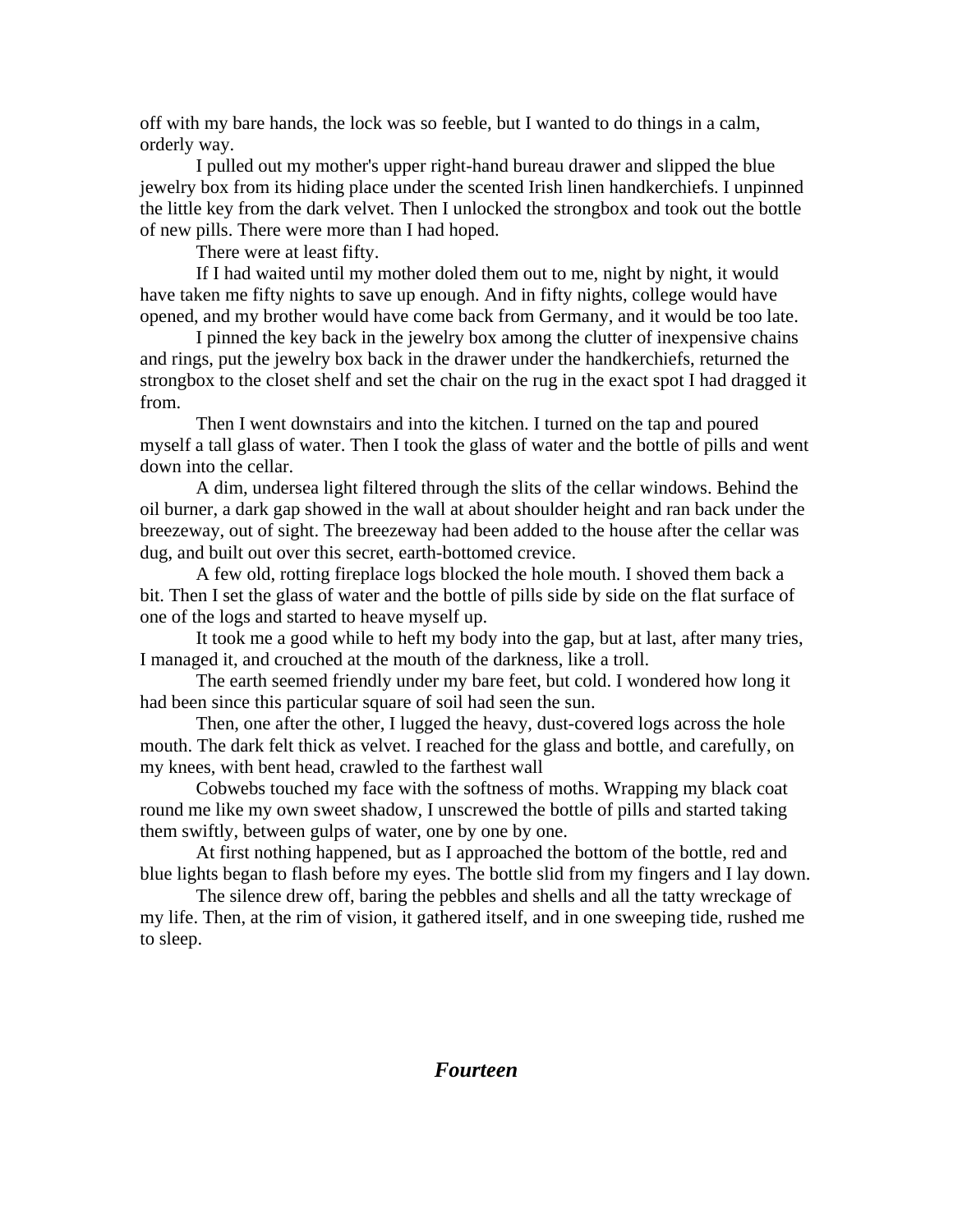off with my bare hands, the lock was so feeble, but I wanted to do things in a calm, orderly way.

 I pulled out my mother's upper right-hand bureau drawer and slipped the blue jewelry box from its hiding place under the scented Irish linen handkerchiefs. I unpinned the little key from the dark velvet. Then I unlocked the strongbox and took out the bottle of new pills. There were more than I had hoped.

There were at least fifty.

 If I had waited until my mother doled them out to me, night by night, it would have taken me fifty nights to save up enough. And in fifty nights, college would have opened, and my brother would have come back from Germany, and it would be too late.

 I pinned the key back in the jewelry box among the clutter of inexpensive chains and rings, put the jewelry box back in the drawer under the handkerchiefs, returned the strongbox to the closet shelf and set the chair on the rug in the exact spot I had dragged it from.

 Then I went downstairs and into the kitchen. I turned on the tap and poured myself a tall glass of water. Then I took the glass of water and the bottle of pills and went down into the cellar.

 A dim, undersea light filtered through the slits of the cellar windows. Behind the oil burner, a dark gap showed in the wall at about shoulder height and ran back under the breezeway, out of sight. The breezeway had been added to the house after the cellar was dug, and built out over this secret, earth-bottomed crevice.

 A few old, rotting fireplace logs blocked the hole mouth. I shoved them back a bit. Then I set the glass of water and the bottle of pills side by side on the flat surface of one of the logs and started to heave myself up.

 It took me a good while to heft my body into the gap, but at last, after many tries, I managed it, and crouched at the mouth of the darkness, like a troll.

 The earth seemed friendly under my bare feet, but cold. I wondered how long it had been since this particular square of soil had seen the sun.

 Then, one after the other, I lugged the heavy, dust-covered logs across the hole mouth. The dark felt thick as velvet. I reached for the glass and bottle, and carefully, on my knees, with bent head, crawled to the farthest wall

 Cobwebs touched my face with the softness of moths. Wrapping my black coat round me like my own sweet shadow, I unscrewed the bottle of pills and started taking them swiftly, between gulps of water, one by one by one.

 At first nothing happened, but as I approached the bottom of the bottle, red and blue lights began to flash before my eyes. The bottle slid from my fingers and I lay down.

 The silence drew off, baring the pebbles and shells and all the tatty wreckage of my life. Then, at the rim of vision, it gathered itself, and in one sweeping tide, rushed me to sleep.

# *Fourteen*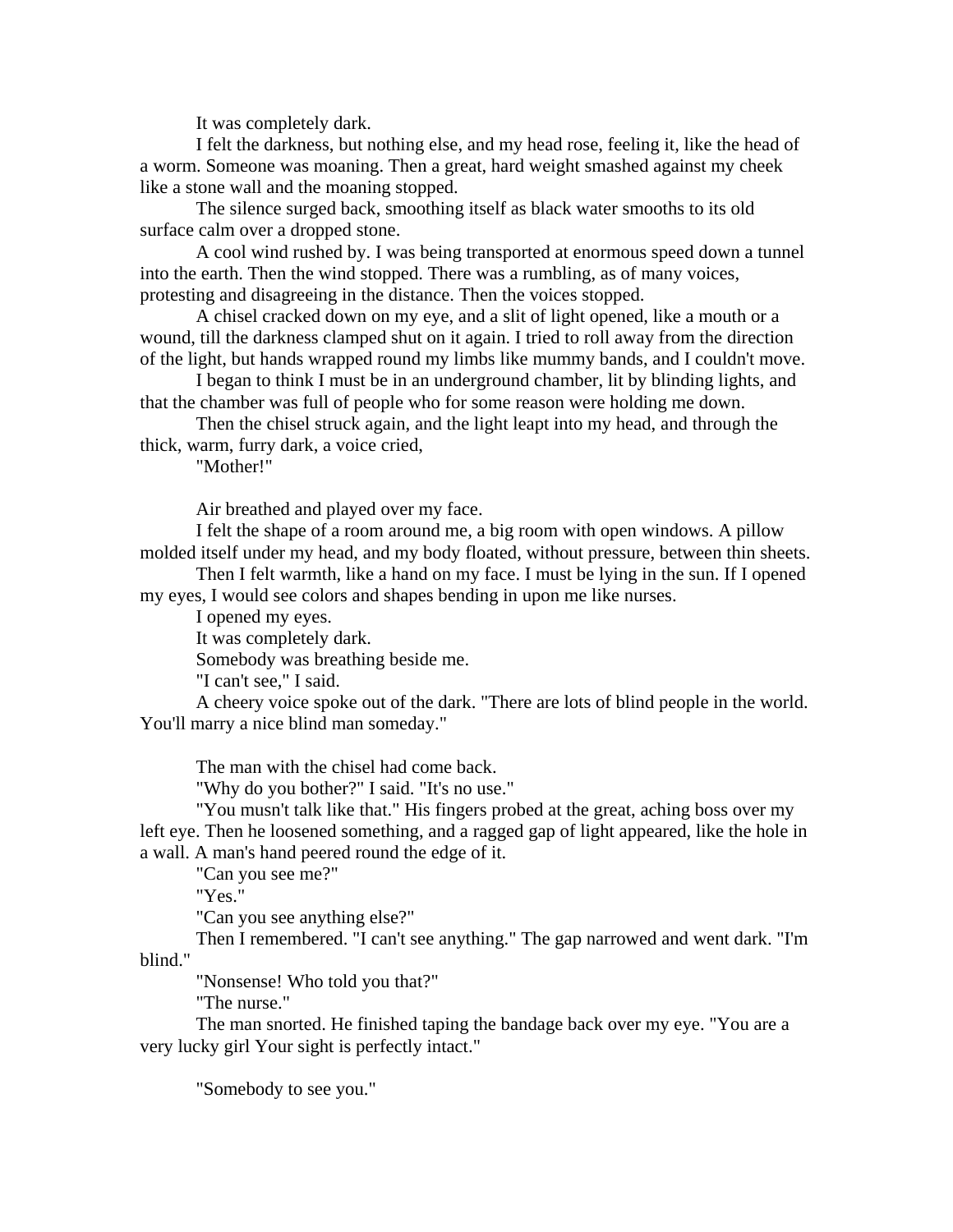It was completely dark.

 I felt the darkness, but nothing else, and my head rose, feeling it, like the head of a worm. Someone was moaning. Then a great, hard weight smashed against my cheek like a stone wall and the moaning stopped.

 The silence surged back, smoothing itself as black water smooths to its old surface calm over a dropped stone.

 A cool wind rushed by. I was being transported at enormous speed down a tunnel into the earth. Then the wind stopped. There was a rumbling, as of many voices, protesting and disagreeing in the distance. Then the voices stopped.

 A chisel cracked down on my eye, and a slit of light opened, like a mouth or a wound, till the darkness clamped shut on it again. I tried to roll away from the direction of the light, but hands wrapped round my limbs like mummy bands, and I couldn't move.

 I began to think I must be in an underground chamber, lit by blinding lights, and that the chamber was full of people who for some reason were holding me down.

 Then the chisel struck again, and the light leapt into my head, and through the thick, warm, furry dark, a voice cried,

"Mother!"

Air breathed and played over my face.

 I felt the shape of a room around me, a big room with open windows. A pillow molded itself under my head, and my body floated, without pressure, between thin sheets.

 Then I felt warmth, like a hand on my face. I must be lying in the sun. If I opened my eyes, I would see colors and shapes bending in upon me like nurses.

I opened my eyes.

It was completely dark.

Somebody was breathing beside me.

"I can't see," I said.

 A cheery voice spoke out of the dark. "There are lots of blind people in the world. You'll marry a nice blind man someday."

The man with the chisel had come back.

"Why do you bother?" I said. "It's no use."

 "You musn't talk like that." His fingers probed at the great, aching boss over my left eye. Then he loosened something, and a ragged gap of light appeared, like the hole in a wall. A man's hand peered round the edge of it.

"Can you see me?"

"Yes."

"Can you see anything else?"

 Then I remembered. "I can't see anything." The gap narrowed and went dark. "I'm blind."

"Nonsense! Who told you that?"

"The nurse."

 The man snorted. He finished taping the bandage back over my eye. "You are a very lucky girl Your sight is perfectly intact."

"Somebody to see you."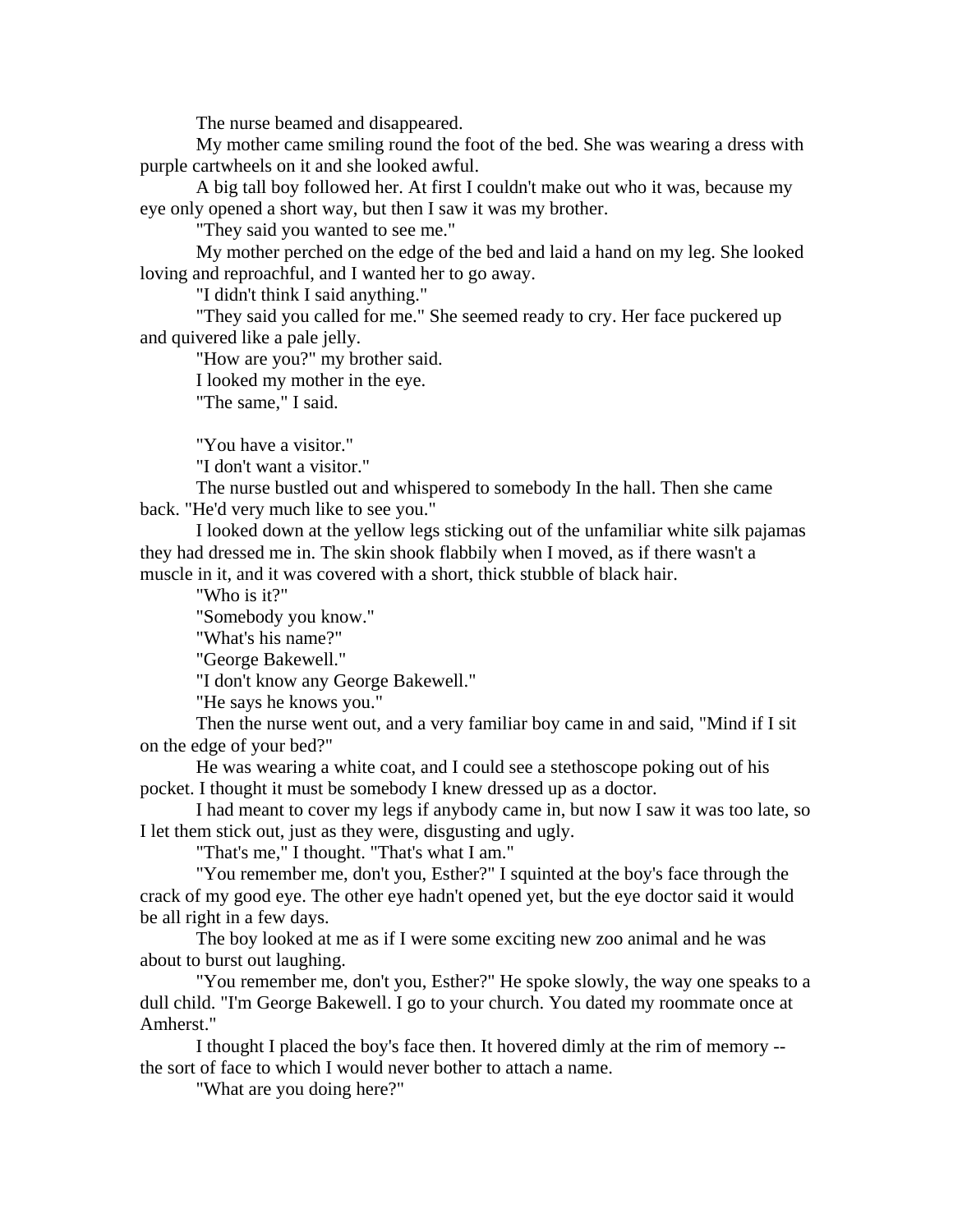The nurse beamed and disappeared.

 My mother came smiling round the foot of the bed. She was wearing a dress with purple cartwheels on it and she looked awful.

 A big tall boy followed her. At first I couldn't make out who it was, because my eye only opened a short way, but then I saw it was my brother.

"They said you wanted to see me."

 My mother perched on the edge of the bed and laid a hand on my leg. She looked loving and reproachful, and I wanted her to go away.

"I didn't think I said anything."

 "They said you called for me." She seemed ready to cry. Her face puckered up and quivered like a pale jelly.

"How are you?" my brother said.

I looked my mother in the eye.

"The same," I said.

"You have a visitor."

"I don't want a visitor."

 The nurse bustled out and whispered to somebody In the hall. Then she came back. "He'd very much like to see you."

 I looked down at the yellow legs sticking out of the unfamiliar white silk pajamas they had dressed me in. The skin shook flabbily when I moved, as if there wasn't a muscle in it, and it was covered with a short, thick stubble of black hair.

"Who is it?"

"Somebody you know."

"What's his name?"

"George Bakewell."

"I don't know any George Bakewell."

"He says he knows you."

 Then the nurse went out, and a very familiar boy came in and said, "Mind if I sit on the edge of your bed?"

 He was wearing a white coat, and I could see a stethoscope poking out of his pocket. I thought it must be somebody I knew dressed up as a doctor.

 I had meant to cover my legs if anybody came in, but now I saw it was too late, so I let them stick out, just as they were, disgusting and ugly.

"That's me," I thought. "That's what I am."

 "You remember me, don't you, Esther?" I squinted at the boy's face through the crack of my good eye. The other eye hadn't opened yet, but the eye doctor said it would be all right in a few days.

 The boy looked at me as if I were some exciting new zoo animal and he was about to burst out laughing.

 "You remember me, don't you, Esther?" He spoke slowly, the way one speaks to a dull child. "I'm George Bakewell. I go to your church. You dated my roommate once at Amherst."

 I thought I placed the boy's face then. It hovered dimly at the rim of memory - the sort of face to which I would never bother to attach a name.

"What are you doing here?"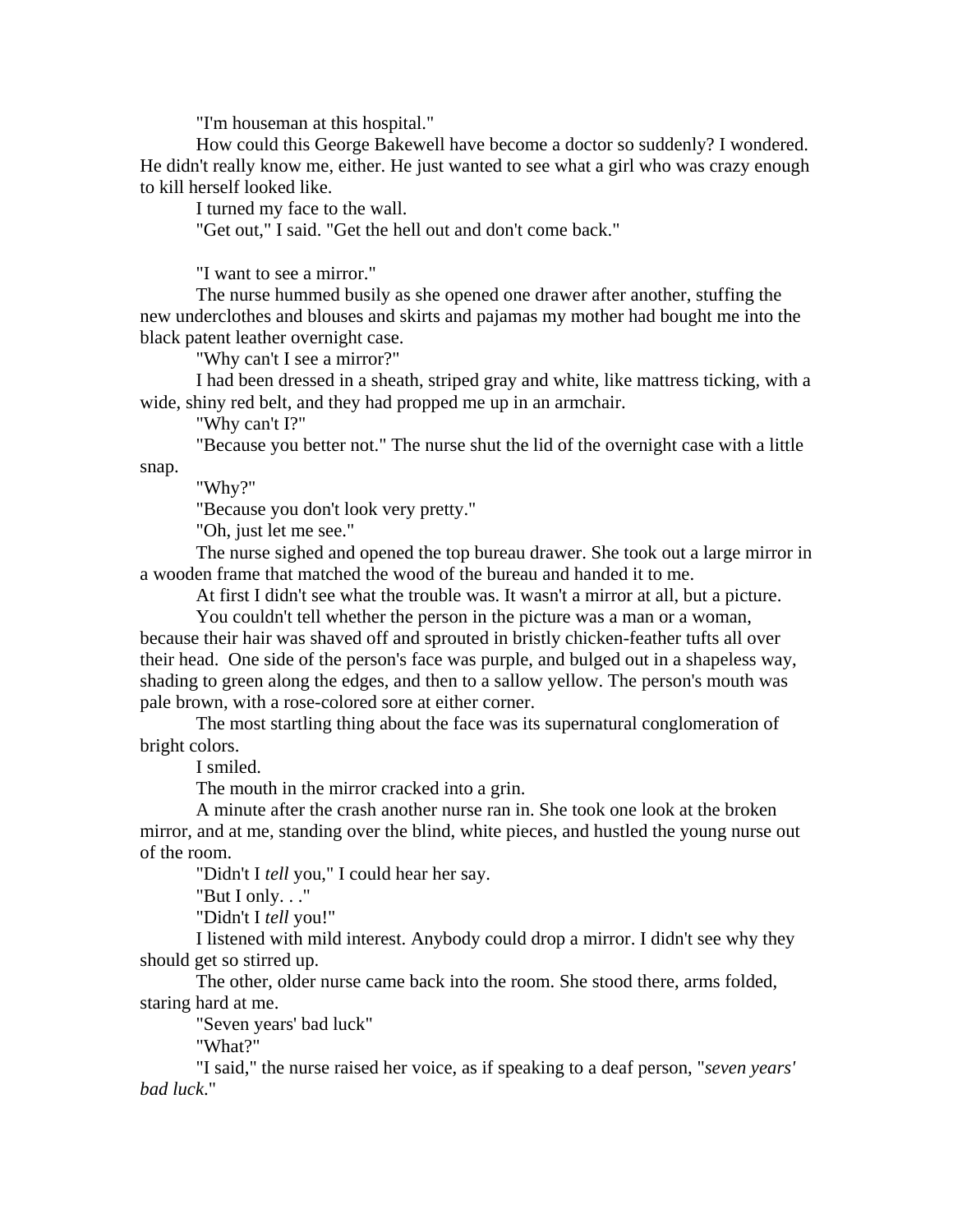"I'm houseman at this hospital."

 How could this George Bakewell have become a doctor so suddenly? I wondered. He didn't really know me, either. He just wanted to see what a girl who was crazy enough to kill herself looked like.

I turned my face to the wall.

"Get out," I said. "Get the hell out and don't come back."

"I want to see a mirror."

 The nurse hummed busily as she opened one drawer after another, stuffing the new underclothes and blouses and skirts and pajamas my mother had bought me into the black patent leather overnight case.

"Why can't I see a mirror?"

 I had been dressed in a sheath, striped gray and white, like mattress ticking, with a wide, shiny red belt, and they had propped me up in an armchair.

"Why can't I?"

"Why?"

"Because you better not." The nurse shut the lid of the overnight case with a little

snap.

"Because you don't look very pretty."

"Oh, just let me see."

 The nurse sighed and opened the top bureau drawer. She took out a large mirror in a wooden frame that matched the wood of the bureau and handed it to me.

At first I didn't see what the trouble was. It wasn't a mirror at all, but a picture.

 You couldn't tell whether the person in the picture was a man or a woman, because their hair was shaved off and sprouted in bristly chicken-feather tufts all over their head. One side of the person's face was purple, and bulged out in a shapeless way, shading to green along the edges, and then to a sallow yellow. The person's mouth was pale brown, with a rose-colored sore at either corner.

 The most startling thing about the face was its supernatural conglomeration of bright colors.

I smiled.

The mouth in the mirror cracked into a grin.

 A minute after the crash another nurse ran in. She took one look at the broken mirror, and at me, standing over the blind, white pieces, and hustled the young nurse out of the room.

"Didn't I *tell* you," I could hear her say.

"But I only. . ."

"Didn't I *tell* you!"

 I listened with mild interest. Anybody could drop a mirror. I didn't see why they should get so stirred up.

 The other, older nurse came back into the room. She stood there, arms folded, staring hard at me.

"Seven years' bad luck"

"What?"

 "I said," the nurse raised her voice, as if speaking to a deaf person, "*seven years' bad luck*."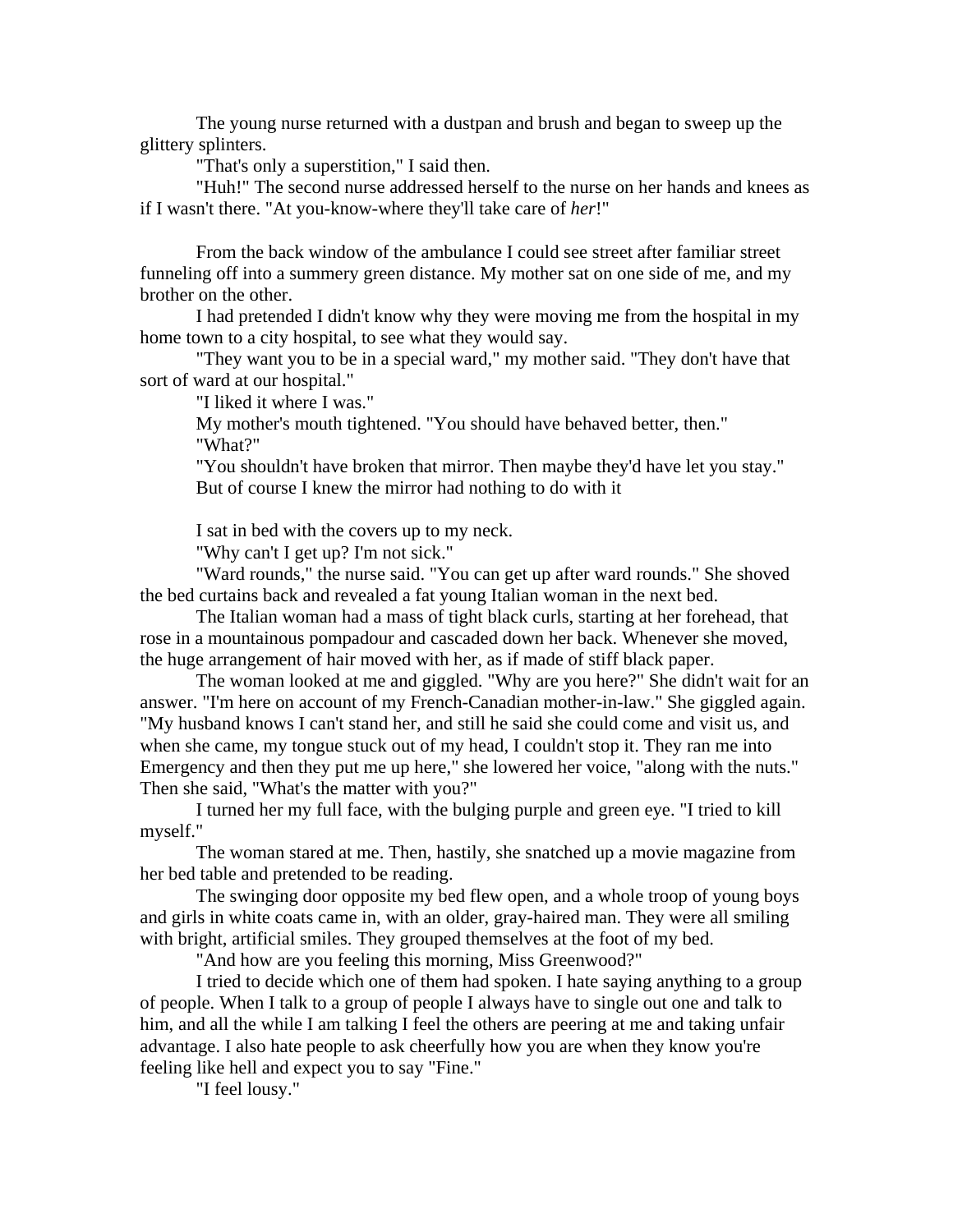The young nurse returned with a dustpan and brush and began to sweep up the glittery splinters.

"That's only a superstition," I said then.

 "Huh!" The second nurse addressed herself to the nurse on her hands and knees as if I wasn't there. "At you-know-where they'll take care of *her*!"

 From the back window of the ambulance I could see street after familiar street funneling off into a summery green distance. My mother sat on one side of me, and my brother on the other.

 I had pretended I didn't know why they were moving me from the hospital in my home town to a city hospital, to see what they would say.

 "They want you to be in a special ward," my mother said. "They don't have that sort of ward at our hospital."

"I liked it where I was."

 My mother's mouth tightened. "You should have behaved better, then." "What?"

 "You shouldn't have broken that mirror. Then maybe they'd have let you stay." But of course I knew the mirror had nothing to do with it

I sat in bed with the covers up to my neck.

"Why can't I get up? I'm not sick."

 "Ward rounds," the nurse said. "You can get up after ward rounds." She shoved the bed curtains back and revealed a fat young Italian woman in the next bed.

 The Italian woman had a mass of tight black curls, starting at her forehead, that rose in a mountainous pompadour and cascaded down her back. Whenever she moved, the huge arrangement of hair moved with her, as if made of stiff black paper.

 The woman looked at me and giggled. "Why are you here?" She didn't wait for an answer. "I'm here on account of my French-Canadian mother-in-law." She giggled again. "My husband knows I can't stand her, and still he said she could come and visit us, and when she came, my tongue stuck out of my head, I couldn't stop it. They ran me into Emergency and then they put me up here," she lowered her voice, "along with the nuts." Then she said, "What's the matter with you?"

 I turned her my full face, with the bulging purple and green eye. "I tried to kill myself."

 The woman stared at me. Then, hastily, she snatched up a movie magazine from her bed table and pretended to be reading.

 The swinging door opposite my bed flew open, and a whole troop of young boys and girls in white coats came in, with an older, gray-haired man. They were all smiling with bright, artificial smiles. They grouped themselves at the foot of my bed.

"And how are you feeling this morning, Miss Greenwood?"

 I tried to decide which one of them had spoken. I hate saying anything to a group of people. When I talk to a group of people I always have to single out one and talk to him, and all the while I am talking I feel the others are peering at me and taking unfair advantage. I also hate people to ask cheerfully how you are when they know you're feeling like hell and expect you to say "Fine."

"I feel lousy."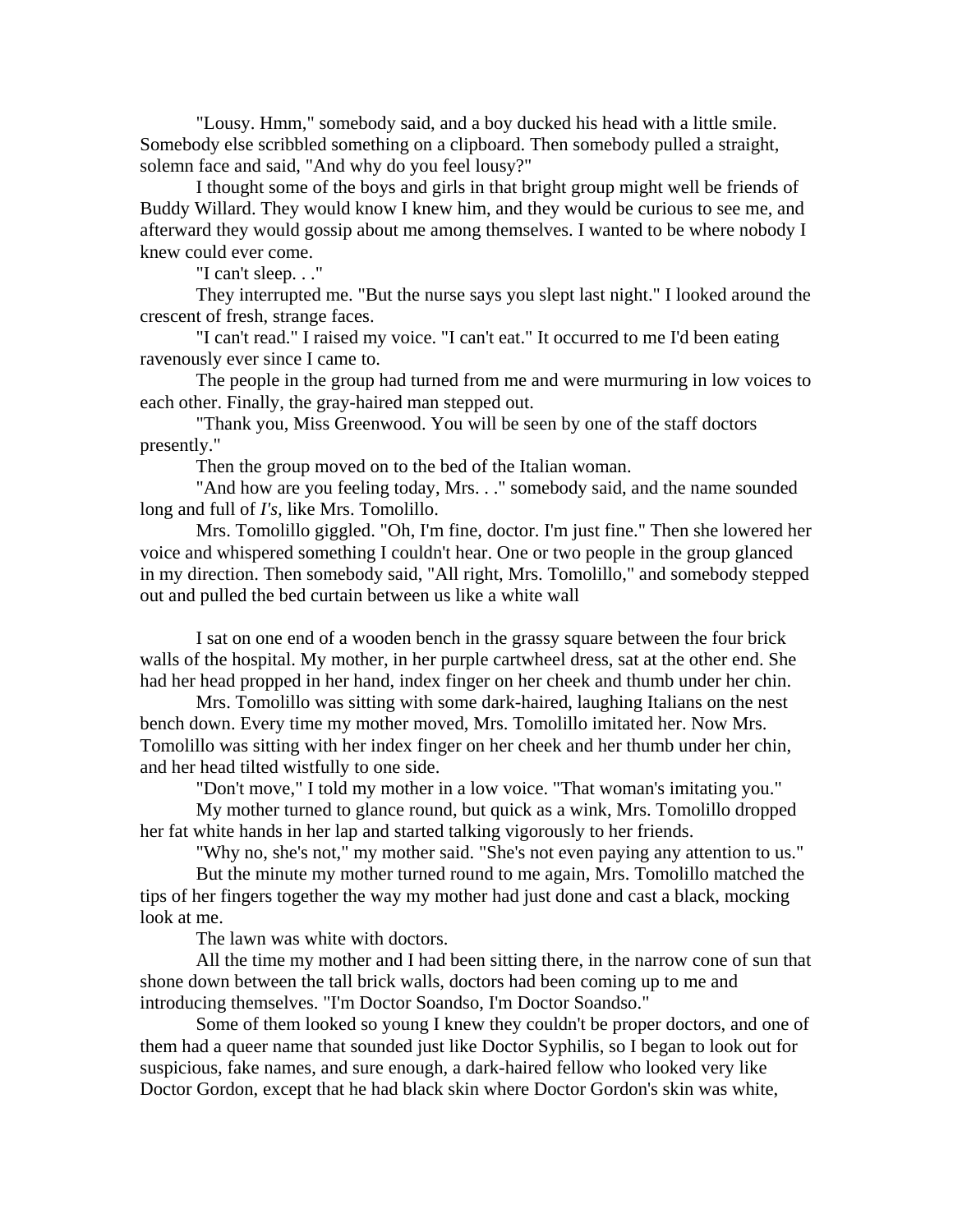"Lousy. Hmm," somebody said, and a boy ducked his head with a little smile. Somebody else scribbled something on a clipboard. Then somebody pulled a straight, solemn face and said, "And why do you feel lousy?"

 I thought some of the boys and girls in that bright group might well be friends of Buddy Willard. They would know I knew him, and they would be curious to see me, and afterward they would gossip about me among themselves. I wanted to be where nobody I knew could ever come.

"I can't sleep. . ."

 They interrupted me. "But the nurse says you slept last night." I looked around the crescent of fresh, strange faces.

 "I can't read." I raised my voice. "I can't eat." It occurred to me I'd been eating ravenously ever since I came to.

 The people in the group had turned from me and were murmuring in low voices to each other. Finally, the gray-haired man stepped out.

 "Thank you, Miss Greenwood. You will be seen by one of the staff doctors presently."

Then the group moved on to the bed of the Italian woman.

 "And how are you feeling today, Mrs. . ." somebody said, and the name sounded long and full of *I's,* like Mrs. Tomolillo.

 Mrs. Tomolillo giggled. "Oh, I'm fine, doctor. I'm just fine." Then she lowered her voice and whispered something I couldn't hear. One or two people in the group glanced in my direction. Then somebody said, "All right, Mrs. Tomolillo," and somebody stepped out and pulled the bed curtain between us like a white wall

 I sat on one end of a wooden bench in the grassy square between the four brick walls of the hospital. My mother, in her purple cartwheel dress, sat at the other end. She had her head propped in her hand, index finger on her cheek and thumb under her chin.

 Mrs. Tomolillo was sitting with some dark-haired, laughing Italians on the nest bench down. Every time my mother moved, Mrs. Tomolillo imitated her. Now Mrs. Tomolillo was sitting with her index finger on her cheek and her thumb under her chin, and her head tilted wistfully to one side.

"Don't move," I told my mother in a low voice. "That woman's imitating you."

 My mother turned to glance round, but quick as a wink, Mrs. Tomolillo dropped her fat white hands in her lap and started talking vigorously to her friends.

"Why no, she's not," my mother said. "She's not even paying any attention to us."

 But the minute my mother turned round to me again, Mrs. Tomolillo matched the tips of her fingers together the way my mother had just done and cast a black, mocking look at me.

The lawn was white with doctors.

 All the time my mother and I had been sitting there, in the narrow cone of sun that shone down between the tall brick walls, doctors had been coming up to me and introducing themselves. "I'm Doctor Soandso, I'm Doctor Soandso."

 Some of them looked so young I knew they couldn't be proper doctors, and one of them had a queer name that sounded just like Doctor Syphilis, so I began to look out for suspicious, fake names, and sure enough, a dark-haired fellow who looked very like Doctor Gordon, except that he had black skin where Doctor Gordon's skin was white,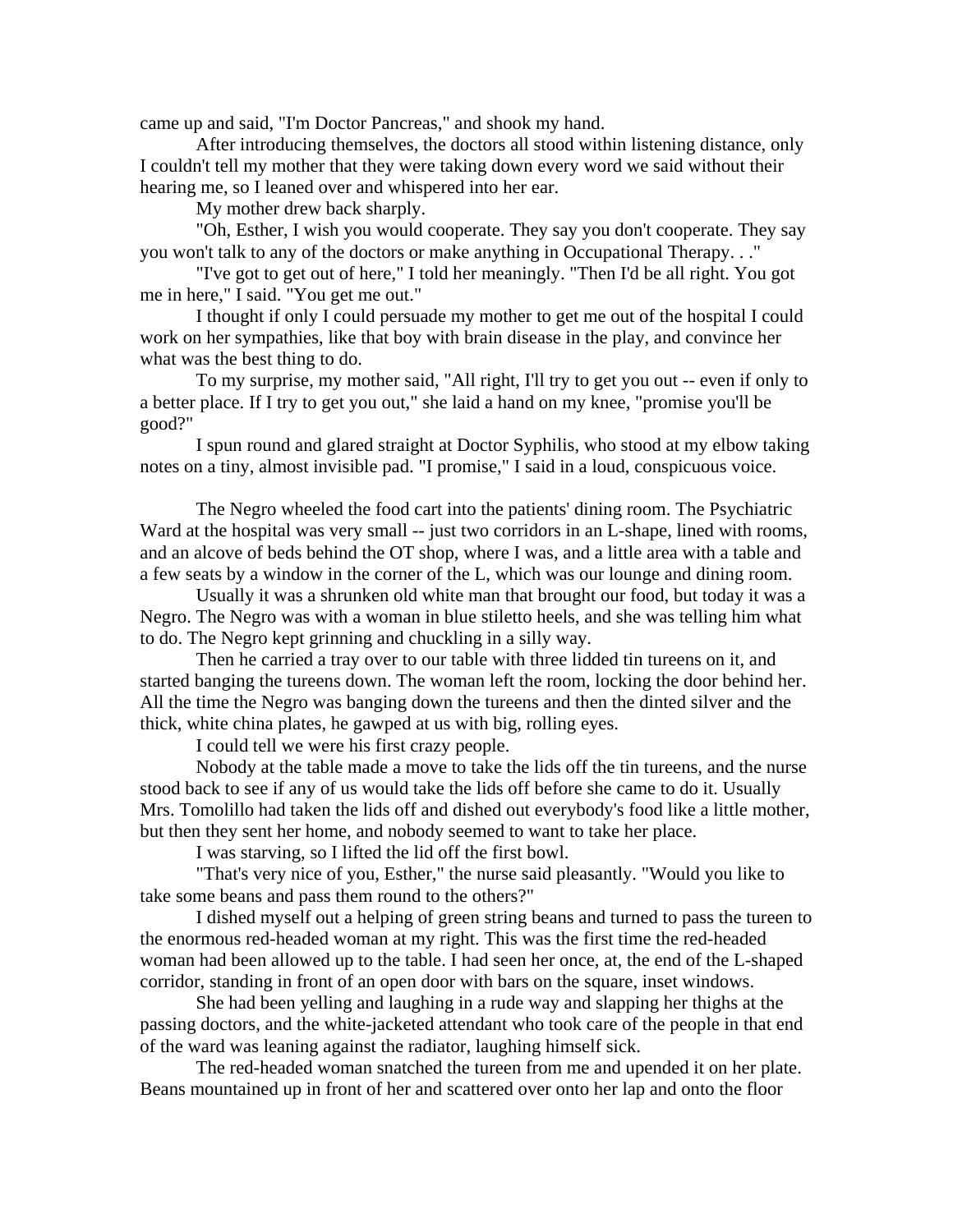came up and said, "I'm Doctor Pancreas," and shook my hand.

 After introducing themselves, the doctors all stood within listening distance, only I couldn't tell my mother that they were taking down every word we said without their hearing me, so I leaned over and whispered into her ear.

My mother drew back sharply.

 "Oh, Esther, I wish you would cooperate. They say you don't cooperate. They say you won't talk to any of the doctors or make anything in Occupational Therapy. . ."

 "I've got to get out of here," I told her meaningly. "Then I'd be all right. You got me in here," I said. "You get me out."

 I thought if only I could persuade my mother to get me out of the hospital I could work on her sympathies, like that boy with brain disease in the play, and convince her what was the best thing to do.

 To my surprise, my mother said, "All right, I'll try to get you out -- even if only to a better place. If I try to get you out," she laid a hand on my knee, "promise you'll be good?"

 I spun round and glared straight at Doctor Syphilis, who stood at my elbow taking notes on a tiny, almost invisible pad. "I promise," I said in a loud, conspicuous voice.

 The Negro wheeled the food cart into the patients' dining room. The Psychiatric Ward at the hospital was very small -- just two corridors in an L-shape, lined with rooms, and an alcove of beds behind the OT shop, where I was, and a little area with a table and a few seats by a window in the corner of the L, which was our lounge and dining room.

 Usually it was a shrunken old white man that brought our food, but today it was a Negro. The Negro was with a woman in blue stiletto heels, and she was telling him what to do. The Negro kept grinning and chuckling in a silly way.

 Then he carried a tray over to our table with three lidded tin tureens on it, and started banging the tureens down. The woman left the room, locking the door behind her. All the time the Negro was banging down the tureens and then the dinted silver and the thick, white china plates, he gawped at us with big, rolling eyes.

I could tell we were his first crazy people.

 Nobody at the table made a move to take the lids off the tin tureens, and the nurse stood back to see if any of us would take the lids off before she came to do it. Usually Mrs. Tomolillo had taken the lids off and dished out everybody's food like a little mother, but then they sent her home, and nobody seemed to want to take her place.

I was starving, so I lifted the lid off the first bowl.

 "That's very nice of you, Esther," the nurse said pleasantly. "Would you like to take some beans and pass them round to the others?"

 I dished myself out a helping of green string beans and turned to pass the tureen to the enormous red-headed woman at my right. This was the first time the red-headed woman had been allowed up to the table. I had seen her once, at, the end of the L-shaped corridor, standing in front of an open door with bars on the square, inset windows.

 She had been yelling and laughing in a rude way and slapping her thighs at the passing doctors, and the white-jacketed attendant who took care of the people in that end of the ward was leaning against the radiator, laughing himself sick.

 The red-headed woman snatched the tureen from me and upended it on her plate. Beans mountained up in front of her and scattered over onto her lap and onto the floor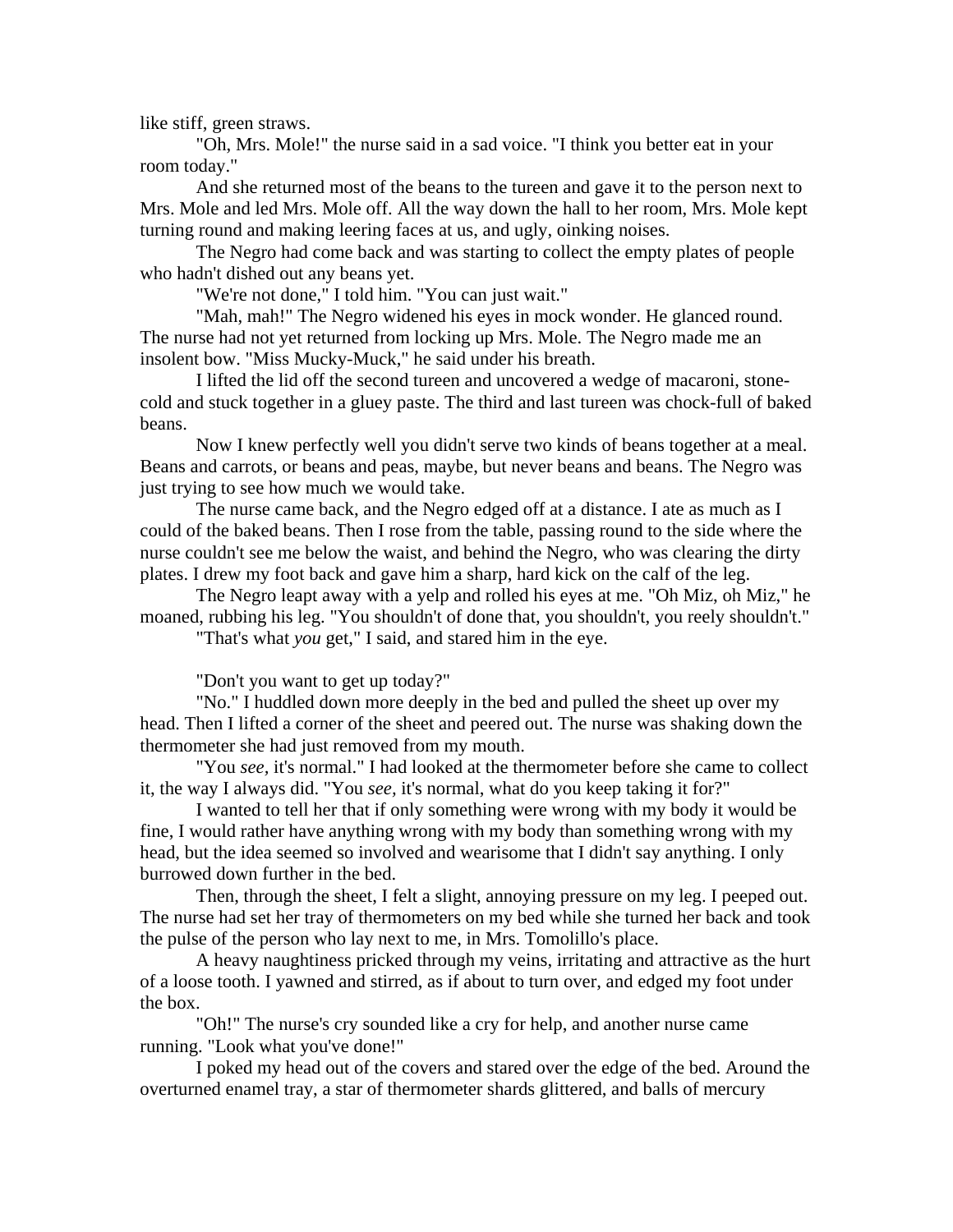like stiff, green straws.

 "Oh, Mrs. Mole!" the nurse said in a sad voice. "I think you better eat in your room today."

 And she returned most of the beans to the tureen and gave it to the person next to Mrs. Mole and led Mrs. Mole off. All the way down the hall to her room, Mrs. Mole kept turning round and making leering faces at us, and ugly, oinking noises.

 The Negro had come back and was starting to collect the empty plates of people who hadn't dished out any beans yet.

"We're not done," I told him. "You can just wait."

 "Mah, mah!" The Negro widened his eyes in mock wonder. He glanced round. The nurse had not yet returned from locking up Mrs. Mole. The Negro made me an insolent bow. "Miss Mucky-Muck," he said under his breath.

 I lifted the lid off the second tureen and uncovered a wedge of macaroni, stonecold and stuck together in a gluey paste. The third and last tureen was chock-full of baked beans.

 Now I knew perfectly well you didn't serve two kinds of beans together at a meal. Beans and carrots, or beans and peas, maybe, but never beans and beans. The Negro was just trying to see how much we would take.

 The nurse came back, and the Negro edged off at a distance. I ate as much as I could of the baked beans. Then I rose from the table, passing round to the side where the nurse couldn't see me below the waist, and behind the Negro, who was clearing the dirty plates. I drew my foot back and gave him a sharp, hard kick on the calf of the leg.

 The Negro leapt away with a yelp and rolled his eyes at me. "Oh Miz, oh Miz," he moaned, rubbing his leg. "You shouldn't of done that, you shouldn't, you reely shouldn't." "That's what *you* get," I said, and stared him in the eye.

"Don't you want to get up today?"

 "No." I huddled down more deeply in the bed and pulled the sheet up over my head. Then I lifted a corner of the sheet and peered out. The nurse was shaking down the thermometer she had just removed from my mouth.

 "You *see,* it's normal." I had looked at the thermometer before she came to collect it, the way I always did. "You *see,* it's normal, what do you keep taking it for?"

 I wanted to tell her that if only something were wrong with my body it would be fine, I would rather have anything wrong with my body than something wrong with my head, but the idea seemed so involved and wearisome that I didn't say anything. I only burrowed down further in the bed.

 Then, through the sheet, I felt a slight, annoying pressure on my leg. I peeped out. The nurse had set her tray of thermometers on my bed while she turned her back and took the pulse of the person who lay next to me, in Mrs. Tomolillo's place.

 A heavy naughtiness pricked through my veins, irritating and attractive as the hurt of a loose tooth. I yawned and stirred, as if about to turn over, and edged my foot under the box.

 "Oh!" The nurse's cry sounded like a cry for help, and another nurse came running. "Look what you've done!"

 I poked my head out of the covers and stared over the edge of the bed. Around the overturned enamel tray, a star of thermometer shards glittered, and balls of mercury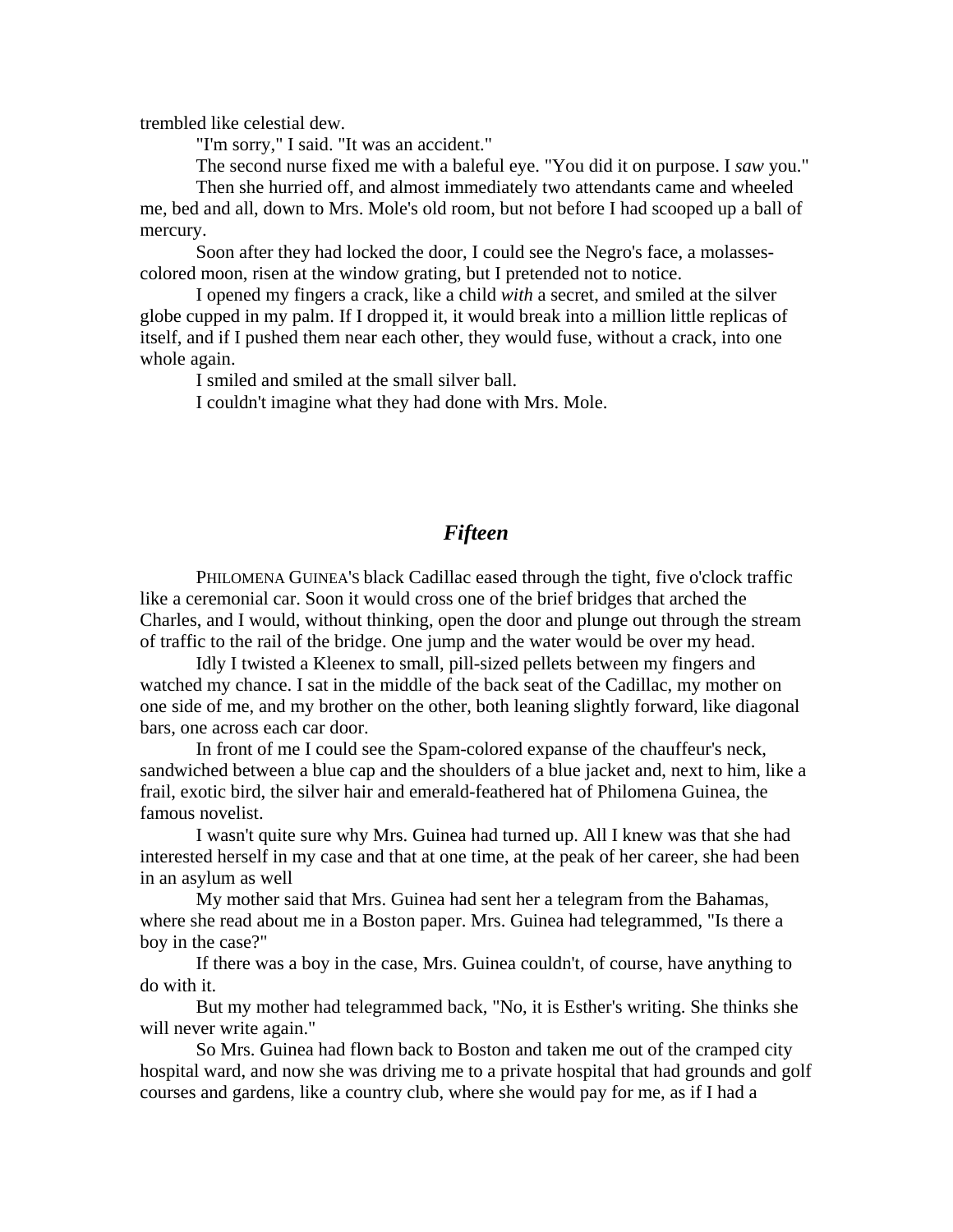trembled like celestial dew.

"I'm sorry," I said. "It was an accident."

The second nurse fixed me with a baleful eye. "You did it on purpose. I *saw* you."

 Then she hurried off, and almost immediately two attendants came and wheeled me, bed and all, down to Mrs. Mole's old room, but not before I had scooped up a ball of mercury.

 Soon after they had locked the door, I could see the Negro's face, a molassescolored moon, risen at the window grating, but I pretended not to notice.

 I opened my fingers a crack, like a child *with* a secret, and smiled at the silver globe cupped in my palm. If I dropped it, it would break into a million little replicas of itself, and if I pushed them near each other, they would fuse, without a crack, into one whole again.

I smiled and smiled at the small silver ball.

I couldn't imagine what they had done with Mrs. Mole.

# *Fifteen*

 PHILOMENA GUINEA'S black Cadillac eased through the tight, five o'clock traffic like a ceremonial car. Soon it would cross one of the brief bridges that arched the Charles, and I would, without thinking, open the door and plunge out through the stream of traffic to the rail of the bridge. One jump and the water would be over my head.

 Idly I twisted a Kleenex to small, pill-sized pellets between my fingers and watched my chance. I sat in the middle of the back seat of the Cadillac, my mother on one side of me, and my brother on the other, both leaning slightly forward, like diagonal bars, one across each car door.

 In front of me I could see the Spam-colored expanse of the chauffeur's neck, sandwiched between a blue cap and the shoulders of a blue jacket and, next to him, like a frail, exotic bird, the silver hair and emerald-feathered hat of Philomena Guinea, the famous novelist.

 I wasn't quite sure why Mrs. Guinea had turned up. All I knew was that she had interested herself in my case and that at one time, at the peak of her career, she had been in an asylum as well

 My mother said that Mrs. Guinea had sent her a telegram from the Bahamas, where she read about me in a Boston paper. Mrs. Guinea had telegrammed, "Is there a boy in the case?"

 If there was a boy in the case, Mrs. Guinea couldn't, of course, have anything to do with it.

 But my mother had telegrammed back, "No, it is Esther's writing. She thinks she will never write again."

 So Mrs. Guinea had flown back to Boston and taken me out of the cramped city hospital ward, and now she was driving me to a private hospital that had grounds and golf courses and gardens, like a country club, where she would pay for me, as if I had a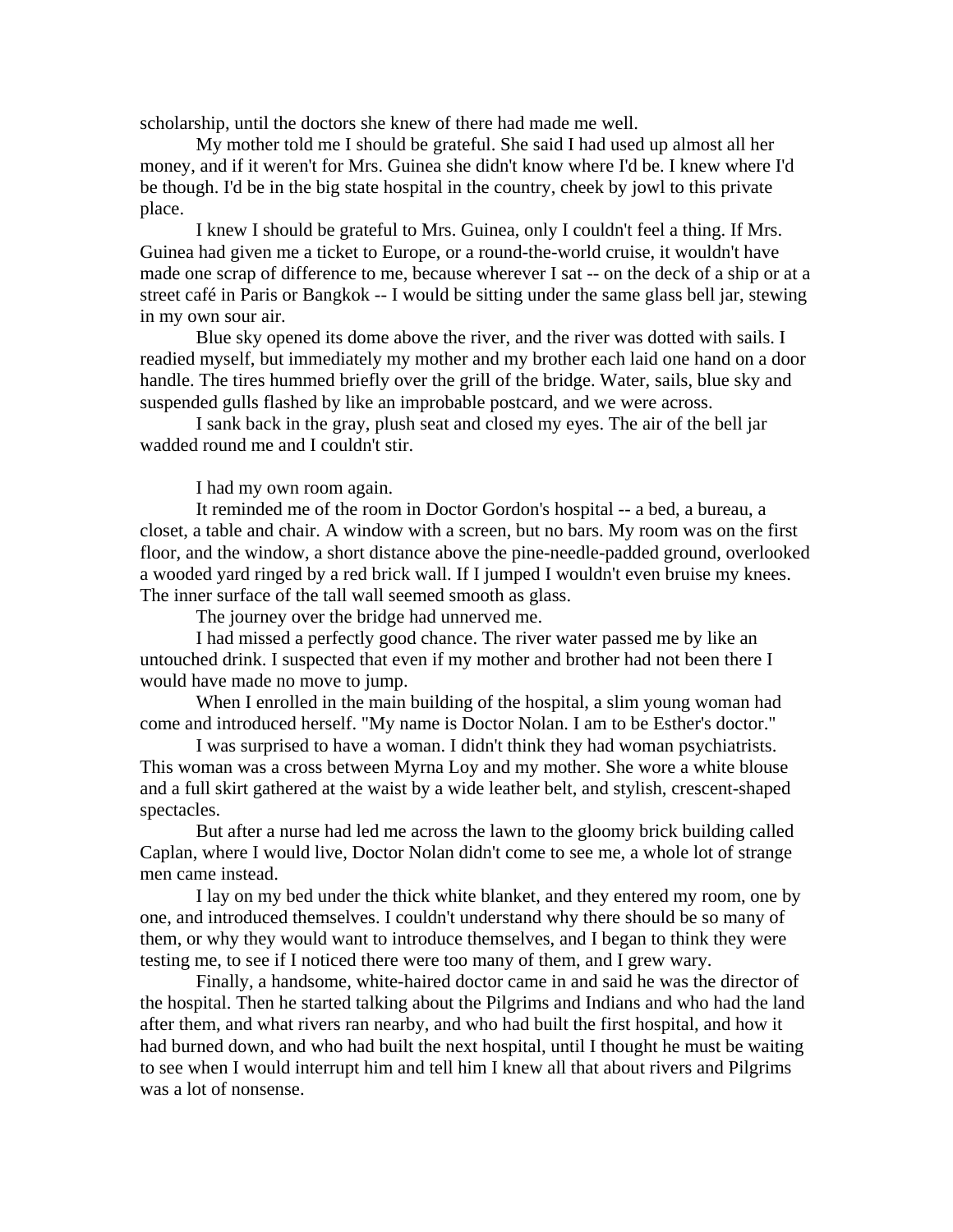scholarship, until the doctors she knew of there had made me well.

 My mother told me I should be grateful. She said I had used up almost all her money, and if it weren't for Mrs. Guinea she didn't know where I'd be. I knew where I'd be though. I'd be in the big state hospital in the country, cheek by jowl to this private place.

 I knew I should be grateful to Mrs. Guinea, only I couldn't feel a thing. If Mrs. Guinea had given me a ticket to Europe, or a round-the-world cruise, it wouldn't have made one scrap of difference to me, because wherever I sat -- on the deck of a ship or at a street café in Paris or Bangkok -- I would be sitting under the same glass bell jar, stewing in my own sour air.

 Blue sky opened its dome above the river, and the river was dotted with sails. I readied myself, but immediately my mother and my brother each laid one hand on a door handle. The tires hummed briefly over the grill of the bridge. Water, sails, blue sky and suspended gulls flashed by like an improbable postcard, and we were across.

 I sank back in the gray, plush seat and closed my eyes. The air of the bell jar wadded round me and I couldn't stir.

I had my own room again.

 It reminded me of the room in Doctor Gordon's hospital -- a bed, a bureau, a closet, a table and chair. A window with a screen, but no bars. My room was on the first floor, and the window, a short distance above the pine-needle-padded ground, overlooked a wooded yard ringed by a red brick wall. If I jumped I wouldn't even bruise my knees. The inner surface of the tall wall seemed smooth as glass.

The journey over the bridge had unnerved me.

 I had missed a perfectly good chance. The river water passed me by like an untouched drink. I suspected that even if my mother and brother had not been there I would have made no move to jump.

When I enrolled in the main building of the hospital, a slim young woman had come and introduced herself. "My name is Doctor Nolan. I am to be Esther's doctor."

 I was surprised to have a woman. I didn't think they had woman psychiatrists. This woman was a cross between Myrna Loy and my mother. She wore a white blouse and a full skirt gathered at the waist by a wide leather belt, and stylish, crescent-shaped spectacles.

 But after a nurse had led me across the lawn to the gloomy brick building called Caplan, where I would live, Doctor Nolan didn't come to see me, a whole lot of strange men came instead.

 I lay on my bed under the thick white blanket, and they entered my room, one by one, and introduced themselves. I couldn't understand why there should be so many of them, or why they would want to introduce themselves, and I began to think they were testing me, to see if I noticed there were too many of them, and I grew wary.

 Finally, a handsome, white-haired doctor came in and said he was the director of the hospital. Then he started talking about the Pilgrims and Indians and who had the land after them, and what rivers ran nearby, and who had built the first hospital, and how it had burned down, and who had built the next hospital, until I thought he must be waiting to see when I would interrupt him and tell him I knew all that about rivers and Pilgrims was a lot of nonsense.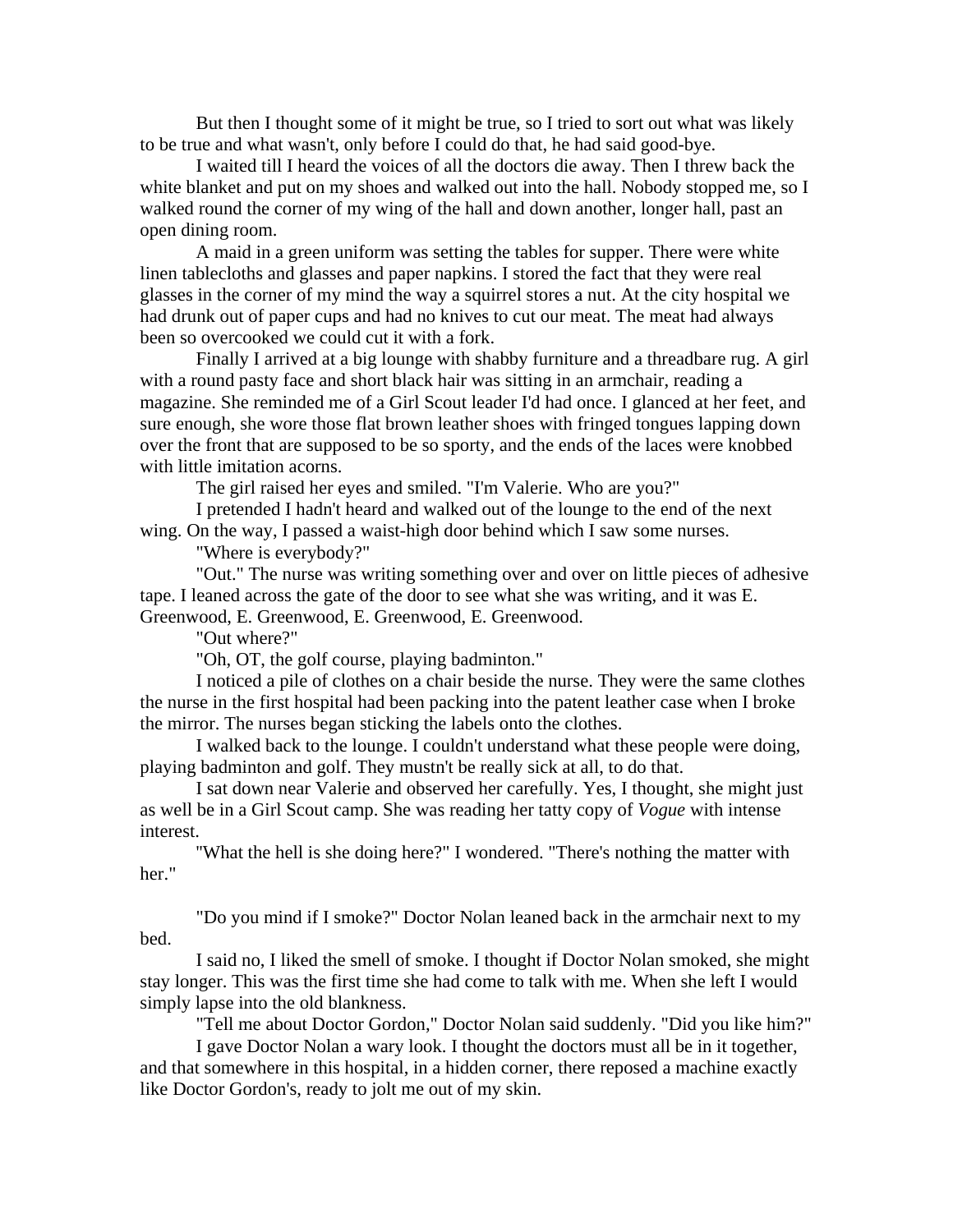But then I thought some of it might be true, so I tried to sort out what was likely to be true and what wasn't, only before I could do that, he had said good-bye.

 I waited till I heard the voices of all the doctors die away. Then I threw back the white blanket and put on my shoes and walked out into the hall. Nobody stopped me, so I walked round the corner of my wing of the hall and down another, longer hall, past an open dining room.

 A maid in a green uniform was setting the tables for supper. There were white linen tablecloths and glasses and paper napkins. I stored the fact that they were real glasses in the corner of my mind the way a squirrel stores a nut. At the city hospital we had drunk out of paper cups and had no knives to cut our meat. The meat had always been so overcooked we could cut it with a fork.

 Finally I arrived at a big lounge with shabby furniture and a threadbare rug. A girl with a round pasty face and short black hair was sitting in an armchair, reading a magazine. She reminded me of a Girl Scout leader I'd had once. I glanced at her feet, and sure enough, she wore those flat brown leather shoes with fringed tongues lapping down over the front that are supposed to be so sporty, and the ends of the laces were knobbed with little imitation acorns.

The girl raised her eyes and smiled. "I'm Valerie. Who are you?"

 I pretended I hadn't heard and walked out of the lounge to the end of the next wing. On the way, I passed a waist-high door behind which I saw some nurses.

"Where is everybody?"

 "Out." The nurse was writing something over and over on little pieces of adhesive tape. I leaned across the gate of the door to see what she was writing, and it was E. Greenwood, E. Greenwood, E. Greenwood, E. Greenwood.

"Out where?"

"Oh, OT, the golf course, playing badminton."

 I noticed a pile of clothes on a chair beside the nurse. They were the same clothes the nurse in the first hospital had been packing into the patent leather case when I broke the mirror. The nurses began sticking the labels onto the clothes.

 I walked back to the lounge. I couldn't understand what these people were doing, playing badminton and golf. They mustn't be really sick at all, to do that.

 I sat down near Valerie and observed her carefully. Yes, I thought, she might just as well be in a Girl Scout camp. She was reading her tatty copy of *Vogue* with intense interest.

 ''What the hell is she doing here?" I wondered. "There's nothing the matter with her."

 "Do you mind if I smoke?" Doctor Nolan leaned back in the armchair next to my bed.

 I said no, I liked the smell of smoke. I thought if Doctor Nolan smoked, she might stay longer. This was the first time she had come to talk with me. When she left I would simply lapse into the old blankness.

"Tell me about Doctor Gordon," Doctor Nolan said suddenly. "Did you like him?"

 I gave Doctor Nolan a wary look. I thought the doctors must all be in it together, and that somewhere in this hospital, in a hidden corner, there reposed a machine exactly like Doctor Gordon's, ready to jolt me out of my skin.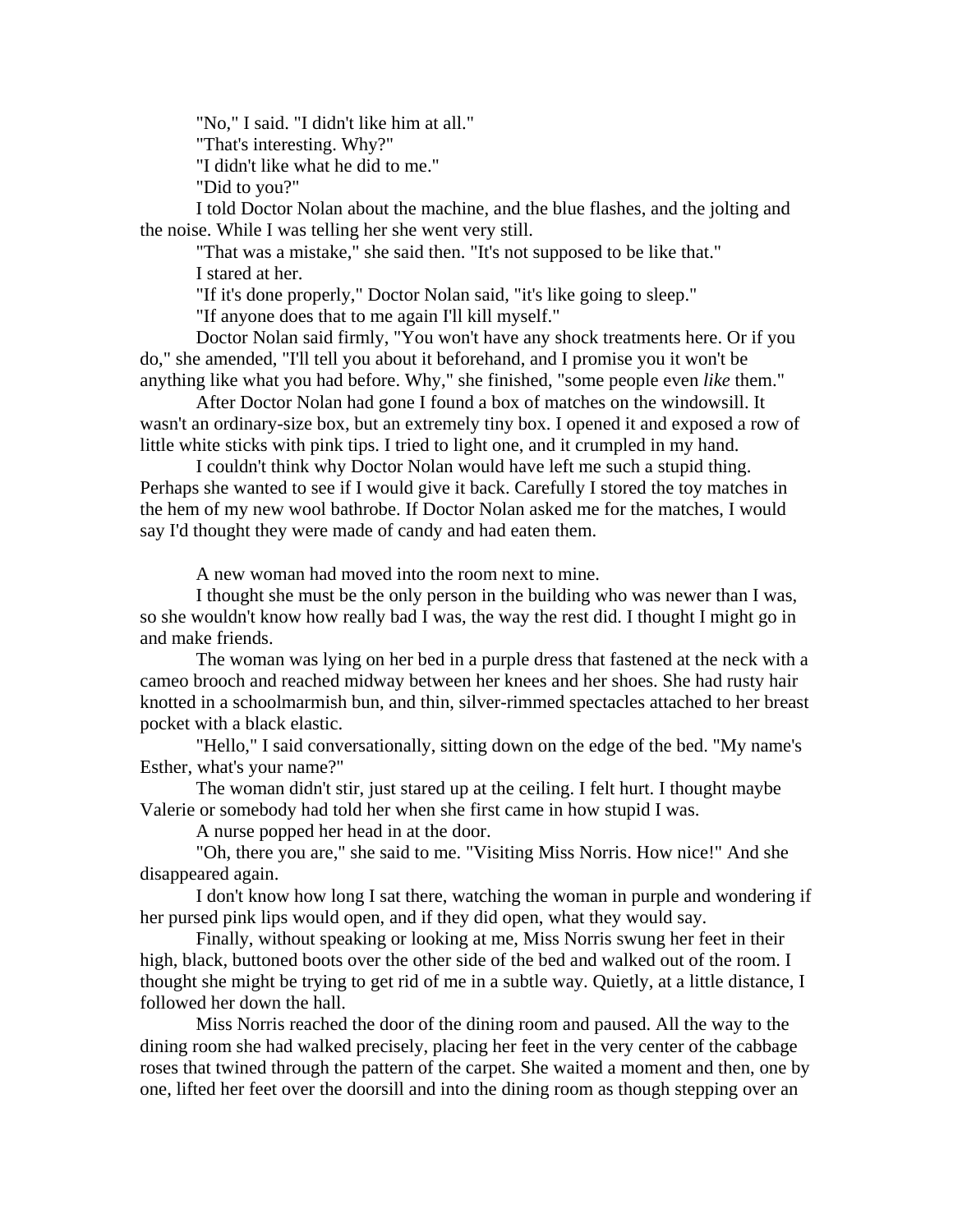"No," I said. "I didn't like him at all." "That's interesting. Why?" "I didn't like what he did to me." "Did to you?"

 I told Doctor Nolan about the machine, and the blue flashes, and the jolting and the noise. While I was telling her she went very still.

 "That was a mistake," she said then. "It's not supposed to be like that." I stared at her.

"If it's done properly," Doctor Nolan said, "it's like going to sleep."

"If anyone does that to me again I'll kill myself."

 Doctor Nolan said firmly, "You won't have any shock treatments here. Or if you do," she amended, "I'll tell you about it beforehand, and I promise you it won't be anything like what you had before. Why," she finished, "some people even *like* them."

 After Doctor Nolan had gone I found a box of matches on the windowsill. It wasn't an ordinary-size box, but an extremely tiny box. I opened it and exposed a row of little white sticks with pink tips. I tried to light one, and it crumpled in my hand.

 I couldn't think why Doctor Nolan would have left me such a stupid thing. Perhaps she wanted to see if I would give it back. Carefully I stored the toy matches in the hem of my new wool bathrobe. If Doctor Nolan asked me for the matches, I would say I'd thought they were made of candy and had eaten them.

A new woman had moved into the room next to mine.

 I thought she must be the only person in the building who was newer than I was, so she wouldn't know how really bad I was, the way the rest did. I thought I might go in and make friends.

 The woman was lying on her bed in a purple dress that fastened at the neck with a cameo brooch and reached midway between her knees and her shoes. She had rusty hair knotted in a schoolmarmish bun, and thin, silver-rimmed spectacles attached to her breast pocket with a black elastic.

 "Hello," I said conversationally, sitting down on the edge of the bed. "My name's Esther, what's your name?"

 The woman didn't stir, just stared up at the ceiling. I felt hurt. I thought maybe Valerie or somebody had told her when she first came in how stupid I was.

A nurse popped her head in at the door.

 "Oh, there you are," she said to me. "Visiting Miss Norris. How nice!" And she disappeared again.

 I don't know how long I sat there, watching the woman in purple and wondering if her pursed pink lips would open, and if they did open, what they would say.

 Finally, without speaking or looking at me, Miss Norris swung her feet in their high, black, buttoned boots over the other side of the bed and walked out of the room. I thought she might be trying to get rid of me in a subtle way. Quietly, at a little distance, I followed her down the hall.

 Miss Norris reached the door of the dining room and paused. All the way to the dining room she had walked precisely, placing her feet in the very center of the cabbage roses that twined through the pattern of the carpet. She waited a moment and then, one by one, lifted her feet over the doorsill and into the dining room as though stepping over an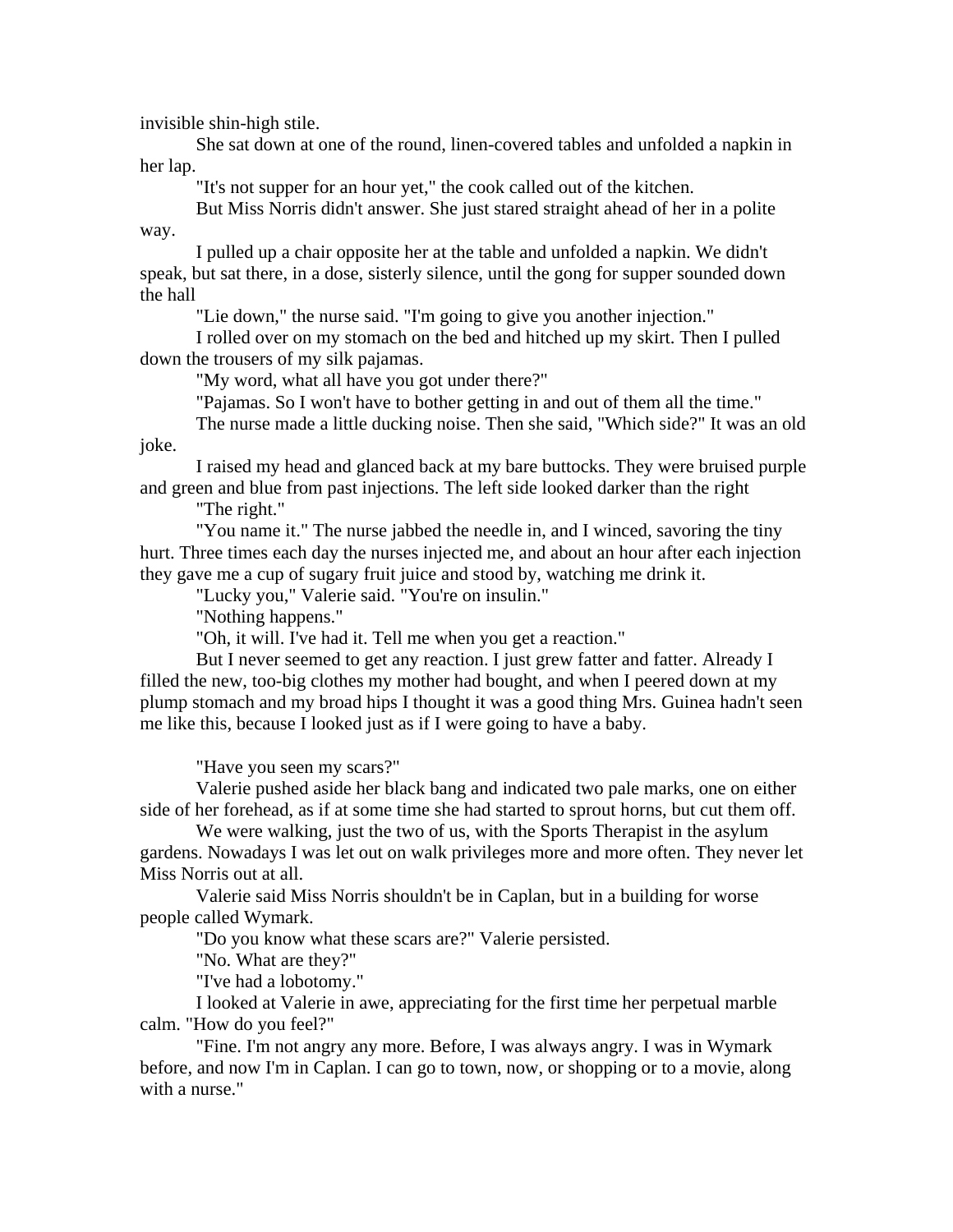invisible shin-high stile.

 She sat down at one of the round, linen-covered tables and unfolded a napkin in her lap.

"It's not supper for an hour yet," the cook called out of the kitchen.

 But Miss Norris didn't answer. She just stared straight ahead of her in a polite way.

 I pulled up a chair opposite her at the table and unfolded a napkin. We didn't speak, but sat there, in a dose, sisterly silence, until the gong for supper sounded down the hall

"Lie down," the nurse said. "I'm going to give you another injection."

 I rolled over on my stomach on the bed and hitched up my skirt. Then I pulled down the trousers of my silk pajamas.

"My word, what all have you got under there?"

"Pajamas. So I won't have to bother getting in and out of them all the time."

 The nurse made a little ducking noise. Then she said, "Which side?" It was an old joke.

 I raised my head and glanced back at my bare buttocks. They were bruised purple and green and blue from past injections. The left side looked darker than the right

"The right."

 "You name it." The nurse jabbed the needle in, and I winced, savoring the tiny hurt. Three times each day the nurses injected me, and about an hour after each injection they gave me a cup of sugary fruit juice and stood by, watching me drink it.

"Lucky you," Valerie said. "You're on insulin."

"Nothing happens."

"Oh, it will. I've had it. Tell me when you get a reaction."

 But I never seemed to get any reaction. I just grew fatter and fatter. Already I filled the new, too-big clothes my mother had bought, and when I peered down at my plump stomach and my broad hips I thought it was a good thing Mrs. Guinea hadn't seen me like this, because I looked just as if I were going to have a baby.

"Have you seen my scars?"

 Valerie pushed aside her black bang and indicated two pale marks, one on either side of her forehead, as if at some time she had started to sprout horns, but cut them off.

 We were walking, just the two of us, with the Sports Therapist in the asylum gardens. Nowadays I was let out on walk privileges more and more often. They never let Miss Norris out at all.

 Valerie said Miss Norris shouldn't be in Caplan, but in a building for worse people called Wymark.

"Do you know what these scars are?" Valerie persisted.

"No. What are they?"

"I've had a lobotomy."

 I looked at Valerie in awe, appreciating for the first time her perpetual marble calm. "How do you feel?"

 "Fine. I'm not angry any more. Before, I was always angry. I was in Wymark before, and now I'm in Caplan. I can go to town, now, or shopping or to a movie, along with a nurse."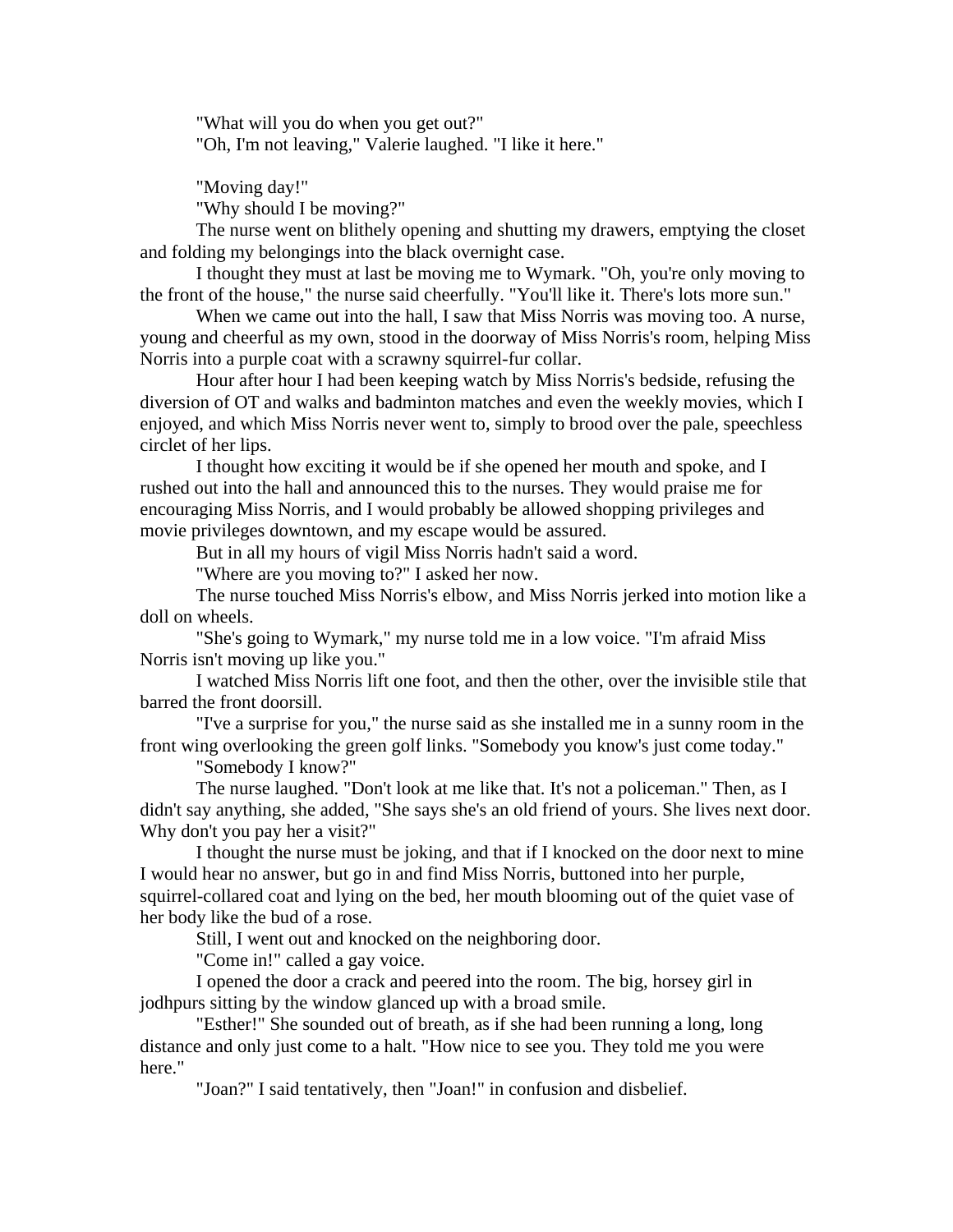"What will you do when you get out?" "Oh, I'm not leaving," Valerie laughed. "I like it here."

"Moving day!"

"Why should I be moving?"

 The nurse went on blithely opening and shutting my drawers, emptying the closet and folding my belongings into the black overnight case.

 I thought they must at last be moving me to Wymark. "Oh, you're only moving to the front of the house," the nurse said cheerfully. "You'll like it. There's lots more sun."

 When we came out into the hall, I saw that Miss Norris was moving too. A nurse, young and cheerful as my own, stood in the doorway of Miss Norris's room, helping Miss Norris into a purple coat with a scrawny squirrel-fur collar.

 Hour after hour I had been keeping watch by Miss Norris's bedside, refusing the diversion of OT and walks and badminton matches and even the weekly movies, which I enjoyed, and which Miss Norris never went to, simply to brood over the pale, speechless circlet of her lips.

 I thought how exciting it would be if she opened her mouth and spoke, and I rushed out into the hall and announced this to the nurses. They would praise me for encouraging Miss Norris, and I would probably be allowed shopping privileges and movie privileges downtown, and my escape would be assured.

But in all my hours of vigil Miss Norris hadn't said a word.

"Where are you moving to?" I asked her now.

 The nurse touched Miss Norris's elbow, and Miss Norris jerked into motion like a doll on wheels.

 "She's going to Wymark," my nurse told me in a low voice. "I'm afraid Miss Norris isn't moving up like you."

 I watched Miss Norris lift one foot, and then the other, over the invisible stile that barred the front doorsill.

 "I've a surprise for you," the nurse said as she installed me in a sunny room in the front wing overlooking the green golf links. "Somebody you know's just come today."

"Somebody I know?"

 The nurse laughed. "Don't look at me like that. It's not a policeman." Then, as I didn't say anything, she added, "She says she's an old friend of yours. She lives next door. Why don't you pay her a visit?"

 I thought the nurse must be joking, and that if I knocked on the door next to mine I would hear no answer, but go in and find Miss Norris, buttoned into her purple, squirrel-collared coat and lying on the bed, her mouth blooming out of the quiet vase of her body like the bud of a rose.

Still, I went out and knocked on the neighboring door.

"Come in!" called a gay voice.

 I opened the door a crack and peered into the room. The big, horsey girl in jodhpurs sitting by the window glanced up with a broad smile.

 "Esther!" She sounded out of breath, as if she had been running a long, long distance and only just come to a halt. "How nice to see you. They told me you were here."

"Joan?" I said tentatively, then "Joan!" in confusion and disbelief.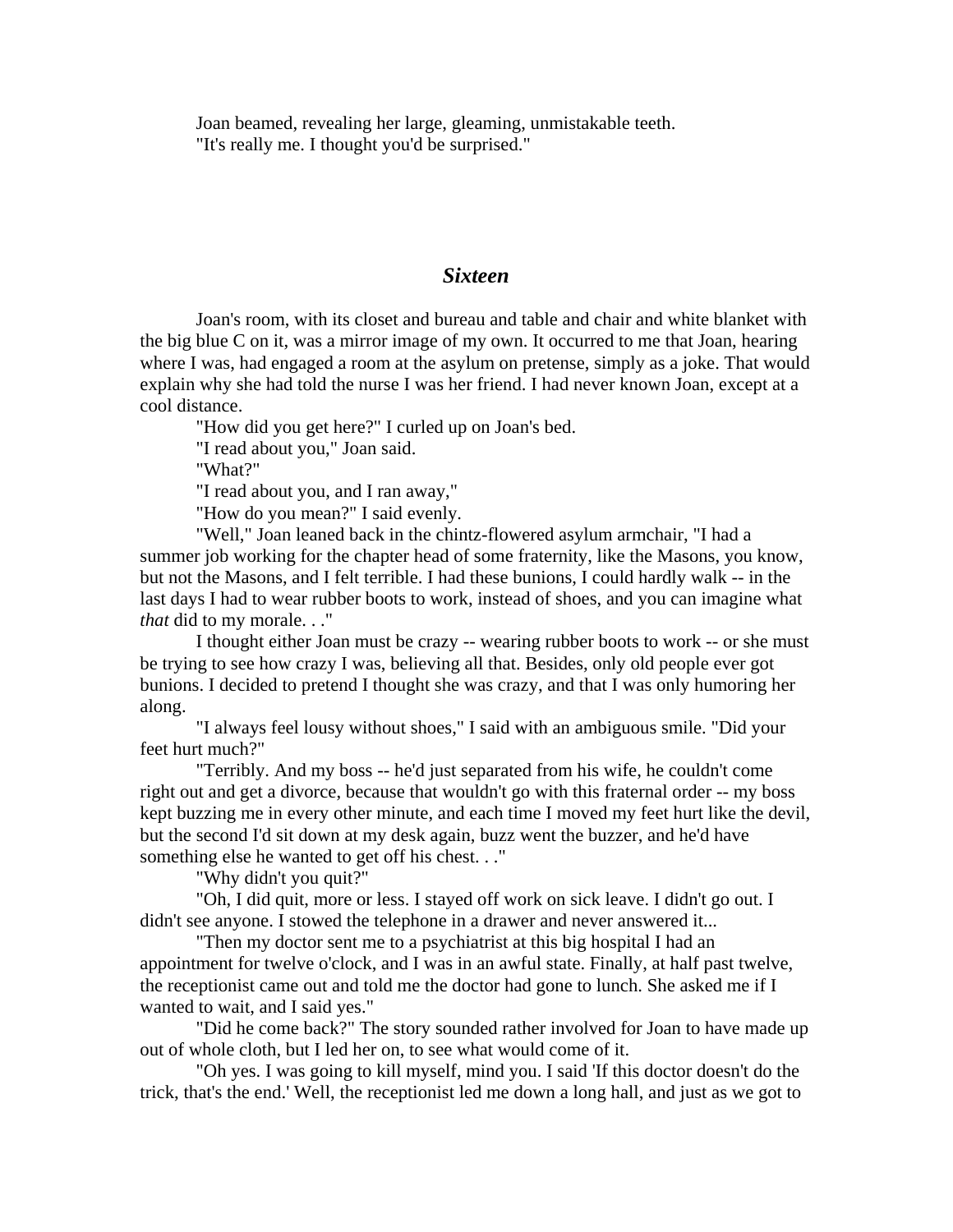Joan beamed, revealing her large, gleaming, unmistakable teeth. "It's really me. I thought you'd be surprised."

## *Sixteen*

 Joan's room, with its closet and bureau and table and chair and white blanket with the big blue C on it, was a mirror image of my own. It occurred to me that Joan, hearing where I was, had engaged a room at the asylum on pretense, simply as a joke. That would explain why she had told the nurse I was her friend. I had never known Joan, except at a cool distance.

"How did you get here?" I curled up on Joan's bed.

"I read about you," Joan said.

"What?"

"I read about you, and I ran away,"

"How do you mean?" I said evenly.

 "Well," Joan leaned back in the chintz-flowered asylum armchair, "I had a summer job working for the chapter head of some fraternity, like the Masons, you know, but not the Masons, and I felt terrible. I had these bunions, I could hardly walk -- in the last days I had to wear rubber boots to work, instead of shoes, and you can imagine what *that* did to my morale. . ."

 I thought either Joan must be crazy -- wearing rubber boots to work -- or she must be trying to see how crazy I was, believing all that. Besides, only old people ever got bunions. I decided to pretend I thought she was crazy, and that I was only humoring her along.

 "I always feel lousy without shoes," I said with an ambiguous smile. "Did your feet hurt much?"

 "Terribly. And my boss -- he'd just separated from his wife, he couldn't come right out and get a divorce, because that wouldn't go with this fraternal order -- my boss kept buzzing me in every other minute, and each time I moved my feet hurt like the devil, but the second I'd sit down at my desk again, buzz went the buzzer, and he'd have something else he wanted to get off his chest. . ."

"Why didn't you quit?"

 "Oh, I did quit, more or less. I stayed off work on sick leave. I didn't go out. I didn't see anyone. I stowed the telephone in a drawer and never answered it...

 "Then my doctor sent me to a psychiatrist at this big hospital I had an appointment for twelve o'clock, and I was in an awful state. Finally, at half past twelve, the receptionist came out and told me the doctor had gone to lunch. She asked me if I wanted to wait, and I said yes."

 "Did he come back?" The story sounded rather involved for Joan to have made up out of whole cloth, but I led her on, to see what would come of it.

 "Oh yes. I was going to kill myself, mind you. I said 'If this doctor doesn't do the trick, that's the end.' Well, the receptionist led me down a long hall, and just as we got to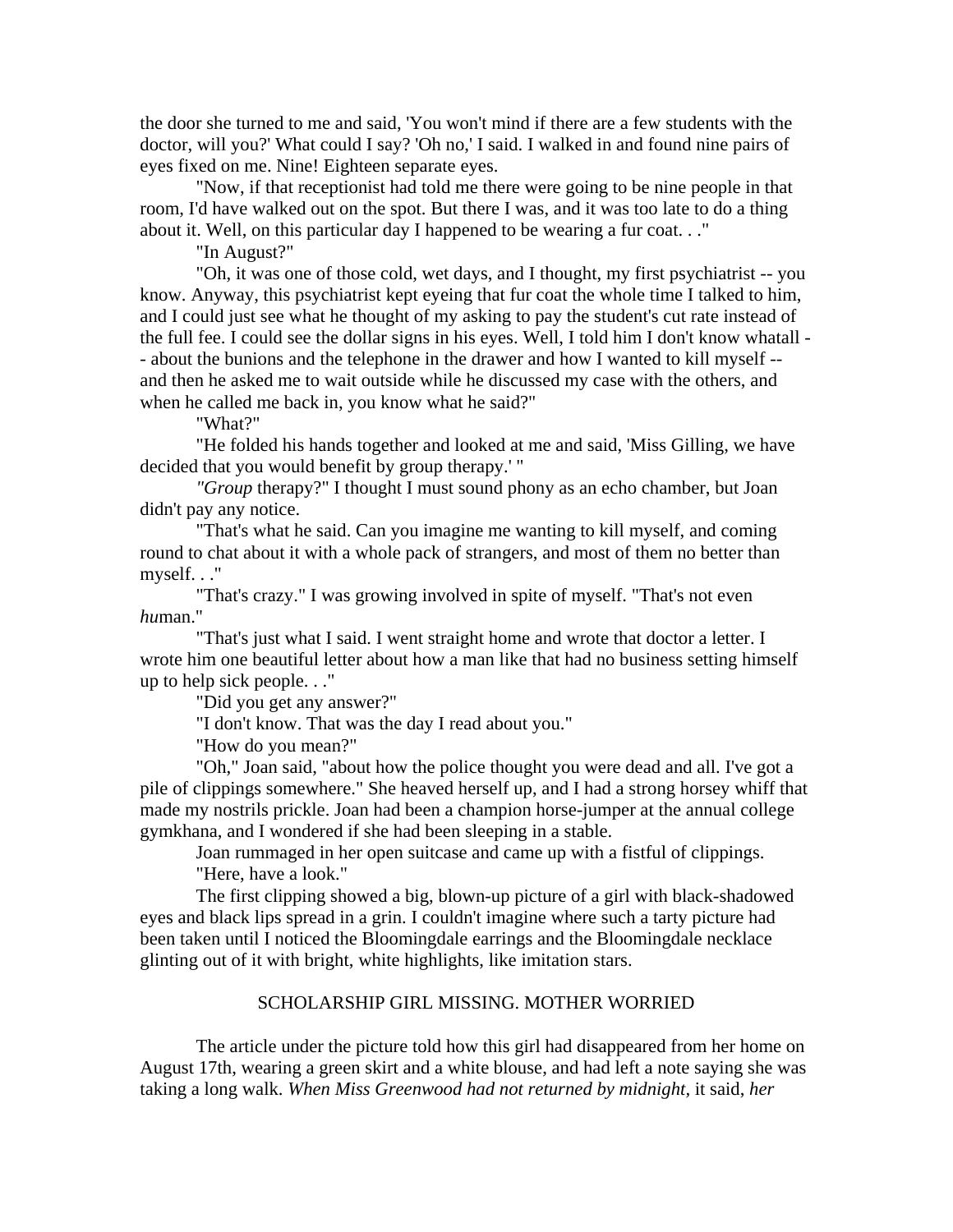the door she turned to me and said, 'You won't mind if there are a few students with the doctor, will you?' What could I say? 'Oh no,' I said. I walked in and found nine pairs of eyes fixed on me. Nine! Eighteen separate eyes.

 "Now, if that receptionist had told me there were going to be nine people in that room, I'd have walked out on the spot. But there I was, and it was too late to do a thing about it. Well, on this particular day I happened to be wearing a fur coat. . ."

"In August?"

 "Oh, it was one of those cold, wet days, and I thought, my first psychiatrist -- you know. Anyway, this psychiatrist kept eyeing that fur coat the whole time I talked to him, and I could just see what he thought of my asking to pay the student's cut rate instead of the full fee. I could see the dollar signs in his eyes. Well, I told him I don't know whatall - - about the bunions and the telephone in the drawer and how I wanted to kill myself - and then he asked me to wait outside while he discussed my case with the others, and when he called me back in, you know what he said?"

"What?"

 "He folded his hands together and looked at me and said, 'Miss Gilling, we have decided that you would benefit by group therapy.' "

*"Group* therapy?" I thought I must sound phony as an echo chamber, but Joan didn't pay any notice.

 "That's what he said. Can you imagine me wanting to kill myself, and coming round to chat about it with a whole pack of strangers, and most of them no better than myself. . ."

 "That's crazy." I was growing involved in spite of myself. "That's not even *hu*man."

 "That's just what I said. I went straight home and wrote that doctor a letter. I wrote him one beautiful letter about how a man like that had no business setting himself up to help sick people. . ."

"Did you get any answer?"

"I don't know. That was the day I read about you."

"How do you mean?"

 "Oh," Joan said, "about how the police thought you were dead and all. I've got a pile of clippings somewhere." She heaved herself up, and I had a strong horsey whiff that made my nostrils prickle. Joan had been a champion horse-jumper at the annual college gymkhana, and I wondered if she had been sleeping in a stable.

 Joan rummaged in her open suitcase and came up with a fistful of clippings. "Here, have a look."

 The first clipping showed a big, blown-up picture of a girl with black-shadowed eyes and black lips spread in a grin. I couldn't imagine where such a tarty picture had been taken until I noticed the Bloomingdale earrings and the Bloomingdale necklace glinting out of it with bright, white highlights, like imitation stars.

#### SCHOLARSHIP GIRL MISSING. MOTHER WORRIED

 The article under the picture told how this girl had disappeared from her home on August 17th, wearing a green skirt and a white blouse, and had left a note saying she was taking a long walk. *When Miss Greenwood had not returned by midnight,* it said, *her*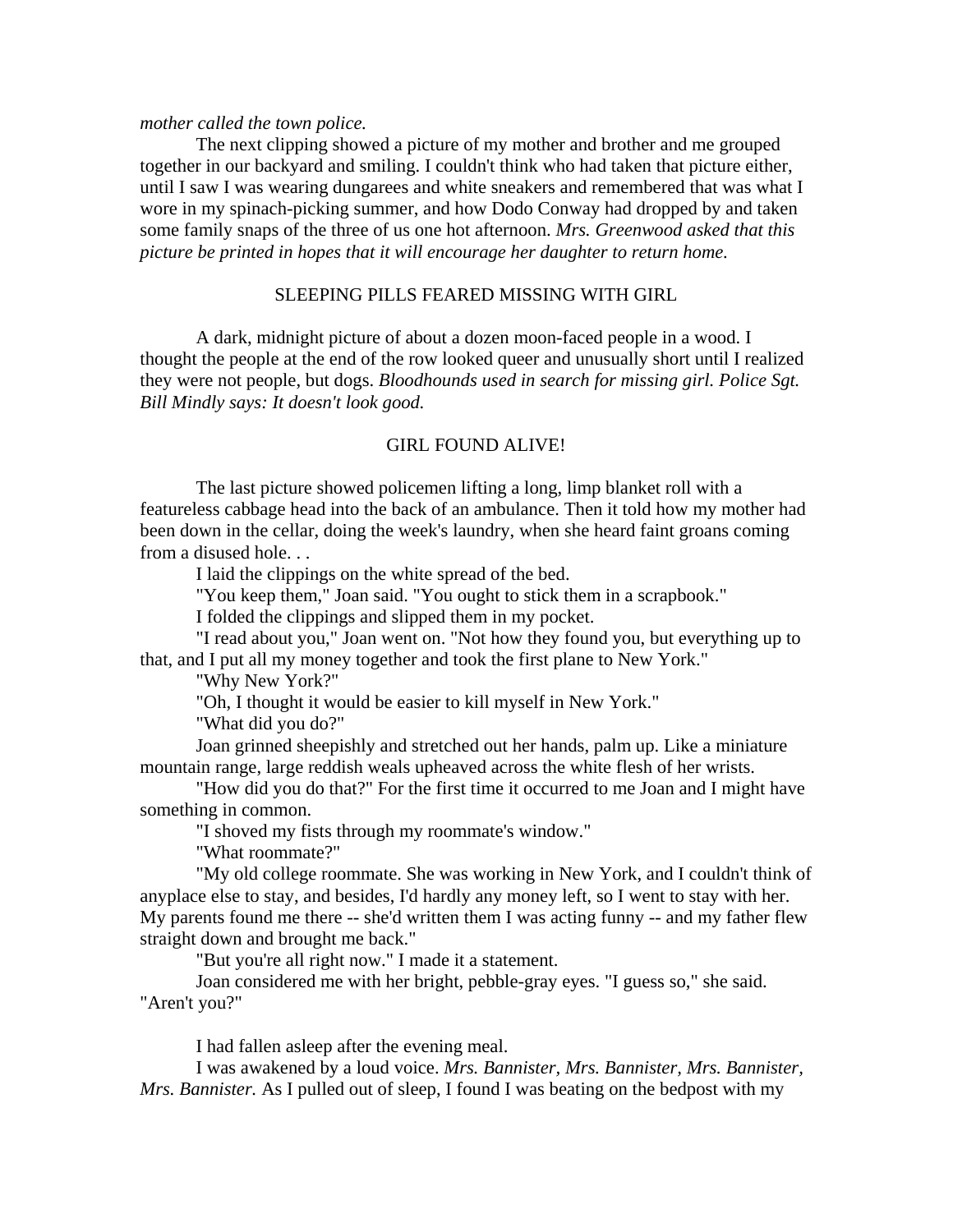#### *mother called the town police.*

 The next clipping showed a picture of my mother and brother and me grouped together in our backyard and smiling. I couldn't think who had taken that picture either, until I saw I was wearing dungarees and white sneakers and remembered that was what I wore in my spinach-picking summer, and how Dodo Conway had dropped by and taken some family snaps of the three of us one hot afternoon. *Mrs. Greenwood asked that this picture be printed in hopes that it will encourage her daughter to return home.*

### SLEEPING PILLS FEARED MISSING WITH GIRL

 A dark, midnight picture of about a dozen moon-faced people in a wood. I thought the people at the end of the row looked queer and unusually short until I realized they were not people, but dogs. *Bloodhounds used in search for missing girl. Police Sgt. Bill Mindly says: It doesn't look good.* 

#### GIRL FOUND ALIVE!

 The last picture showed policemen lifting a long, limp blanket roll with a featureless cabbage head into the back of an ambulance. Then it told how my mother had been down in the cellar, doing the week's laundry, when she heard faint groans coming from a disused hole. . .

I laid the clippings on the white spread of the bed.

"You keep them," Joan said. "You ought to stick them in a scrapbook."

I folded the clippings and slipped them in my pocket.

 "I read about you," Joan went on. "Not how they found you, but everything up to that, and I put all my money together and took the first plane to New York."

"Why New York?"

"Oh, I thought it would be easier to kill myself in New York."

"What did you do?"

 Joan grinned sheepishly and stretched out her hands, palm up. Like a miniature mountain range, large reddish weals upheaved across the white flesh of her wrists.

 "How did you do that?" For the first time it occurred to me Joan and I might have something in common.

"I shoved my fists through my roommate's window."

"What roommate?"

 "My old college roommate. She was working in New York, and I couldn't think of anyplace else to stay, and besides, I'd hardly any money left, so I went to stay with her. My parents found me there -- she'd written them I was acting funny -- and my father flew straight down and brought me back."

"But you're all right now." I made it a statement.

 Joan considered me with her bright, pebble-gray eyes. "I guess so," she said. "Aren't you?"

I had fallen asleep after the evening meal.

 I was awakened by a loud voice. *Mrs. Bannister, Mrs. Bannister, Mrs. Bannister, Mrs. Bannister.* As I pulled out of sleep, I found I was beating on the bedpost with my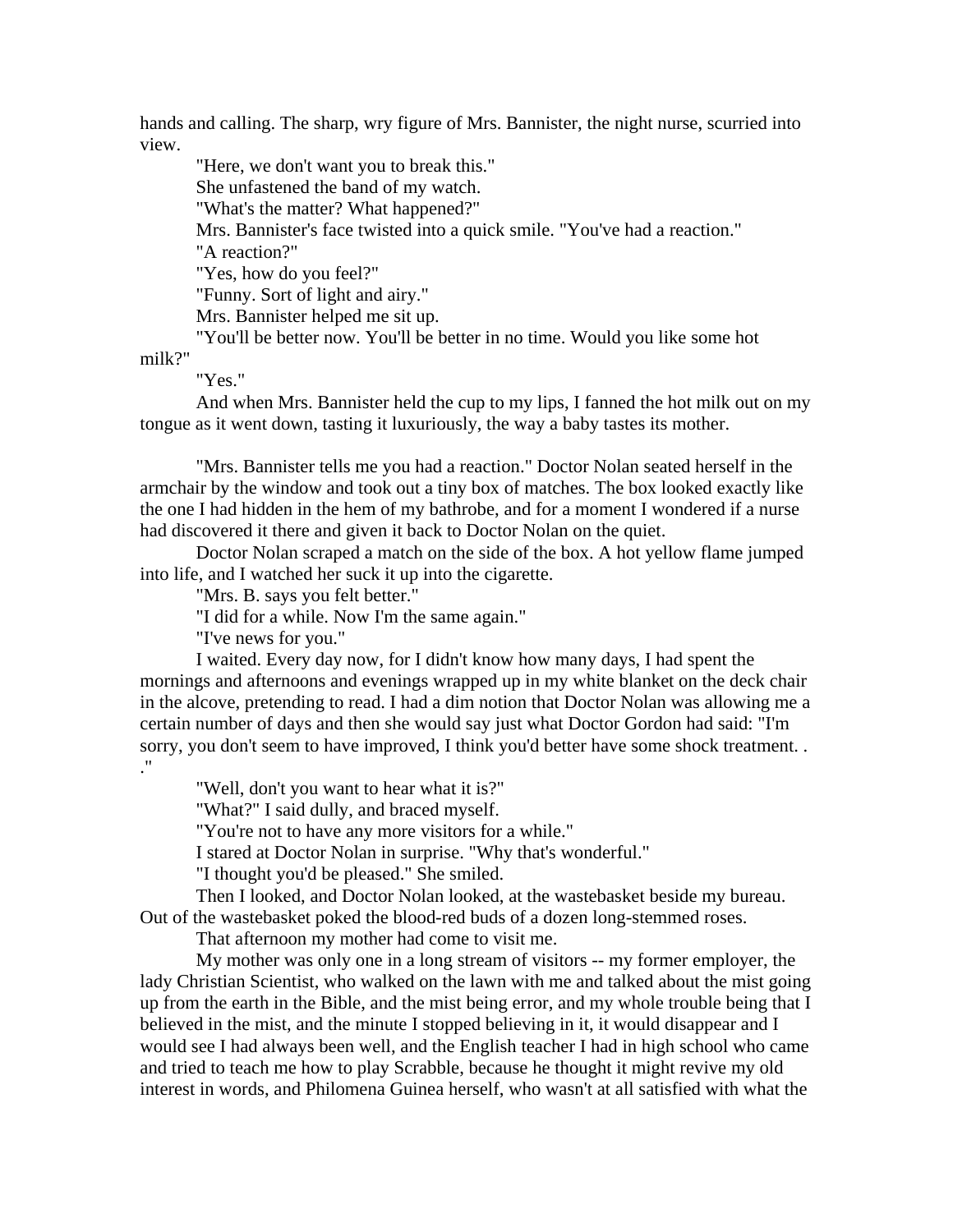hands and calling. The sharp, wry figure of Mrs. Bannister, the night nurse, scurried into view.

 "Here, we don't want you to break this." She unfastened the band of my watch. "What's the matter? What happened?" Mrs. Bannister's face twisted into a quick smile. "You've had a reaction." "A reaction?" "Yes, how do you feel?" "Funny. Sort of light and airy." Mrs. Bannister helped me sit up.

 "You'll be better now. You'll be better in no time. Would you like some hot milk?"

"Yes."

 And when Mrs. Bannister held the cup to my lips, I fanned the hot milk out on my tongue as it went down, tasting it luxuriously, the way a baby tastes its mother.

 "Mrs. Bannister tells me you had a reaction." Doctor Nolan seated herself in the armchair by the window and took out a tiny box of matches. The box looked exactly like the one I had hidden in the hem of my bathrobe, and for a moment I wondered if a nurse had discovered it there and given it back to Doctor Nolan on the quiet.

 Doctor Nolan scraped a match on the side of the box. A hot yellow flame jumped into life, and I watched her suck it up into the cigarette.

"Mrs. B. says you felt better."

"I did for a while. Now I'm the same again."

"I've news for you."

 I waited. Every day now, for I didn't know how many days, I had spent the mornings and afternoons and evenings wrapped up in my white blanket on the deck chair in the alcove, pretending to read. I had a dim notion that Doctor Nolan was allowing me a certain number of days and then she would say just what Doctor Gordon had said: "I'm sorry, you don't seem to have improved, I think you'd better have some shock treatment. . ."

"Well, don't you want to hear what it is?"

"What?" I said dully, and braced myself.

"You're not to have any more visitors for a while."

I stared at Doctor Nolan in surprise. "Why that's wonderful."

"I thought you'd be pleased." She smiled.

 Then I looked, and Doctor Nolan looked, at the wastebasket beside my bureau. Out of the wastebasket poked the blood-red buds of a dozen long-stemmed roses.

That afternoon my mother had come to visit me.

 My mother was only one in a long stream of visitors -- my former employer, the lady Christian Scientist, who walked on the lawn with me and talked about the mist going up from the earth in the Bible, and the mist being error, and my whole trouble being that I believed in the mist, and the minute I stopped believing in it, it would disappear and I would see I had always been well, and the English teacher I had in high school who came and tried to teach me how to play Scrabble, because he thought it might revive my old interest in words, and Philomena Guinea herself, who wasn't at all satisfied with what the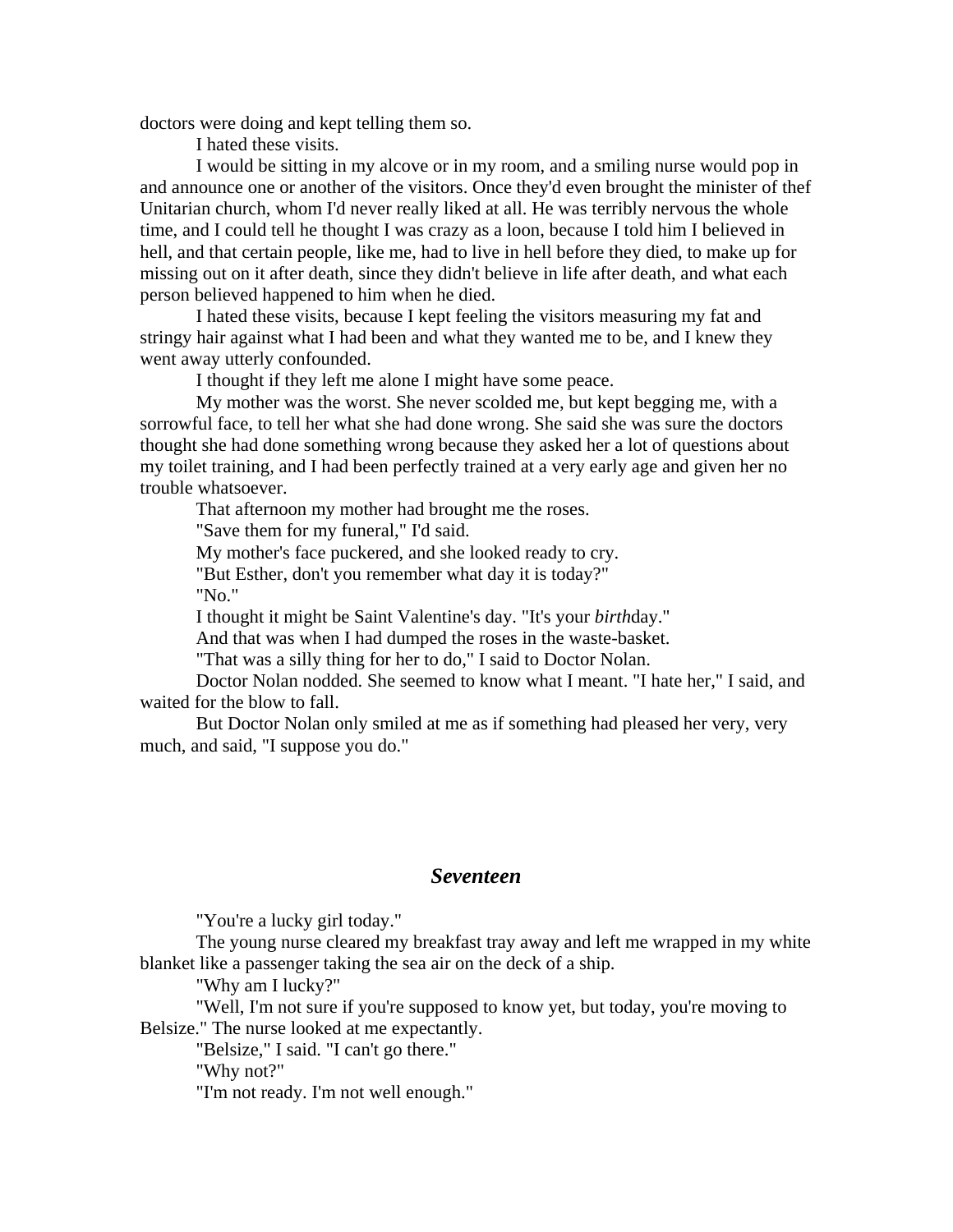doctors were doing and kept telling them so.

I hated these visits.

 I would be sitting in my alcove or in my room, and a smiling nurse would pop in and announce one or another of the visitors. Once they'd even brought the minister of thef Unitarian church, whom I'd never really liked at all. He was terribly nervous the whole time, and I could tell he thought I was crazy as a loon, because I told him I believed in hell, and that certain people, like me, had to live in hell before they died, to make up for missing out on it after death, since they didn't believe in life after death, and what each person believed happened to him when he died.

 I hated these visits, because I kept feeling the visitors measuring my fat and stringy hair against what I had been and what they wanted me to be, and I knew they went away utterly confounded.

I thought if they left me alone I might have some peace.

 My mother was the worst. She never scolded me, but kept begging me, with a sorrowful face, to tell her what she had done wrong. She said she was sure the doctors thought she had done something wrong because they asked her a lot of questions about my toilet training, and I had been perfectly trained at a very early age and given her no trouble whatsoever.

That afternoon my mother had brought me the roses.

"Save them for my funeral," I'd said.

My mother's face puckered, and she looked ready to cry.

 "But Esther, don't you remember what day it is today?" "No."

I thought it might be Saint Valentine's day. "It's your *birth*day."

And that was when I had dumped the roses in the waste-basket.

"That was a silly thing for her to do," I said to Doctor Nolan.

 Doctor Nolan nodded. She seemed to know what I meant. "I hate her," I said, and waited for the blow to fall.

 But Doctor Nolan only smiled at me as if something had pleased her very, very much, and said, "I suppose you do."

#### *Seventeen*

"You're a lucky girl today."

 The young nurse cleared my breakfast tray away and left me wrapped in my white blanket like a passenger taking the sea air on the deck of a ship.

"Why am I lucky?"

 "Well, I'm not sure if you're supposed to know yet, but today, you're moving to Belsize." The nurse looked at me expectantly.

"Belsize," I said. "I can't go there."

"Why not?"

"I'm not ready. I'm not well enough."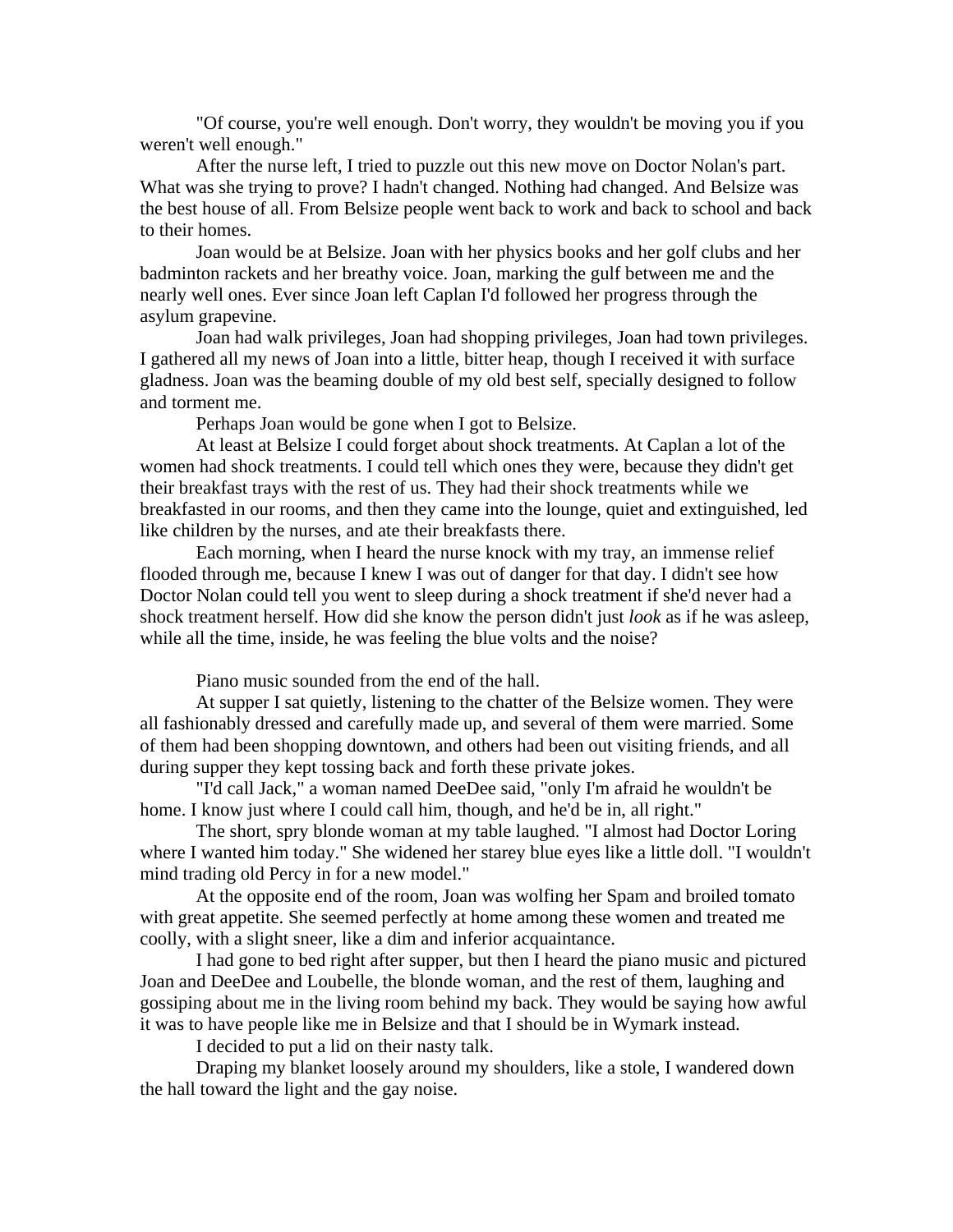"Of course, you're well enough. Don't worry, they wouldn't be moving you if you weren't well enough."

 After the nurse left, I tried to puzzle out this new move on Doctor Nolan's part. What was she trying to prove? I hadn't changed. Nothing had changed. And Belsize was the best house of all. From Belsize people went back to work and back to school and back to their homes.

 Joan would be at Belsize. Joan with her physics books and her golf clubs and her badminton rackets and her breathy voice. Joan, marking the gulf between me and the nearly well ones. Ever since Joan left Caplan I'd followed her progress through the asylum grapevine.

 Joan had walk privileges, Joan had shopping privileges, Joan had town privileges. I gathered all my news of Joan into a little, bitter heap, though I received it with surface gladness. Joan was the beaming double of my old best self, specially designed to follow and torment me.

Perhaps Joan would be gone when I got to Belsize.

 At least at Belsize I could forget about shock treatments. At Caplan a lot of the women had shock treatments. I could tell which ones they were, because they didn't get their breakfast trays with the rest of us. They had their shock treatments while we breakfasted in our rooms, and then they came into the lounge, quiet and extinguished, led like children by the nurses, and ate their breakfasts there.

 Each morning, when I heard the nurse knock with my tray, an immense relief flooded through me, because I knew I was out of danger for that day. I didn't see how Doctor Nolan could tell you went to sleep during a shock treatment if she'd never had a shock treatment herself. How did she know the person didn't just *look* as if he was asleep, while all the time, inside, he was feeling the blue volts and the noise?

Piano music sounded from the end of the hall.

 At supper I sat quietly, listening to the chatter of the Belsize women. They were all fashionably dressed and carefully made up, and several of them were married. Some of them had been shopping downtown, and others had been out visiting friends, and all during supper they kept tossing back and forth these private jokes.

 "I'd call Jack," a woman named DeeDee said, "only I'm afraid he wouldn't be home. I know just where I could call him, though, and he'd be in, all right."

 The short, spry blonde woman at my table laughed. "I almost had Doctor Loring where I wanted him today." She widened her starey blue eyes like a little doll. "I wouldn't mind trading old Percy in for a new model."

 At the opposite end of the room, Joan was wolfing her Spam and broiled tomato with great appetite. She seemed perfectly at home among these women and treated me coolly, with a slight sneer, like a dim and inferior acquaintance.

 I had gone to bed right after supper, but then I heard the piano music and pictured Joan and DeeDee and Loubelle, the blonde woman, and the rest of them, laughing and gossiping about me in the living room behind my back. They would be saying how awful it was to have people like me in Belsize and that I should be in Wymark instead.

I decided to put a lid on their nasty talk.

 Draping my blanket loosely around my shoulders, like a stole, I wandered down the hall toward the light and the gay noise.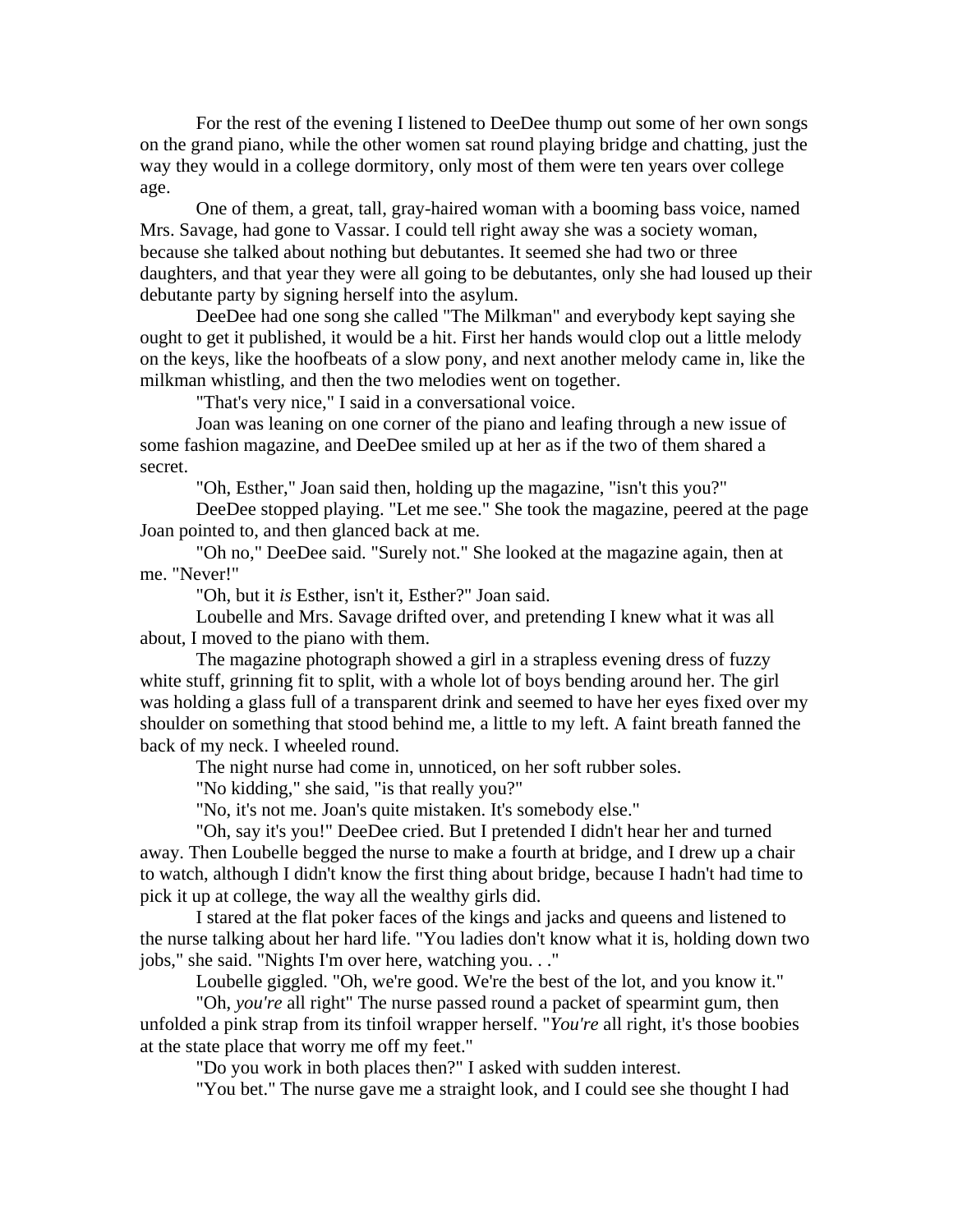For the rest of the evening I listened to DeeDee thump out some of her own songs on the grand piano, while the other women sat round playing bridge and chatting, just the way they would in a college dormitory, only most of them were ten years over college age.

 One of them, a great, tall, gray-haired woman with a booming bass voice, named Mrs. Savage, had gone to Vassar. I could tell right away she was a society woman, because she talked about nothing but debutantes. It seemed she had two or three daughters, and that year they were all going to be debutantes, only she had loused up their debutante party by signing herself into the asylum.

 DeeDee had one song she called "The Milkman" and everybody kept saying she ought to get it published, it would be a hit. First her hands would clop out a little melody on the keys, like the hoofbeats of a slow pony, and next another melody came in, like the milkman whistling, and then the two melodies went on together.

"That's very nice," I said in a conversational voice.

 Joan was leaning on one corner of the piano and leafing through a new issue of some fashion magazine, and DeeDee smiled up at her as if the two of them shared a secret.

"Oh, Esther," Joan said then, holding up the magazine, "isn't this you?"

 DeeDee stopped playing. "Let me see." She took the magazine, peered at the page Joan pointed to, and then glanced back at me.

 "Oh no," DeeDee said. "Surely not." She looked at the magazine again, then at me. "Never!"

"Oh, but it *is* Esther, isn't it, Esther?" Joan said.

 Loubelle and Mrs. Savage drifted over, and pretending I knew what it was all about, I moved to the piano with them.

 The magazine photograph showed a girl in a strapless evening dress of fuzzy white stuff, grinning fit to split, with a whole lot of boys bending around her. The girl was holding a glass full of a transparent drink and seemed to have her eyes fixed over my shoulder on something that stood behind me, a little to my left. A faint breath fanned the back of my neck. I wheeled round.

The night nurse had come in, unnoticed, on her soft rubber soles.

"No kidding," she said, "is that really you?"

"No, it's not me. Joan's quite mistaken. It's somebody else."

 "Oh, say it's you!" DeeDee cried. But I pretended I didn't hear her and turned away. Then Loubelle begged the nurse to make a fourth at bridge, and I drew up a chair to watch, although I didn't know the first thing about bridge, because I hadn't had time to pick it up at college, the way all the wealthy girls did.

 I stared at the flat poker faces of the kings and jacks and queens and listened to the nurse talking about her hard life. "You ladies don't know what it is, holding down two jobs," she said. "Nights I'm over here, watching you. . ."

Loubelle giggled. "Oh, we're good. We're the best of the lot, and you know it."

 "Oh, *you're* all right" The nurse passed round a packet of spearmint gum, then unfolded a pink strap from its tinfoil wrapper herself. "*You're* all right, it's those boobies at the state place that worry me off my feet."

"Do you work in both places then?" I asked with sudden interest.

"You bet." The nurse gave me a straight look, and I could see she thought I had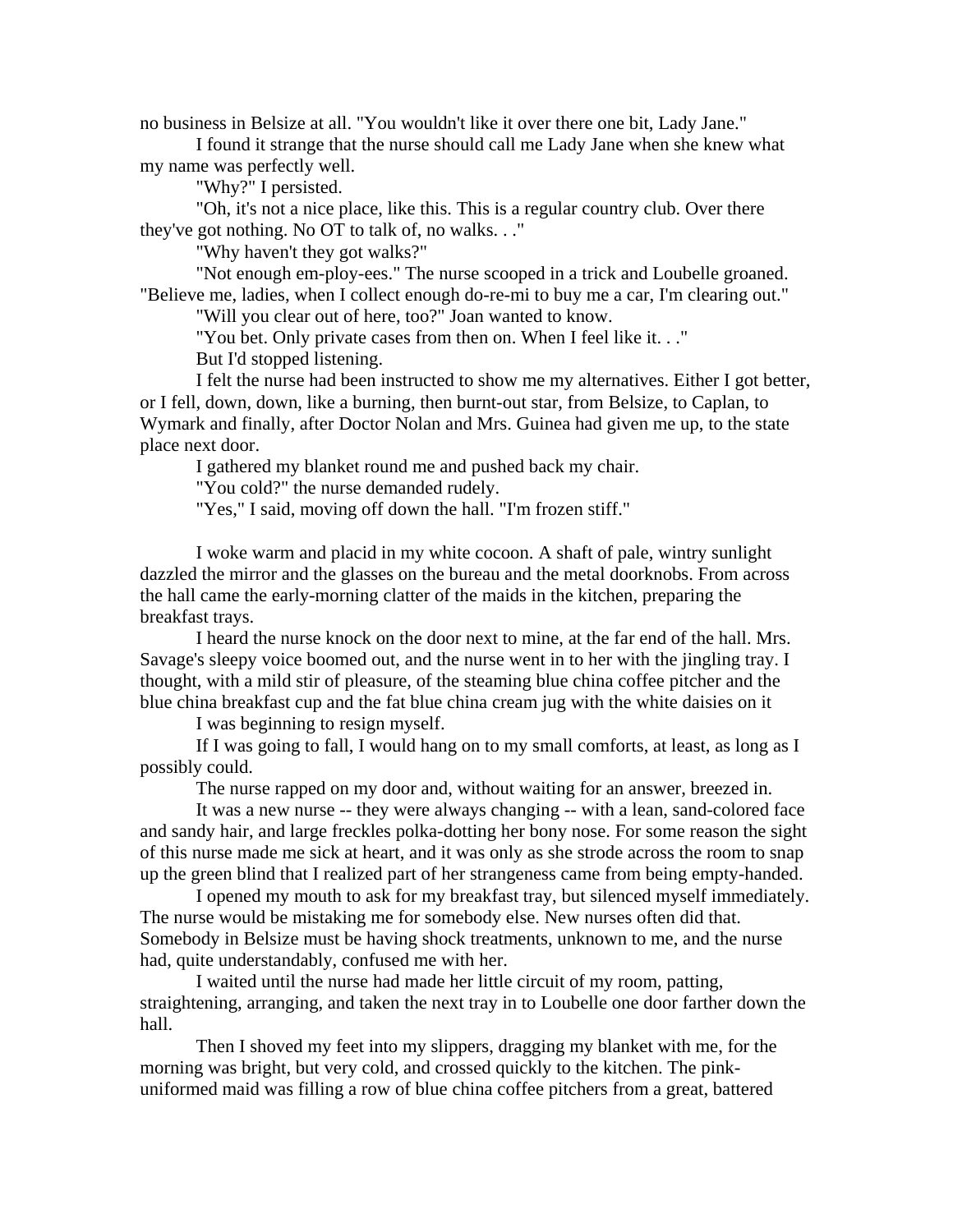no business in Belsize at all. "You wouldn't like it over there one bit, Lady Jane."

 I found it strange that the nurse should call me Lady Jane when she knew what my name was perfectly well.

"Why?" I persisted.

 "Oh, it's not a nice place, like this. This is a regular country club. Over there they've got nothing. No OT to talk of, no walks. . ."

"Why haven't they got walks?"

 "Not enough em-ploy-ees." The nurse scooped in a trick and Loubelle groaned. "Believe me, ladies, when I collect enough do-re-mi to buy me a car, I'm clearing out."

"Will you clear out of here, too?" Joan wanted to know.

"You bet. Only private cases from then on. When I feel like it. . ."

But I'd stopped listening.

 I felt the nurse had been instructed to show me my alternatives. Either I got better, or I fell, down, down, like a burning, then burnt-out star, from Belsize, to Caplan, to Wymark and finally, after Doctor Nolan and Mrs. Guinea had given me up, to the state place next door.

I gathered my blanket round me and pushed back my chair.

"You cold?" the nurse demanded rudely.

"Yes," I said, moving off down the hall. "I'm frozen stiff."

 I woke warm and placid in my white cocoon. A shaft of pale, wintry sunlight dazzled the mirror and the glasses on the bureau and the metal doorknobs. From across the hall came the early-morning clatter of the maids in the kitchen, preparing the breakfast trays.

 I heard the nurse knock on the door next to mine, at the far end of the hall. Mrs. Savage's sleepy voice boomed out, and the nurse went in to her with the jingling tray. I thought, with a mild stir of pleasure, of the steaming blue china coffee pitcher and the blue china breakfast cup and the fat blue china cream jug with the white daisies on it

I was beginning to resign myself.

 If I was going to fall, I would hang on to my small comforts, at least, as long as I possibly could.

The nurse rapped on my door and, without waiting for an answer, breezed in.

 It was a new nurse -- they were always changing -- with a lean, sand-colored face and sandy hair, and large freckles polka-dotting her bony nose. For some reason the sight of this nurse made me sick at heart, and it was only as she strode across the room to snap up the green blind that I realized part of her strangeness came from being empty-handed.

 I opened my mouth to ask for my breakfast tray, but silenced myself immediately. The nurse would be mistaking me for somebody else. New nurses often did that. Somebody in Belsize must be having shock treatments, unknown to me, and the nurse had, quite understandably, confused me with her.

 I waited until the nurse had made her little circuit of my room, patting, straightening, arranging, and taken the next tray in to Loubelle one door farther down the hall.

 Then I shoved my feet into my slippers, dragging my blanket with me, for the morning was bright, but very cold, and crossed quickly to the kitchen. The pinkuniformed maid was filling a row of blue china coffee pitchers from a great, battered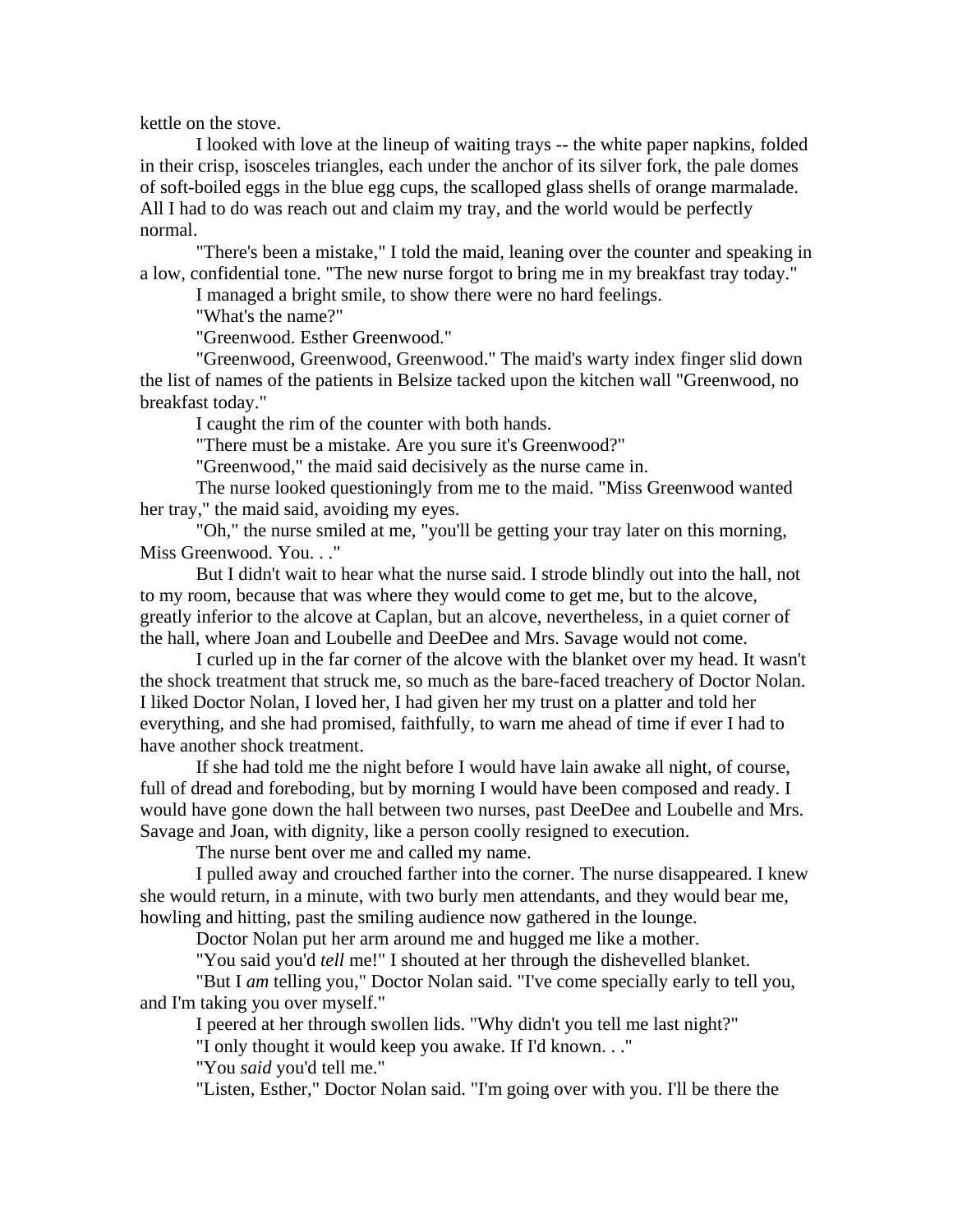kettle on the stove.

 I looked with love at the lineup of waiting trays -- the white paper napkins, folded in their crisp, isosceles triangles, each under the anchor of its silver fork, the pale domes of soft-boiled eggs in the blue egg cups, the scalloped glass shells of orange marmalade. All I had to do was reach out and claim my tray, and the world would be perfectly normal.

 "There's been a mistake," I told the maid, leaning over the counter and speaking in a low, confidential tone. "The new nurse forgot to bring me in my breakfast tray today."

I managed a bright smile, to show there were no hard feelings.

"What's the name?"

"Greenwood. Esther Greenwood."

 "Greenwood, Greenwood, Greenwood." The maid's warty index finger slid down the list of names of the patients in Belsize tacked upon the kitchen wall "Greenwood, no breakfast today."

I caught the rim of the counter with both hands.

"There must be a mistake. Are you sure it's Greenwood?"

"Greenwood," the maid said decisively as the nurse came in.

 The nurse looked questioningly from me to the maid. "Miss Greenwood wanted her tray," the maid said, avoiding my eyes.

 "Oh," the nurse smiled at me, "you'll be getting your tray later on this morning, Miss Greenwood. You. . ."

 But I didn't wait to hear what the nurse said. I strode blindly out into the hall, not to my room, because that was where they would come to get me, but to the alcove, greatly inferior to the alcove at Caplan, but an alcove, nevertheless, in a quiet corner of the hall, where Joan and Loubelle and DeeDee and Mrs. Savage would not come.

 I curled up in the far corner of the alcove with the blanket over my head. It wasn't the shock treatment that struck me, so much as the bare-faced treachery of Doctor Nolan. I liked Doctor Nolan, I loved her, I had given her my trust on a platter and told her everything, and she had promised, faithfully, to warn me ahead of time if ever I had to have another shock treatment.

 If she had told me the night before I would have lain awake all night, of course, full of dread and foreboding, but by morning I would have been composed and ready. I would have gone down the hall between two nurses, past DeeDee and Loubelle and Mrs. Savage and Joan, with dignity, like a person coolly resigned to execution.

The nurse bent over me and called my name.

 I pulled away and crouched farther into the corner. The nurse disappeared. I knew she would return, in a minute, with two burly men attendants, and they would bear me, howling and hitting, past the smiling audience now gathered in the lounge.

Doctor Nolan put her arm around me and hugged me like a mother.

"You said you'd *tell* me!" I shouted at her through the dishevelled blanket.

 "But I *am* telling you," Doctor Nolan said. "I've come specially early to tell you, and I'm taking you over myself."

I peered at her through swollen lids. "Why didn't you tell me last night?"

"I only thought it would keep you awake. If I'd known. . ."

"You *said* you'd tell me."

"Listen, Esther," Doctor Nolan said. "I'm going over with you. I'll be there the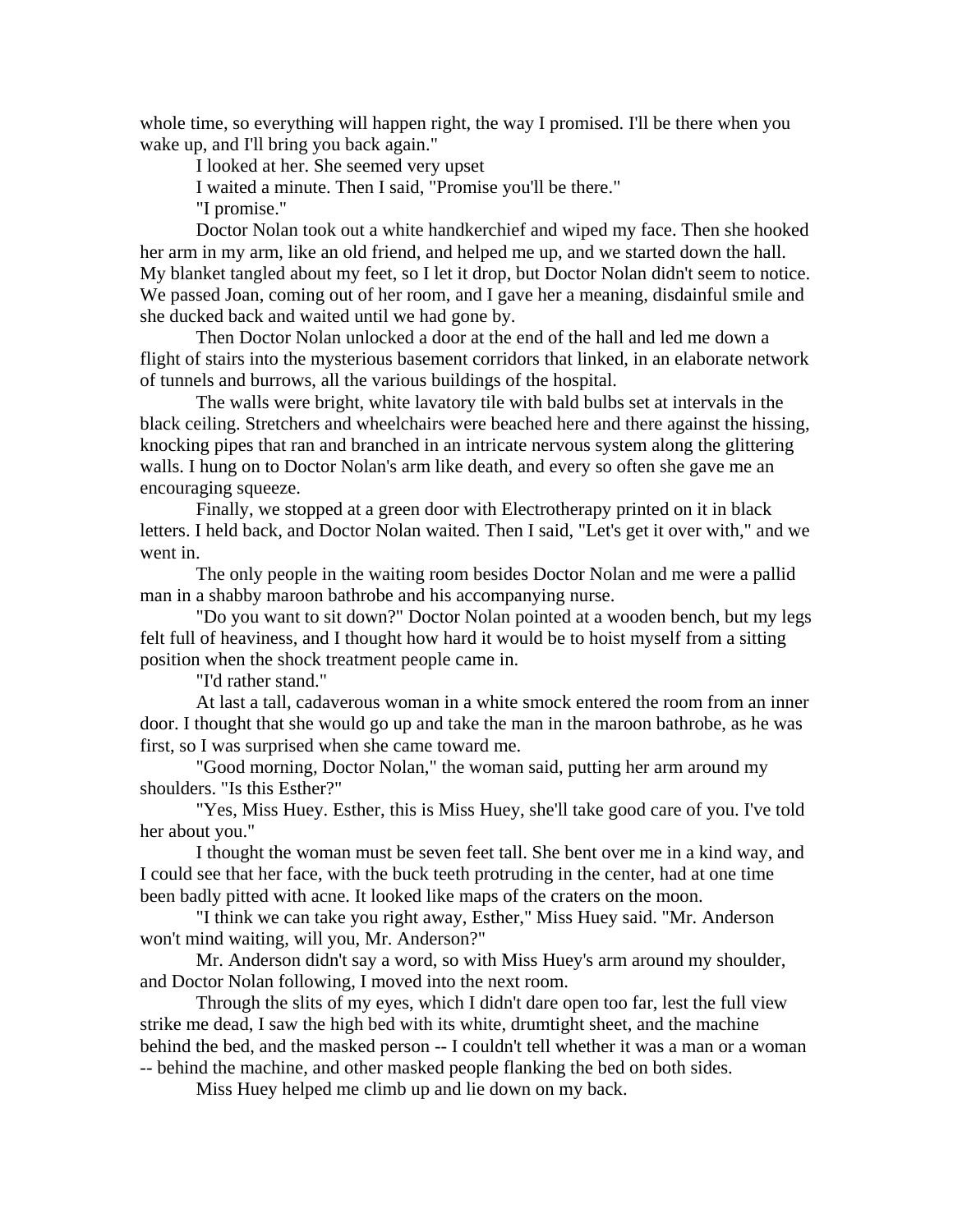whole time, so everything will happen right, the way I promised. I'll be there when you wake up, and I'll bring you back again."

I looked at her. She seemed very upset

I waited a minute. Then I said, "Promise you'll be there."

"I promise."

 Doctor Nolan took out a white handkerchief and wiped my face. Then she hooked her arm in my arm, like an old friend, and helped me up, and we started down the hall. My blanket tangled about my feet, so I let it drop, but Doctor Nolan didn't seem to notice. We passed Joan, coming out of her room, and I gave her a meaning, disdainful smile and she ducked back and waited until we had gone by.

 Then Doctor Nolan unlocked a door at the end of the hall and led me down a flight of stairs into the mysterious basement corridors that linked, in an elaborate network of tunnels and burrows, all the various buildings of the hospital.

 The walls were bright, white lavatory tile with bald bulbs set at intervals in the black ceiling. Stretchers and wheelchairs were beached here and there against the hissing, knocking pipes that ran and branched in an intricate nervous system along the glittering walls. I hung on to Doctor Nolan's arm like death, and every so often she gave me an encouraging squeeze.

 Finally, we stopped at a green door with Electrotherapy printed on it in black letters. I held back, and Doctor Nolan waited. Then I said, "Let's get it over with," and we went in.

 The only people in the waiting room besides Doctor Nolan and me were a pallid man in a shabby maroon bathrobe and his accompanying nurse.

 "Do you want to sit down?" Doctor Nolan pointed at a wooden bench, but my legs felt full of heaviness, and I thought how hard it would be to hoist myself from a sitting position when the shock treatment people came in.

"I'd rather stand."

 At last a tall, cadaverous woman in a white smock entered the room from an inner door. I thought that she would go up and take the man in the maroon bathrobe, as he was first, so I was surprised when she came toward me.

 "Good morning, Doctor Nolan," the woman said, putting her arm around my shoulders. "Is this Esther?"

 "Yes, Miss Huey. Esther, this is Miss Huey, she'll take good care of you. I've told her about you."

 I thought the woman must be seven feet tall. She bent over me in a kind way, and I could see that her face, with the buck teeth protruding in the center, had at one time been badly pitted with acne. It looked like maps of the craters on the moon.

 "I think we can take you right away, Esther," Miss Huey said. "Mr. Anderson won't mind waiting, will you, Mr. Anderson?"

 Mr. Anderson didn't say a word, so with Miss Huey's arm around my shoulder, and Doctor Nolan following, I moved into the next room.

 Through the slits of my eyes, which I didn't dare open too far, lest the full view strike me dead, I saw the high bed with its white, drumtight sheet, and the machine behind the bed, and the masked person -- I couldn't tell whether it was a man or a woman -- behind the machine, and other masked people flanking the bed on both sides.

Miss Huey helped me climb up and lie down on my back.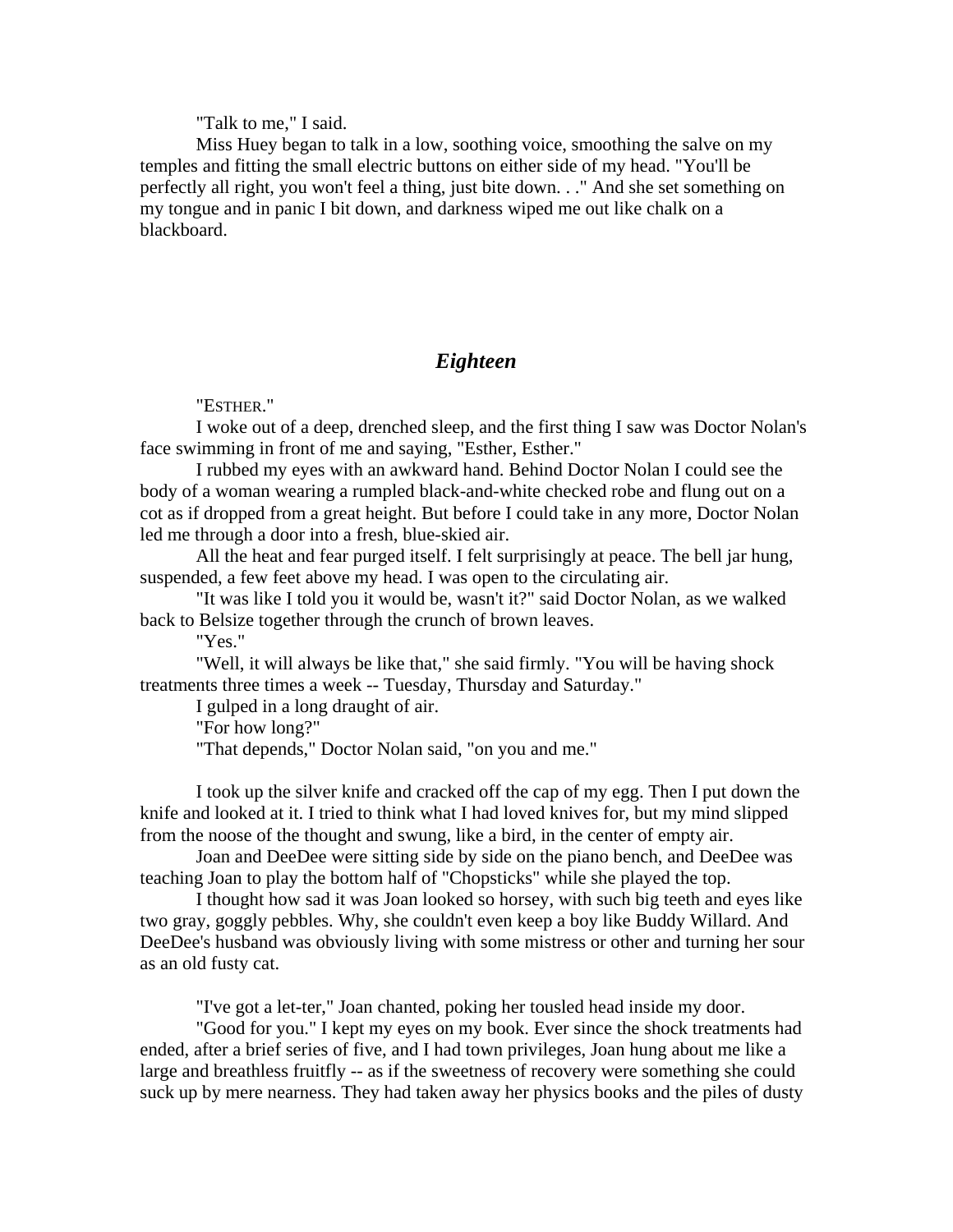"Talk to me," I said.

 Miss Huey began to talk in a low, soothing voice, smoothing the salve on my temples and fitting the small electric buttons on either side of my head. "You'll be perfectly all right, you won't feel a thing, just bite down. . ." And she set something on my tongue and in panic I bit down, and darkness wiped me out like chalk on a blackboard.

# *Eighteen*

"ESTHER."

 I woke out of a deep, drenched sleep, and the first thing I saw was Doctor Nolan's face swimming in front of me and saying, "Esther, Esther."

 I rubbed my eyes with an awkward hand. Behind Doctor Nolan I could see the body of a woman wearing a rumpled black-and-white checked robe and flung out on a cot as if dropped from a great height. But before I could take in any more, Doctor Nolan led me through a door into a fresh, blue-skied air.

 All the heat and fear purged itself. I felt surprisingly at peace. The bell jar hung, suspended, a few feet above my head. I was open to the circulating air.

 "It was like I told you it would be, wasn't it?" said Doctor Nolan, as we walked back to Belsize together through the crunch of brown leaves.

"Yes."

 "Well, it will always be like that," she said firmly. "You will be having shock treatments three times a week -- Tuesday, Thursday and Saturday."

I gulped in a long draught of air.

"For how long?"

"That depends," Doctor Nolan said, "on you and me."

 I took up the silver knife and cracked off the cap of my egg. Then I put down the knife and looked at it. I tried to think what I had loved knives for, but my mind slipped from the noose of the thought and swung, like a bird, in the center of empty air.

 Joan and DeeDee were sitting side by side on the piano bench, and DeeDee was teaching Joan to play the bottom half of "Chopsticks" while she played the top.

 I thought how sad it was Joan looked so horsey, with such big teeth and eyes like two gray, goggly pebbles. Why, she couldn't even keep a boy like Buddy Willard. And DeeDee's husband was obviously living with some mistress or other and turning her sour as an old fusty cat.

"I've got a let-ter," Joan chanted, poking her tousled head inside my door.

 "Good for you." I kept my eyes on my book. Ever since the shock treatments had ended, after a brief series of five, and I had town privileges, Joan hung about me like a large and breathless fruitfly -- as if the sweetness of recovery were something she could suck up by mere nearness. They had taken away her physics books and the piles of dusty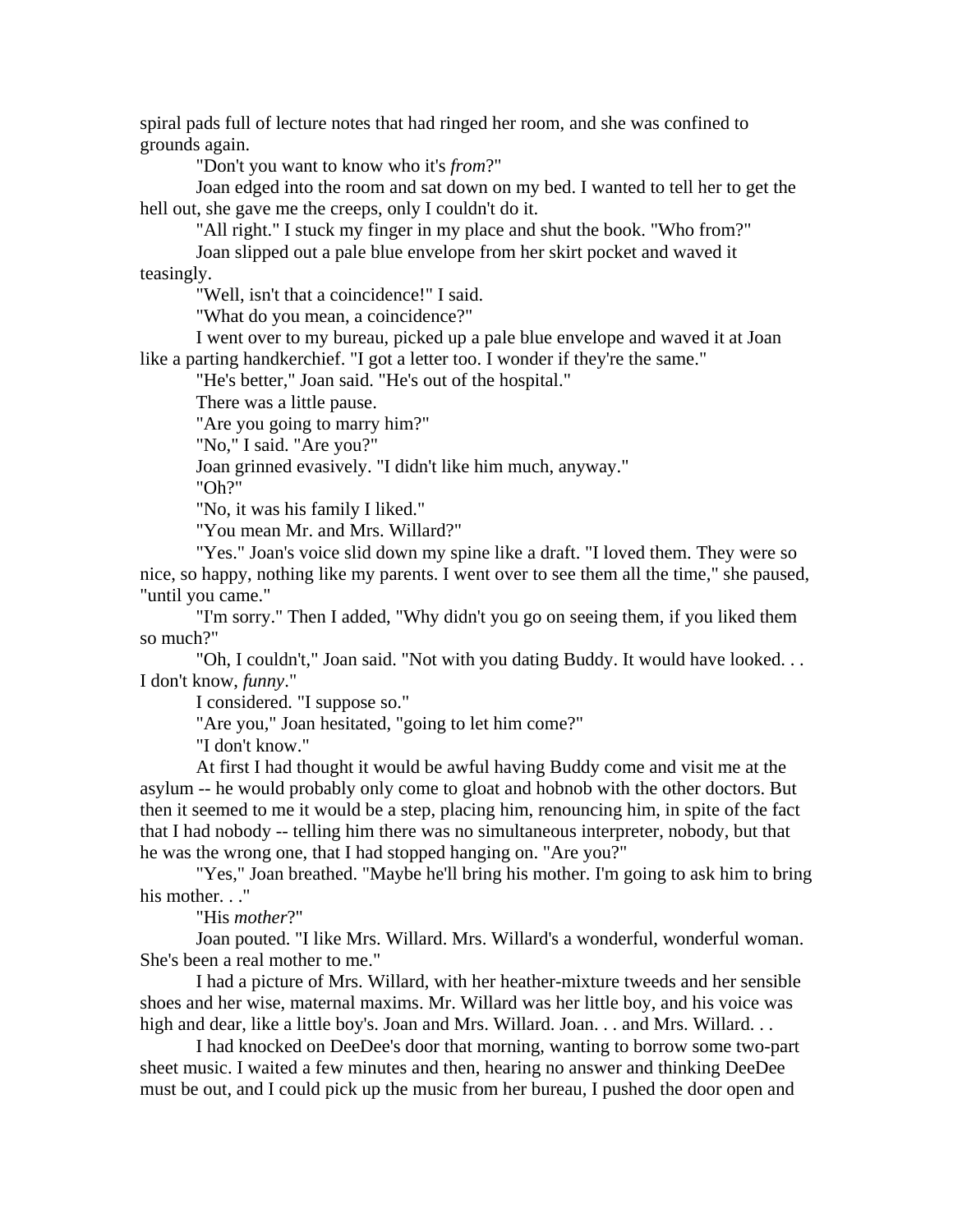spiral pads full of lecture notes that had ringed her room, and she was confined to grounds again.

"Don't you want to know who it's *from*?"

 Joan edged into the room and sat down on my bed. I wanted to tell her to get the hell out, she gave me the creeps, only I couldn't do it.

"All right." I stuck my finger in my place and shut the book. "Who from?"

 Joan slipped out a pale blue envelope from her skirt pocket and waved it teasingly.

"Well, isn't that a coincidence!" I said.

"What do you mean, a coincidence?"

 I went over to my bureau, picked up a pale blue envelope and waved it at Joan like a parting handkerchief. "I got a letter too. I wonder if they're the same."

"He's better," Joan said. "He's out of the hospital."

There was a little pause.

"Are you going to marry him?"

"No," I said. "Are you?"

Joan grinned evasively. "I didn't like him much, anyway."

"Oh?"

"No, it was his family I liked."

"You mean Mr. and Mrs. Willard?"

 "Yes." Joan's voice slid down my spine like a draft. "I loved them. They were so nice, so happy, nothing like my parents. I went over to see them all the time," she paused, "until you came."

 "I'm sorry." Then I added, "Why didn't you go on seeing them, if you liked them so much?"

 "Oh, I couldn't," Joan said. "Not with you dating Buddy. It would have looked. . . I don't know, *funny*."

I considered. "I suppose so."

"Are you," Joan hesitated, "going to let him come?"

"I don't know."

 At first I had thought it would be awful having Buddy come and visit me at the asylum -- he would probably only come to gloat and hobnob with the other doctors. But then it seemed to me it would be a step, placing him, renouncing him, in spite of the fact that I had nobody -- telling him there was no simultaneous interpreter, nobody, but that he was the wrong one, that I had stopped hanging on. "Are you?"

 "Yes," Joan breathed. "Maybe he'll bring his mother. I'm going to ask him to bring his mother. . ."

"His *mother*?"

 Joan pouted. "I like Mrs. Willard. Mrs. Willard's a wonderful, wonderful woman. She's been a real mother to me."

 I had a picture of Mrs. Willard, with her heather-mixture tweeds and her sensible shoes and her wise, maternal maxims. Mr. Willard was her little boy, and his voice was high and dear, like a little boy's. Joan and Mrs. Willard. Joan. . . and Mrs. Willard. . .

 I had knocked on DeeDee's door that morning, wanting to borrow some two-part sheet music. I waited a few minutes and then, hearing no answer and thinking DeeDee must be out, and I could pick up the music from her bureau, I pushed the door open and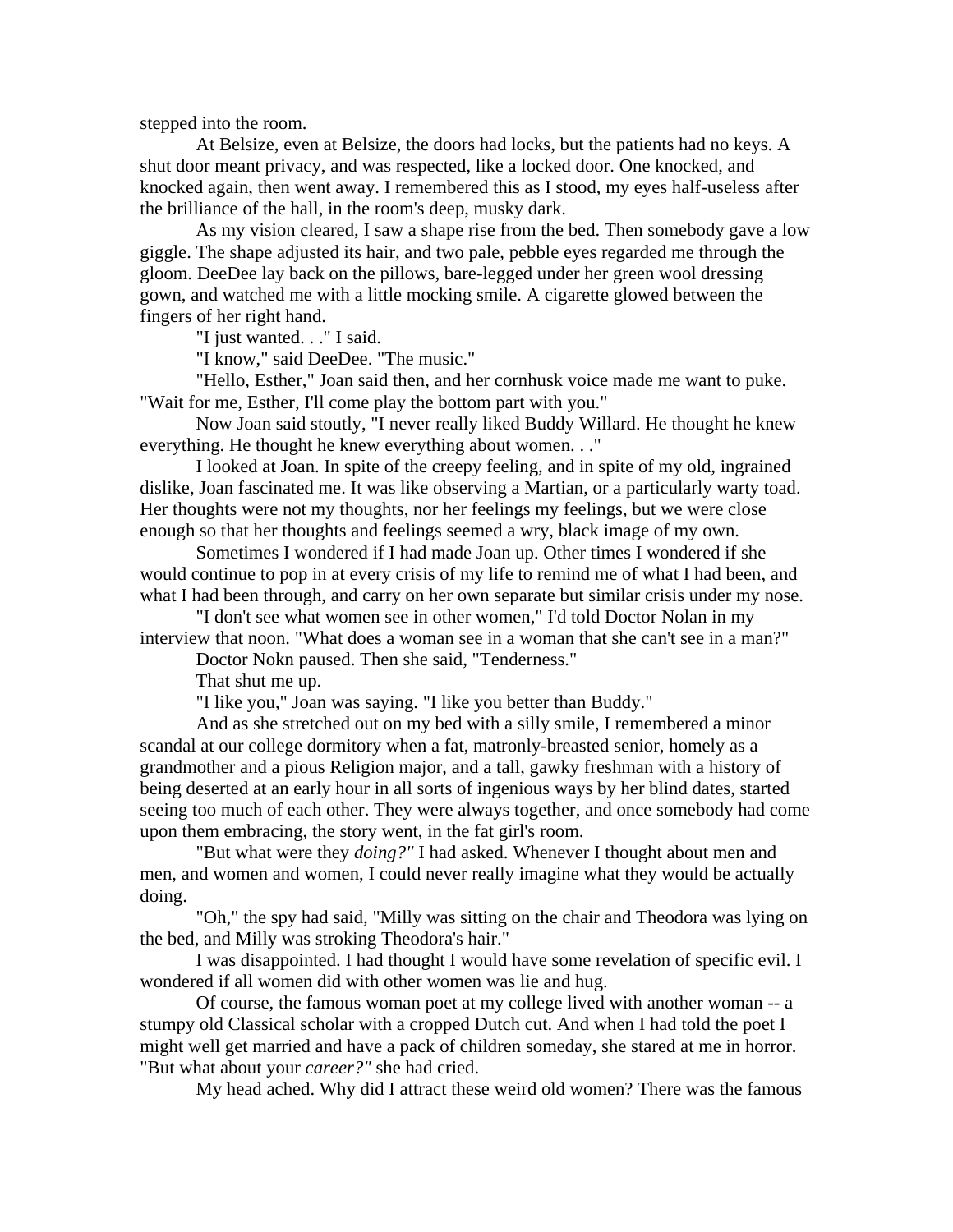stepped into the room.

 At Belsize, even at Belsize, the doors had locks, but the patients had no keys. A shut door meant privacy, and was respected, like a locked door. One knocked, and knocked again, then went away. I remembered this as I stood, my eyes half-useless after the brilliance of the hall, in the room's deep, musky dark.

 As my vision cleared, I saw a shape rise from the bed. Then somebody gave a low giggle. The shape adjusted its hair, and two pale, pebble eyes regarded me through the gloom. DeeDee lay back on the pillows, bare-legged under her green wool dressing gown, and watched me with a little mocking smile. A cigarette glowed between the fingers of her right hand.

"I just wanted. . ." I said.

"I know," said DeeDee. "The music."

 "Hello, Esther," Joan said then, and her cornhusk voice made me want to puke. "Wait for me, Esther, I'll come play the bottom part with you."

 Now Joan said stoutly, "I never really liked Buddy Willard. He thought he knew everything. He thought he knew everything about women. . ."

 I looked at Joan. In spite of the creepy feeling, and in spite of my old, ingrained dislike, Joan fascinated me. It was like observing a Martian, or a particularly warty toad. Her thoughts were not my thoughts, nor her feelings my feelings, but we were close enough so that her thoughts and feelings seemed a wry, black image of my own.

 Sometimes I wondered if I had made Joan up. Other times I wondered if she would continue to pop in at every crisis of my life to remind me of what I had been, and what I had been through, and carry on her own separate but similar crisis under my nose.

 "I don't see what women see in other women," I'd told Doctor Nolan in my interview that noon. "What does a woman see in a woman that she can't see in a man?"

Doctor Nokn paused. Then she said, "Tenderness."

That shut me up.

"I like you," Joan was saying. "I like you better than Buddy."

 And as she stretched out on my bed with a silly smile, I remembered a minor scandal at our college dormitory when a fat, matronly-breasted senior, homely as a grandmother and a pious Religion major, and a tall, gawky freshman with a history of being deserted at an early hour in all sorts of ingenious ways by her blind dates, started seeing too much of each other. They were always together, and once somebody had come upon them embracing, the story went, in the fat girl's room.

 "But what were they *doing?"* I had asked. Whenever I thought about men and men, and women and women, I could never really imagine what they would be actually doing.

 "Oh," the spy had said, "Milly was sitting on the chair and Theodora was lying on the bed, and Milly was stroking Theodora's hair."

 I was disappointed. I had thought I would have some revelation of specific evil. I wondered if all women did with other women was lie and hug.

 Of course, the famous woman poet at my college lived with another woman -- a stumpy old Classical scholar with a cropped Dutch cut. And when I had told the poet I might well get married and have a pack of children someday, she stared at me in horror. "But what about your *career?"* she had cried.

My head ached. Why did I attract these weird old women? There was the famous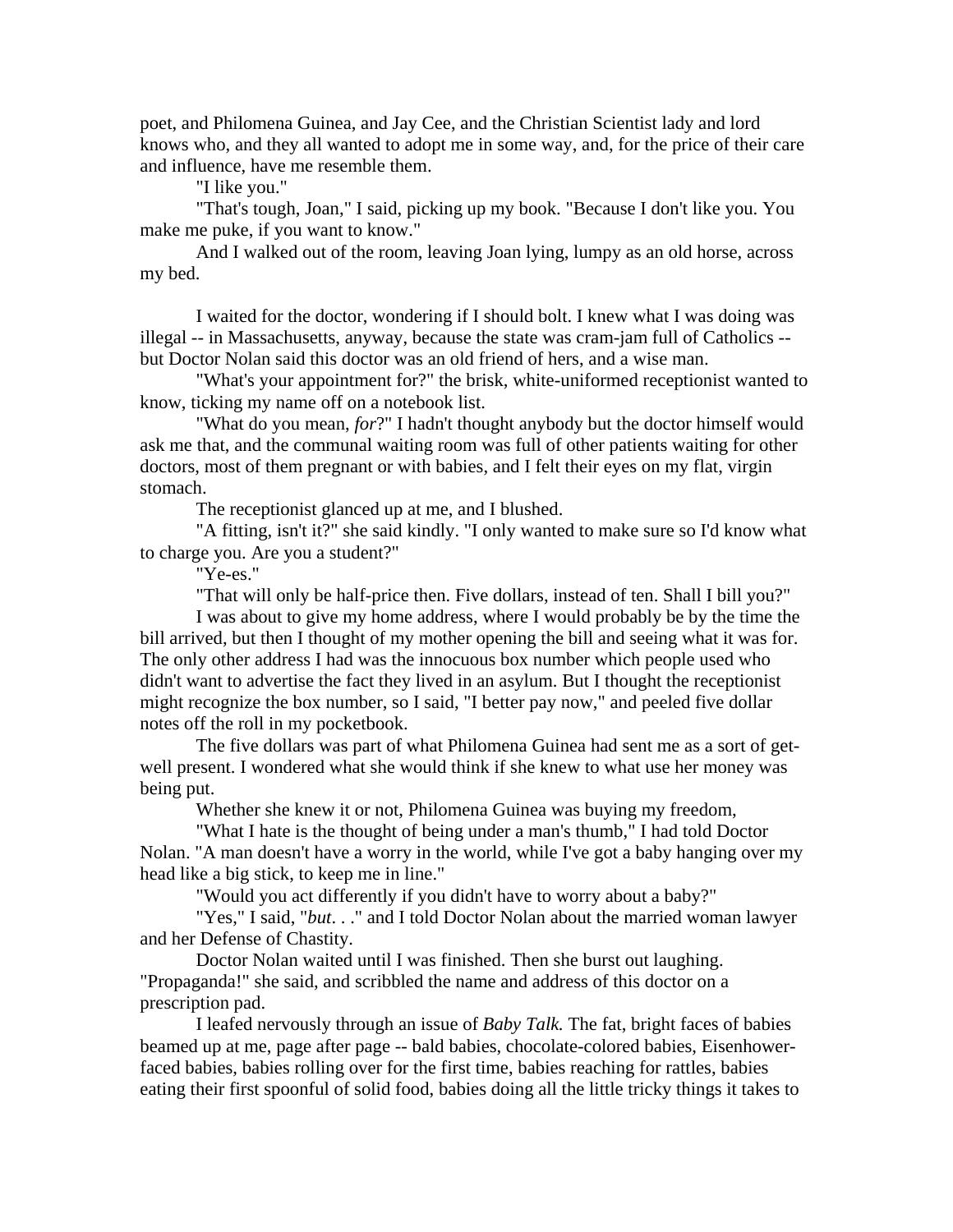poet, and Philomena Guinea, and Jay Cee, and the Christian Scientist lady and lord knows who, and they all wanted to adopt me in some way, and, for the price of their care and influence, have me resemble them.

"I like you."

 "That's tough, Joan," I said, picking up my book. "Because I don't like you. You make me puke, if you want to know."

 And I walked out of the room, leaving Joan lying, lumpy as an old horse, across my bed.

 I waited for the doctor, wondering if I should bolt. I knew what I was doing was illegal -- in Massachusetts, anyway, because the state was cram-jam full of Catholics - but Doctor Nolan said this doctor was an old friend of hers, and a wise man.

 "What's your appointment for?" the brisk, white-uniformed receptionist wanted to know, ticking my name off on a notebook list.

 "What do you mean, *for*?" I hadn't thought anybody but the doctor himself would ask me that, and the communal waiting room was full of other patients waiting for other doctors, most of them pregnant or with babies, and I felt their eyes on my flat, virgin stomach.

The receptionist glanced up at me, and I blushed.

 "A fitting, isn't it?" she said kindly. "I only wanted to make sure so I'd know what to charge you. Are you a student?"

"Ye-es."

"That will only be half-price then. Five dollars, instead of ten. Shall I bill you?"

 I was about to give my home address, where I would probably be by the time the bill arrived, but then I thought of my mother opening the bill and seeing what it was for. The only other address I had was the innocuous box number which people used who didn't want to advertise the fact they lived in an asylum. But I thought the receptionist might recognize the box number, so I said, "I better pay now," and peeled five dollar notes off the roll in my pocketbook.

 The five dollars was part of what Philomena Guinea had sent me as a sort of getwell present. I wondered what she would think if she knew to what use her money was being put.

Whether she knew it or not, Philomena Guinea was buying my freedom,

 "What I hate is the thought of being under a man's thumb," I had told Doctor Nolan. "A man doesn't have a worry in the world, while I've got a baby hanging over my head like a big stick, to keep me in line."

"Would you act differently if you didn't have to worry about a baby?"

 "Yes," I said, "*but*. . ." and I told Doctor Nolan about the married woman lawyer and her Defense of Chastity.

 Doctor Nolan waited until I was finished. Then she burst out laughing. "Propaganda!" she said, and scribbled the name and address of this doctor on a prescription pad.

 I leafed nervously through an issue of *Baby Talk.* The fat, bright faces of babies beamed up at me, page after page -- bald babies, chocolate-colored babies, Eisenhowerfaced babies, babies rolling over for the first time, babies reaching for rattles, babies eating their first spoonful of solid food, babies doing all the little tricky things it takes to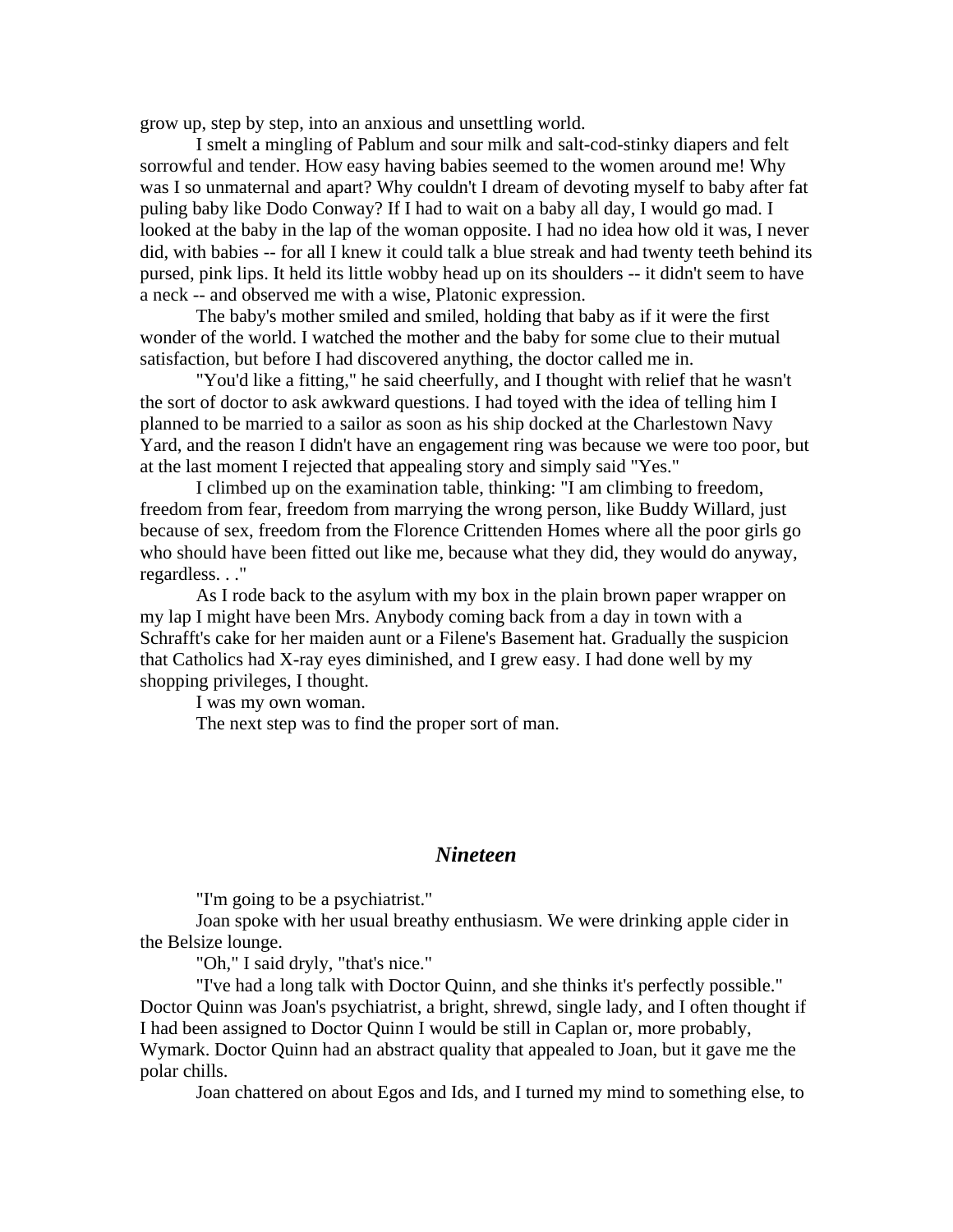grow up, step by step, into an anxious and unsettling world.

 I smelt a mingling of Pablum and sour milk and salt-cod-stinky diapers and felt sorrowful and tender. HOW easy having babies seemed to the women around me! Why was I so unmaternal and apart? Why couldn't I dream of devoting myself to baby after fat puling baby like Dodo Conway? If I had to wait on a baby all day, I would go mad. I looked at the baby in the lap of the woman opposite. I had no idea how old it was, I never did, with babies -- for all I knew it could talk a blue streak and had twenty teeth behind its pursed, pink lips. It held its little wobby head up on its shoulders -- it didn't seem to have a neck -- and observed me with a wise, Platonic expression.

 The baby's mother smiled and smiled, holding that baby as if it were the first wonder of the world. I watched the mother and the baby for some clue to their mutual satisfaction, but before I had discovered anything, the doctor called me in.

 "You'd like a fitting," he said cheerfully, and I thought with relief that he wasn't the sort of doctor to ask awkward questions. I had toyed with the idea of telling him I planned to be married to a sailor as soon as his ship docked at the Charlestown Navy Yard, and the reason I didn't have an engagement ring was because we were too poor, but at the last moment I rejected that appealing story and simply said "Yes."

 I climbed up on the examination table, thinking: "I am climbing to freedom, freedom from fear, freedom from marrying the wrong person, like Buddy Willard, just because of sex, freedom from the Florence Crittenden Homes where all the poor girls go who should have been fitted out like me, because what they did, they would do anyway, regardless. . ."

 As I rode back to the asylum with my box in the plain brown paper wrapper on my lap I might have been Mrs. Anybody coming back from a day in town with a Schrafft's cake for her maiden aunt or a Filene's Basement hat. Gradually the suspicion that Catholics had X-ray eyes diminished, and I grew easy. I had done well by my shopping privileges, I thought.

I was my own woman.

The next step was to find the proper sort of man.

## *Nineteen*

"I'm going to be a psychiatrist."

 Joan spoke with her usual breathy enthusiasm. We were drinking apple cider in the Belsize lounge.

"Oh," I said dryly, "that's nice."

 "I've had a long talk with Doctor Quinn, and she thinks it's perfectly possible." Doctor Quinn was Joan's psychiatrist, a bright, shrewd, single lady, and I often thought if I had been assigned to Doctor Quinn I would be still in Caplan or, more probably, Wymark. Doctor Quinn had an abstract quality that appealed to Joan, but it gave me the polar chills.

Joan chattered on about Egos and Ids, and I turned my mind to something else, to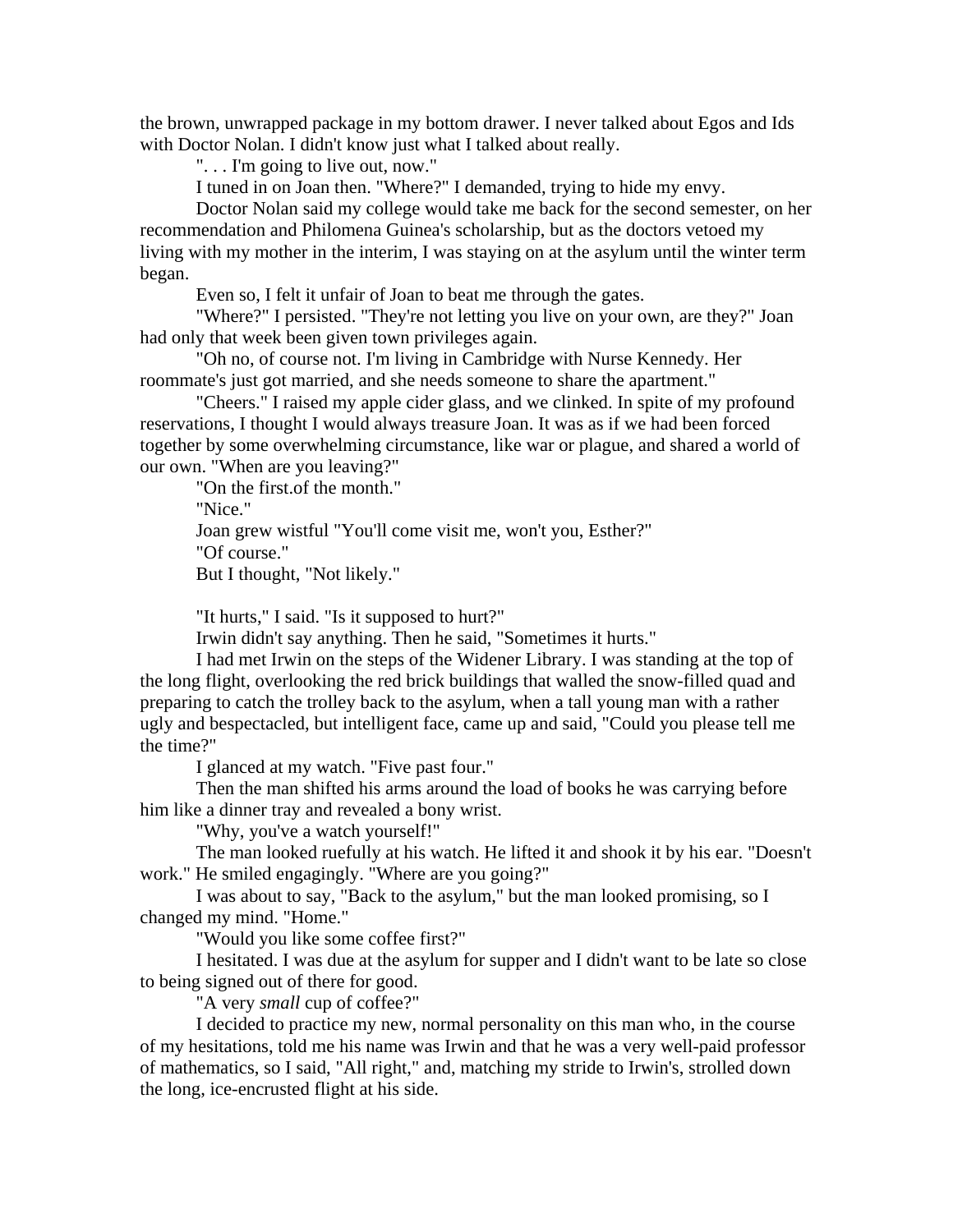the brown, unwrapped package in my bottom drawer. I never talked about Egos and Ids with Doctor Nolan. I didn't know just what I talked about really.

". . . I'm going to live out, now."

I tuned in on Joan then. "Where?" I demanded, trying to hide my envy.

 Doctor Nolan said my college would take me back for the second semester, on her recommendation and Philomena Guinea's scholarship, but as the doctors vetoed my living with my mother in the interim, I was staying on at the asylum until the winter term began.

Even so, I felt it unfair of Joan to beat me through the gates.

 "Where?" I persisted. "They're not letting you live on your own, are they?" Joan had only that week been given town privileges again.

 "Oh no, of course not. I'm living in Cambridge with Nurse Kennedy. Her roommate's just got married, and she needs someone to share the apartment."

 "Cheers." I raised my apple cider glass, and we clinked. In spite of my profound reservations, I thought I would always treasure Joan. It was as if we had been forced together by some overwhelming circumstance, like war or plague, and shared a world of our own. "When are you leaving?"

 "On the first.of the month." "Nice." Joan grew wistful "You'll come visit me, won't you, Esther?" "Of course." But I thought, "Not likely."

"It hurts," I said. "Is it supposed to hurt?"

Irwin didn't say anything. Then he said, "Sometimes it hurts."

 I had met Irwin on the steps of the Widener Library. I was standing at the top of the long flight, overlooking the red brick buildings that walled the snow-filled quad and preparing to catch the trolley back to the asylum, when a tall young man with a rather ugly and bespectacled, but intelligent face, came up and said, "Could you please tell me the time?"

I glanced at my watch. "Five past four."

 Then the man shifted his arms around the load of books he was carrying before him like a dinner tray and revealed a bony wrist.

"Why, you've a watch yourself!"

 The man looked ruefully at his watch. He lifted it and shook it by his ear. "Doesn't work." He smiled engagingly. "Where are you going?"

 I was about to say, "Back to the asylum," but the man looked promising, so I changed my mind. "Home."

"Would you like some coffee first?"

 I hesitated. I was due at the asylum for supper and I didn't want to be late so close to being signed out of there for good.

"A very *small* cup of coffee?"

 I decided to practice my new, normal personality on this man who, in the course of my hesitations, told me his name was Irwin and that he was a very well-paid professor of mathematics, so I said, "All right," and, matching my stride to Irwin's, strolled down the long, ice-encrusted flight at his side.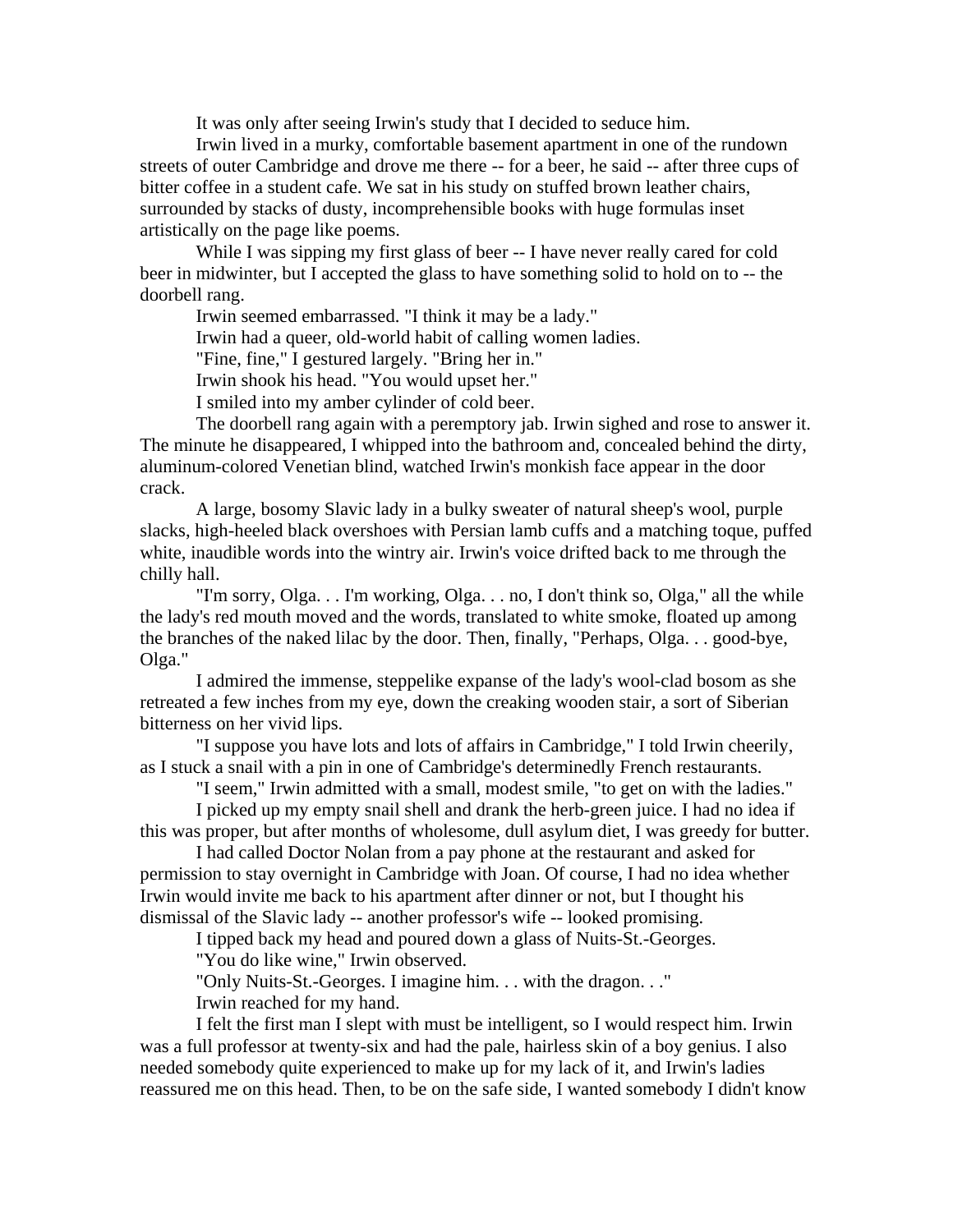It was only after seeing Irwin's study that I decided to seduce him.

 Irwin lived in a murky, comfortable basement apartment in one of the rundown streets of outer Cambridge and drove me there -- for a beer, he said -- after three cups of bitter coffee in a student cafe. We sat in his study on stuffed brown leather chairs, surrounded by stacks of dusty, incomprehensible books with huge formulas inset artistically on the page like poems.

 While I was sipping my first glass of beer -- I have never really cared for cold beer in midwinter, but I accepted the glass to have something solid to hold on to -- the doorbell rang.

Irwin seemed embarrassed. "I think it may be a lady."

Irwin had a queer, old-world habit of calling women ladies.

"Fine, fine," I gestured largely. "Bring her in."

Irwin shook his head. "You would upset her."

I smiled into my amber cylinder of cold beer.

 The doorbell rang again with a peremptory jab. Irwin sighed and rose to answer it. The minute he disappeared, I whipped into the bathroom and, concealed behind the dirty, aluminum-colored Venetian blind, watched Irwin's monkish face appear in the door crack.

 A large, bosomy Slavic lady in a bulky sweater of natural sheep's wool, purple slacks, high-heeled black overshoes with Persian lamb cuffs and a matching toque, puffed white, inaudible words into the wintry air. Irwin's voice drifted back to me through the chilly hall.

 "I'm sorry, Olga. . . I'm working, Olga. . . no, I don't think so, Olga," all the while the lady's red mouth moved and the words, translated to white smoke, floated up among the branches of the naked lilac by the door. Then, finally, "Perhaps, Olga. . . good-bye, Olga."

 I admired the immense, steppelike expanse of the lady's wool-clad bosom as she retreated a few inches from my eye, down the creaking wooden stair, a sort of Siberian bitterness on her vivid lips.

 "I suppose you have lots and lots of affairs in Cambridge," I told Irwin cheerily, as I stuck a snail with a pin in one of Cambridge's determinedly French restaurants.

 "I seem," Irwin admitted with a small, modest smile, "to get on with the ladies." I picked up my empty snail shell and drank the herb-green juice. I had no idea if

this was proper, but after months of wholesome, dull asylum diet, I was greedy for butter.

 I had called Doctor Nolan from a pay phone at the restaurant and asked for permission to stay overnight in Cambridge with Joan. Of course, I had no idea whether Irwin would invite me back to his apartment after dinner or not, but I thought his dismissal of the Slavic lady -- another professor's wife -- looked promising.

I tipped back my head and poured down a glass of Nuits-St.-Georges.

"You do like wine," Irwin observed.

"Only Nuits-St.-Georges. I imagine him. . . with the dragon. . ."

Irwin reached for my hand.

 I felt the first man I slept with must be intelligent, so I would respect him. Irwin was a full professor at twenty-six and had the pale, hairless skin of a boy genius. I also needed somebody quite experienced to make up for my lack of it, and Irwin's ladies reassured me on this head. Then, to be on the safe side, I wanted somebody I didn't know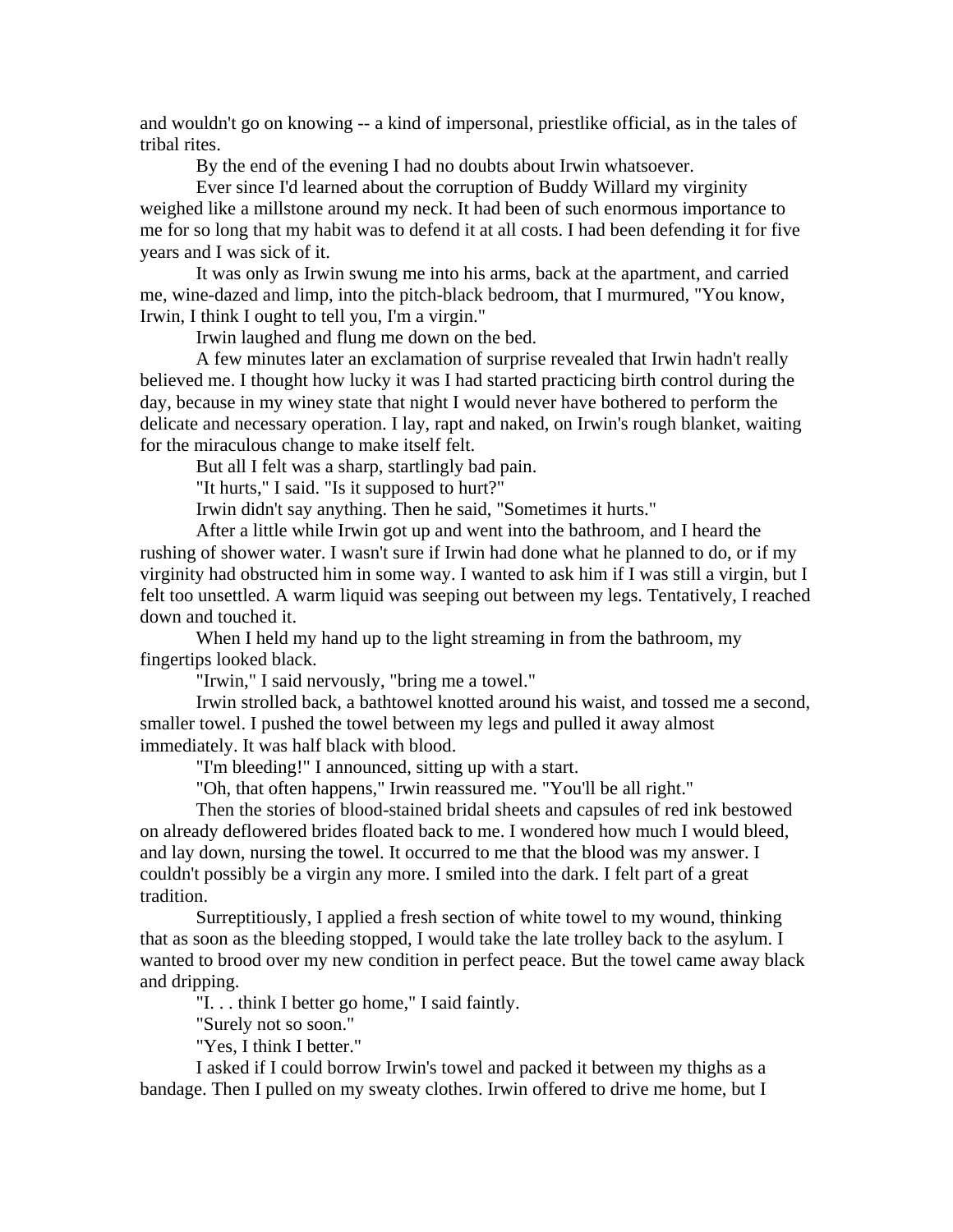and wouldn't go on knowing -- a kind of impersonal, priestlike official, as in the tales of tribal rites.

By the end of the evening I had no doubts about Irwin whatsoever.

 Ever since I'd learned about the corruption of Buddy Willard my virginity weighed like a millstone around my neck. It had been of such enormous importance to me for so long that my habit was to defend it at all costs. I had been defending it for five years and I was sick of it.

 It was only as Irwin swung me into his arms, back at the apartment, and carried me, wine-dazed and limp, into the pitch-black bedroom, that I murmured, "You know, Irwin, I think I ought to tell you, I'm a virgin."

Irwin laughed and flung me down on the bed.

 A few minutes later an exclamation of surprise revealed that Irwin hadn't really believed me. I thought how lucky it was I had started practicing birth control during the day, because in my winey state that night I would never have bothered to perform the delicate and necessary operation. I lay, rapt and naked, on Irwin's rough blanket, waiting for the miraculous change to make itself felt.

But all I felt was a sharp, startlingly bad pain.

"It hurts," I said. "Is it supposed to hurt?"

Irwin didn't say anything. Then he said, "Sometimes it hurts."

 After a little while Irwin got up and went into the bathroom, and I heard the rushing of shower water. I wasn't sure if Irwin had done what he planned to do, or if my virginity had obstructed him in some way. I wanted to ask him if I was still a virgin, but I felt too unsettled. A warm liquid was seeping out between my legs. Tentatively, I reached down and touched it.

 When I held my hand up to the light streaming in from the bathroom, my fingertips looked black.

"Irwin," I said nervously, "bring me a towel."

 Irwin strolled back, a bathtowel knotted around his waist, and tossed me a second, smaller towel. I pushed the towel between my legs and pulled it away almost immediately. It was half black with blood.

"I'm bleeding!" I announced, sitting up with a start.

"Oh, that often happens," Irwin reassured me. "You'll be all right."

 Then the stories of blood-stained bridal sheets and capsules of red ink bestowed on already deflowered brides floated back to me. I wondered how much I would bleed, and lay down, nursing the towel. It occurred to me that the blood was my answer. I couldn't possibly be a virgin any more. I smiled into the dark. I felt part of a great tradition.

 Surreptitiously, I applied a fresh section of white towel to my wound, thinking that as soon as the bleeding stopped, I would take the late trolley back to the asylum. I wanted to brood over my new condition in perfect peace. But the towel came away black and dripping.

"I. . . think I better go home," I said faintly.

"Surely not so soon."

"Yes, I think I better."

 I asked if I could borrow Irwin's towel and packed it between my thighs as a bandage. Then I pulled on my sweaty clothes. Irwin offered to drive me home, but I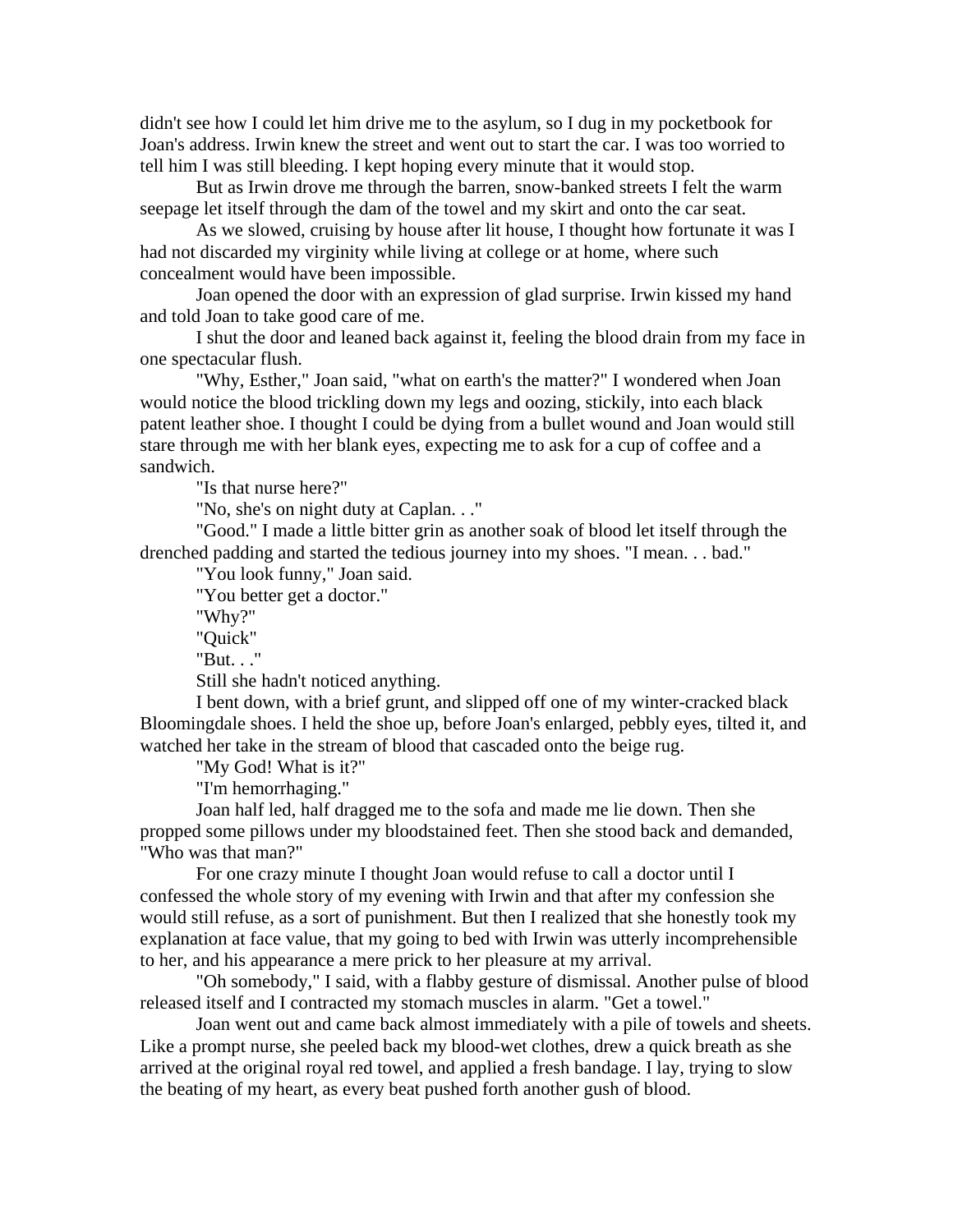didn't see how I could let him drive me to the asylum, so I dug in my pocketbook for Joan's address. Irwin knew the street and went out to start the car. I was too worried to tell him I was still bleeding. I kept hoping every minute that it would stop.

 But as Irwin drove me through the barren, snow-banked streets I felt the warm seepage let itself through the dam of the towel and my skirt and onto the car seat.

 As we slowed, cruising by house after lit house, I thought how fortunate it was I had not discarded my virginity while living at college or at home, where such concealment would have been impossible.

 Joan opened the door with an expression of glad surprise. Irwin kissed my hand and told Joan to take good care of me.

 I shut the door and leaned back against it, feeling the blood drain from my face in one spectacular flush.

 "Why, Esther," Joan said, "what on earth's the matter?" I wondered when Joan would notice the blood trickling down my legs and oozing, stickily, into each black patent leather shoe. I thought I could be dying from a bullet wound and Joan would still stare through me with her blank eyes, expecting me to ask for a cup of coffee and a sandwich.

"Is that nurse here?"

"No, she's on night duty at Caplan. . ."

 "Good." I made a little bitter grin as another soak of blood let itself through the drenched padding and started the tedious journey into my shoes. "I mean. . . bad."

"You look funny," Joan said.

"You better get a doctor."

"Why?"

"Quick"

"But. . ."

Still she hadn't noticed anything.

 I bent down, with a brief grunt, and slipped off one of my winter-cracked black Bloomingdale shoes. I held the shoe up, before Joan's enlarged, pebbly eyes, tilted it, and watched her take in the stream of blood that cascaded onto the beige rug.

"My God! What is it?"

"I'm hemorrhaging."

 Joan half led, half dragged me to the sofa and made me lie down. Then she propped some pillows under my bloodstained feet. Then she stood back and demanded, "Who was that man?"

 For one crazy minute I thought Joan would refuse to call a doctor until I confessed the whole story of my evening with Irwin and that after my confession she would still refuse, as a sort of punishment. But then I realized that she honestly took my explanation at face value, that my going to bed with Irwin was utterly incomprehensible to her, and his appearance a mere prick to her pleasure at my arrival.

 "Oh somebody," I said, with a flabby gesture of dismissal. Another pulse of blood released itself and I contracted my stomach muscles in alarm. "Get a towel."

 Joan went out and came back almost immediately with a pile of towels and sheets. Like a prompt nurse, she peeled back my blood-wet clothes, drew a quick breath as she arrived at the original royal red towel, and applied a fresh bandage. I lay, trying to slow the beating of my heart, as every beat pushed forth another gush of blood.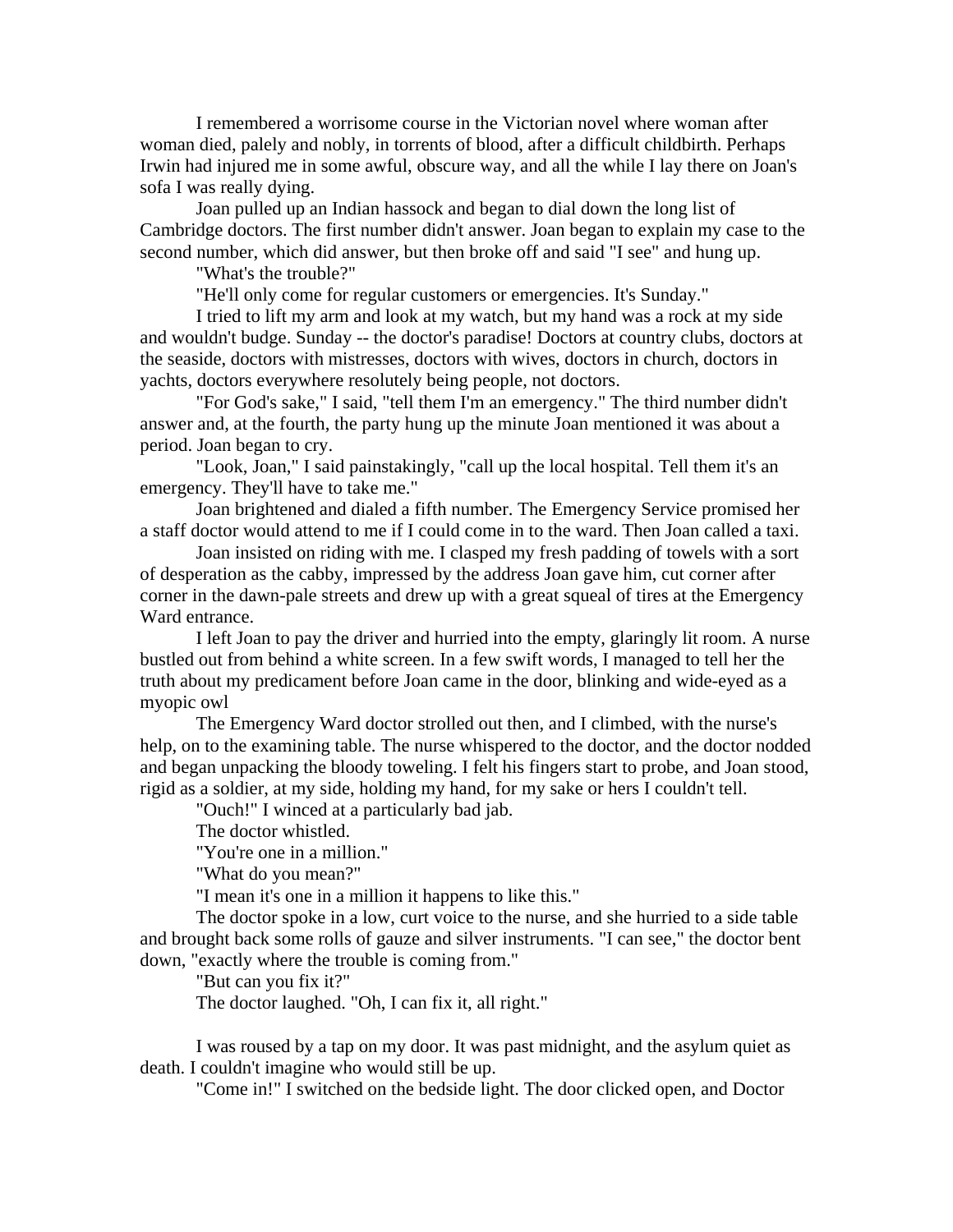I remembered a worrisome course in the Victorian novel where woman after woman died, palely and nobly, in torrents of blood, after a difficult childbirth. Perhaps Irwin had injured me in some awful, obscure way, and all the while I lay there on Joan's sofa I was really dying.

 Joan pulled up an Indian hassock and began to dial down the long list of Cambridge doctors. The first number didn't answer. Joan began to explain my case to the second number, which did answer, but then broke off and said "I see" and hung up.

"What's the trouble?"

"He'll only come for regular customers or emergencies. It's Sunday."

 I tried to lift my arm and look at my watch, but my hand was a rock at my side and wouldn't budge. Sunday -- the doctor's paradise! Doctors at country clubs, doctors at the seaside, doctors with mistresses, doctors with wives, doctors in church, doctors in yachts, doctors everywhere resolutely being people, not doctors.

 "For God's sake," I said, "tell them I'm an emergency." The third number didn't answer and, at the fourth, the party hung up the minute Joan mentioned it was about a period. Joan began to cry.

 "Look, Joan," I said painstakingly, "call up the local hospital. Tell them it's an emergency. They'll have to take me."

 Joan brightened and dialed a fifth number. The Emergency Service promised her a staff doctor would attend to me if I could come in to the ward. Then Joan called a taxi.

 Joan insisted on riding with me. I clasped my fresh padding of towels with a sort of desperation as the cabby, impressed by the address Joan gave him, cut corner after corner in the dawn-pale streets and drew up with a great squeal of tires at the Emergency Ward entrance.

 I left Joan to pay the driver and hurried into the empty, glaringly lit room. A nurse bustled out from behind a white screen. In a few swift words, I managed to tell her the truth about my predicament before Joan came in the door, blinking and wide-eyed as a myopic owl

 The Emergency Ward doctor strolled out then, and I climbed, with the nurse's help, on to the examining table. The nurse whispered to the doctor, and the doctor nodded and began unpacking the bloody toweling. I felt his fingers start to probe, and Joan stood, rigid as a soldier, at my side, holding my hand, for my sake or hers I couldn't tell.

"Ouch!" I winced at a particularly bad jab.

The doctor whistled.

"You're one in a million."

"What do you mean?"

"I mean it's one in a million it happens to like this."

 The doctor spoke in a low, curt voice to the nurse, and she hurried to a side table and brought back some rolls of gauze and silver instruments. "I can see," the doctor bent down, "exactly where the trouble is coming from."

"But can you fix it?"

The doctor laughed. "Oh, I can fix it, all right."

 I was roused by a tap on my door. It was past midnight, and the asylum quiet as death. I couldn't imagine who would still be up.

"Come in!" I switched on the bedside light. The door clicked open, and Doctor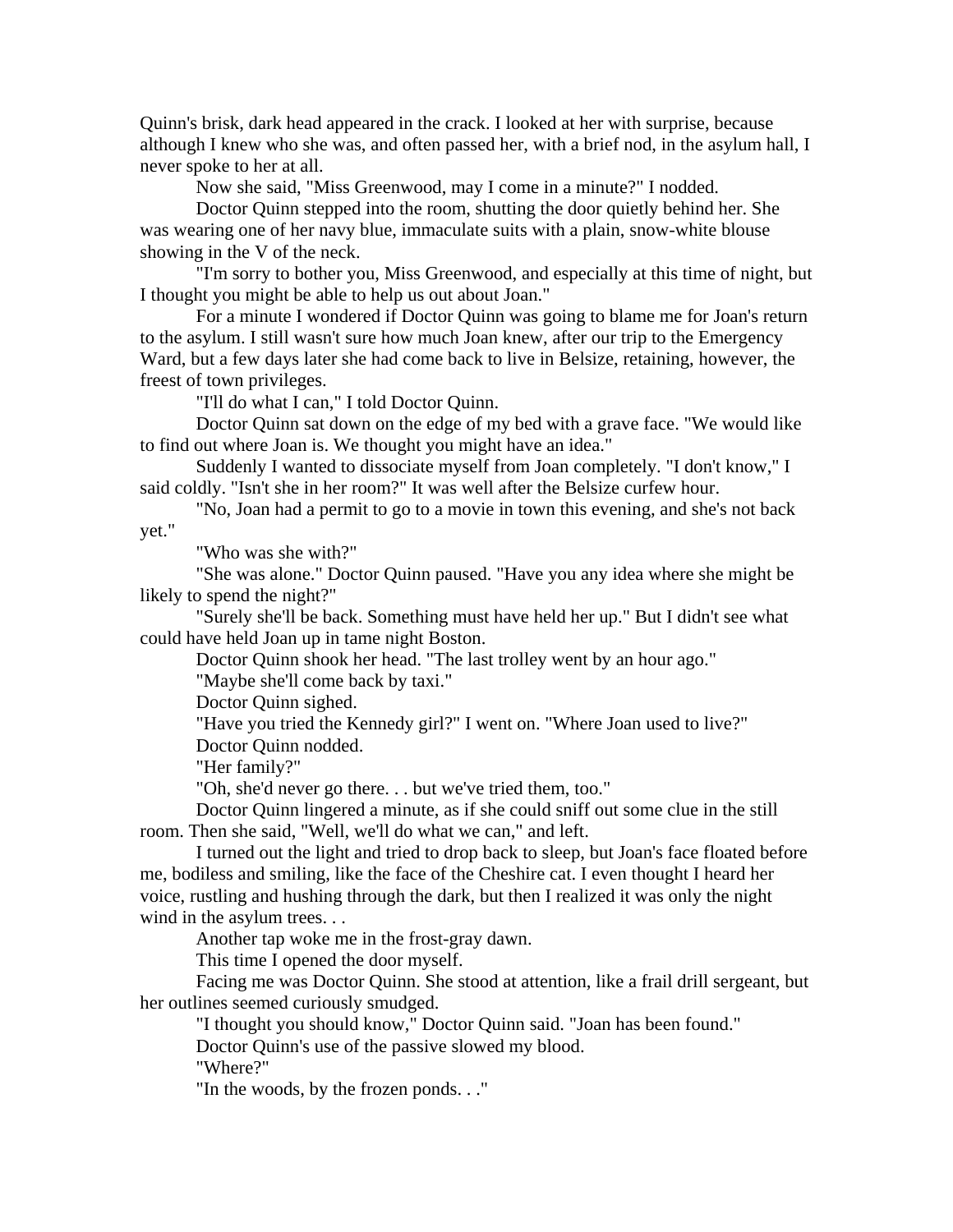Quinn's brisk, dark head appeared in the crack. I looked at her with surprise, because although I knew who she was, and often passed her, with a brief nod, in the asylum hall, I never spoke to her at all.

Now she said, "Miss Greenwood, may I come in a minute?" I nodded.

 Doctor Quinn stepped into the room, shutting the door quietly behind her. She was wearing one of her navy blue, immaculate suits with a plain, snow-white blouse showing in the V of the neck.

 "I'm sorry to bother you, Miss Greenwood, and especially at this time of night, but I thought you might be able to help us out about Joan."

 For a minute I wondered if Doctor Quinn was going to blame me for Joan's return to the asylum. I still wasn't sure how much Joan knew, after our trip to the Emergency Ward, but a few days later she had come back to live in Belsize, retaining, however, the freest of town privileges.

"I'll do what I can," I told Doctor Quinn.

 Doctor Quinn sat down on the edge of my bed with a grave face. "We would like to find out where Joan is. We thought you might have an idea."

 Suddenly I wanted to dissociate myself from Joan completely. "I don't know," I said coldly. "Isn't she in her room?" It was well after the Belsize curfew hour.

 "No, Joan had a permit to go to a movie in town this evening, and she's not back yet."

"Who was she with?"

 "She was alone." Doctor Quinn paused. "Have you any idea where she might be likely to spend the night?"

 "Surely she'll be back. Something must have held her up." But I didn't see what could have held Joan up in tame night Boston.

Doctor Quinn shook her head. "The last trolley went by an hour ago."

"Maybe she'll come back by taxi."

Doctor Quinn sighed.

"Have you tried the Kennedy girl?" I went on. "Where Joan used to live?"

Doctor Quinn nodded.

"Her family?"

"Oh, she'd never go there. . . but we've tried them, too."

 Doctor Quinn lingered a minute, as if she could sniff out some clue in the still room. Then she said, "Well, we'll do what we can," and left.

 I turned out the light and tried to drop back to sleep, but Joan's face floated before me, bodiless and smiling, like the face of the Cheshire cat. I even thought I heard her voice, rustling and hushing through the dark, but then I realized it was only the night wind in the asylum trees. . .

Another tap woke me in the frost-gray dawn.

This time I opened the door myself.

 Facing me was Doctor Quinn. She stood at attention, like a frail drill sergeant, but her outlines seemed curiously smudged.

"I thought you should know," Doctor Quinn said. "Joan has been found."

Doctor Quinn's use of the passive slowed my blood.

"Where?"

"In the woods, by the frozen ponds. . ."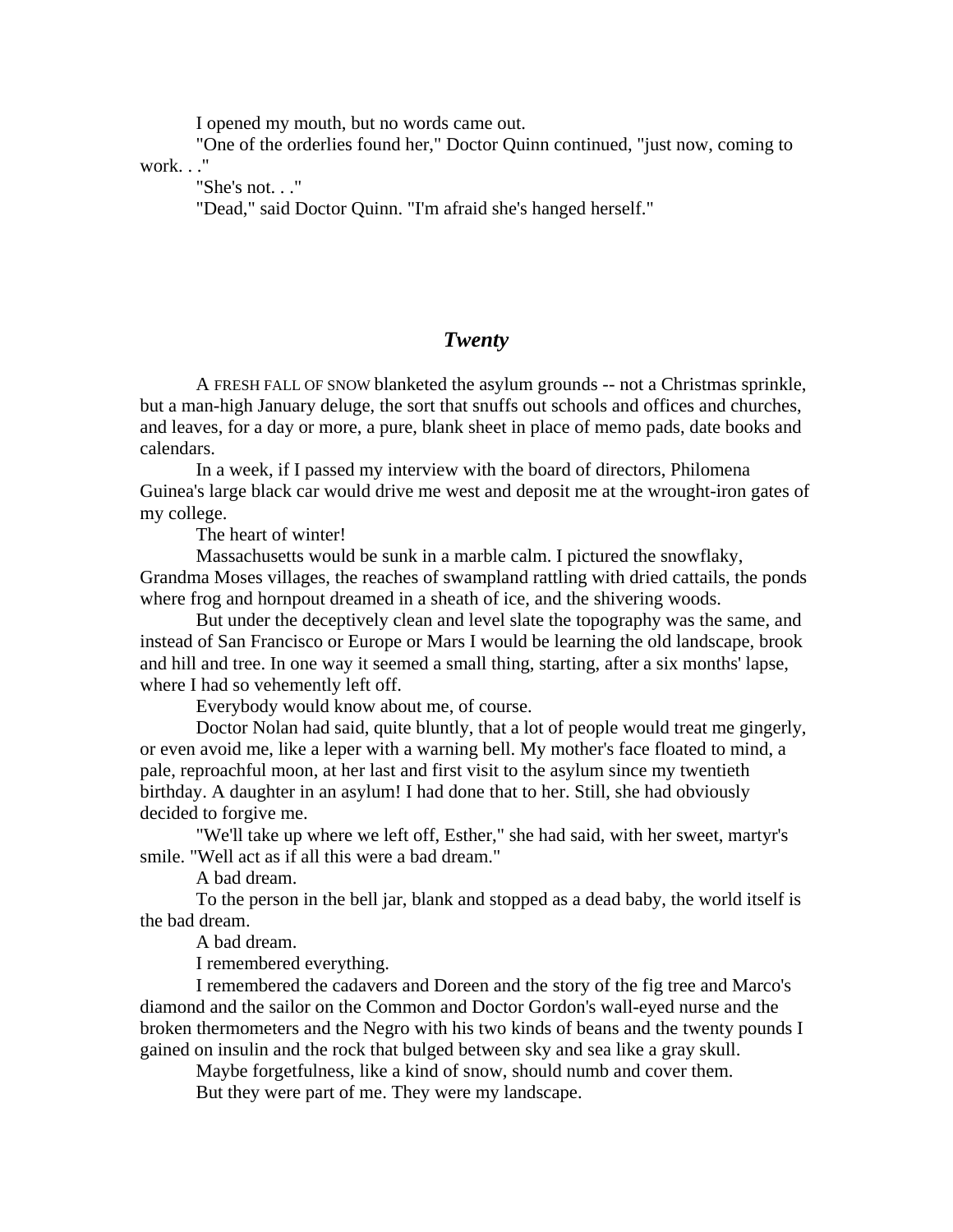I opened my mouth, but no words came out.

 "One of the orderlies found her," Doctor Quinn continued, "just now, coming to work. . ."

"She's not. . ."

"Dead," said Doctor Quinn. "I'm afraid she's hanged herself."

## *Twenty*

 A FRESH FALL OF SNOW blanketed the asylum grounds -- not a Christmas sprinkle, but a man-high January deluge, the sort that snuffs out schools and offices and churches, and leaves, for a day or more, a pure, blank sheet in place of memo pads, date books and calendars.

 In a week, if I passed my interview with the board of directors, Philomena Guinea's large black car would drive me west and deposit me at the wrought-iron gates of my college.

The heart of winter!

 Massachusetts would be sunk in a marble calm. I pictured the snowflaky, Grandma Moses villages, the reaches of swampland rattling with dried cattails, the ponds where frog and hornpout dreamed in a sheath of ice, and the shivering woods.

 But under the deceptively clean and level slate the topography was the same, and instead of San Francisco or Europe or Mars I would be learning the old landscape, brook and hill and tree. In one way it seemed a small thing, starting, after a six months' lapse, where I had so vehemently left off.

Everybody would know about me, of course.

 Doctor Nolan had said, quite bluntly, that a lot of people would treat me gingerly, or even avoid me, like a leper with a warning bell. My mother's face floated to mind, a pale, reproachful moon, at her last and first visit to the asylum since my twentieth birthday. A daughter in an asylum! I had done that to her. Still, she had obviously decided to forgive me.

 "We'll take up where we left off, Esther," she had said, with her sweet, martyr's smile. "Well act as if all this were a bad dream."

A bad dream.

 To the person in the bell jar, blank and stopped as a dead baby, the world itself is the bad dream.

A bad dream.

I remembered everything.

 I remembered the cadavers and Doreen and the story of the fig tree and Marco's diamond and the sailor on the Common and Doctor Gordon's wall-eyed nurse and the broken thermometers and the Negro with his two kinds of beans and the twenty pounds I gained on insulin and the rock that bulged between sky and sea like a gray skull.

Maybe forgetfulness, like a kind of snow, should numb and cover them.

But they were part of me. They were my landscape.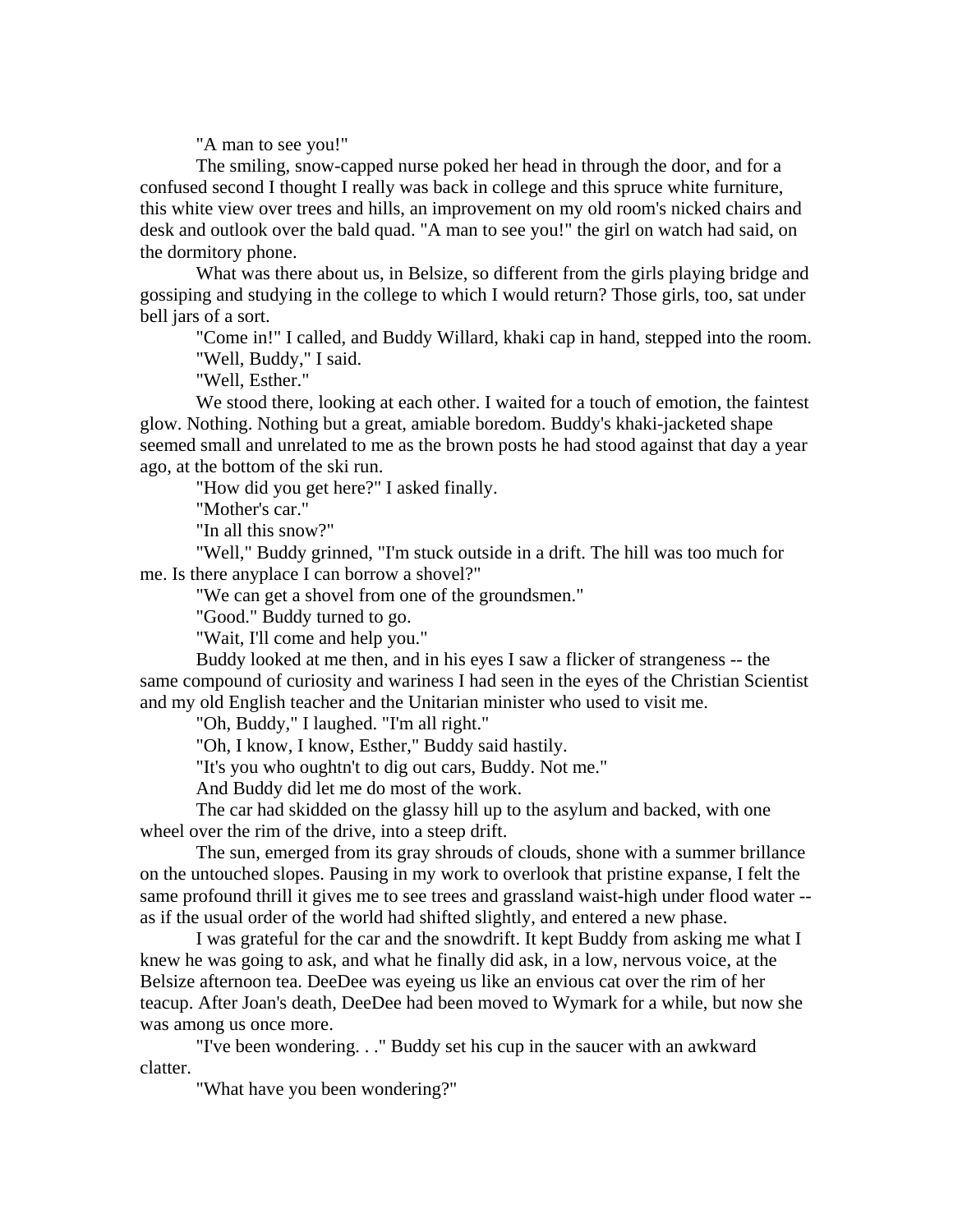"A man to see you!"

 The smiling, snow-capped nurse poked her head in through the door, and for a confused second I thought I really was back in college and this spruce white furniture, this white view over trees and hills, an improvement on my old room's nicked chairs and desk and outlook over the bald quad. "A man to see you!" the girl on watch had said, on the dormitory phone.

 What was there about us, in Belsize, so different from the girls playing bridge and gossiping and studying in the college to which I would return? Those girls, too, sat under bell jars of a sort.

 "Come in!" I called, and Buddy Willard, khaki cap in hand, stepped into the room. "Well, Buddy," I said.

"Well, Esther."

 We stood there, looking at each other. I waited for a touch of emotion, the faintest glow. Nothing. Nothing but a great, amiable boredom. Buddy's khaki-jacketed shape seemed small and unrelated to me as the brown posts he had stood against that day a year ago, at the bottom of the ski run.

"How did you get here?" I asked finally.

"Mother's car."

"In all this snow?"

 "Well," Buddy grinned, "I'm stuck outside in a drift. The hill was too much for me. Is there anyplace I can borrow a shovel?"

"We can get a shovel from one of the groundsmen."

"Good." Buddy turned to go.

"Wait, I'll come and help you."

 Buddy looked at me then, and in his eyes I saw a flicker of strangeness -- the same compound of curiosity and wariness I had seen in the eyes of the Christian Scientist and my old English teacher and the Unitarian minister who used to visit me.

"Oh, Buddy," I laughed. "I'm all right."

"Oh, I know, I know, Esther," Buddy said hastily.

"It's you who oughtn't to dig out cars, Buddy. Not me."

And Buddy did let me do most of the work.

 The car had skidded on the glassy hill up to the asylum and backed, with one wheel over the rim of the drive, into a steep drift.

 The sun, emerged from its gray shrouds of clouds, shone with a summer brillance on the untouched slopes. Pausing in my work to overlook that pristine expanse, I felt the same profound thrill it gives me to see trees and grassland waist-high under flood water - as if the usual order of the world had shifted slightly, and entered a new phase.

 I was grateful for the car and the snowdrift. It kept Buddy from asking me what I knew he was going to ask, and what he finally did ask, in a low, nervous voice, at the Belsize afternoon tea. DeeDee was eyeing us like an envious cat over the rim of her teacup. After Joan's death, DeeDee had been moved to Wymark for a while, but now she was among us once more.

 "I've been wondering. . ." Buddy set his cup in the saucer with an awkward clatter.

"What have you been wondering?"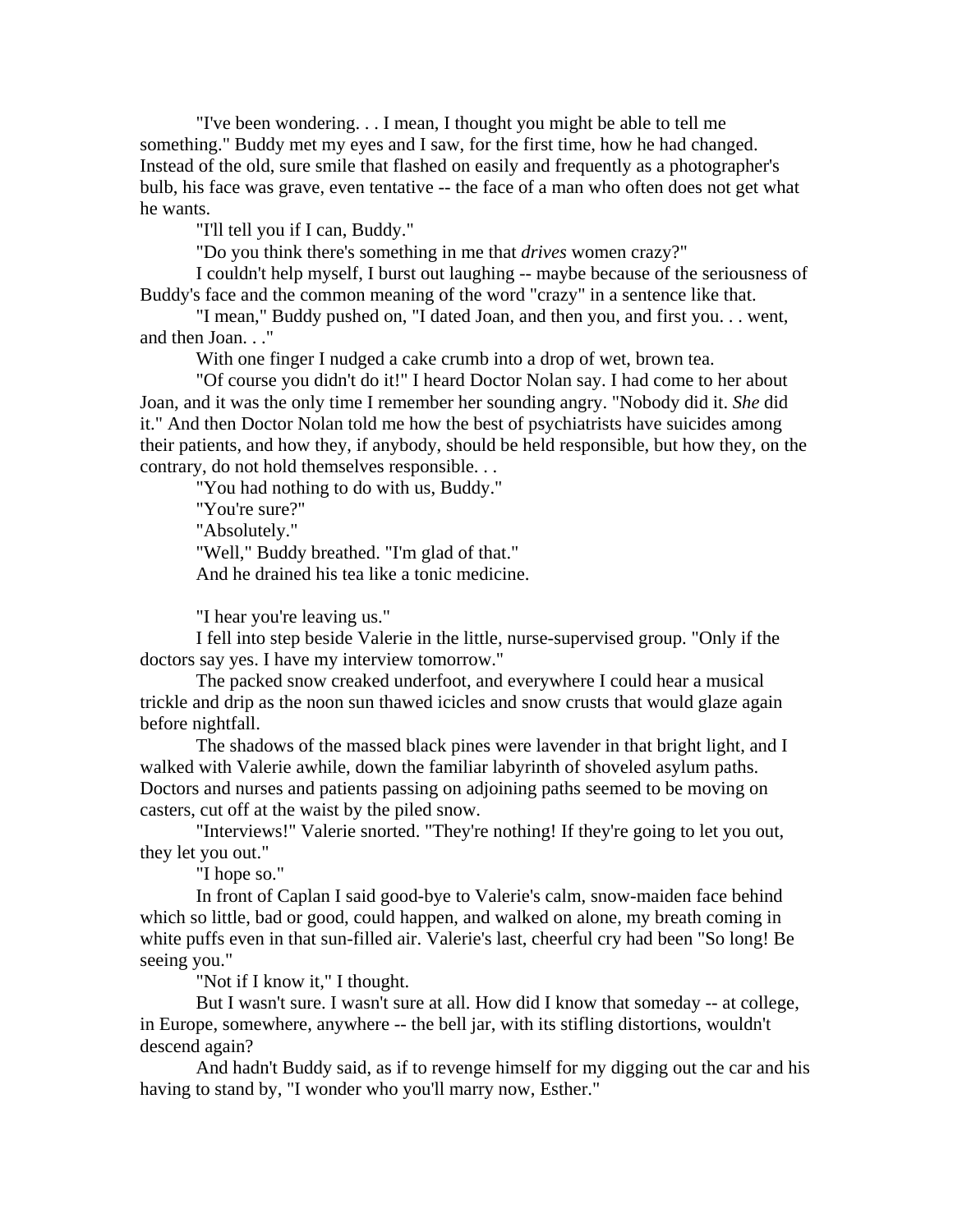"I've been wondering. . . I mean, I thought you might be able to tell me something." Buddy met my eyes and I saw, for the first time, how he had changed. Instead of the old, sure smile that flashed on easily and frequently as a photographer's bulb, his face was grave, even tentative -- the face of a man who often does not get what he wants.

"I'll tell you if I can, Buddy."

"Do you think there's something in me that *drives* women crazy?"

 I couldn't help myself, I burst out laughing -- maybe because of the seriousness of Buddy's face and the common meaning of the word "crazy" in a sentence like that.

 "I mean," Buddy pushed on, "I dated Joan, and then you, and first you. . . went, and then Joan. . ."

With one finger I nudged a cake crumb into a drop of wet, brown tea.

 "Of course you didn't do it!" I heard Doctor Nolan say. I had come to her about Joan, and it was the only time I remember her sounding angry. "Nobody did it. *She* did it." And then Doctor Nolan told me how the best of psychiatrists have suicides among their patients, and how they, if anybody, should be held responsible, but how they, on the contrary, do not hold themselves responsible. . .

"You had nothing to do with us, Buddy."

"You're sure?"

"Absolutely."

"Well," Buddy breathed. "I'm glad of that."

And he drained his tea like a tonic medicine.

"I hear you're leaving us."

 I fell into step beside Valerie in the little, nurse-supervised group. "Only if the doctors say yes. I have my interview tomorrow."

 The packed snow creaked underfoot, and everywhere I could hear a musical trickle and drip as the noon sun thawed icicles and snow crusts that would glaze again before nightfall.

 The shadows of the massed black pines were lavender in that bright light, and I walked with Valerie awhile, down the familiar labyrinth of shoveled asylum paths. Doctors and nurses and patients passing on adjoining paths seemed to be moving on casters, cut off at the waist by the piled snow.

 "Interviews!" Valerie snorted. "They're nothing! If they're going to let you out, they let you out."

"I hope so."

 In front of Caplan I said good-bye to Valerie's calm, snow-maiden face behind which so little, bad or good, could happen, and walked on alone, my breath coming in white puffs even in that sun-filled air. Valerie's last, cheerful cry had been "So long! Be seeing you."

"Not if I know it," I thought.

 But I wasn't sure. I wasn't sure at all. How did I know that someday -- at college, in Europe, somewhere, anywhere -- the bell jar, with its stifling distortions, wouldn't descend again?

 And hadn't Buddy said, as if to revenge himself for my digging out the car and his having to stand by, "I wonder who you'll marry now, Esther."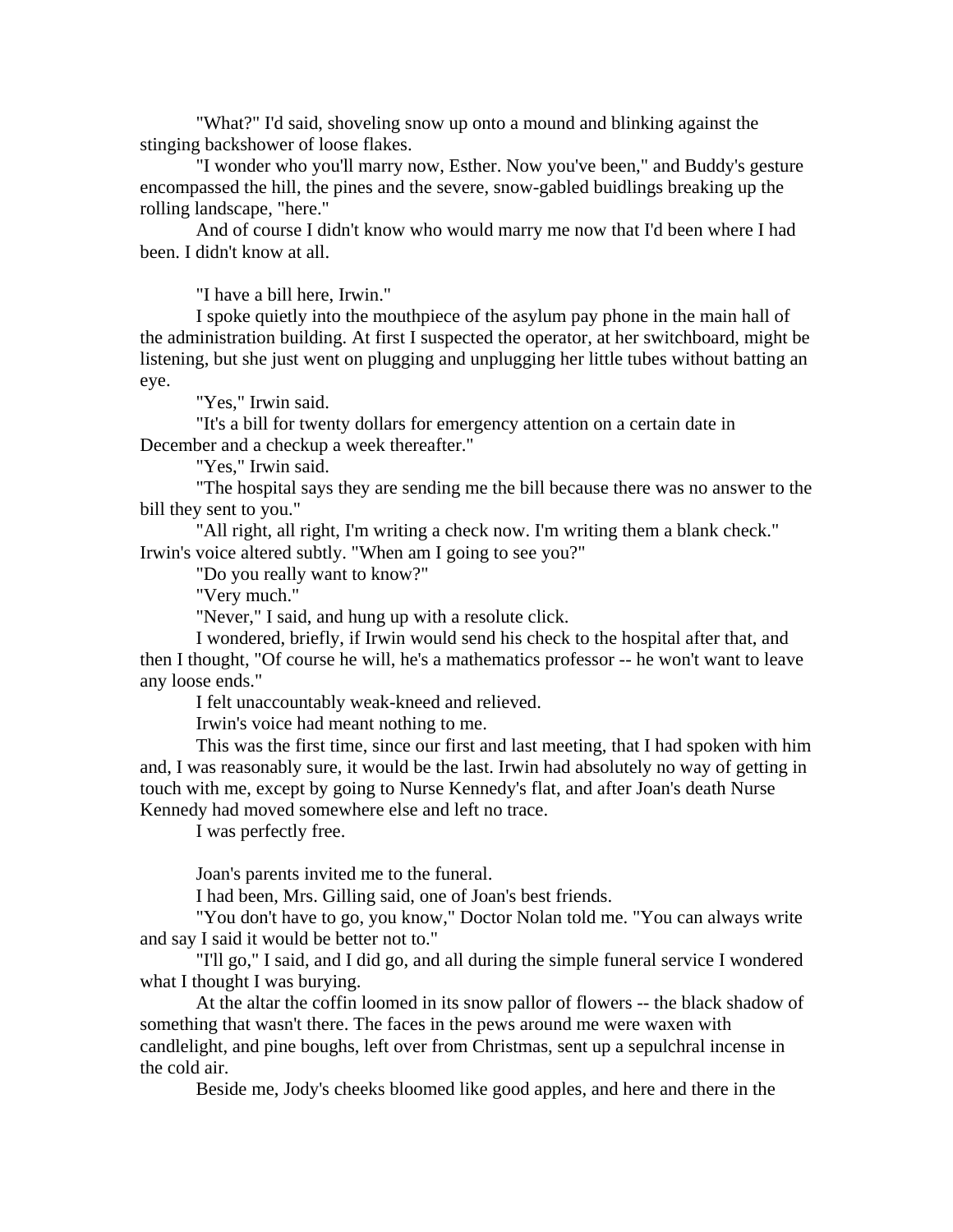"What?" I'd said, shoveling snow up onto a mound and blinking against the stinging backshower of loose flakes.

 "I wonder who you'll marry now, Esther. Now you've been," and Buddy's gesture encompassed the hill, the pines and the severe, snow-gabled buidlings breaking up the rolling landscape, "here."

 And of course I didn't know who would marry me now that I'd been where I had been. I didn't know at all.

"I have a bill here, Irwin."

 I spoke quietly into the mouthpiece of the asylum pay phone in the main hall of the administration building. At first I suspected the operator, at her switchboard, might be listening, but she just went on plugging and unplugging her little tubes without batting an eye.

"Yes," Irwin said.

 "It's a bill for twenty dollars for emergency attention on a certain date in December and a checkup a week thereafter."

"Yes," Irwin said.

 "The hospital says they are sending me the bill because there was no answer to the bill they sent to you."

 "All right, all right, I'm writing a check now. I'm writing them a blank check." Irwin's voice altered subtly. "When am I going to see you?"

"Do you really want to know?"

"Very much."

"Never," I said, and hung up with a resolute click.

 I wondered, briefly, if Irwin would send his check to the hospital after that, and then I thought, "Of course he will, he's a mathematics professor -- he won't want to leave any loose ends."

I felt unaccountably weak-kneed and relieved.

Irwin's voice had meant nothing to me.

 This was the first time, since our first and last meeting, that I had spoken with him and, I was reasonably sure, it would be the last. Irwin had absolutely no way of getting in touch with me, except by going to Nurse Kennedy's flat, and after Joan's death Nurse Kennedy had moved somewhere else and left no trace.

I was perfectly free.

Joan's parents invited me to the funeral.

I had been, Mrs. Gilling said, one of Joan's best friends.

 "You don't have to go, you know," Doctor Nolan told me. "You can always write and say I said it would be better not to."

 "I'll go," I said, and I did go, and all during the simple funeral service I wondered what I thought I was burying.

 At the altar the coffin loomed in its snow pallor of flowers -- the black shadow of something that wasn't there. The faces in the pews around me were waxen with candlelight, and pine boughs, left over from Christmas, sent up a sepulchral incense in the cold air.

Beside me, Jody's cheeks bloomed like good apples, and here and there in the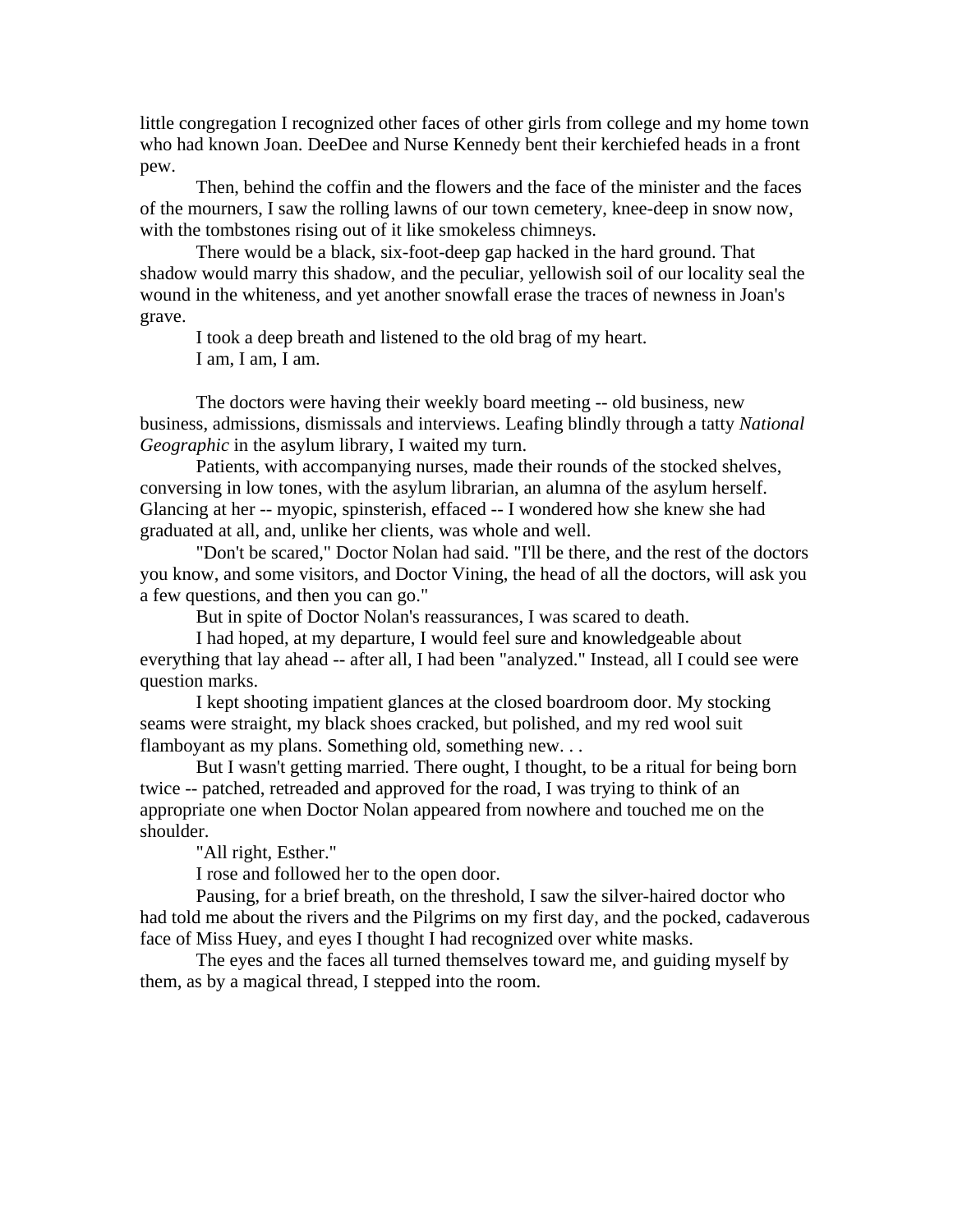little congregation I recognized other faces of other girls from college and my home town who had known Joan. DeeDee and Nurse Kennedy bent their kerchiefed heads in a front pew.

 Then, behind the coffin and the flowers and the face of the minister and the faces of the mourners, I saw the rolling lawns of our town cemetery, knee-deep in snow now, with the tombstones rising out of it like smokeless chimneys.

 There would be a black, six-foot-deep gap hacked in the hard ground. That shadow would marry this shadow, and the peculiar, yellowish soil of our locality seal the wound in the whiteness, and yet another snowfall erase the traces of newness in Joan's grave.

 I took a deep breath and listened to the old brag of my heart. I am, I am, I am.

 The doctors were having their weekly board meeting -- old business, new business, admissions, dismissals and interviews. Leafing blindly through a tatty *National Geographic* in the asylum library, I waited my turn.

 Patients, with accompanying nurses, made their rounds of the stocked shelves, conversing in low tones, with the asylum librarian, an alumna of the asylum herself. Glancing at her -- myopic, spinsterish, effaced -- I wondered how she knew she had graduated at all, and, unlike her clients, was whole and well.

 "Don't be scared," Doctor Nolan had said. "I'll be there, and the rest of the doctors you know, and some visitors, and Doctor Vining, the head of all the doctors, will ask you a few questions, and then you can go."

But in spite of Doctor Nolan's reassurances, I was scared to death.

 I had hoped, at my departure, I would feel sure and knowledgeable about everything that lay ahead -- after all, I had been "analyzed." Instead, all I could see were question marks.

 I kept shooting impatient glances at the closed boardroom door. My stocking seams were straight, my black shoes cracked, but polished, and my red wool suit flamboyant as my plans. Something old, something new...

 But I wasn't getting married. There ought, I thought, to be a ritual for being born twice -- patched, retreaded and approved for the road, I was trying to think of an appropriate one when Doctor Nolan appeared from nowhere and touched me on the shoulder.

"All right, Esther."

I rose and followed her to the open door.

 Pausing, for a brief breath, on the threshold, I saw the silver-haired doctor who had told me about the rivers and the Pilgrims on my first day, and the pocked, cadaverous face of Miss Huey, and eyes I thought I had recognized over white masks.

 The eyes and the faces all turned themselves toward me, and guiding myself by them, as by a magical thread, I stepped into the room.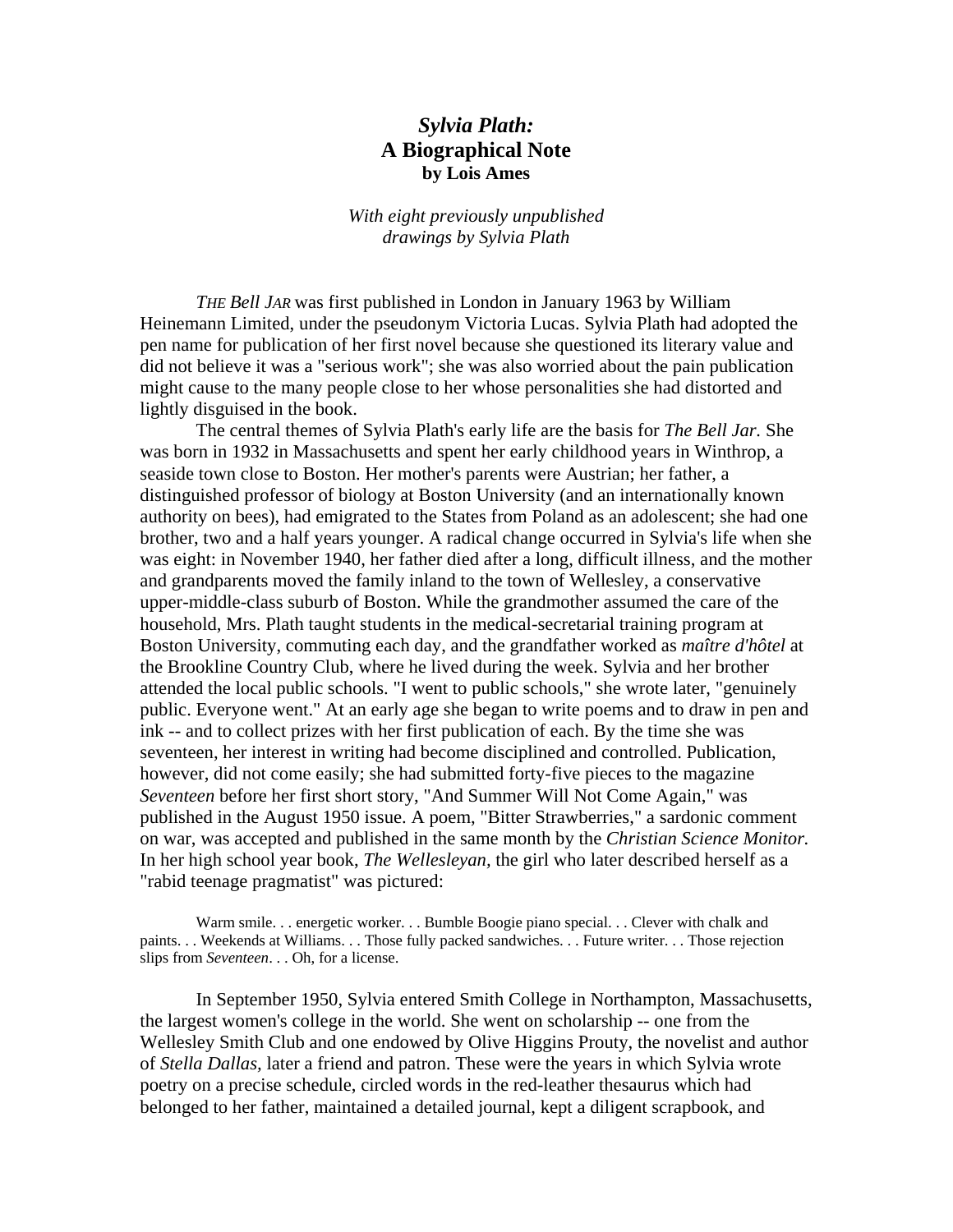## *Sylvia Plath:* **A Biographical Note by Lois Ames**

*With eight previously unpublished drawings by Sylvia Plath*

*THE Bell JAR* was first published in London in January 1963 by William Heinemann Limited, under the pseudonym Victoria Lucas. Sylvia Plath had adopted the pen name for publication of her first novel because she questioned its literary value and did not believe it was a "serious work"; she was also worried about the pain publication might cause to the many people close to her whose personalities she had distorted and lightly disguised in the book.

 The central themes of Sylvia Plath's early life are the basis for *The Bell Jar.* She was born in 1932 in Massachusetts and spent her early childhood years in Winthrop, a seaside town close to Boston. Her mother's parents were Austrian; her father, a distinguished professor of biology at Boston University (and an internationally known authority on bees), had emigrated to the States from Poland as an adolescent; she had one brother, two and a half years younger. A radical change occurred in Sylvia's life when she was eight: in November 1940, her father died after a long, difficult illness, and the mother and grandparents moved the family inland to the town of Wellesley, a conservative upper-middle-class suburb of Boston. While the grandmother assumed the care of the household, Mrs. Plath taught students in the medical-secretarial training program at Boston University, commuting each day, and the grandfather worked as *maître d'hôtel* at the Brookline Country Club, where he lived during the week. Sylvia and her brother attended the local public schools. "I went to public schools," she wrote later, "genuinely public. Everyone went." At an early age she began to write poems and to draw in pen and ink -- and to collect prizes with her first publication of each. By the time she was seventeen, her interest in writing had become disciplined and controlled. Publication, however, did not come easily; she had submitted forty-five pieces to the magazine *Seventeen* before her first short story, "And Summer Will Not Come Again," was published in the August 1950 issue. A poem, "Bitter Strawberries," a sardonic comment on war, was accepted and published in the same month by the *Christian Science Monitor.*  In her high school year book, *The Wellesleyan,* the girl who later described herself as a "rabid teenage pragmatist" was pictured:

Warm smile. . . energetic worker. . . Bumble Boogie piano special. . . Clever with chalk and paints. . . Weekends at Williams. . . Those fully packed sandwiches. . . Future writer. . . Those rejection slips from *Seventeen*. . . Oh, for a license.

 In September 1950, Sylvia entered Smith College in Northampton, Massachusetts, the largest women's college in the world. She went on scholarship -- one from the Wellesley Smith Club and one endowed by Olive Higgins Prouty, the novelist and author of *Stella Dallas,* later a friend and patron. These were the years in which Sylvia wrote poetry on a precise schedule, circled words in the red-leather thesaurus which had belonged to her father, maintained a detailed journal, kept a diligent scrapbook, and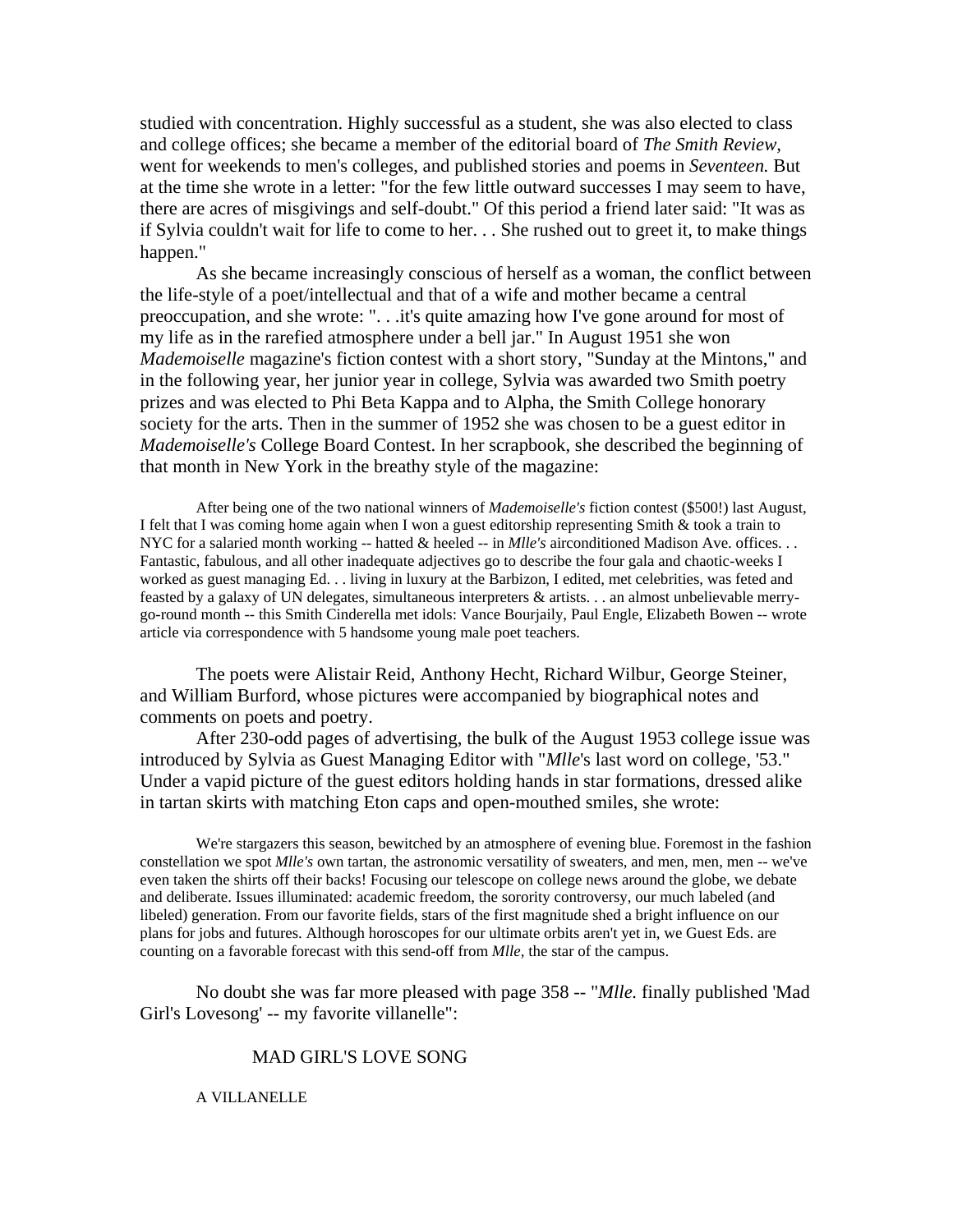studied with concentration. Highly successful as a student, she was also elected to class and college offices; she became a member of the editorial board of *The Smith Review,*  went for weekends to men's colleges, and published stories and poems in *Seventeen.* But at the time she wrote in a letter: "for the few little outward successes I may seem to have, there are acres of misgivings and self-doubt." Of this period a friend later said: "It was as if Sylvia couldn't wait for life to come to her. . . She rushed out to greet it, to make things happen."

 As she became increasingly conscious of herself as a woman, the conflict between the life-style of a poet/intellectual and that of a wife and mother became a central preoccupation, and she wrote: ". . .it's quite amazing how I've gone around for most of my life as in the rarefied atmosphere under a bell jar." In August 1951 she won *Mademoiselle* magazine's fiction contest with a short story, "Sunday at the Mintons," and in the following year, her junior year in college, Sylvia was awarded two Smith poetry prizes and was elected to Phi Beta Kappa and to Alpha, the Smith College honorary society for the arts. Then in the summer of 1952 she was chosen to be a guest editor in *Mademoiselle's* College Board Contest. In her scrapbook, she described the beginning of that month in New York in the breathy style of the magazine:

 After being one of the two national winners of *Mademoiselle's* fiction contest (\$500!) last August, I felt that I was coming home again when I won a guest editorship representing Smith & took a train to NYC for a salaried month working -- hatted & heeled -- in *Mlle's* airconditioned Madison Ave. offices. . . Fantastic, fabulous, and all other inadequate adjectives go to describe the four gala and chaotic-weeks I worked as guest managing Ed. . . living in luxury at the Barbizon, I edited, met celebrities, was feted and feasted by a galaxy of UN delegates, simultaneous interpreters & artists. . . an almost unbelievable merrygo-round month -- this Smith Cinderella met idols: Vance Bourjaily, Paul Engle, Elizabeth Bowen -- wrote article via correspondence with 5 handsome young male poet teachers.

 The poets were Alistair Reid, Anthony Hecht, Richard Wilbur, George Steiner, and William Burford, whose pictures were accompanied by biographical notes and comments on poets and poetry.

 After 230-odd pages of advertising, the bulk of the August 1953 college issue was introduced by Sylvia as Guest Managing Editor with "*Mlle*'s last word on college, '53." Under a vapid picture of the guest editors holding hands in star formations, dressed alike in tartan skirts with matching Eton caps and open-mouthed smiles, she wrote:

 We're stargazers this season, bewitched by an atmosphere of evening blue. Foremost in the fashion constellation we spot *Mlle's* own tartan, the astronomic versatility of sweaters, and men, men, men -- we've even taken the shirts off their backs! Focusing our telescope on college news around the globe, we debate and deliberate. Issues illuminated: academic freedom, the sorority controversy, our much labeled (and libeled) generation. From our favorite fields, stars of the first magnitude shed a bright influence on our plans for jobs and futures. Although horoscopes for our ultimate orbits aren't yet in, we Guest Eds. are counting on a favorable forecast with this send-off from *Mlle,* the star of the campus.

 No doubt she was far more pleased with page 358 -- "*Mlle.* finally published 'Mad Girl's Lovesong' -- my favorite villanelle":

### MAD GIRL'S LOVE SONG

#### A VILLANELLE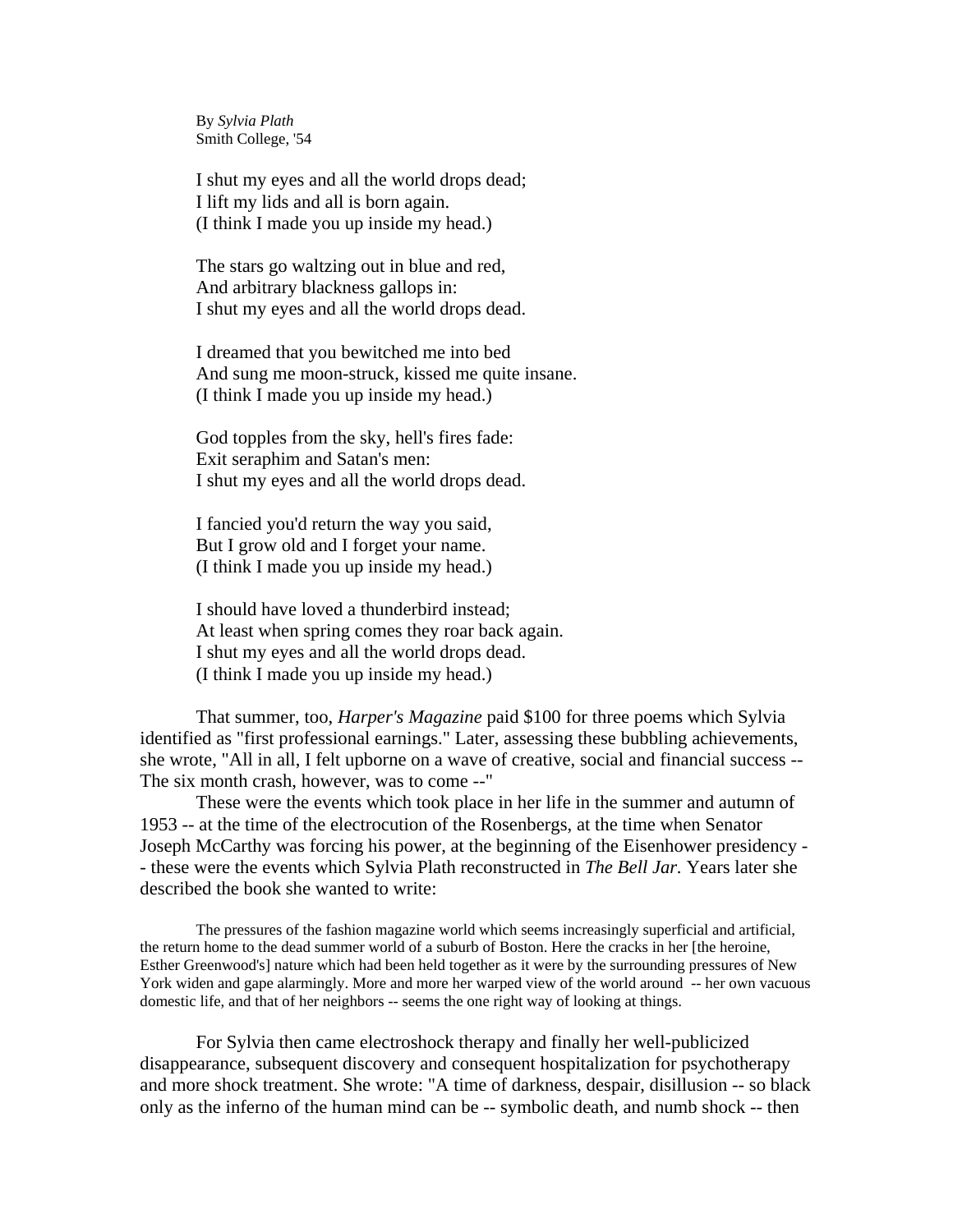By *Sylvia Plath*  Smith College, '54

 I shut my eyes and all the world drops dead; I lift my lids and all is born again. (I think I made you up inside my head.)

 The stars go waltzing out in blue and red, And arbitrary blackness gallops in: I shut my eyes and all the world drops dead.

 I dreamed that you bewitched me into bed And sung me moon-struck, kissed me quite insane. (I think I made you up inside my head.)

 God topples from the sky, hell's fires fade: Exit seraphim and Satan's men: I shut my eyes and all the world drops dead.

 I fancied you'd return the way you said, But I grow old and I forget your name. (I think I made you up inside my head.)

 I should have loved a thunderbird instead; At least when spring comes they roar back again. I shut my eyes and all the world drops dead. (I think I made you up inside my head.)

 That summer, too, *Harper's Magazine* paid \$100 for three poems which Sylvia identified as "first professional earnings." Later, assessing these bubbling achievements, she wrote, "All in all, I felt upborne on a wave of creative, social and financial success -- The six month crash, however, was to come --"

 These were the events which took place in her life in the summer and autumn of 1953 -- at the time of the electrocution of the Rosenbergs, at the time when Senator Joseph McCarthy was forcing his power, at the beginning of the Eisenhower presidency - - these were the events which Sylvia Plath reconstructed in *The Bell Jar.* Years later she described the book she wanted to write:

 The pressures of the fashion magazine world which seems increasingly superficial and artificial, the return home to the dead summer world of a suburb of Boston. Here the cracks in her [the heroine, Esther Greenwood's] nature which had been held together as it were by the surrounding pressures of New York widen and gape alarmingly. More and more her warped view of the world around -- her own vacuous domestic life, and that of her neighbors -- seems the one right way of looking at things.

 For Sylvia then came electroshock therapy and finally her well-publicized disappearance, subsequent discovery and consequent hospitalization for psychotherapy and more shock treatment. She wrote: "A time of darkness, despair, disillusion -- so black only as the inferno of the human mind can be -- symbolic death, and numb shock -- then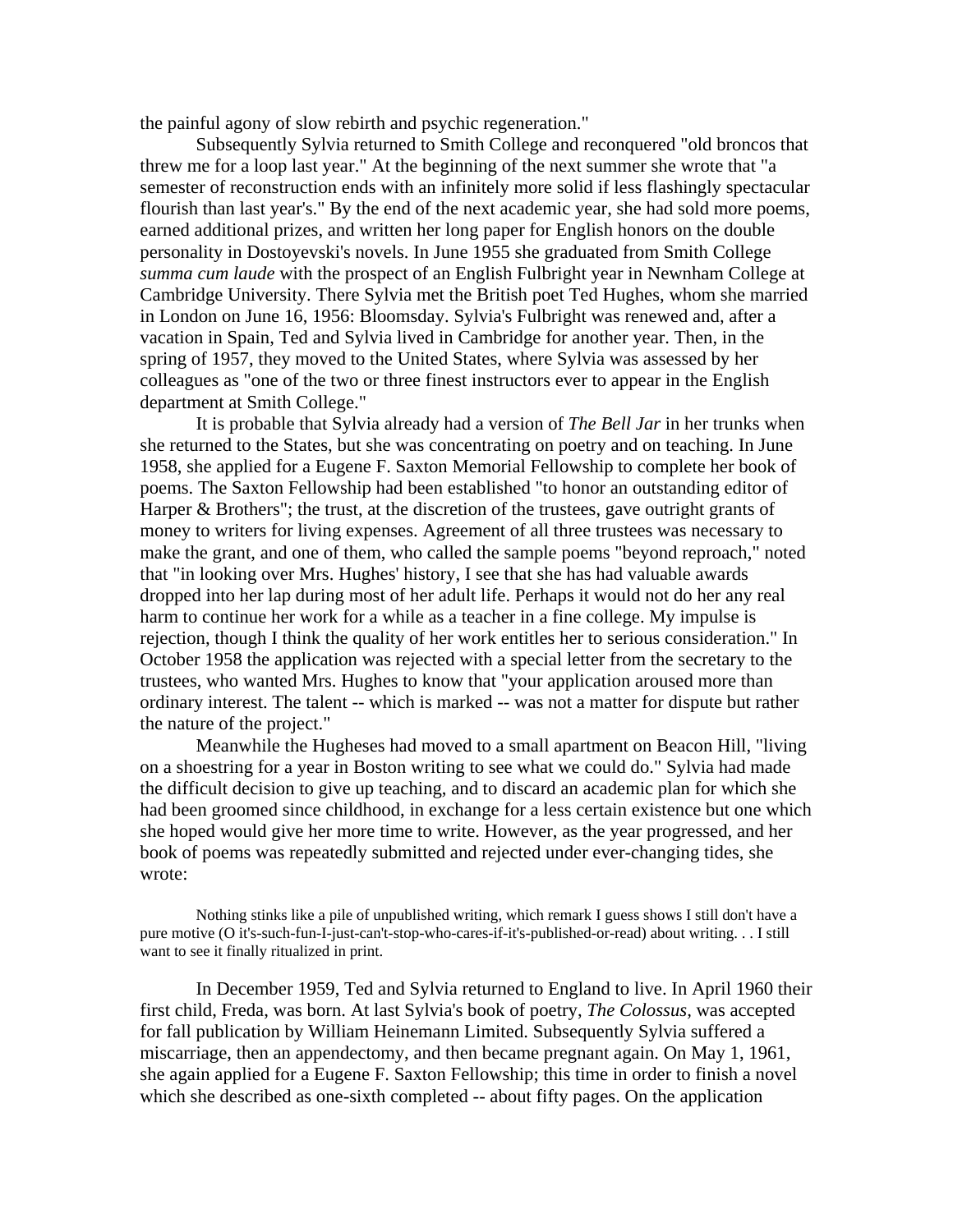the painful agony of slow rebirth and psychic regeneration."

 Subsequently Sylvia returned to Smith College and reconquered "old broncos that threw me for a loop last year." At the beginning of the next summer she wrote that "a semester of reconstruction ends with an infinitely more solid if less flashingly spectacular flourish than last year's." By the end of the next academic year, she had sold more poems, earned additional prizes, and written her long paper for English honors on the double personality in Dostoyevski's novels. In June 1955 she graduated from Smith College *summa cum laude* with the prospect of an English Fulbright year in Newnham College at Cambridge University. There Sylvia met the British poet Ted Hughes, whom she married in London on June 16, 1956: Bloomsday. Sylvia's Fulbright was renewed and, after a vacation in Spain, Ted and Sylvia lived in Cambridge for another year. Then, in the spring of 1957, they moved to the United States, where Sylvia was assessed by her colleagues as "one of the two or three finest instructors ever to appear in the English department at Smith College."

 It is probable that Sylvia already had a version of *The Bell Jar* in her trunks when she returned to the States, but she was concentrating on poetry and on teaching. In June 1958, she applied for a Eugene F. Saxton Memorial Fellowship to complete her book of poems. The Saxton Fellowship had been established "to honor an outstanding editor of Harper & Brothers"; the trust, at the discretion of the trustees, gave outright grants of money to writers for living expenses. Agreement of all three trustees was necessary to make the grant, and one of them, who called the sample poems "beyond reproach," noted that "in looking over Mrs. Hughes' history, I see that she has had valuable awards dropped into her lap during most of her adult life. Perhaps it would not do her any real harm to continue her work for a while as a teacher in a fine college. My impulse is rejection, though I think the quality of her work entitles her to serious consideration." In October 1958 the application was rejected with a special letter from the secretary to the trustees, who wanted Mrs. Hughes to know that "your application aroused more than ordinary interest. The talent -- which is marked -- was not a matter for dispute but rather the nature of the project."

 Meanwhile the Hugheses had moved to a small apartment on Beacon Hill, "living on a shoestring for a year in Boston writing to see what we could do." Sylvia had made the difficult decision to give up teaching, and to discard an academic plan for which she had been groomed since childhood, in exchange for a less certain existence but one which she hoped would give her more time to write. However, as the year progressed, and her book of poems was repeatedly submitted and rejected under ever-changing tides, she wrote:

 Nothing stinks like a pile of unpublished writing, which remark I guess shows I still don't have a pure motive (O it's-such-fun-I-just-can't-stop-who-cares-if-it's-published-or-read) about writing. . . I still want to see it finally ritualized in print.

 In December 1959, Ted and Sylvia returned to England to live. In April 1960 their first child, Freda, was born. At last Sylvia's book of poetry, *The Colossus,* was accepted for fall publication by William Heinemann Limited. Subsequently Sylvia suffered a miscarriage, then an appendectomy, and then became pregnant again. On May 1, 1961, she again applied for a Eugene F. Saxton Fellowship; this time in order to finish a novel which she described as one-sixth completed -- about fifty pages. On the application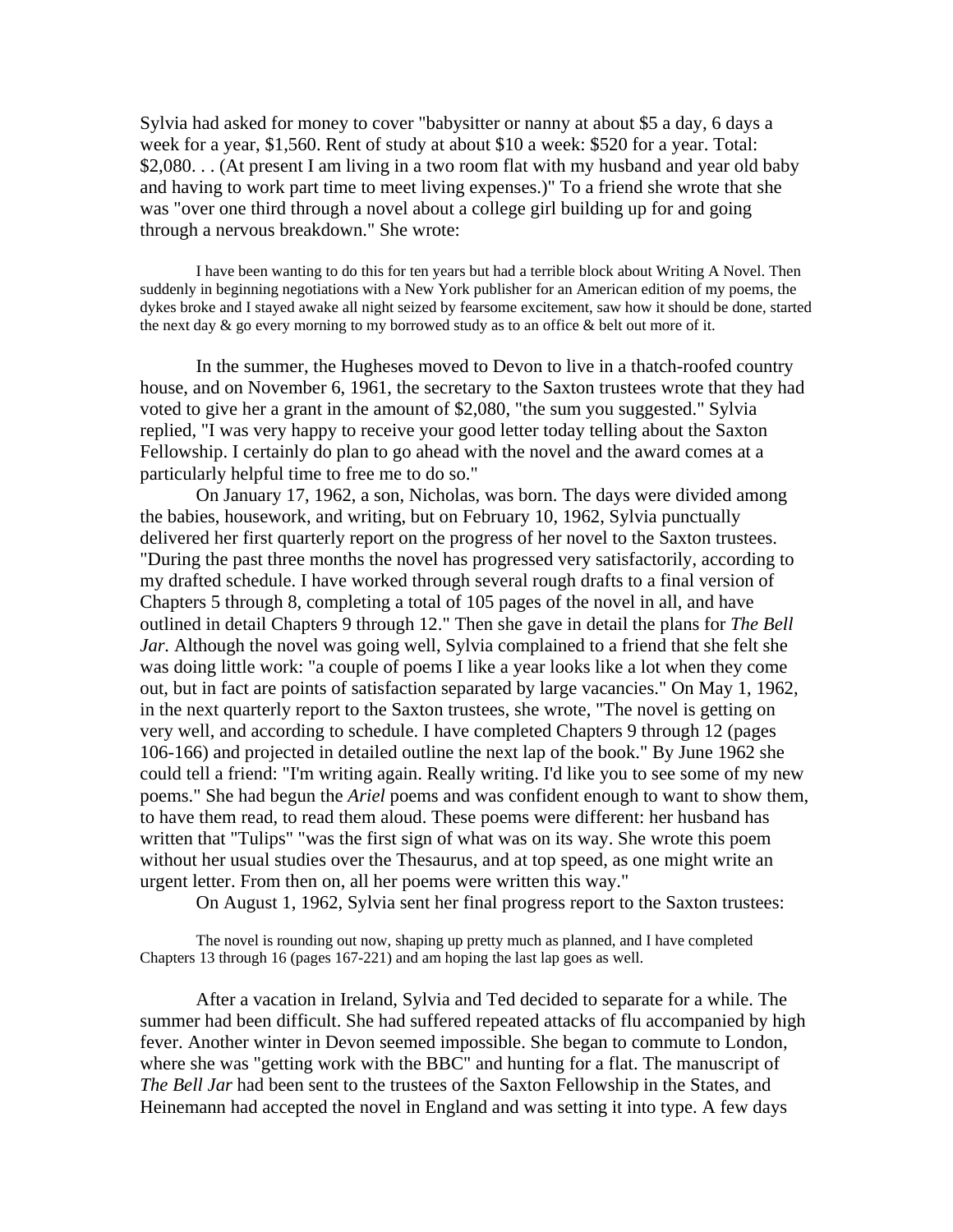Sylvia had asked for money to cover "babysitter or nanny at about \$5 a day, 6 days a week for a year, \$1,560. Rent of study at about \$10 a week: \$520 for a year. Total: \$2,080. . . (At present I am living in a two room flat with my husband and year old baby and having to work part time to meet living expenses.)" To a friend she wrote that she was "over one third through a novel about a college girl building up for and going through a nervous breakdown." She wrote:

 I have been wanting to do this for ten years but had a terrible block about Writing A Novel. Then suddenly in beginning negotiations with a New York publisher for an American edition of my poems, the dykes broke and I stayed awake all night seized by fearsome excitement, saw how it should be done, started the next day  $\&$  go every morning to my borrowed study as to an office  $\&$  belt out more of it.

 In the summer, the Hugheses moved to Devon to live in a thatch-roofed country house, and on November 6, 1961, the secretary to the Saxton trustees wrote that they had voted to give her a grant in the amount of \$2,080, "the sum you suggested." Sylvia replied, "I was very happy to receive your good letter today telling about the Saxton Fellowship. I certainly do plan to go ahead with the novel and the award comes at a particularly helpful time to free me to do so."

 On January 17, 1962, a son, Nicholas, was born. The days were divided among the babies, housework, and writing, but on February 10, 1962, Sylvia punctually delivered her first quarterly report on the progress of her novel to the Saxton trustees. "During the past three months the novel has progressed very satisfactorily, according to my drafted schedule. I have worked through several rough drafts to a final version of Chapters 5 through 8, completing a total of 105 pages of the novel in all, and have outlined in detail Chapters 9 through 12." Then she gave in detail the plans for *The Bell Jar.* Although the novel was going well, Sylvia complained to a friend that she felt she was doing little work: "a couple of poems I like a year looks like a lot when they come out, but in fact are points of satisfaction separated by large vacancies." On May 1, 1962, in the next quarterly report to the Saxton trustees, she wrote, "The novel is getting on very well, and according to schedule. I have completed Chapters 9 through 12 (pages 106-166) and projected in detailed outline the next lap of the book." By June 1962 she could tell a friend: "I'm writing again. Really writing. I'd like you to see some of my new poems." She had begun the *Ariel* poems and was confident enough to want to show them, to have them read, to read them aloud. These poems were different: her husband has written that "Tulips" "was the first sign of what was on its way. She wrote this poem without her usual studies over the Thesaurus, and at top speed, as one might write an urgent letter. From then on, all her poems were written this way."

On August 1, 1962, Sylvia sent her final progress report to the Saxton trustees:

 The novel is rounding out now, shaping up pretty much as planned, and I have completed Chapters 13 through 16 (pages 167-221) and am hoping the last lap goes as well.

 After a vacation in Ireland, Sylvia and Ted decided to separate for a while. The summer had been difficult. She had suffered repeated attacks of flu accompanied by high fever. Another winter in Devon seemed impossible. She began to commute to London, where she was "getting work with the BBC" and hunting for a flat. The manuscript of *The Bell Jar* had been sent to the trustees of the Saxton Fellowship in the States, and Heinemann had accepted the novel in England and was setting it into type. A few days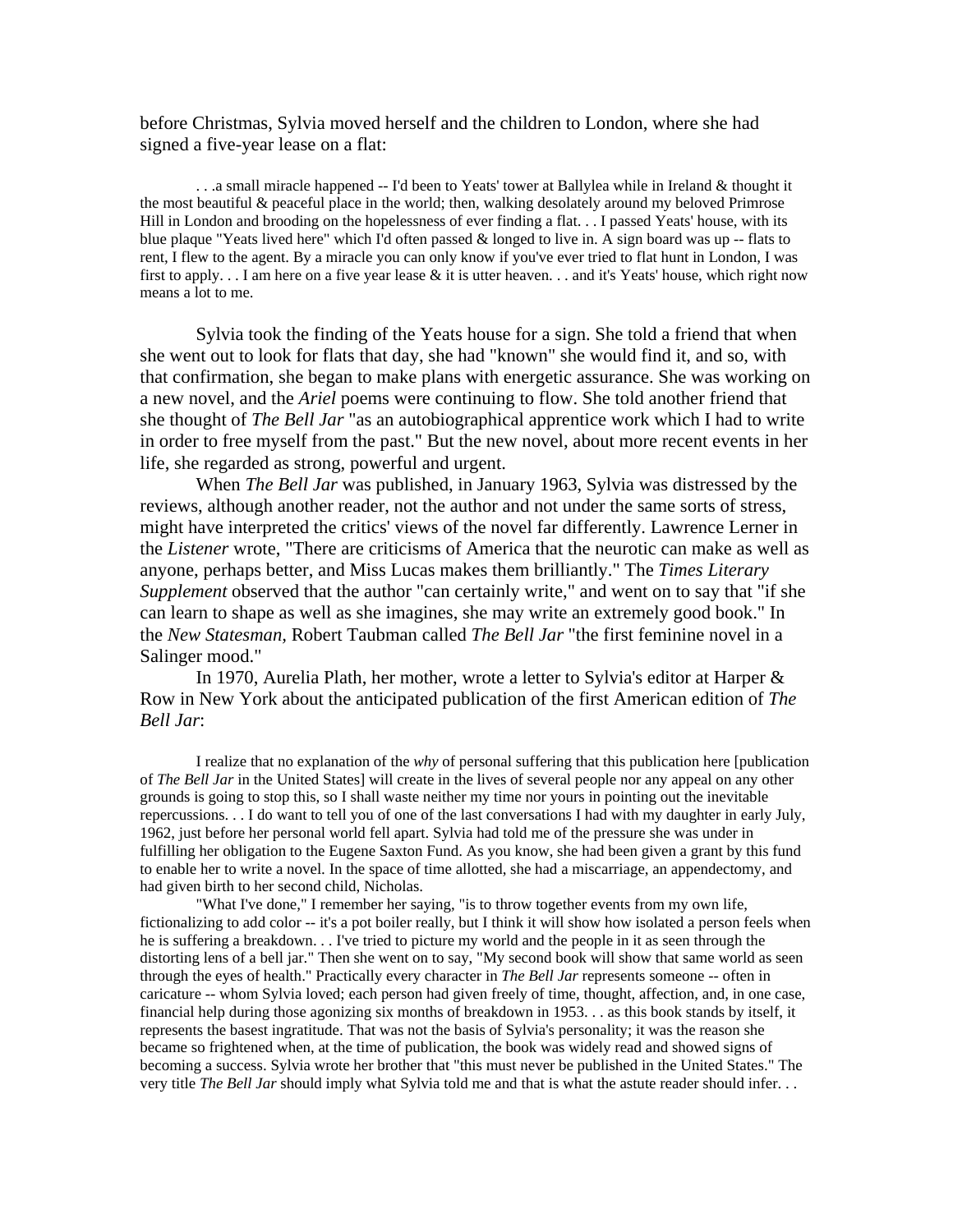before Christmas, Sylvia moved herself and the children to London, where she had signed a five-year lease on a flat:

 . . .a small miracle happened -- I'd been to Yeats' tower at Ballylea while in Ireland & thought it the most beautiful & peaceful place in the world; then, walking desolately around my beloved Primrose Hill in London and brooding on the hopelessness of ever finding a flat. . . I passed Yeats' house, with its blue plaque "Yeats lived here" which I'd often passed  $\&$  longed to live in. A sign board was up -- flats to rent, I flew to the agent. By a miracle you can only know if you've ever tried to flat hunt in London, I was first to apply. . . I am here on a five year lease  $\&$  it is utter heaven. . . and it's Yeats' house, which right now means a lot to me.

 Sylvia took the finding of the Yeats house for a sign. She told a friend that when she went out to look for flats that day, she had "known" she would find it, and so, with that confirmation, she began to make plans with energetic assurance. She was working on a new novel, and the *Ariel* poems were continuing to flow. She told another friend that she thought of *The Bell Jar* "as an autobiographical apprentice work which I had to write in order to free myself from the past." But the new novel, about more recent events in her life, she regarded as strong, powerful and urgent.

 When *The Bell Jar* was published, in January 1963, Sylvia was distressed by the reviews, although another reader, not the author and not under the same sorts of stress, might have interpreted the critics' views of the novel far differently. Lawrence Lerner in the *Listener* wrote, "There are criticisms of America that the neurotic can make as well as anyone, perhaps better, and Miss Lucas makes them brilliantly." The *Times Literary Supplement* observed that the author "can certainly write," and went on to say that "if she can learn to shape as well as she imagines, she may write an extremely good book." In the *New Statesman,* Robert Taubman called *The Bell Jar* "the first feminine novel in a Salinger mood."

 In 1970, Aurelia Plath, her mother, wrote a letter to Sylvia's editor at Harper & Row in New York about the anticipated publication of the first American edition of *The Bell Jar*:

 I realize that no explanation of the *why* of personal suffering that this publication here [publication of *The Bell Jar* in the United States] will create in the lives of several people nor any appeal on any other grounds is going to stop this, so I shall waste neither my time nor yours in pointing out the inevitable repercussions. . . I do want to tell you of one of the last conversations I had with my daughter in early July, 1962, just before her personal world fell apart. Sylvia had told me of the pressure she was under in fulfilling her obligation to the Eugene Saxton Fund. As you know, she had been given a grant by this fund to enable her to write a novel. In the space of time allotted, she had a miscarriage, an appendectomy, and had given birth to her second child, Nicholas.

 "What I've done," I remember her saying, "is to throw together events from my own life, fictionalizing to add color -- it's a pot boiler really, but I think it will show how isolated a person feels when he is suffering a breakdown. . . I've tried to picture my world and the people in it as seen through the distorting lens of a bell jar." Then she went on to say, "My second book will show that same world as seen through the eyes of health." Practically every character in *The Bell Jar* represents someone -- often in caricature -- whom Sylvia loved; each person had given freely of time, thought, affection, and, in one case, financial help during those agonizing six months of breakdown in 1953. . . as this book stands by itself, it represents the basest ingratitude. That was not the basis of Sylvia's personality; it was the reason she became so frightened when, at the time of publication, the book was widely read and showed signs of becoming a success. Sylvia wrote her brother that "this must never be published in the United States." The very title *The Bell Jar* should imply what Sylvia told me and that is what the astute reader should infer. . .